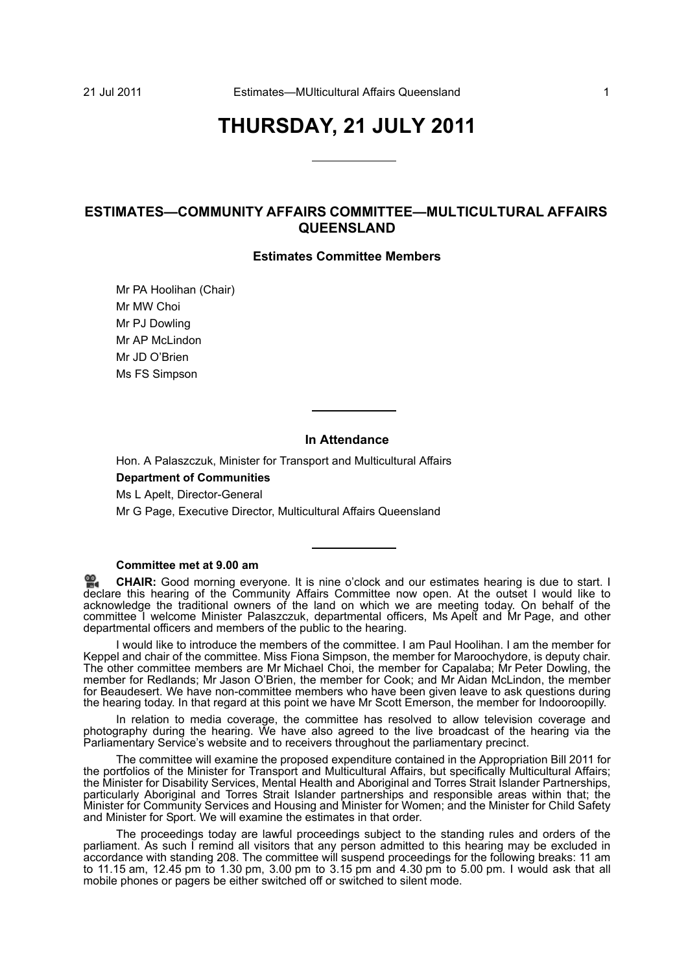# **THURSDAY, 21 JULY 2011**

# **ESTIMATES—COMMUNITY AFFAIRS COMMITTEE—MULTICULTURAL AFFAIRS QUEENSLAND**

# **Estimates Committee Members**

Mr PA Hoolihan (Chair) Mr MW Choi Mr PJ Dowling Mr AP McLindon Mr JD O'Brien Ms FS Simpson

# **In Attendance**

Hon. A Palaszczuk, Minister for Transport and Multicultural Affairs

# **Department of Communities**

Ms L Apelt, Director-General

Mr G Page, Executive Director, Multicultural Affairs Queensland

# **Committee met at 9.00 am**

≌. **[CHAIR:](http://www.parliament.qld.gov.au/docs/find.aspx?id=0Mba20110721_090055)** Good morning everyone. It is nine o'clock and our estimates hearing is due to start. I [dec](http://www.parliament.qld.gov.au/docs/find.aspx?id=0Mba20110721_090055)lare this hearing of the Community Affairs Committee now open. At the outset I would like to acknowledge the traditional owners of the land on which we are meeting today. On behalf of the committee I welcome Minister Palaszczuk, departmental officers, Ms Apelt and Mr Page, and other departmental officers and members of the public to the hearing.

I would like to introduce the members of the committee. I am Paul Hoolihan. I am the member for Keppel and chair of the committee. Miss Fiona Simpson, the member for Maroochydore, is deputy chair. The other committee members are Mr Michael Choi, the member for Capalaba; Mr Peter Dowling, the member for Redlands; Mr Jason O'Brien, the member for Cook; and Mr Aidan McLindon, the member for Beaudesert. We have non-committee members who have been given leave to ask questions during the hearing today. In that regard at this point we have Mr Scott Emerson, the member for Indooroopilly.

In relation to media coverage, the committee has resolved to allow television coverage and photography during the hearing. We have also agreed to the live broadcast of the hearing via the Parliamentary Service's website and to receivers throughout the parliamentary precinct.

The committee will examine the proposed expenditure contained in the Appropriation Bill 2011 for the portfolios of the Minister for Transport and Multicultural Affairs, but specifically Multicultural Affairs; the Minister for Disability Services, Mental Health and Aboriginal and Torres Strait Islander Partnerships, particularly Aboriginal and Torres Strait Islander partnerships and responsible areas within that; the Minister for Community Services and Housing and Minister for Women; and the Minister for Child Safety and Minister for Sport. We will examine the estimates in that order.

The proceedings today are lawful proceedings subject to the standing rules and orders of the parliament. As such I remind all visitors that any person admitted to this hearing may be excluded in accordance with standing 208. The committee will suspend proceedings for the following breaks: 11 am to 11.15 am, 12.45 pm to 1.30 pm, 3.00 pm to 3.15 pm and 4.30 pm to 5.00 pm. I would ask that all mobile phones or pagers be either switched off or switched to silent mode.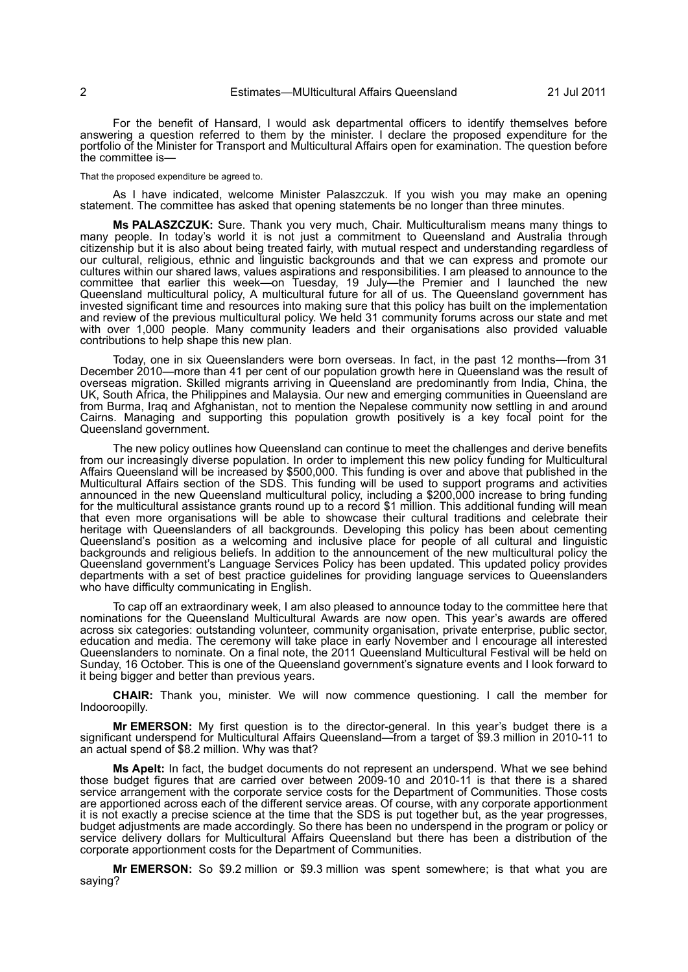For the benefit of Hansard, I would ask departmental officers to identify themselves before answering a question referred to them by the minister. I declare the proposed expenditure for the portfolio of the Minister for Transport and Multicultural Affairs open for examination. The question before the committee is—

#### That the proposed expenditure be agreed to.

As I have indicated, welcome Minister Palaszczuk. If you wish you may make an opening statement. The committee has asked that opening statements be no longer than three minutes.

**Ms PALASZCZUK:** Sure. Thank you very much, Chair. Multiculturalism means many things to many people. In today's world it is not just a commitment to Queensland and Australia through citizenship but it is also about being treated fairly, with mutual respect and understanding regardless of our cultural, religious, ethnic and linguistic backgrounds and that we can express and promote our cultures within our shared laws, values aspirations and responsibilities. I am pleased to announce to the committee that earlier this week—on Tuesday, 19 July—the Premier and I launched the new Queensland multicultural policy, A multicultural future for all of us. The Queensland government has invested significant time and resources into making sure that this policy has built on the implementation and review of the previous multicultural policy. We held 31 community forums across our state and met with over 1,000 people. Many community leaders and their organisations also provided valuable contributions to help shape this new plan.

Today, one in six Queenslanders were born overseas. In fact, in the past 12 months—from 31 December 2010—more than 41 per cent of our population growth here in Queensland was the result of overseas migration. Skilled migrants arriving in Queensland are predominantly from India, China, the UK, South Africa, the Philippines and Malaysia. Our new and emerging communities in Queensland are from Burma, Iraq and Afghanistan, not to mention the Nepalese community now settling in and around Cairns. Managing and supporting this population growth positively is a key focal point for the Queensland government.

The new policy outlines how Queensland can continue to meet the challenges and derive benefits from our increasingly diverse population. In order to implement this new policy funding for Multicultural Affairs Queensland will be increased by \$500,000. This funding is over and above that published in the Multicultural Affairs section of the SDS. This funding will be used to support programs and activities announced in the new Queensland multicultural policy, including a \$200,000 increase to bring funding for the multicultural assistance grants round up to a record \$1 million. This additional funding will mean that even more organisations will be able to showcase their cultural traditions and celebrate their heritage with Queenslanders of all backgrounds. Developing this policy has been about cementing Queensland's position as a welcoming and inclusive place for people of all cultural and linguistic backgrounds and religious beliefs. In addition to the announcement of the new multicultural policy the Queensland government's Language Services Policy has been updated. This updated policy provides departments with a set of best practice guidelines for providing language services to Queenslanders who have difficulty communicating in English.

To cap off an extraordinary week, I am also pleased to announce today to the committee here that nominations for the Queensland Multicultural Awards are now open. This year's awards are offered across six categories: outstanding volunteer, community organisation, private enterprise, public sector, education and media. The ceremony will take place in early November and I encourage all interested Queenslanders to nominate. On a final note, the 2011 Queensland Multicultural Festival will be held on Sunday, 16 October. This is one of the Queensland government's signature events and I look forward to it being bigger and better than previous years.

**CHAIR:** Thank you, minister. We will now commence questioning. I call the member for Indooroopilly.

**Mr EMERSON:** My first question is to the director-general. In this year's budget there is a significant underspend for Multicultural Affairs Queensland—from a target of \$9.3 million in 2010-11 to an actual spend of \$8.2 million. Why was that?

**Ms Apelt:** In fact, the budget documents do not represent an underspend. What we see behind those budget figures that are carried over between 2009-10 and 2010-11 is that there is a shared service arrangement with the corporate service costs for the Department of Communities. Those costs are apportioned across each of the different service areas. Of course, with any corporate apportionment it is not exactly a precise science at the time that the SDS is put together but, as the year progresses, budget adjustments are made accordingly. So there has been no underspend in the program or policy or service delivery dollars for Multicultural Affairs Queensland but there has been a distribution of the corporate apportionment costs for the Department of Communities.

**Mr EMERSON:** So \$9.2 million or \$9.3 million was spent somewhere; is that what you are saying?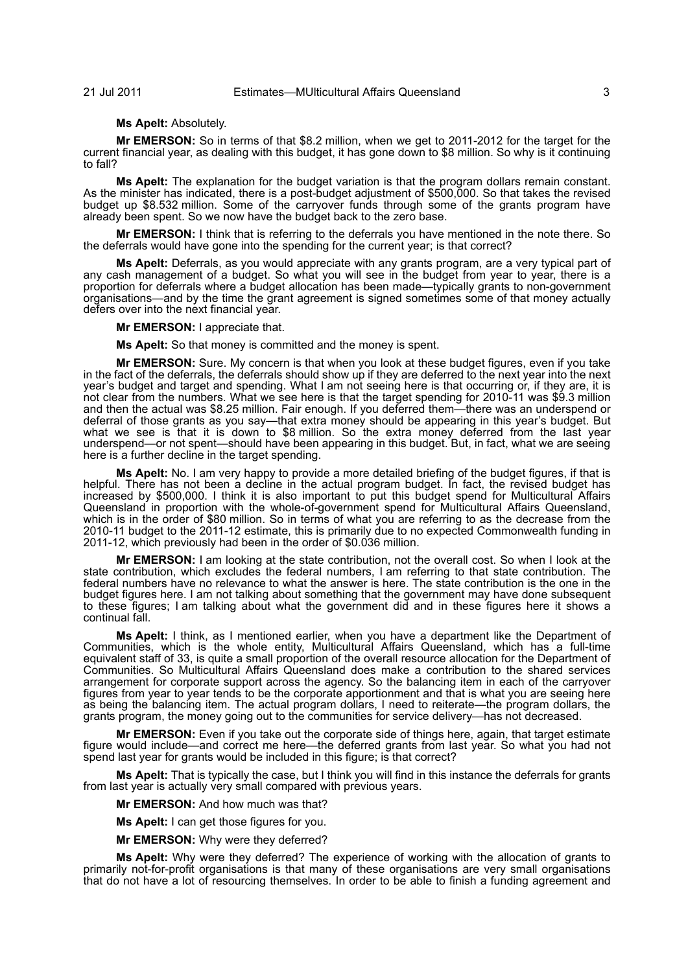# **Ms Apelt:** Absolutely.

**Mr EMERSON:** So in terms of that \$8.2 million, when we get to 2011-2012 for the target for the current financial year, as dealing with this budget, it has gone down to \$8 million. So why is it continuing to fall?

**Ms Apelt:** The explanation for the budget variation is that the program dollars remain constant. As the minister has indicated, there is a post-budget adjustment of \$500,000. So that takes the revised budget up \$8.532 million. Some of the carryover funds through some of the grants program have already been spent. So we now have the budget back to the zero base.

**Mr EMERSON:** I think that is referring to the deferrals you have mentioned in the note there. So the deferrals would have gone into the spending for the current year; is that correct?

**Ms Apelt:** Deferrals, as you would appreciate with any grants program, are a very typical part of any cash management of a budget. So what you will see in the budget from year to year, there is a proportion for deferrals where a budget allocation has been made—typically grants to non-government organisations—and by the time the grant agreement is signed sometimes some of that money actually defers over into the next financial year.

## **Mr EMERSON:** I appreciate that.

**Ms Apelt:** So that money is committed and the money is spent.

**Mr EMERSON:** Sure. My concern is that when you look at these budget figures, even if you take in the fact of the deferrals, the deferrals should show up if they are deferred to the next year into the next year's budget and target and spending. What I am not seeing here is that occurring or, if they are, it is not clear from the numbers. What we see here is that the target spending for 2010-11 was \$9.3 million and then the actual was \$8.25 million. Fair enough. If you deferred them—there was an underspend or deferral of those grants as you say—that extra money should be appearing in this year's budget. But what we see is that it is down to \$8 million. So the extra money deferred from the last year underspend—or not spent—should have been appearing in this budget. But, in fact, what we are seeing here is a further decline in the target spending.

**Ms Apelt:** No. I am very happy to provide a more detailed briefing of the budget figures, if that is helpful. There has not been a decline in the actual program budget. In fact, the revised budget has increased by \$500,000. I think it is also important to put this budget spend for Multicultural Affairs Queensland in proportion with the whole-of-government spend for Multicultural Affairs Queensland, which is in the order of \$80 million. So in terms of what you are referring to as the decrease from the 2010-11 budget to the 2011-12 estimate, this is primarily due to no expected Commonwealth funding in 2011-12, which previously had been in the order of \$0.036 million.

**Mr EMERSON:** I am looking at the state contribution, not the overall cost. So when I look at the state contribution, which excludes the federal numbers, I am referring to that state contribution. The federal numbers have no relevance to what the answer is here. The state contribution is the one in the budget figures here. I am not talking about something that the government may have done subsequent to these figures; I am talking about what the government did and in these figures here it shows a continual fall.

**Ms Apelt:** I think, as I mentioned earlier, when you have a department like the Department of Communities, which is the whole entity, Multicultural Affairs Queensland, which has a full-time equivalent staff of 33, is quite a small proportion of the overall resource allocation for the Department of Communities. So Multicultural Affairs Queensland does make a contribution to the shared services arrangement for corporate support across the agency. So the balancing item in each of the carryover figures from year to year tends to be the corporate apportionment and that is what you are seeing here as being the balancing item. The actual program dollars, I need to reiterate—the program dollars, the grants program, the money going out to the communities for service delivery—has not decreased.

**Mr EMERSON:** Even if you take out the corporate side of things here, again, that target estimate figure would include—and correct me here—the deferred grants from last year. So what you had not spend last year for grants would be included in this figure; is that correct?

**Ms Apelt:** That is typically the case, but I think you will find in this instance the deferrals for grants from last year is actually very small compared with previous years.

**Mr EMERSON:** And how much was that?

**Ms Apelt:** I can get those figures for you.

**Mr EMERSON:** Why were they deferred?

**Ms Apelt:** Why were they deferred? The experience of working with the allocation of grants to primarily not-for-profit organisations is that many of these organisations are very small organisations that do not have a lot of resourcing themselves. In order to be able to finish a funding agreement and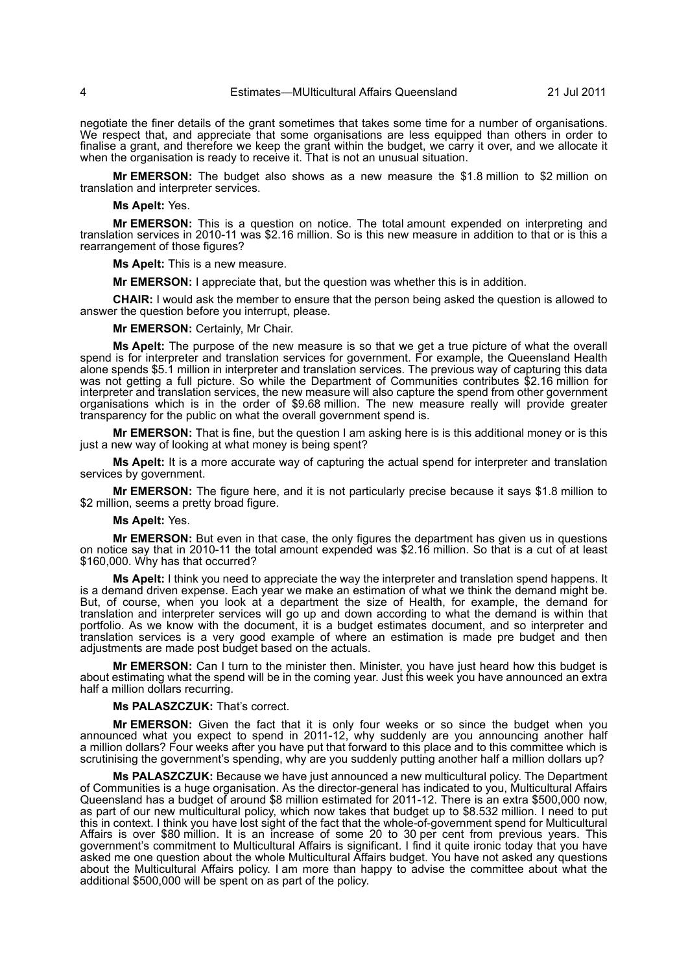negotiate the finer details of the grant sometimes that takes some time for a number of organisations. We respect that, and appreciate that some organisations are less equipped than others in order to finalise a grant, and therefore we keep the grant within the budget, we carry it over, and we allocate it when the organisation is ready to receive it. That is not an unusual situation.

**Mr EMERSON:** The budget also shows as a new measure the \$1.8 million to \$2 million on translation and interpreter services.

**Ms Apelt:** Yes.

**Mr EMERSON:** This is a question on notice. The total amount expended on interpreting and translation services in 2010-11 was \$2.16 million. So is this new measure in addition to that or is this a rearrangement of those figures?

**Ms Apelt:** This is a new measure.

**Mr EMERSON:** I appreciate that, but the question was whether this is in addition.

**CHAIR:** I would ask the member to ensure that the person being asked the question is allowed to answer the question before you interrupt, please.

**Mr EMERSON:** Certainly, Mr Chair.

**Ms Apelt:** The purpose of the new measure is so that we get a true picture of what the overall spend is for interpreter and translation services for government. For example, the Queensland Health alone spends \$5.1 million in interpreter and translation services. The previous way of capturing this data was not getting a full picture. So while the Department of Communities contributes \$2.16 million for interpreter and translation services, the new measure will also capture the spend from other government organisations which is in the order of \$9.68 million. The new measure really will provide greater transparency for the public on what the overall government spend is.

**Mr EMERSON:** That is fine, but the question I am asking here is is this additional money or is this just a new way of looking at what money is being spent?

**Ms Apelt:** It is a more accurate way of capturing the actual spend for interpreter and translation services by government.

**Mr EMERSON:** The figure here, and it is not particularly precise because it says \$1.8 million to \$2 million, seems a pretty broad figure.

**Ms Apelt:** Yes.

**Mr EMERSON:** But even in that case, the only figures the department has given us in questions on notice say that in 2010-11 the total amount expended was \$2.16 million. So that is a cut of at least \$160,000. Why has that occurred?

**Ms Apelt:** I think you need to appreciate the way the interpreter and translation spend happens. It is a demand driven expense. Each year we make an estimation of what we think the demand might be. But, of course, when you look at a department the size of Health, for example, the demand for translation and interpreter services will go up and down according to what the demand is within that portfolio. As we know with the document, it is a budget estimates document, and so interpreter and translation services is a very good example of where an estimation is made pre budget and then adjustments are made post budget based on the actuals.

**Mr EMERSON:** Can I turn to the minister then. Minister, you have just heard how this budget is about estimating what the spend will be in the coming year. Just this week you have announced an extra half a million dollars recurring.

**Ms PALASZCZUK:** That's correct.

**Mr EMERSON:** Given the fact that it is only four weeks or so since the budget when you announced what you expect to spend in 2011-12, why suddenly are you announcing another half a million dollars? Four weeks after you have put that forward to this place and to this committee which is scrutinising the government's spending, why are you suddenly putting another half a million dollars up?

**Ms PALASZCZUK:** Because we have just announced a new multicultural policy. The Department of Communities is a huge organisation. As the director-general has indicated to you, Multicultural Affairs Queensland has a budget of around \$8 million estimated for 2011-12. There is an extra \$500,000 now, as part of our new multicultural policy, which now takes that budget up to \$8.532 million. I need to put this in context. I think you have lost sight of the fact that the whole-of-government spend for Multicultural Affairs is over \$80 million. It is an increase of some 20 to 30 per cent from previous years. This government's commitment to Multicultural Affairs is significant. I find it quite ironic today that you have asked me one question about the whole Multicultural Affairs budget. You have not asked any questions about the Multicultural Affairs policy. I am more than happy to advise the committee about what the additional \$500,000 will be spent on as part of the policy.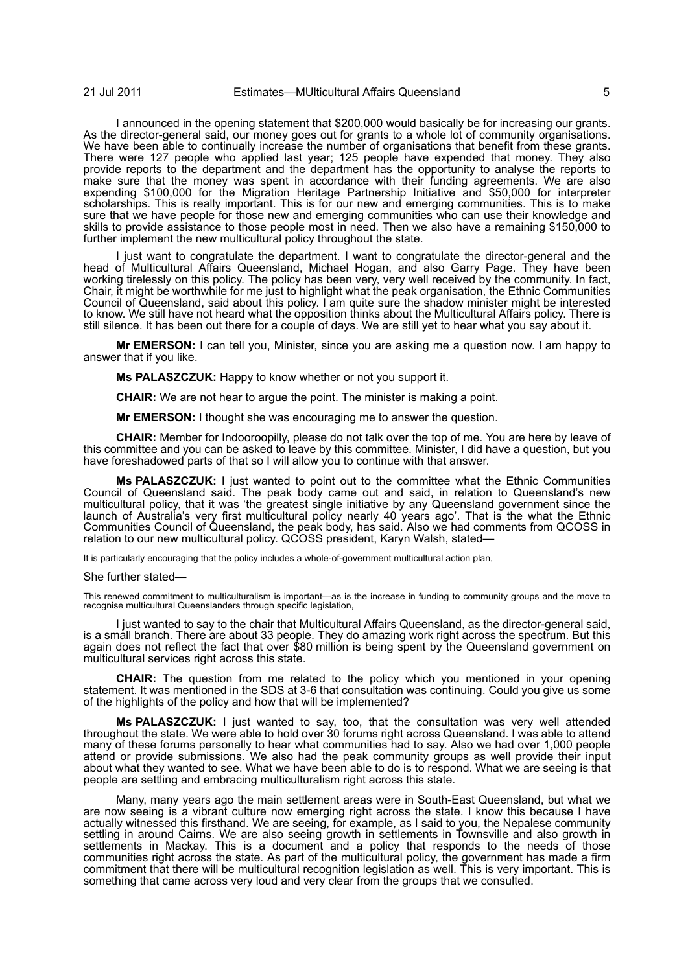I announced in the opening statement that \$200,000 would basically be for increasing our grants. As the director-general said, our money goes out for grants to a whole lot of community organisations. We have been able to continually increase the number of organisations that benefit from these grants. There were 127 people who applied last year; 125 people have expended that money. They also provide reports to the department and the department has the opportunity to analyse the reports to make sure that the money was spent in accordance with their funding agreements. We are also expending \$100,000 for the Migration Heritage Partnership Initiative and \$50,000 for interpreter scholarships. This is really important. This is for our new and emerging communities. This is to make sure that we have people for those new and emerging communities who can use their knowledge and skills to provide assistance to those people most in need. Then we also have a remaining \$150,000 to further implement the new multicultural policy throughout the state.

I just want to congratulate the department. I want to congratulate the director-general and the head of Multicultural Affairs Queensland, Michael Hogan, and also Garry Page. They have been working tirelessly on this policy. The policy has been very, very well received by the community. In fact, Chair, it might be worthwhile for me just to highlight what the peak organisation, the Ethnic Communities Council of Queensland, said about this policy. I am quite sure the shadow minister might be interested to know. We still have not heard what the opposition thinks about the Multicultural Affairs policy. There is still silence. It has been out there for a couple of days. We are still yet to hear what you say about it.

**Mr EMERSON:** I can tell you, Minister, since you are asking me a question now. I am happy to answer that if you like.

**Ms PALASZCZUK:** Happy to know whether or not you support it.

**CHAIR:** We are not hear to argue the point. The minister is making a point.

**Mr EMERSON:** I thought she was encouraging me to answer the question.

**CHAIR:** Member for Indooroopilly, please do not talk over the top of me. You are here by leave of this committee and you can be asked to leave by this committee. Minister, I did have a question, but you have foreshadowed parts of that so I will allow you to continue with that answer.

**Ms PALASZCZUK:** I just wanted to point out to the committee what the Ethnic Communities Council of Queensland said. The peak body came out and said, in relation to Queensland's new multicultural policy, that it was 'the greatest single initiative by any Queensland government since the launch of Australia's very first multicultural policy nearly 40 years ago'. That is the what the Ethnic Communities Council of Queensland, the peak body, has said. Also we had comments from QCOSS in relation to our new multicultural policy. QCOSS president, Karyn Walsh, stated—

It is particularly encouraging that the policy includes a whole-of-government multicultural action plan,

# She further stated—

This renewed commitment to multiculturalism is important—as is the increase in funding to community groups and the move to recognise multicultural Queenslanders through specific legislation,

I just wanted to say to the chair that Multicultural Affairs Queensland, as the director-general said, is a small branch. There are about 33 people. They do amazing work right across the spectrum. But this again does not reflect the fact that over \$80 million is being spent by the Queensland government on multicultural services right across this state.

**CHAIR:** The question from me related to the policy which you mentioned in your opening statement. It was mentioned in the SDS at 3-6 that consultation was continuing. Could you give us some of the highlights of the policy and how that will be implemented?

**Ms PALASZCZUK:** I just wanted to say, too, that the consultation was very well attended throughout the state. We were able to hold over 30 forums right across Queensland. I was able to attend many of these forums personally to hear what communities had to say. Also we had over 1,000 people attend or provide submissions. We also had the peak community groups as well provide their input about what they wanted to see. What we have been able to do is to respond. What we are seeing is that people are settling and embracing multiculturalism right across this state.

Many, many years ago the main settlement areas were in South-East Queensland, but what we are now seeing is a vibrant culture now emerging right across the state. I know this because I have actually witnessed this firsthand. We are seeing, for example, as I said to you, the Nepalese community settling in around Cairns. We are also seeing growth in settlements in Townsville and also growth in settlements in Mackay. This is a document and a policy that responds to the needs of those communities right across the state. As part of the multicultural policy, the government has made a firm commitment that there will be multicultural recognition legislation as well. This is very important. This is something that came across very loud and very clear from the groups that we consulted.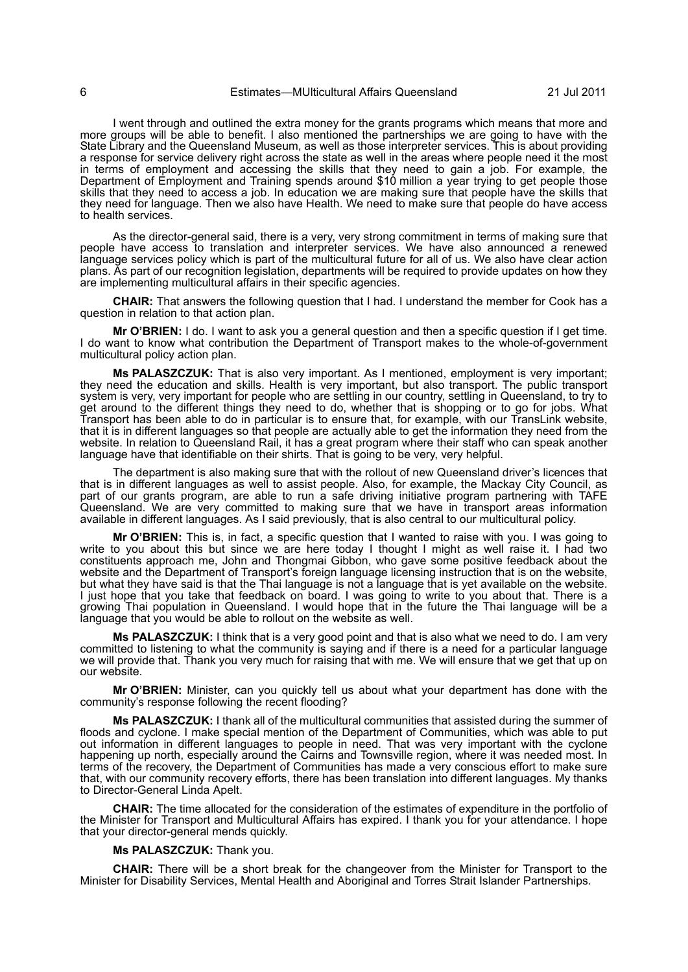I went through and outlined the extra money for the grants programs which means that more and more groups will be able to benefit. I also mentioned the partnerships we are going to have with the State Library and the Queensland Museum, as well as those interpreter services. This is about providing a response for service delivery right across the state as well in the areas where people need it the most in terms of employment and accessing the skills that they need to gain a job. For example, the Department of Employment and Training spends around \$10 million a year trying to get people those skills that they need to access a job. In education we are making sure that people have the skills that they need for language. Then we also have Health. We need to make sure that people do have access to health services.

As the director-general said, there is a very, very strong commitment in terms of making sure that people have access to translation and interpreter services. We have also announced a renewed language services policy which is part of the multicultural future for all of us. We also have clear action plans. As part of our recognition legislation, departments will be required to provide updates on how they are implementing multicultural affairs in their specific agencies.

**CHAIR:** That answers the following question that I had. I understand the member for Cook has a question in relation to that action plan.

**Mr O'BRIEN:** I do. I want to ask you a general question and then a specific question if I get time. I do want to know what contribution the Department of Transport makes to the whole-of-government multicultural policy action plan.

**Ms PALASZCZUK:** That is also very important. As I mentioned, employment is very important; they need the education and skills. Health is very important, but also transport. The public transport system is very, very important for people who are settling in our country, settling in Queensland, to try to get around to the different things they need to do, whether that is shopping or to go for jobs. What Transport has been able to do in particular is to ensure that, for example, with our TransLink website, that it is in different languages so that people are actually able to get the information they need from the website. In relation to Queensland Rail, it has a great program where their staff who can speak another language have that identifiable on their shirts. That is going to be very, very helpful.

The department is also making sure that with the rollout of new Queensland driver's licences that that is in different languages as well to assist people. Also, for example, the Mackay City Council, as part of our grants program, are able to run a safe driving initiative program partnering with TAFE Queensland. We are very committed to making sure that we have in transport areas information available in different languages. As I said previously, that is also central to our multicultural policy.

**Mr O'BRIEN:** This is, in fact, a specific question that I wanted to raise with you. I was going to write to you about this but since we are here today I thought I might as well raise it. I had two constituents approach me, John and Thongmai Gibbon, who gave some positive feedback about the website and the Department of Transport's foreign language licensing instruction that is on the website, but what they have said is that the Thai language is not a language that is yet available on the website. I just hope that you take that feedback on board. I was going to write to you about that. There is a growing Thai population in Queensland. I would hope that in the future the Thai language will be a language that you would be able to rollout on the website as well.

**Ms PALASZCZUK:** I think that is a very good point and that is also what we need to do. I am very committed to listening to what the community is saying and if there is a need for a particular language we will provide that. Thank you very much for raising that with me. We will ensure that we get that up on our website.

**Mr O'BRIEN:** Minister, can you quickly tell us about what your department has done with the community's response following the recent flooding?

**Ms PALASZCZUK:** I thank all of the multicultural communities that assisted during the summer of floods and cyclone. I make special mention of the Department of Communities, which was able to put out information in different languages to people in need. That was very important with the cyclone happening up north, especially around the Cairns and Townsville region, where it was needed most. In terms of the recovery, the Department of Communities has made a very conscious effort to make sure that, with our community recovery efforts, there has been translation into different languages. My thanks to Director-General Linda Apelt.

**CHAIR:** The time allocated for the consideration of the estimates of expenditure in the portfolio of the Minister for Transport and Multicultural Affairs has expired. I thank you for your attendance. I hope that your director-general mends quickly.

# **Ms PALASZCZUK:** Thank you.

**CHAIR:** There will be a short break for the changeover from the Minister for Transport to the Minister for Disability Services, Mental Health and Aboriginal and Torres Strait Islander Partnerships.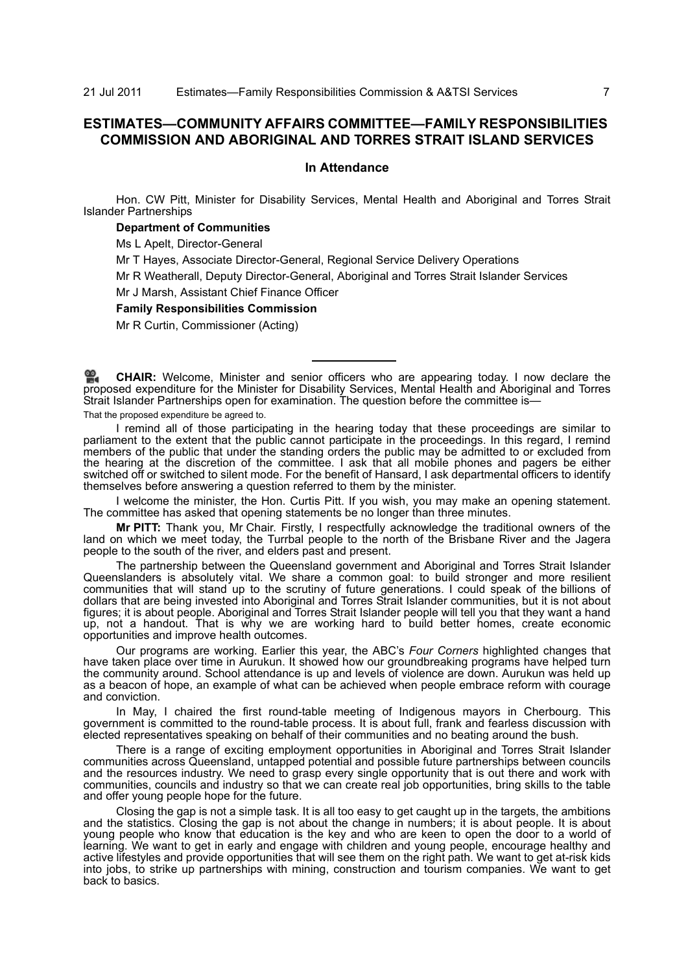21 Jul 2011 Estimates—Family Responsibilities Commission & A&TSI Services 7

# **ESTIMATES—COMMUNITY AFFAIRS COMMITTEE—FAMILY RESPONSIBILITIES COMMISSION AND ABORIGINAL AND TORRES STRAIT ISLAND SERVICES**

# **In Attendance**

Hon. CW Pitt, Minister for Disability Services, Mental Health and Aboriginal and Torres Strait Islander Partnerships

# **Department of Communities**

Ms L Apelt, Director-General

Mr T Hayes, Associate Director-General, Regional Service Delivery Operations

Mr R Weatherall, Deputy Director-General, Aboriginal and Torres Strait Islander Services

Mr J Marsh, Assistant Chief Finance Officer

# **Family Responsibilities Commission**

Mr R Curtin, Commissioner (Acting)

**CHAIR:** [Welcome, Minister and senior officers who are appearing today. I now declare the](http://www.parliament.qld.gov.au/docs/find.aspx?id=0Mba20110721_093452) [pro](http://www.parliament.qld.gov.au/docs/find.aspx?id=0Mba20110721_093452)posed expenditure for the Minister for Disability Services, Mental Health and Aboriginal and Torres [Strait Islander Partnerships open for examination. The question before the committee is—](http://www.parliament.qld.gov.au/docs/find.aspx?id=0Mba20110721_093452)

That the proposed expenditure be agreed to.

I remind all of those participating in the hearing today that these proceedings are similar to parliament to the extent that the public cannot participate in the proceedings. In this regard, I remind members of the public that under the standing orders the public may be admitted to or excluded from the hearing at the discretion of the committee. I ask that all mobile phones and pagers be either switched off or switched to silent mode. For the benefit of Hansard, I ask departmental officers to identify themselves before answering a question referred to them by the minister.

I welcome the minister, the Hon. Curtis Pitt. If you wish, you may make an opening statement. The committee has asked that opening statements be no longer than three minutes.

**Mr PITT:** Thank you, Mr Chair. Firstly, I respectfully acknowledge the traditional owners of the land on which we meet today, the Turrbal people to the north of the Brisbane River and the Jagera people to the south of the river, and elders past and present.

The partnership between the Queensland government and Aboriginal and Torres Strait Islander Queenslanders is absolutely vital. We share a common goal: to build stronger and more resilient communities that will stand up to the scrutiny of future generations. I could speak of the billions of dollars that are being invested into Aboriginal and Torres Strait Islander communities, but it is not about figures; it is about people. Aboriginal and Torres Strait Islander people will tell you that they want a hand up, not a handout. That is why we are working hard to build better homes, create economic opportunities and improve health outcomes.

Our programs are working. Earlier this year, the ABC's *Four Corners* highlighted changes that have taken place over time in Aurukun. It showed how our groundbreaking programs have helped turn the community around. School attendance is up and levels of violence are down. Aurukun was held up as a beacon of hope, an example of what can be achieved when people embrace reform with courage and conviction.

In May, I chaired the first round-table meeting of Indigenous mayors in Cherbourg. This government is committed to the round-table process. It is about full, frank and fearless discussion with elected representatives speaking on behalf of their communities and no beating around the bush.

There is a range of exciting employment opportunities in Aboriginal and Torres Strait Islander communities across Queensland, untapped potential and possible future partnerships between councils and the resources industry. We need to grasp every single opportunity that is out there and work with communities, councils and industry so that we can create real job opportunities, bring skills to the table and offer young people hope for the future.

Closing the gap is not a simple task. It is all too easy to get caught up in the targets, the ambitions and the statistics. Closing the gap is not about the change in numbers; it is about people. It is about young people who know that education is the key and who are keen to open the door to a world of learning. We want to get in early and engage with children and young people, encourage healthy and active lifestyles and provide opportunities that will see them on the right path. We want to get at-risk kids into jobs, to strike up partnerships with mining, construction and tourism companies. We want to get back to basics.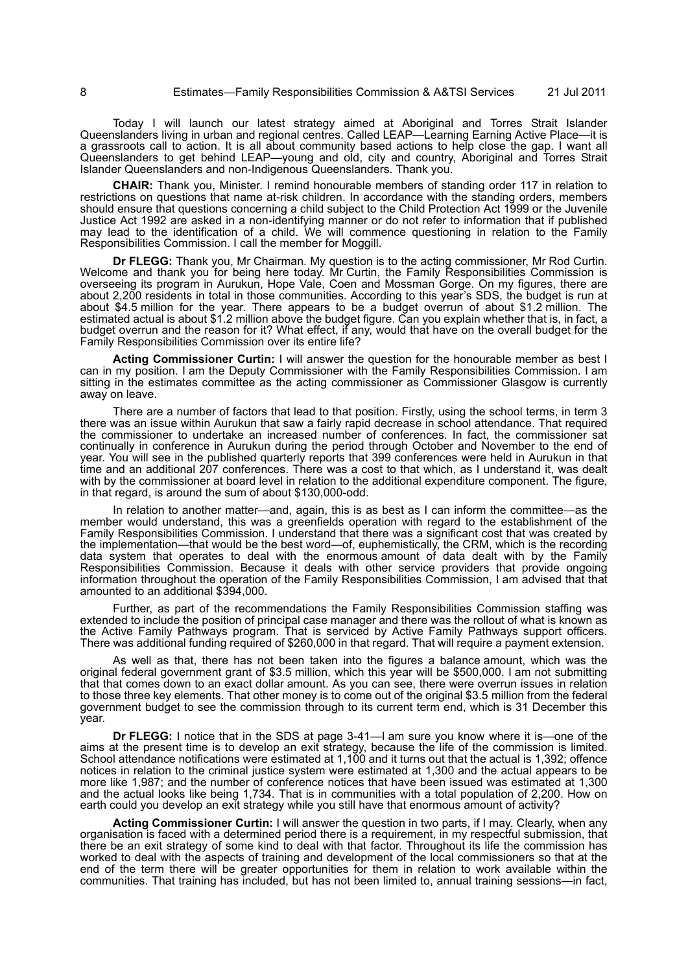Today I will launch our latest strategy aimed at Aboriginal and Torres Strait Islander Queenslanders living in urban and regional centres. Called LEAP—Learning Earning Active Place—it is a grassroots call to action. It is all about community based actions to help close the gap. I want all Queenslanders to get behind LEAP—young and old, city and country, Aboriginal and Torres Strait Islander Queenslanders and non-Indigenous Queenslanders. Thank you.

**CHAIR:** Thank you, Minister. I remind honourable members of standing order 117 in relation to restrictions on questions that name at-risk children. In accordance with the standing orders, members should ensure that questions concerning a child subject to the Child Protection Act 1999 or the Juvenile Justice Act 1992 are asked in a non-identifying manner or do not refer to information that if published may lead to the identification of a child. We will commence questioning in relation to the Family Responsibilities Commission. I call the member for Moggill.

**Dr FLEGG:** Thank you, Mr Chairman. My question is to the acting commissioner, Mr Rod Curtin. Welcome and thank you for being here today. Mr Curtin, the Family Responsibilities Commission is overseeing its program in Aurukun, Hope Vale, Coen and Mossman Gorge. On my figures, there are about 2,200 residents in total in those communities. According to this year's SDS, the budget is run at about \$4.5 million for the year. There appears to be a budget overrun of about \$1.2 million. The estimated actual is about \$1.2 million above the budget figure. Can you explain whether that is, in fact, a budget overrun and the reason for it? What effect, if any, would that have on the overall budget for the Family Responsibilities Commission over its entire life?

**Acting Commissioner Curtin:** I will answer the question for the honourable member as best I can in my position. I am the Deputy Commissioner with the Family Responsibilities Commission. I am sitting in the estimates committee as the acting commissioner as Commissioner Glasgow is currently away on leave.

There are a number of factors that lead to that position. Firstly, using the school terms, in term 3 there was an issue within Aurukun that saw a fairly rapid decrease in school attendance. That required the commissioner to undertake an increased number of conferences. In fact, the commissioner sat continually in conference in Aurukun during the period through October and November to the end of year. You will see in the published quarterly reports that 399 conferences were held in Aurukun in that time and an additional 207 conferences. There was a cost to that which, as I understand it, was dealt with by the commissioner at board level in relation to the additional expenditure component. The figure, in that regard, is around the sum of about \$130,000-odd.

In relation to another matter—and, again, this is as best as I can inform the committee—as the member would understand, this was a greenfields operation with regard to the establishment of the Family Responsibilities Commission. I understand that there was a significant cost that was created by the implementation—that would be the best word—of, euphemistically, the CRM, which is the recording data system that operates to deal with the enormous amount of data dealt with by the Family Responsibilities Commission. Because it deals with other service providers that provide ongoing information throughout the operation of the Family Responsibilities Commission, I am advised that that amounted to an additional \$394,000.

Further, as part of the recommendations the Family Responsibilities Commission staffing was extended to include the position of principal case manager and there was the rollout of what is known as the Active Family Pathways program. That is serviced by Active Family Pathways support officers. There was additional funding required of \$260,000 in that regard. That will require a payment extension.

As well as that, there has not been taken into the figures a balance amount, which was the original federal government grant of \$3.5 million, which this year will be \$500,000. I am not submitting that that comes down to an exact dollar amount. As you can see, there were overrun issues in relation to those three key elements. That other money is to come out of the original \$3.5 million from the federal government budget to see the commission through to its current term end, which is 31 December this year.

**Dr FLEGG:** I notice that in the SDS at page 3-41—I am sure you know where it is—one of the aims at the present time is to develop an exit strategy, because the life of the commission is limited. School attendance notifications were estimated at 1,100 and it turns out that the actual is 1,392; offence notices in relation to the criminal justice system were estimated at 1,300 and the actual appears to be more like 1,987; and the number of conference notices that have been issued was estimated at 1,300 and the actual looks like being 1,734. That is in communities with a total population of 2,200. How on earth could you develop an exit strategy while you still have that enormous amount of activity?

**Acting Commissioner Curtin:** I will answer the question in two parts, if I may. Clearly, when any organisation is faced with a determined period there is a requirement, in my respectful submission, that there be an exit strategy of some kind to deal with that factor. Throughout its life the commission has worked to deal with the aspects of training and development of the local commissioners so that at the end of the term there will be greater opportunities for them in relation to work available within the communities. That training has included, but has not been limited to, annual training sessions—in fact,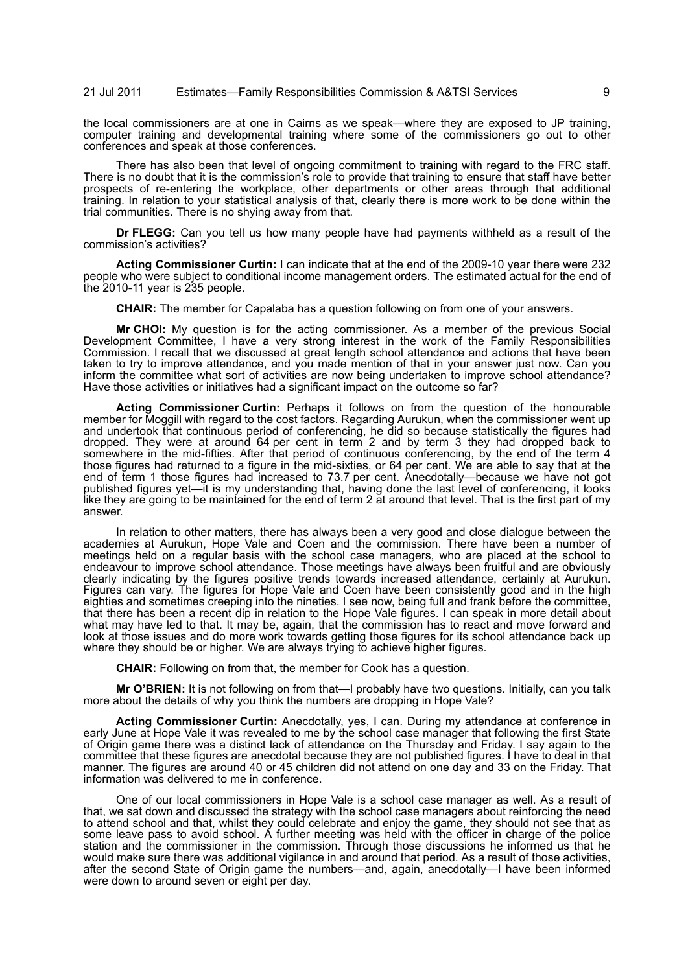# 21 Jul 2011 Estimates—Family Responsibilities Commission & A&TSI Services 9

the local commissioners are at one in Cairns as we speak—where they are exposed to JP training, computer training and developmental training where some of the commissioners go out to other conferences and speak at those conferences.

There has also been that level of ongoing commitment to training with regard to the FRC staff. There is no doubt that it is the commission's role to provide that training to ensure that staff have better prospects of re-entering the workplace, other departments or other areas through that additional training. In relation to your statistical analysis of that, clearly there is more work to be done within the trial communities. There is no shying away from that.

**Dr FLEGG:** Can you tell us how many people have had payments withheld as a result of the commission's activities?

**Acting Commissioner Curtin:** I can indicate that at the end of the 2009-10 year there were 232 people who were subject to conditional income management orders. The estimated actual for the end of the 2010-11 year is 235 people.

**CHAIR:** The member for Capalaba has a question following on from one of your answers.

**Mr CHOI:** My question is for the acting commissioner. As a member of the previous Social Development Committee, I have a very strong interest in the work of the Family Responsibilities Commission. I recall that we discussed at great length school attendance and actions that have been taken to try to improve attendance, and you made mention of that in your answer just now. Can you inform the committee what sort of activities are now being undertaken to improve school attendance? Have those activities or initiatives had a significant impact on the outcome so far?

**Acting Commissioner Curtin:** Perhaps it follows on from the question of the honourable member for Moggill with regard to the cost factors. Regarding Aurukun, when the commissioner went up and undertook that continuous period of conferencing, he did so because statistically the figures had dropped. They were at around 64 per cent in term 2 and by term 3 they had dropped back to somewhere in the mid-fifties. After that period of continuous conferencing, by the end of the term 4 those figures had returned to a figure in the mid-sixties, or 64 per cent. We are able to say that at the end of term 1 those figures had increased to 73.7 per cent. Anecdotally—because we have not got published figures yet—it is my understanding that, having done the last level of conferencing, it looks like they are going to be maintained for the end of term 2 at around that level. That is the first part of my answer.

In relation to other matters, there has always been a very good and close dialogue between the academies at Aurukun, Hope Vale and Coen and the commission. There have been a number of meetings held on a regular basis with the school case managers, who are placed at the school to endeavour to improve school attendance. Those meetings have always been fruitful and are obviously clearly indicating by the figures positive trends towards increased attendance, certainly at Aurukun. Figures can vary. The figures for Hope Vale and Coen have been consistently good and in the high eighties and sometimes creeping into the nineties. I see now, being full and frank before the committee, that there has been a recent dip in relation to the Hope Vale figures. I can speak in more detail about what may have led to that. It may be, again, that the commission has to react and move forward and look at those issues and do more work towards getting those figures for its school attendance back up where they should be or higher. We are always trying to achieve higher figures.

**CHAIR:** Following on from that, the member for Cook has a question.

**Mr O'BRIEN:** It is not following on from that—I probably have two questions. Initially, can you talk more about the details of why you think the numbers are dropping in Hope Vale?

**Acting Commissioner Curtin:** Anecdotally, yes, I can. During my attendance at conference in early June at Hope Vale it was revealed to me by the school case manager that following the first State of Origin game there was a distinct lack of attendance on the Thursday and Friday. I say again to the committee that these figures are anecdotal because they are not published figures. I have to deal in that manner. The figures are around 40 or 45 children did not attend on one day and 33 on the Friday. That information was delivered to me in conference.

One of our local commissioners in Hope Vale is a school case manager as well. As a result of that, we sat down and discussed the strategy with the school case managers about reinforcing the need to attend school and that, whilst they could celebrate and enjoy the game, they should not see that as some leave pass to avoid school. A further meeting was held with the officer in charge of the police station and the commissioner in the commission. Through those discussions he informed us that he would make sure there was additional vigilance in and around that period. As a result of those activities, after the second State of Origin game the numbers—and, again, anecdotally—I have been informed were down to around seven or eight per day.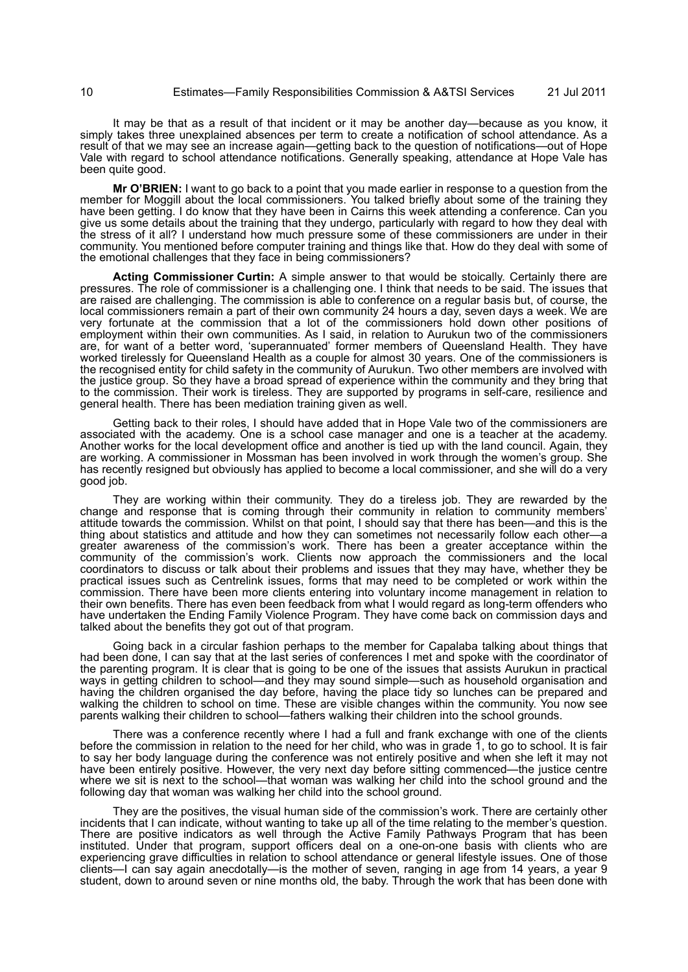It may be that as a result of that incident or it may be another day—because as you know, it simply takes three unexplained absences per term to create a notification of school attendance. As a result of that we may see an increase again—getting back to the question of notifications—out of Hope Vale with regard to school attendance notifications. Generally speaking, attendance at Hope Vale has been quite good.

**Mr O'BRIEN:** I want to go back to a point that you made earlier in response to a question from the member for Moggill about the local commissioners. You talked briefly about some of the training they have been getting. I do know that they have been in Cairns this week attending a conference. Can you give us some details about the training that they undergo, particularly with regard to how they deal with the stress of it all? I understand how much pressure some of these commissioners are under in their community. You mentioned before computer training and things like that. How do they deal with some of the emotional challenges that they face in being commissioners?

**Acting Commissioner Curtin:** A simple answer to that would be stoically. Certainly there are pressures. The role of commissioner is a challenging one. I think that needs to be said. The issues that are raised are challenging. The commission is able to conference on a regular basis but, of course, the local commissioners remain a part of their own community 24 hours a day, seven days a week. We are very fortunate at the commission that a lot of the commissioners hold down other positions of employment within their own communities. As I said, in relation to Aurukun two of the commissioners are, for want of a better word, 'superannuated' former members of Queensland Health. They have worked tirelessly for Queensland Health as a couple for almost 30 years. One of the commissioners is the recognised entity for child safety in the community of Aurukun. Two other members are involved with the justice group. So they have a broad spread of experience within the community and they bring that to the commission. Their work is tireless. They are supported by programs in self-care, resilience and general health. There has been mediation training given as well.

Getting back to their roles, I should have added that in Hope Vale two of the commissioners are associated with the academy. One is a school case manager and one is a teacher at the academy. Another works for the local development office and another is tied up with the land council. Again, they are working. A commissioner in Mossman has been involved in work through the women's group. She has recently resigned but obviously has applied to become a local commissioner, and she will do a very good job.

They are working within their community. They do a tireless job. They are rewarded by the change and response that is coming through their community in relation to community members' attitude towards the commission. Whilst on that point, I should say that there has been—and this is the thing about statistics and attitude and how they can sometimes not necessarily follow each other—a greater awareness of the commission's work. There has been a greater acceptance within the community of the commission's work. Clients now approach the commissioners and the local coordinators to discuss or talk about their problems and issues that they may have, whether they be practical issues such as Centrelink issues, forms that may need to be completed or work within the commission. There have been more clients entering into voluntary income management in relation to their own benefits. There has even been feedback from what I would regard as long-term offenders who have undertaken the Ending Family Violence Program. They have come back on commission days and talked about the benefits they got out of that program.

Going back in a circular fashion perhaps to the member for Capalaba talking about things that had been done, I can say that at the last series of conferences I met and spoke with the coordinator of the parenting program. It is clear that is going to be one of the issues that assists Aurukun in practical ways in getting children to school—and they may sound simple—such as household organisation and having the children organised the day before, having the place tidy so lunches can be prepared and walking the children to school on time. These are visible changes within the community. You now see parents walking their children to school—fathers walking their children into the school grounds.

There was a conference recently where I had a full and frank exchange with one of the clients before the commission in relation to the need for her child, who was in grade 1, to go to school. It is fair to say her body language during the conference was not entirely positive and when she left it may not have been entirely positive. However, the very next day before sitting commenced—the justice centre where we sit is next to the school—that woman was walking her child into the school ground and the following day that woman was walking her child into the school ground.

They are the positives, the visual human side of the commission's work. There are certainly other incidents that I can indicate, without wanting to take up all of the time relating to the member's question. There are positive indicators as well through the Active Family Pathways Program that has been instituted. Under that program, support officers deal on a one-on-one basis with clients who are experiencing grave difficulties in relation to school attendance or general lifestyle issues. One of those clients—I can say again anecdotally—is the mother of seven, ranging in age from 14 years, a year 9 student, down to around seven or nine months old, the baby. Through the work that has been done with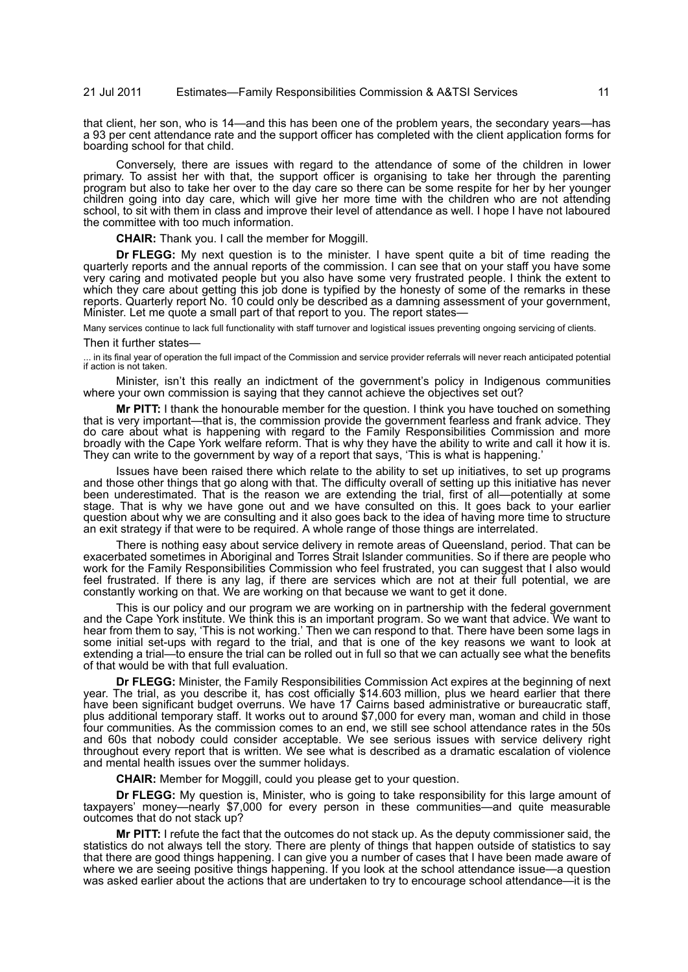# 21 Jul 2011 Estimates—Family Responsibilities Commission & A&TSI Services 11

that client, her son, who is 14—and this has been one of the problem years, the secondary years—has a 93 per cent attendance rate and the support officer has completed with the client application forms for boarding school for that child.

Conversely, there are issues with regard to the attendance of some of the children in lower primary. To assist her with that, the support officer is organising to take her through the parenting program but also to take her over to the day care so there can be some respite for her by her younger children going into day care, which will give her more time with the children who are not attending school, to sit with them in class and improve their level of attendance as well. I hope I have not laboured the committee with too much information.

**CHAIR:** Thank you. I call the member for Moggill.

**Dr FLEGG:** My next question is to the minister. I have spent quite a bit of time reading the quarterly reports and the annual reports of the commission. I can see that on your staff you have some very caring and motivated people but you also have some very frustrated people. I think the extent to which they care about getting this job done is typified by the honesty of some of the remarks in these reports. Quarterly report No. 10 could only be described as a damning assessment of your government, Minister. Let me quote a small part of that report to you. The report states—

Many services continue to lack full functionality with staff turnover and logistical issues preventing ongoing servicing of clients.

#### Then it further states—

... in its final year of operation the full impact of the Commission and service provider referrals will never reach anticipated potential if action is not taken.

Minister, isn't this really an indictment of the government's policy in Indigenous communities where your own commission is saying that they cannot achieve the objectives set out?

**Mr PITT:** I thank the honourable member for the question. I think you have touched on something that is very important—that is, the commission provide the government fearless and frank advice. They do care about what is happening with regard to the Family Responsibilities Commission and more broadly with the Cape York welfare reform. That is why they have the ability to write and call it how it is. They can write to the government by way of a report that says, 'This is what is happening.'

Issues have been raised there which relate to the ability to set up initiatives, to set up programs and those other things that go along with that. The difficulty overall of setting up this initiative has never been underestimated. That is the reason we are extending the trial, first of all—potentially at some stage. That is why we have gone out and we have consulted on this. It goes back to your earlier question about why we are consulting and it also goes back to the idea of having more time to structure an exit strategy if that were to be required. A whole range of those things are interrelated.

There is nothing easy about service delivery in remote areas of Queensland, period. That can be exacerbated sometimes in Aboriginal and Torres Strait Islander communities. So if there are people who work for the Family Responsibilities Commission who feel frustrated, you can suggest that I also would feel frustrated. If there is any lag, if there are services which are not at their full potential, we are constantly working on that. We are working on that because we want to get it done.

This is our policy and our program we are working on in partnership with the federal government and the Cape York institute. We think this is an important program. So we want that advice. We want to hear from them to say, 'This is not working.' Then we can respond to that. There have been some lags in some initial set-ups with regard to the trial, and that is one of the key reasons we want to look at extending a trial—to ensure the trial can be rolled out in full so that we can actually see what the benefits of that would be with that full evaluation.

**Dr FLEGG:** Minister, the Family Responsibilities Commission Act expires at the beginning of next year. The trial, as you describe it, has cost officially \$14.603 million, plus we heard earlier that there have been significant budget overruns. We have 17 Cairns based administrative or bureaucratic staff, plus additional temporary staff. It works out to around \$7,000 for every man, woman and child in those four communities. As the commission comes to an end, we still see school attendance rates in the 50s and 60s that nobody could consider acceptable. We see serious issues with service delivery right throughout every report that is written. We see what is described as a dramatic escalation of violence and mental health issues over the summer holidays.

**CHAIR:** Member for Moggill, could you please get to your question.

**Dr FLEGG:** My question is, Minister, who is going to take responsibility for this large amount of taxpayers' money—nearly \$7,000 for every person in these communities—and quite measurable outcomes that do not stack up?

**Mr PITT:** I refute the fact that the outcomes do not stack up. As the deputy commissioner said, the statistics do not always tell the story. There are plenty of things that happen outside of statistics to say that there are good things happening. I can give you a number of cases that I have been made aware of where we are seeing positive things happening. If you look at the school attendance issue-a question was asked earlier about the actions that are undertaken to try to encourage school attendance—it is the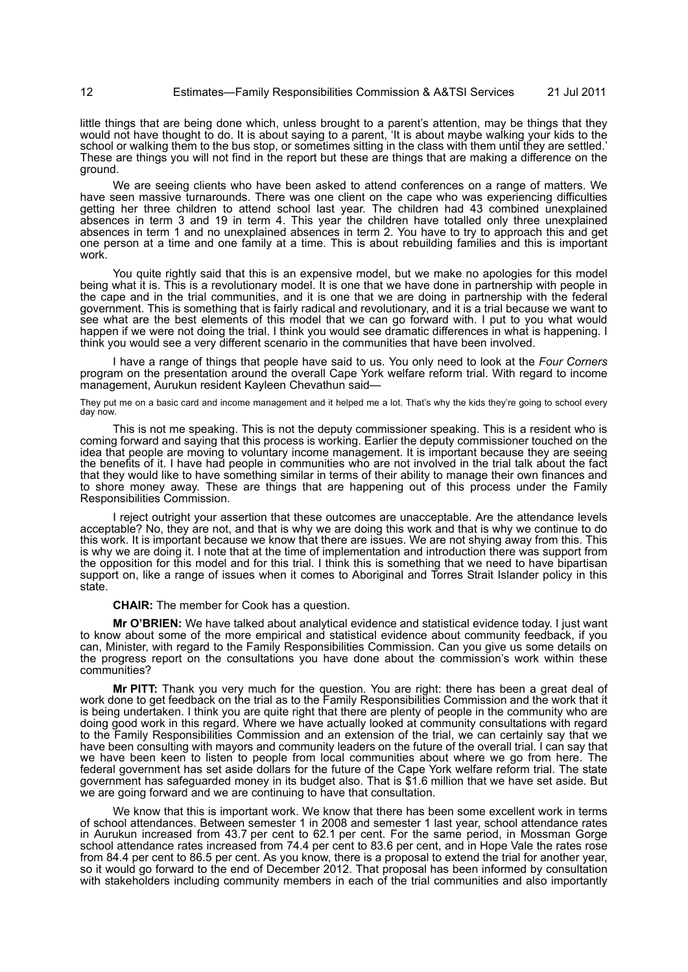little things that are being done which, unless brought to a parent's attention, may be things that they would not have thought to do. It is about saying to a parent, 'It is about maybe walking your kids to the school or walking them to the bus stop, or sometimes sitting in the class with them until they are settled.' These are things you will not find in the report but these are things that are making a difference on the ground.

We are seeing clients who have been asked to attend conferences on a range of matters. We have seen massive turnarounds. There was one client on the cape who was experiencing difficulties getting her three children to attend school last year. The children had 43 combined unexplained absences in term 3 and 19 in term 4. This year the children have totalled only three unexplained absences in term 1 and no unexplained absences in term 2. You have to try to approach this and get one person at a time and one family at a time. This is about rebuilding families and this is important work.

You quite rightly said that this is an expensive model, but we make no apologies for this model being what it is. This is a revolutionary model. It is one that we have done in partnership with people in the cape and in the trial communities, and it is one that we are doing in partnership with the federal government. This is something that is fairly radical and revolutionary, and it is a trial because we want to see what are the best elements of this model that we can go forward with. I put to you what would happen if we were not doing the trial. I think you would see dramatic differences in what is happening. I think you would see a very different scenario in the communities that have been involved.

I have a range of things that people have said to us. You only need to look at the *Four Corners* program on the presentation around the overall Cape York welfare reform trial. With regard to income management, Aurukun resident Kayleen Chevathun said—

They put me on a basic card and income management and it helped me a lot. That's why the kids they're going to school every day now.

This is not me speaking. This is not the deputy commissioner speaking. This is a resident who is coming forward and saying that this process is working. Earlier the deputy commissioner touched on the idea that people are moving to voluntary income management. It is important because they are seeing the benefits of it. I have had people in communities who are not involved in the trial talk about the fact that they would like to have something similar in terms of their ability to manage their own finances and to shore money away. These are things that are happening out of this process under the Family Responsibilities Commission.

I reject outright your assertion that these outcomes are unacceptable. Are the attendance levels acceptable? No, they are not, and that is why we are doing this work and that is why we continue to do this work. It is important because we know that there are issues. We are not shying away from this. This is why we are doing it. I note that at the time of implementation and introduction there was support from the opposition for this model and for this trial. I think this is something that we need to have bipartisan support on, like a range of issues when it comes to Aboriginal and Torres Strait Islander policy in this state.

**CHAIR:** The member for Cook has a question.

**Mr O'BRIEN:** We have talked about analytical evidence and statistical evidence today. I just want to know about some of the more empirical and statistical evidence about community feedback, if you can, Minister, with regard to the Family Responsibilities Commission. Can you give us some details on the progress report on the consultations you have done about the commission's work within these communities?

**Mr PITT:** Thank you very much for the question. You are right: there has been a great deal of work done to get feedback on the trial as to the Family Responsibilities Commission and the work that it is being undertaken. I think you are quite right that there are plenty of people in the community who are doing good work in this regard. Where we have actually looked at community consultations with regard to the Family Responsibilities Commission and an extension of the trial, we can certainly say that we have been consulting with mayors and community leaders on the future of the overall trial. I can say that we have been keen to listen to people from local communities about where we go from here. The federal government has set aside dollars for the future of the Cape York welfare reform trial. The state government has safeguarded money in its budget also. That is \$1.6 million that we have set aside. But we are going forward and we are continuing to have that consultation.

We know that this is important work. We know that there has been some excellent work in terms of school attendances. Between semester 1 in 2008 and semester 1 last year, school attendance rates in Aurukun increased from 43.7 per cent to 62.1 per cent. For the same period, in Mossman Gorge school attendance rates increased from 74.4 per cent to 83.6 per cent, and in Hope Vale the rates rose from 84.4 per cent to 86.5 per cent. As you know, there is a proposal to extend the trial for another year, so it would go forward to the end of December 2012. That proposal has been informed by consultation with stakeholders including community members in each of the trial communities and also importantly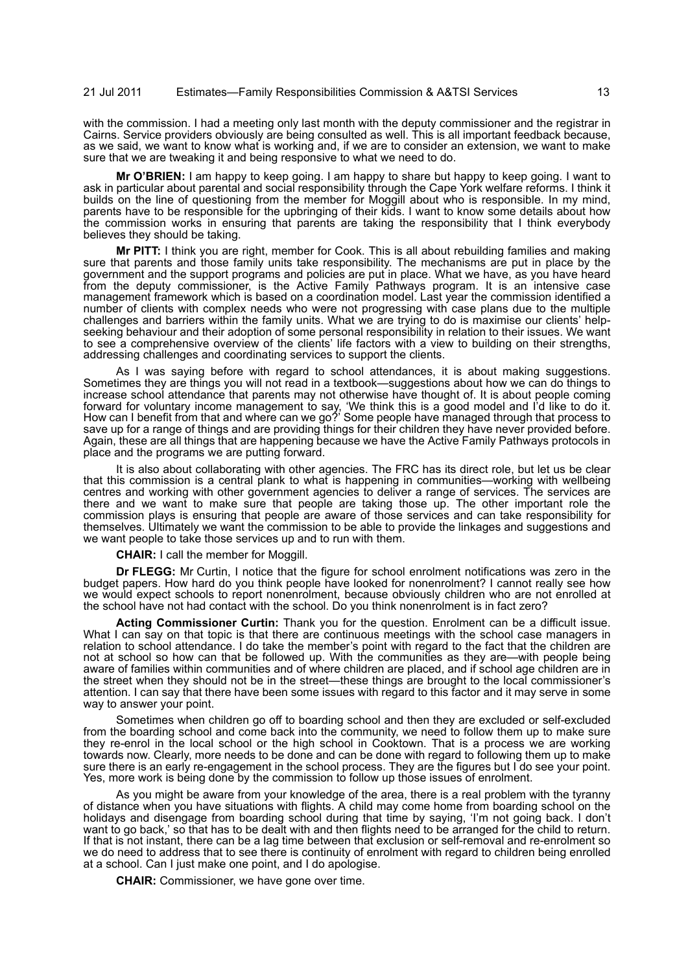with the commission. I had a meeting only last month with the deputy commissioner and the registrar in Cairns. Service providers obviously are being consulted as well. This is all important feedback because, as we said, we want to know what is working and, if we are to consider an extension, we want to make sure that we are tweaking it and being responsive to what we need to do.

**Mr O'BRIEN:** I am happy to keep going. I am happy to share but happy to keep going. I want to ask in particular about parental and social responsibility through the Cape York welfare reforms. I think it builds on the line of questioning from the member for Moggill about who is responsible. In my mind, parents have to be responsible for the upbringing of their kids. I want to know some details about how the commission works in ensuring that parents are taking the responsibility that I think everybody believes they should be taking.

**Mr PITT:** I think you are right, member for Cook. This is all about rebuilding families and making sure that parents and those family units take responsibility. The mechanisms are put in place by the government and the support programs and policies are put in place. What we have, as you have heard from the deputy commissioner, is the Active Family Pathways program. It is an intensive case management framework which is based on a coordination model. Last year the commission identified a number of clients with complex needs who were not progressing with case plans due to the multiple challenges and barriers within the family units. What we are trying to do is maximise our clients' helpseeking behaviour and their adoption of some personal responsibility in relation to their issues. We want to see a comprehensive overview of the clients' life factors with a view to building on their strengths, addressing challenges and coordinating services to support the clients.

As I was saying before with regard to school attendances, it is about making suggestions. Sometimes they are things you will not read in a textbook—suggestions about how we can do things to increase school attendance that parents may not otherwise have thought of. It is about people coming forward for voluntary income management to say, 'We think this is a good model and I'd like to do it. How can I benefit from that and where can we go?' Some people have managed through that process to save up for a range of things and are providing things for their children they have never provided before. Again, these are all things that are happening because we have the Active Family Pathways protocols in place and the programs we are putting forward.

It is also about collaborating with other agencies. The FRC has its direct role, but let us be clear that this commission is a central plank to what is happening in communities—working with wellbeing centres and working with other government agencies to deliver a range of services. The services are there and we want to make sure that people are taking those up. The other important role the commission plays is ensuring that people are aware of those services and can take responsibility for themselves. Ultimately we want the commission to be able to provide the linkages and suggestions and we want people to take those services up and to run with them.

**CHAIR:** I call the member for Moggill.

**Dr FLEGG:** Mr Curtin, I notice that the figure for school enrolment notifications was zero in the budget papers. How hard do you think people have looked for nonenrolment? I cannot really see how we would expect schools to report nonenrolment, because obviously children who are not enrolled at the school have not had contact with the school. Do you think nonenrolment is in fact zero?

**Acting Commissioner Curtin:** Thank you for the question. Enrolment can be a difficult issue. What I can say on that topic is that there are continuous meetings with the school case managers in relation to school attendance. I do take the member's point with regard to the fact that the children are not at school so how can that be followed up. With the communities as they are—with people being aware of families within communities and of where children are placed, and if school age children are in the street when they should not be in the street—these things are brought to the local commissioner's attention. I can say that there have been some issues with regard to this factor and it may serve in some way to answer your point.

Sometimes when children go off to boarding school and then they are excluded or self-excluded from the boarding school and come back into the community, we need to follow them up to make sure they re-enrol in the local school or the high school in Cooktown. That is a process we are working towards now. Clearly, more needs to be done and can be done with regard to following them up to make sure there is an early re-engagement in the school process. They are the figures but I do see your point. Yes, more work is being done by the commission to follow up those issues of enrolment.

As you might be aware from your knowledge of the area, there is a real problem with the tyranny of distance when you have situations with flights. A child may come home from boarding school on the holidays and disengage from boarding school during that time by saying, 'I'm not going back. I don't want to go back,' so that has to be dealt with and then flights need to be arranged for the child to return. If that is not instant, there can be a lag time between that exclusion or self-removal and re-enrolment so we do need to address that to see there is continuity of enrolment with regard to children being enrolled at a school. Can I just make one point, and I do apologise.

**CHAIR:** Commissioner, we have gone over time.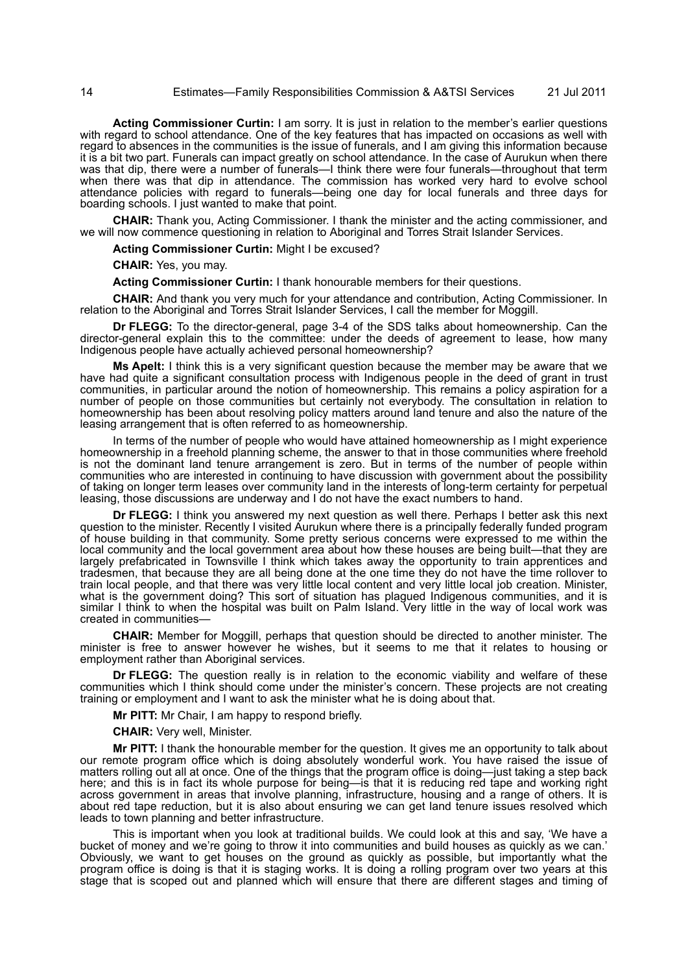**Acting Commissioner Curtin:** I am sorry. It is just in relation to the member's earlier questions with regard to school attendance. One of the key features that has impacted on occasions as well with regard to absences in the communities is the issue of funerals, and I am giving this information because it is a bit two part. Funerals can impact greatly on school attendance. In the case of Aurukun when there was that dip, there were a number of funerals—I think there were four funerals—throughout that term when there was that dip in attendance. The commission has worked very hard to evolve school attendance policies with regard to funerals—being one day for local funerals and three days for boarding schools. I just wanted to make that point.

**CHAIR:** Thank you, Acting Commissioner. I thank the minister and the acting commissioner, and we will now commence questioning in relation to Aboriginal and Torres Strait Islander Services.

**Acting Commissioner Curtin:** Might I be excused?

**CHAIR:** Yes, you may.

**Acting Commissioner Curtin:** I thank honourable members for their questions.

**CHAIR:** And thank you very much for your attendance and contribution, Acting Commissioner. In relation to the Aboriginal and Torres Strait Islander Services, I call the member for Moggill.

**Dr FLEGG:** To the director-general, page 3-4 of the SDS talks about homeownership. Can the director-general explain this to the committee: under the deeds of agreement to lease, how many Indigenous people have actually achieved personal homeownership?

**Ms Apelt:** I think this is a very significant question because the member may be aware that we have had quite a significant consultation process with Indigenous people in the deed of grant in trust communities, in particular around the notion of homeownership. This remains a policy aspiration for a number of people on those communities but certainly not everybody. The consultation in relation to homeownership has been about resolving policy matters around land tenure and also the nature of the leasing arrangement that is often referred to as homeownership.

In terms of the number of people who would have attained homeownership as I might experience homeownership in a freehold planning scheme, the answer to that in those communities where freehold is not the dominant land tenure arrangement is zero. But in terms of the number of people within communities who are interested in continuing to have discussion with government about the possibility of taking on longer term leases over community land in the interests of long-term certainty for perpetual leasing, those discussions are underway and I do not have the exact numbers to hand.

**Dr FLEGG:** I think you answered my next question as well there. Perhaps I better ask this next question to the minister. Recently I visited Aurukun where there is a principally federally funded program of house building in that community. Some pretty serious concerns were expressed to me within the local community and the local government area about how these houses are being built—that they are largely prefabricated in Townsville I think which takes away the opportunity to train apprentices and tradesmen, that because they are all being done at the one time they do not have the time rollover to train local people, and that there was very little local content and very little local job creation. Minister, what is the government doing? This sort of situation has plagued Indigenous communities, and it is similar I think to when the hospital was built on Palm Island. Very little in the way of local work was created in communities—

**CHAIR:** Member for Moggill, perhaps that question should be directed to another minister. The minister is free to answer however he wishes, but it seems to me that it relates to housing or employment rather than Aboriginal services.

**Dr FLEGG:** The question really is in relation to the economic viability and welfare of these communities which I think should come under the minister's concern. These projects are not creating training or employment and I want to ask the minister what he is doing about that.

**Mr PITT:** Mr Chair, I am happy to respond briefly.

**CHAIR:** Very well, Minister.

**Mr PITT:** I thank the honourable member for the question. It gives me an opportunity to talk about our remote program office which is doing absolutely wonderful work. You have raised the issue of matters rolling out all at once. One of the things that the program office is doing—just taking a step back here; and this is in fact its whole purpose for being—is that it is reducing red tape and working right across government in areas that involve planning, infrastructure, housing and a range of others. It is about red tape reduction, but it is also about ensuring we can get land tenure issues resolved which leads to town planning and better infrastructure.

This is important when you look at traditional builds. We could look at this and say, 'We have a bucket of money and we're going to throw it into communities and build houses as quickly as we can.' Obviously, we want to get houses on the ground as quickly as possible, but importantly what the program office is doing is that it is staging works. It is doing a rolling program over two years at this stage that is scoped out and planned which will ensure that there are different stages and timing of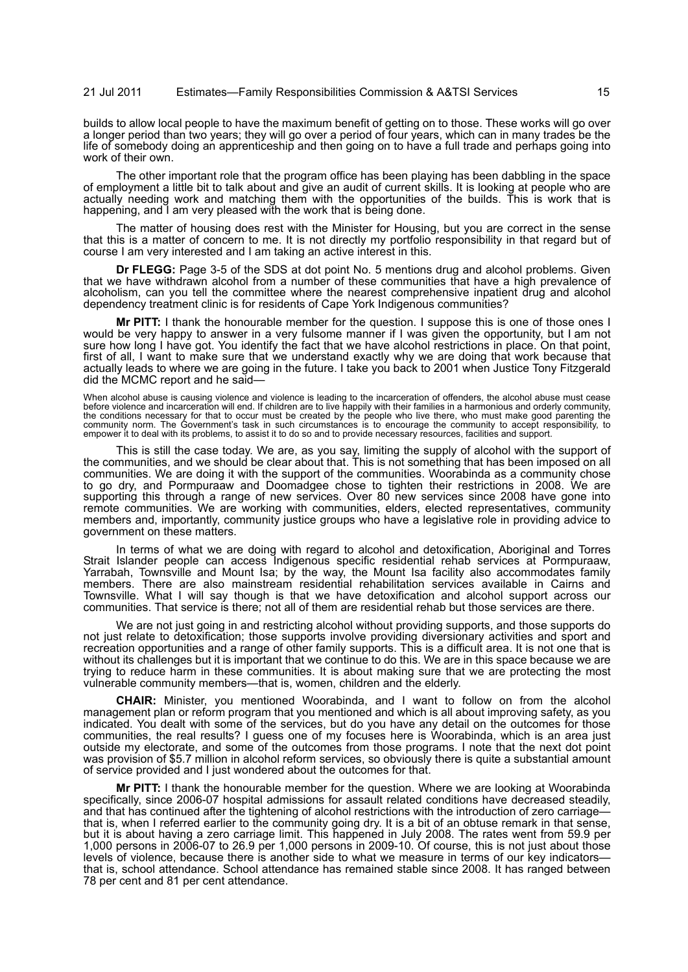builds to allow local people to have the maximum benefit of getting on to those. These works will go over a longer period than two years; they will go over a period of four years, which can in many trades be the life of somebody doing an apprenticeship and then going on to have a full trade and perhaps going into work of their own.

The other important role that the program office has been playing has been dabbling in the space of employment a little bit to talk about and give an audit of current skills. It is looking at people who are actually needing work and matching them with the opportunities of the builds. This is work that is happening, and I am very pleased with the work that is being done.

The matter of housing does rest with the Minister for Housing, but you are correct in the sense that this is a matter of concern to me. It is not directly my portfolio responsibility in that regard but of course I am very interested and I am taking an active interest in this.

**Dr FLEGG:** Page 3-5 of the SDS at dot point No. 5 mentions drug and alcohol problems. Given that we have withdrawn alcohol from a number of these communities that have a high prevalence of alcoholism, can you tell the committee where the nearest comprehensive inpatient drug and alcohol dependency treatment clinic is for residents of Cape York Indigenous communities?

**Mr PITT:** I thank the honourable member for the question. I suppose this is one of those ones I would be very happy to answer in a very fulsome manner if I was given the opportunity, but I am not sure how long I have got. You identify the fact that we have alcohol restrictions in place. On that point, first of all, I want to make sure that we understand exactly why we are doing that work because that actually leads to where we are going in the future. I take you back to 2001 when Justice Tony Fitzgerald did the MCMC report and he said-

When alcohol abuse is causing violence and violence is leading to the incarceration of offenders, the alcohol abuse must cease<br>before violence and incarceration will end. If children are to live happily with their families the conditions necessary for that to occur must be created by the people who live there, who must make good parenting the<br>community norm. The Government's task in such circumstances is to encourage the community to accept

This is still the case today. We are, as you say, limiting the supply of alcohol with the support of the communities, and we should be clear about that. This is not something that has been imposed on all communities. We are doing it with the support of the communities. Woorabinda as a community chose to go dry, and Pormpuraaw and Doomadgee chose to tighten their restrictions in 2008. We are supporting this through a range of new services. Over 80 new services since 2008 have gone into remote communities. We are working with communities, elders, elected representatives, community members and, importantly, community justice groups who have a legislative role in providing advice to government on these matters.

In terms of what we are doing with regard to alcohol and detoxification, Aboriginal and Torres Strait Islander people can access Indigenous specific residential rehab services at Pormpuraaw, Yarrabah, Townsville and Mount Isa; by the way, the Mount Isa facility also accommodates family members. There are also mainstream residential rehabilitation services available in Cairns and Townsville. What I will say though is that we have detoxification and alcohol support across our communities. That service is there; not all of them are residential rehab but those services are there.

We are not just going in and restricting alcohol without providing supports, and those supports do not just relate to detoxification; those supports involve providing diversionary activities and sport and recreation opportunities and a range of other family supports. This is a difficult area. It is not one that is without its challenges but it is important that we continue to do this. We are in this space because we are trying to reduce harm in these communities. It is about making sure that we are protecting the most vulnerable community members—that is, women, children and the elderly.

**CHAIR:** Minister, you mentioned Woorabinda, and I want to follow on from the alcohol management plan or reform program that you mentioned and which is all about improving safety, as you indicated. You dealt with some of the services, but do you have any detail on the outcomes for those communities, the real results? I guess one of my focuses here is Woorabinda, which is an area just outside my electorate, and some of the outcomes from those programs. I note that the next dot point was provision of \$5.7 million in alcohol reform services, so obviously there is quite a substantial amount of service provided and I just wondered about the outcomes for that.

**Mr PITT:** I thank the honourable member for the question. Where we are looking at Woorabinda specifically, since 2006-07 hospital admissions for assault related conditions have decreased steadily, and that has continued after the tightening of alcohol restrictions with the introduction of zero carriage that is, when I referred earlier to the community going dry. It is a bit of an obtuse remark in that sense, but it is about having a zero carriage limit. This happened in July 2008. The rates went from 59.9 per 1,000 persons in 2006-07 to 26.9 per 1,000 persons in 2009-10. Of course, this is not just about those levels of violence, because there is another side to what we measure in terms of our key indicators that is, school attendance. School attendance has remained stable since 2008. It has ranged between 78 per cent and 81 per cent attendance.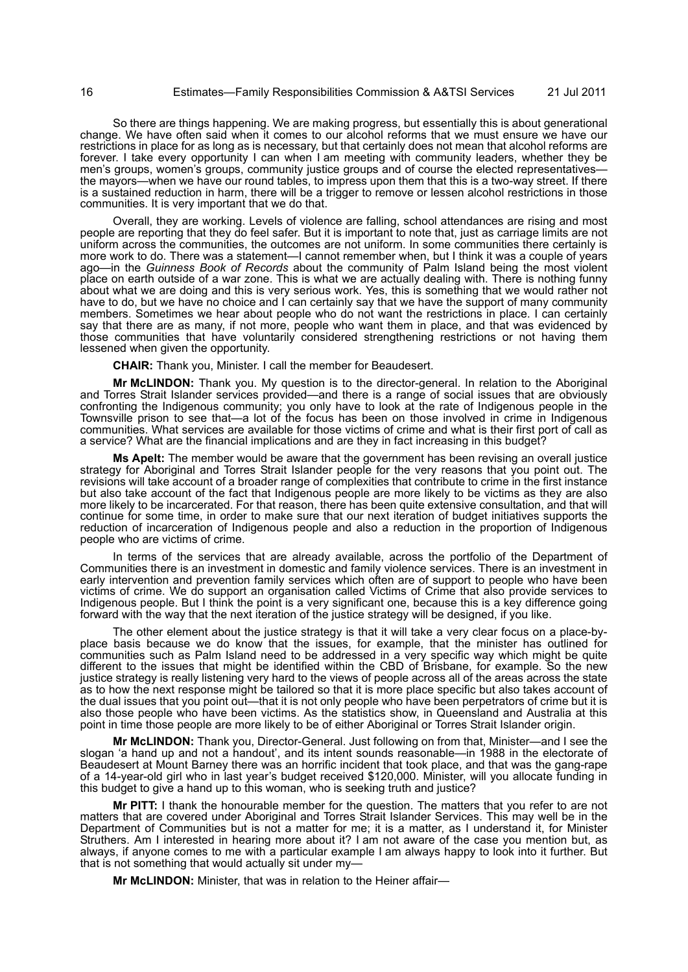So there are things happening. We are making progress, but essentially this is about generational change. We have often said when it comes to our alcohol reforms that we must ensure we have our restrictions in place for as long as is necessary, but that certainly does not mean that alcohol reforms are forever. I take every opportunity I can when I am meeting with community leaders, whether they be men's groups, women's groups, community justice groups and of course the elected representativesthe mayors—when we have our round tables, to impress upon them that this is a two-way street. If there is a sustained reduction in harm, there will be a trigger to remove or lessen alcohol restrictions in those communities. It is very important that we do that.

Overall, they are working. Levels of violence are falling, school attendances are rising and most people are reporting that they do feel safer. But it is important to note that, just as carriage limits are not uniform across the communities, the outcomes are not uniform. In some communities there certainly is more work to do. There was a statement—I cannot remember when, but I think it was a couple of years ago—in the *Guinness Book of Records* about the community of Palm Island being the most violent place on earth outside of a war zone. This is what we are actually dealing with. There is nothing funny about what we are doing and this is very serious work. Yes, this is something that we would rather not have to do, but we have no choice and I can certainly say that we have the support of many community members. Sometimes we hear about people who do not want the restrictions in place. I can certainly say that there are as many, if not more, people who want them in place, and that was evidenced by those communities that have voluntarily considered strengthening restrictions or not having them lessened when given the opportunity.

**CHAIR:** Thank you, Minister. I call the member for Beaudesert.

**Mr McLINDON:** Thank you. My question is to the director-general. In relation to the Aboriginal and Torres Strait Islander services provided—and there is a range of social issues that are obviously confronting the Indigenous community; you only have to look at the rate of Indigenous people in the Townsville prison to see that—a lot of the focus has been on those involved in crime in Indigenous communities. What services are available for those victims of crime and what is their first port of call as a service? What are the financial implications and are they in fact increasing in this budget?

**Ms Apelt:** The member would be aware that the government has been revising an overall justice strategy for Aboriginal and Torres Strait Islander people for the very reasons that you point out. The revisions will take account of a broader range of complexities that contribute to crime in the first instance but also take account of the fact that Indigenous people are more likely to be victims as they are also more likely to be incarcerated. For that reason, there has been quite extensive consultation, and that will continue for some time, in order to make sure that our next iteration of budget initiatives supports the reduction of incarceration of Indigenous people and also a reduction in the proportion of Indigenous people who are victims of crime.

In terms of the services that are already available, across the portfolio of the Department of Communities there is an investment in domestic and family violence services. There is an investment in early intervention and prevention family services which often are of support to people who have been victims of crime. We do support an organisation called Victims of Crime that also provide services to Indigenous people. But I think the point is a very significant one, because this is a key difference going forward with the way that the next iteration of the justice strategy will be designed, if you like.

The other element about the justice strategy is that it will take a very clear focus on a place-byplace basis because we do know that the issues, for example, that the minister has outlined for communities such as Palm Island need to be addressed in a very specific way which might be quite different to the issues that might be identified within the CBD of Brisbane, for example. So the new justice strategy is really listening very hard to the views of people across all of the areas across the state as to how the next response might be tailored so that it is more place specific but also takes account of the dual issues that you point out—that it is not only people who have been perpetrators of crime but it is also those people who have been victims. As the statistics show, in Queensland and Australia at this point in time those people are more likely to be of either Aboriginal or Torres Strait Islander origin.

**Mr McLINDON:** Thank you, Director-General. Just following on from that, Minister—and I see the slogan 'a hand up and not a handout', and its intent sounds reasonable—in 1988 in the electorate of Beaudesert at Mount Barney there was an horrific incident that took place, and that was the gang-rape of a 14-year-old girl who in last year's budget received \$120,000. Minister, will you allocate funding in this budget to give a hand up to this woman, who is seeking truth and justice?

**Mr PITT:** I thank the honourable member for the question. The matters that you refer to are not matters that are covered under Aboriginal and Torres Strait Islander Services. This may well be in the Department of Communities but is not a matter for me; it is a matter, as I understand it, for Minister Struthers. Am I interested in hearing more about it? I am not aware of the case you mention but, as always, if anyone comes to me with a particular example I am always happy to look into it further. But that is not something that would actually sit under my—

**Mr McLINDON:** Minister, that was in relation to the Heiner affair—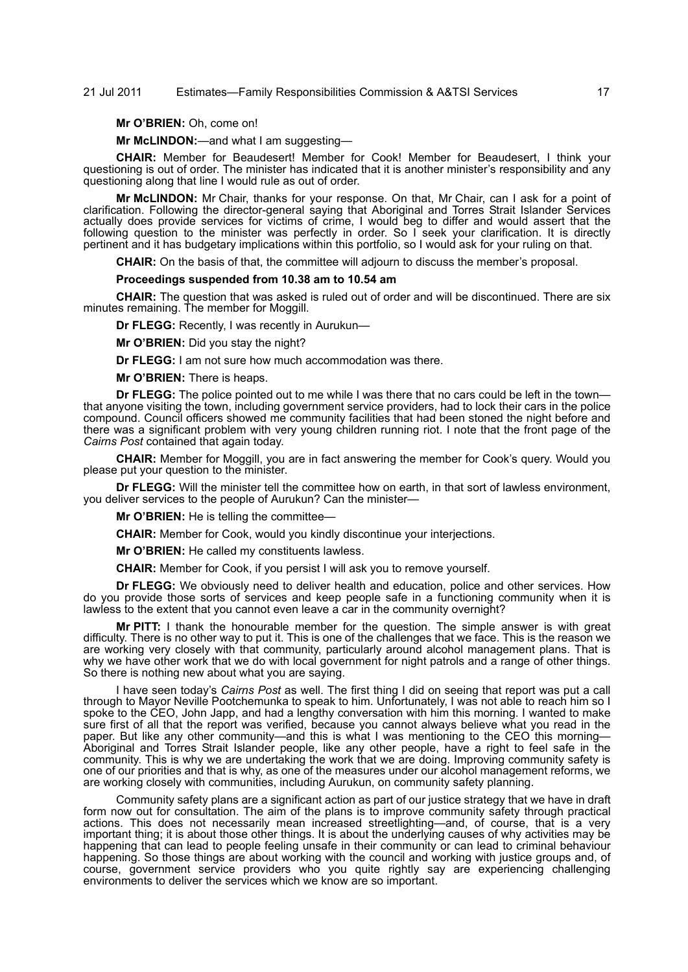# 21 Jul 2011 Estimates—Family Responsibilities Commission & A&TSI Services 17

**Mr O'BRIEN:** Oh, come on!

**Mr McLINDON:**—and what I am suggesting—

**CHAIR:** Member for Beaudesert! Member for Cook! Member for Beaudesert, I think your questioning is out of order. The minister has indicated that it is another minister's responsibility and any questioning along that line I would rule as out of order.

**Mr McLINDON:** Mr Chair, thanks for your response. On that, Mr Chair, can I ask for a point of clarification. Following the director-general saying that Aboriginal and Torres Strait Islander Services actually does provide services for victims of crime, I would beg to differ and would assert that the following question to the minister was perfectly in order. So I seek your clarification. It is directly pertinent and it has budgetary implications within this portfolio, so I would ask for your ruling on that.

**CHAIR:** On the basis of that, the committee will adjourn to discuss the member's proposal.

#### **Proceedings suspended from 10.38 am to 10.54 am**

**CHAIR:** The question that was asked is ruled out of order and will be discontinued. There are six minutes remaining. The member for Moggill.

**Dr FLEGG:** Recently, I was recently in Aurukun—

**Mr O'BRIEN:** Did you stay the night?

**Dr FLEGG:** I am not sure how much accommodation was there.

**Mr O'BRIEN:** There is heaps.

**Dr FLEGG:** The police pointed out to me while I was there that no cars could be left in the town that anyone visiting the town, including government service providers, had to lock their cars in the police compound. Council officers showed me community facilities that had been stoned the night before and there was a significant problem with very young children running riot. I note that the front page of the *Cairns Post* contained that again today.

**CHAIR:** Member for Moggill, you are in fact answering the member for Cook's query. Would you please put your question to the minister.

**Dr FLEGG:** Will the minister tell the committee how on earth, in that sort of lawless environment, you deliver services to the people of Aurukun? Can the minister—

**Mr O'BRIEN:** He is telling the committee—

**CHAIR:** Member for Cook, would you kindly discontinue your interjections.

**Mr O'BRIEN:** He called my constituents lawless.

**CHAIR:** Member for Cook, if you persist I will ask you to remove yourself.

**Dr FLEGG:** We obviously need to deliver health and education, police and other services. How do you provide those sorts of services and keep people safe in a functioning community when it is lawless to the extent that you cannot even leave a car in the community overnight?

**Mr PITT:** I thank the honourable member for the question. The simple answer is with great difficulty. There is no other way to put it. This is one of the challenges that we face. This is the reason we are working very closely with that community, particularly around alcohol management plans. That is why we have other work that we do with local government for night patrols and a range of other things. So there is nothing new about what you are saying.

I have seen today's *Cairns Post* as well. The first thing I did on seeing that report was put a call through to Mayor Neville Pootchemunka to speak to him. Unfortunately, I was not able to reach him so I spoke to the CEO, John Japp, and had a lengthy conversation with him this morning. I wanted to make sure first of all that the report was verified, because you cannot always believe what you read in the paper. But like any other community—and this is what I was mentioning to the CEO this morning— Aboriginal and Torres Strait Islander people, like any other people, have a right to feel safe in the community. This is why we are undertaking the work that we are doing. Improving community safety is one of our priorities and that is why, as one of the measures under our alcohol management reforms, we are working closely with communities, including Aurukun, on community safety planning.

Community safety plans are a significant action as part of our justice strategy that we have in draft form now out for consultation. The aim of the plans is to improve community safety through practical actions. This does not necessarily mean increased streetlighting—and, of course, that is a very important thing; it is about those other things. It is about the underlying causes of why activities may be happening that can lead to people feeling unsafe in their community or can lead to criminal behaviour happening. So those things are about working with the council and working with justice groups and, of course, government service providers who you quite rightly say are experiencing challenging environments to deliver the services which we know are so important.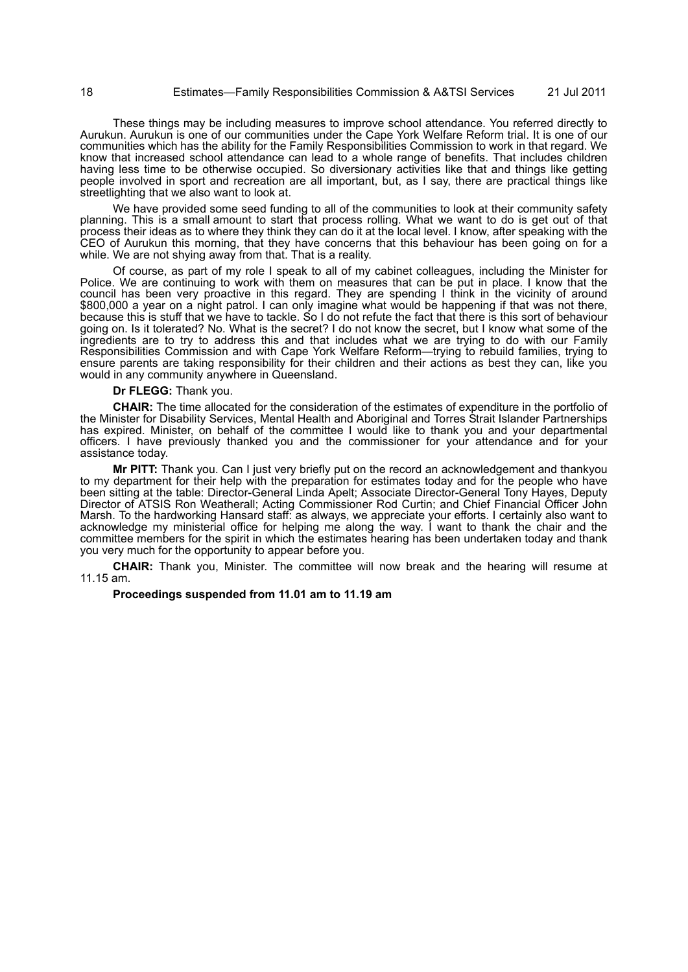These things may be including measures to improve school attendance. You referred directly to Aurukun. Aurukun is one of our communities under the Cape York Welfare Reform trial. It is one of our communities which has the ability for the Family Responsibilities Commission to work in that regard. We know that increased school attendance can lead to a whole range of benefits. That includes children having less time to be otherwise occupied. So diversionary activities like that and things like getting people involved in sport and recreation are all important, but, as I say, there are practical things like streetlighting that we also want to look at.

We have provided some seed funding to all of the communities to look at their community safety planning. This is a small amount to start that process rolling. What we want to do is get out of that process their ideas as to where they think they can do it at the local level. I know, after speaking with the CEO of Aurukun this morning, that they have concerns that this behaviour has been going on for a while. We are not shying away from that. That is a reality.

Of course, as part of my role I speak to all of my cabinet colleagues, including the Minister for Police. We are continuing to work with them on measures that can be put in place. I know that the council has been very proactive in this regard. They are spending I think in the vicinity of around \$800,000 a year on a night patrol. I can only imagine what would be happening if that was not there, because this is stuff that we have to tackle. So I do not refute the fact that there is this sort of behaviour going on. Is it tolerated? No. What is the secret? I do not know the secret, but I know what some of the ingredients are to try to address this and that includes what we are trying to do with our Family Responsibilities Commission and with Cape York Welfare Reform—trying to rebuild families, trying to ensure parents are taking responsibility for their children and their actions as best they can, like you would in any community anywhere in Queensland.

### **Dr FLEGG:** Thank you.

**CHAIR:** The time allocated for the consideration of the estimates of expenditure in the portfolio of the Minister for Disability Services, Mental Health and Aboriginal and Torres Strait Islander Partnerships has expired. Minister, on behalf of the committee I would like to thank you and your departmental officers. I have previously thanked you and the commissioner for your attendance and for your assistance today.

**Mr PITT:** Thank you. Can I just very briefly put on the record an acknowledgement and thankyou to my department for their help with the preparation for estimates today and for the people who have been sitting at the table: Director-General Linda Apelt; Associate Director-General Tony Hayes, Deputy Director of ATSIS Ron Weatherall; Acting Commissioner Rod Curtin; and Chief Financial Officer John Marsh. To the hardworking Hansard staff: as always, we appreciate your efforts. I certainly also want to acknowledge my ministerial office for helping me along the way. I want to thank the chair and the committee members for the spirit in which the estimates hearing has been undertaken today and thank you very much for the opportunity to appear before you.

**CHAIR:** Thank you, Minister. The committee will now break and the hearing will resume at 11.15 am.

# **Proceedings suspended from 11.01 am to 11.19 am**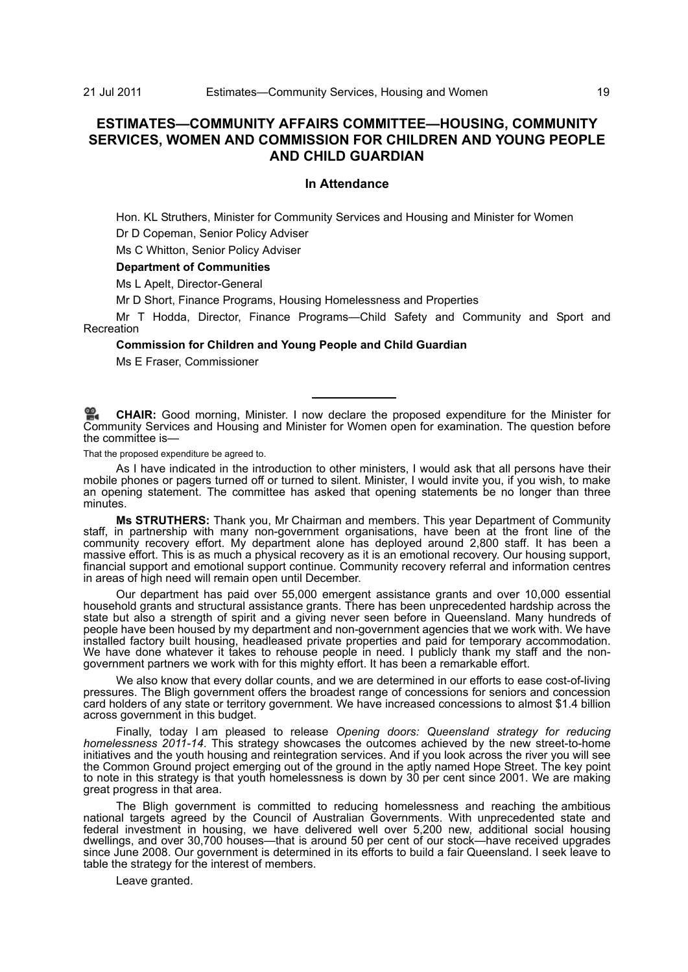# **ESTIMATES—COMMUNITY AFFAIRS COMMITTEE—HOUSING, COMMUNITY SERVICES, WOMEN AND COMMISSION FOR CHILDREN AND YOUNG PEOPLE AND CHILD GUARDIAN**

# **In Attendance**

Hon. KL Struthers, Minister for Community Services and Housing and Minister for Women

Dr D Copeman, Senior Policy Adviser

Ms C Whitton, Senior Policy Adviser

# **Department of Communities**

Ms L Apelt, Director-General

Mr D Short, Finance Programs, Housing Homelessness and Properties

Mr T Hodda, Director, Finance Programs—Child Safety and Community and Sport and Recreation

# **Commission for Children and Young People and Child Guardian**

Ms E Fraser, Commissioner

**CHAIR:** [Good morning, Minister. I now declare the proposed expenditure for the Minister for](http://www.parliament.qld.gov.au/docs/find.aspx?id=0Mba20110721_112006) [Community Services and Housing and Minister for Women open for examination. The question before](http://www.parliament.qld.gov.au/docs/find.aspx?id=0Mba20110721_112006) the committee is—

That the proposed expenditure be agreed to.

As I have indicated in the introduction to other ministers, I would ask that all persons have their mobile phones or pagers turned off or turned to silent. Minister, I would invite you, if you wish, to make an opening statement. The committee has asked that opening statements be no longer than three minutes.

**Ms STRUTHERS:** Thank you, Mr Chairman and members. This year Department of Community staff, in partnership with many non-government organisations, have been at the front line of the community recovery effort. My department alone has deployed around 2,800 staff. It has been a massive effort. This is as much a physical recovery as it is an emotional recovery. Our housing support, financial support and emotional support continue. Community recovery referral and information centres in areas of high need will remain open until December.

Our department has paid over 55,000 emergent assistance grants and over 10,000 essential household grants and structural assistance grants. There has been unprecedented hardship across the state but also a strength of spirit and a giving never seen before in Queensland. Many hundreds of people have been housed by my department and non-government agencies that we work with. We have installed factory built housing, headleased private properties and paid for temporary accommodation. We have done whatever it takes to rehouse people in need. I publicly thank my staff and the nongovernment partners we work with for this mighty effort. It has been a remarkable effort.

We also know that every dollar counts, and we are determined in our efforts to ease cost-of-living pressures. The Bligh government offers the broadest range of concessions for seniors and concession card holders of any state or territory government. We have increased concessions to almost \$1.4 billion across government in this budget.

Finally, today I am pleased to release *Opening doors: Queensland strategy for reducing homelessness 2011-14*. This strategy showcases the outcomes achieved by the new street-to-home initiatives and the youth housing and reintegration services. And if you look across the river you will see the Common Ground project emerging out of the ground in the aptly named Hope Street. The key point to note in this strategy is that youth homelessness is down by 30 per cent since 2001. We are making great progress in that area.

The Bligh government is committed to reducing homelessness and reaching the ambitious national targets agreed by the Council of Australian Governments. With unprecedented state and federal investment in housing, we have delivered well over 5,200 new, additional social housing dwellings, and over 30,700 houses—that is around 50 per cent of our stock—have received upgrades since June 2008. Our government is determined in its efforts to build a fair Queensland. I seek leave to table the strategy for the interest of members.

Leave granted.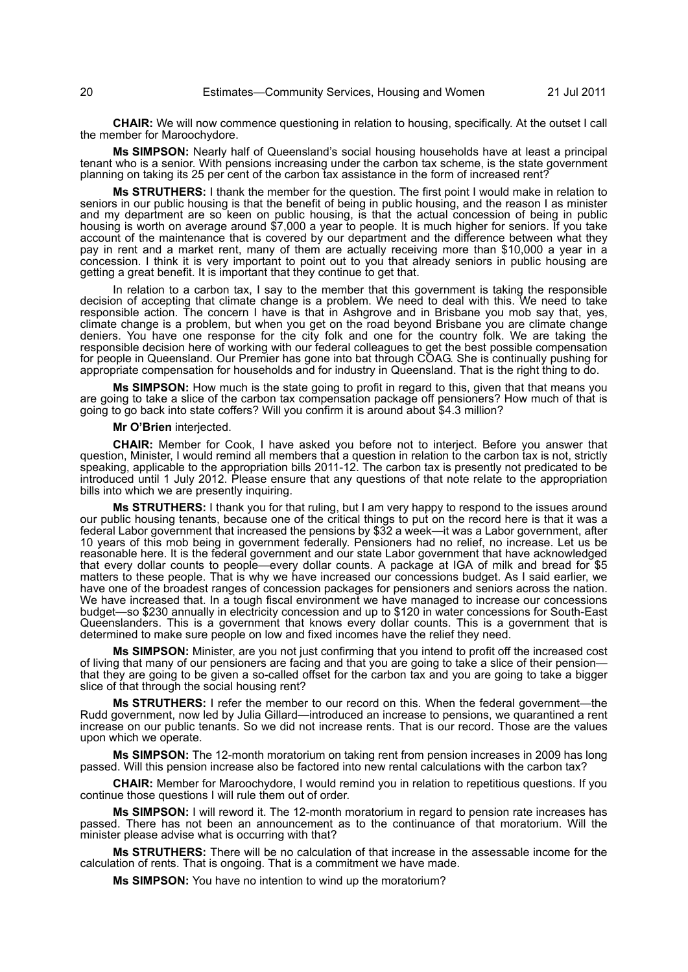**CHAIR:** We will now commence questioning in relation to housing, specifically. At the outset I call the member for Maroochydore.

**Ms SIMPSON:** Nearly half of Queensland's social housing households have at least a principal tenant who is a senior. With pensions increasing under the carbon tax scheme, is the state government planning on taking its 25 per cent of the carbon tax assistance in the form of increased rent?

**Ms STRUTHERS:** I thank the member for the question. The first point I would make in relation to seniors in our public housing is that the benefit of being in public housing, and the reason I as minister and my department are so keen on public housing, is that the actual concession of being in public housing is worth on average around \$7,000 a year to people. It is much higher for seniors. If you take account of the maintenance that is covered by our department and the difference between what they pay in rent and a market rent, many of them are actually receiving more than \$10,000 a year in a concession. I think it is very important to point out to you that already seniors in public housing are getting a great benefit. It is important that they continue to get that.

In relation to a carbon tax, I say to the member that this government is taking the responsible decision of accepting that climate change is a problem. We need to deal with this. We need to take responsible action. The concern I have is that in Ashgrove and in Brisbane you mob say that, yes, climate change is a problem, but when you get on the road beyond Brisbane you are climate change deniers. You have one response for the city folk and one for the country folk. We are taking the responsible decision here of working with our federal colleagues to get the best possible compensation for people in Queensland. Our Premier has gone into bat through COAG. She is continually pushing for appropriate compensation for households and for industry in Queensland. That is the right thing to do.

**Ms SIMPSON:** How much is the state going to profit in regard to this, given that that means you are going to take a slice of the carbon tax compensation package off pensioners? How much of that is going to go back into state coffers? Will you confirm it is around about \$4.3 million?

## **Mr O'Brien** interjected.

**CHAIR:** Member for Cook, I have asked you before not to interject. Before you answer that question, Minister, I would remind all members that a question in relation to the carbon tax is not, strictly speaking, applicable to the appropriation bills 2011-12. The carbon tax is presently not predicated to be introduced until 1 July 2012. Please ensure that any questions of that note relate to the appropriation bills into which we are presently inquiring.

**Ms STRUTHERS:** I thank you for that ruling, but I am very happy to respond to the issues around our public housing tenants, because one of the critical things to put on the record here is that it was a federal Labor government that increased the pensions by \$32 a week—it was a Labor government, after 10 years of this mob being in government federally. Pensioners had no relief, no increase. Let us be reasonable here. It is the federal government and our state Labor government that have acknowledged that every dollar counts to people—every dollar counts. A package at IGA of milk and bread for \$5 matters to these people. That is why we have increased our concessions budget. As I said earlier, we have one of the broadest ranges of concession packages for pensioners and seniors across the nation. We have increased that. In a tough fiscal environment we have managed to increase our concessions budget—so \$230 annually in electricity concession and up to \$120 in water concessions for South-East Queenslanders. This is a government that knows every dollar counts. This is a government that is determined to make sure people on low and fixed incomes have the relief they need.

**Ms SIMPSON:** Minister, are you not just confirming that you intend to profit off the increased cost of living that many of our pensioners are facing and that you are going to take a slice of their pension that they are going to be given a so-called offset for the carbon tax and you are going to take a bigger slice of that through the social housing rent?

**Ms STRUTHERS:** I refer the member to our record on this. When the federal government—the Rudd government, now led by Julia Gillard—introduced an increase to pensions, we quarantined a rent increase on our public tenants. So we did not increase rents. That is our record. Those are the values upon which we operate.

**Ms SIMPSON:** The 12-month moratorium on taking rent from pension increases in 2009 has long passed. Will this pension increase also be factored into new rental calculations with the carbon tax?

**CHAIR:** Member for Maroochydore, I would remind you in relation to repetitious questions. If you continue those questions I will rule them out of order.

**Ms SIMPSON:** I will reword it. The 12-month moratorium in regard to pension rate increases has passed. There has not been an announcement as to the continuance of that moratorium. Will the minister please advise what is occurring with that?

**Ms STRUTHERS:** There will be no calculation of that increase in the assessable income for the calculation of rents. That is ongoing. That is a commitment we have made.

**Ms SIMPSON:** You have no intention to wind up the moratorium?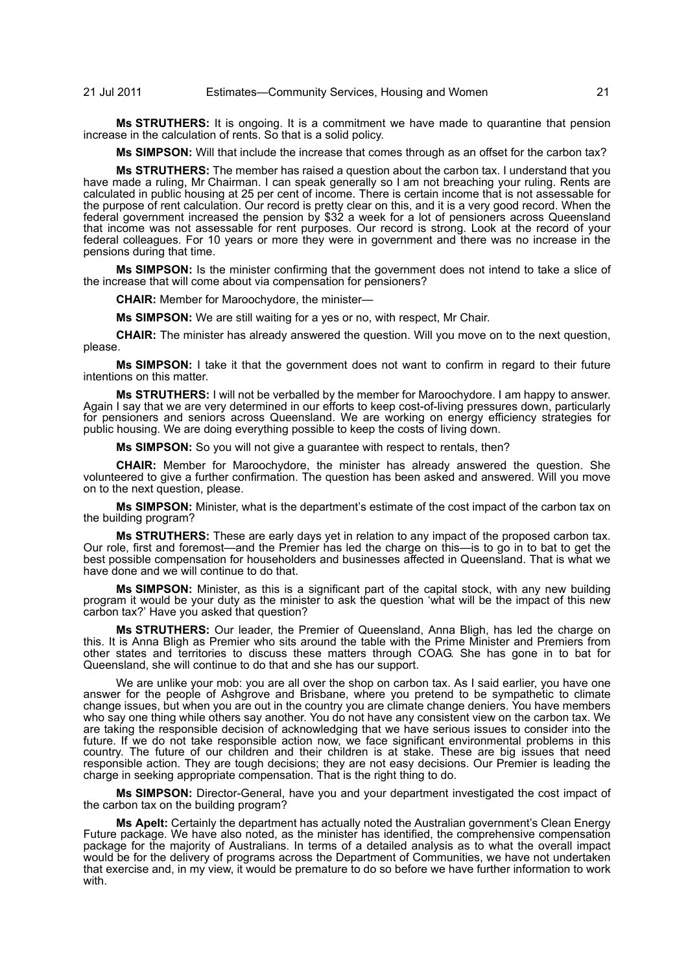# 21 Jul 2011 Estimates—Community Services, Housing and Women 21

**Ms STRUTHERS:** It is ongoing. It is a commitment we have made to quarantine that pension increase in the calculation of rents. So that is a solid policy.

**Ms SIMPSON:** Will that include the increase that comes through as an offset for the carbon tax?

**Ms STRUTHERS:** The member has raised a question about the carbon tax. I understand that you have made a ruling, Mr Chairman. I can speak generally so I am not breaching your ruling. Rents are calculated in public housing at 25 per cent of income. There is certain income that is not assessable for the purpose of rent calculation. Our record is pretty clear on this, and it is a very good record. When the federal government increased the pension by \$32 a week for a lot of pensioners across Queensland that income was not assessable for rent purposes. Our record is strong. Look at the record of your federal colleagues. For 10 years or more they were in government and there was no increase in the pensions during that time.

**Ms SIMPSON:** Is the minister confirming that the government does not intend to take a slice of the increase that will come about via compensation for pensioners?

**CHAIR:** Member for Maroochydore, the minister—

**Ms SIMPSON:** We are still waiting for a yes or no, with respect, Mr Chair.

**CHAIR:** The minister has already answered the question. Will you move on to the next question, please.

**Ms SIMPSON:** I take it that the government does not want to confirm in regard to their future intentions on this matter.

**Ms STRUTHERS:** I will not be verballed by the member for Maroochydore. I am happy to answer. Again I say that we are very determined in our efforts to keep cost-of-living pressures down, particularly for pensioners and seniors across Queensland. We are working on energy efficiency strategies for public housing. We are doing everything possible to keep the costs of living down.

**Ms SIMPSON:** So you will not give a guarantee with respect to rentals, then?

**CHAIR:** Member for Maroochydore, the minister has already answered the question. She volunteered to give a further confirmation. The question has been asked and answered. Will you move on to the next question, please.

**Ms SIMPSON:** Minister, what is the department's estimate of the cost impact of the carbon tax on the building program?

**Ms STRUTHERS:** These are early days yet in relation to any impact of the proposed carbon tax. Our role, first and foremost—and the Premier has led the charge on this—is to go in to bat to get the best possible compensation for householders and businesses affected in Queensland. That is what we have done and we will continue to do that.

**Ms SIMPSON:** Minister, as this is a significant part of the capital stock, with any new building program it would be your duty as the minister to ask the question 'what will be the impact of this new carbon tax?' Have you asked that question?

**Ms STRUTHERS:** Our leader, the Premier of Queensland, Anna Bligh, has led the charge on this. It is Anna Bligh as Premier who sits around the table with the Prime Minister and Premiers from other states and territories to discuss these matters through COAG. She has gone in to bat for Queensland, she will continue to do that and she has our support.

We are unlike your mob: you are all over the shop on carbon tax. As I said earlier, you have one answer for the people of Ashgrove and Brisbane, where you pretend to be sympathetic to climate change issues, but when you are out in the country you are climate change deniers. You have members who say one thing while others say another. You do not have any consistent view on the carbon tax. We are taking the responsible decision of acknowledging that we have serious issues to consider into the future. If we do not take responsible action now, we face significant environmental problems in this country. The future of our children and their children is at stake. These are big issues that need responsible action. They are tough decisions; they are not easy decisions. Our Premier is leading the charge in seeking appropriate compensation. That is the right thing to do.

**Ms SIMPSON:** Director-General, have you and your department investigated the cost impact of the carbon tax on the building program?

**Ms Apelt:** Certainly the department has actually noted the Australian government's Clean Energy Future package. We have also noted, as the minister has identified, the comprehensive compensation package for the majority of Australians. In terms of a detailed analysis as to what the overall impact would be for the delivery of programs across the Department of Communities, we have not undertaken that exercise and, in my view, it would be premature to do so before we have further information to work with.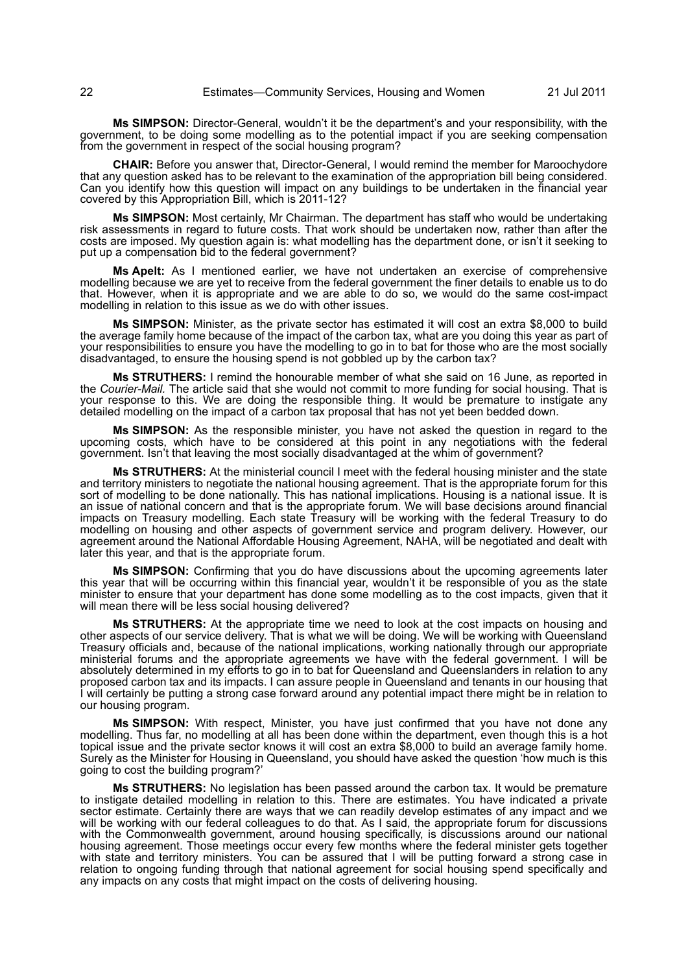**Ms SIMPSON:** Director-General, wouldn't it be the department's and your responsibility, with the government, to be doing some modelling as to the potential impact if you are seeking compensation from the government in respect of the social housing program?

**CHAIR:** Before you answer that, Director-General, I would remind the member for Maroochydore that any question asked has to be relevant to the examination of the appropriation bill being considered. Can you identify how this question will impact on any buildings to be undertaken in the financial year covered by this Appropriation Bill, which is 2011-12?

**Ms SIMPSON:** Most certainly, Mr Chairman. The department has staff who would be undertaking risk assessments in regard to future costs. That work should be undertaken now, rather than after the costs are imposed. My question again is: what modelling has the department done, or isn't it seeking to put up a compensation bid to the federal government?

**Ms Apelt:** As I mentioned earlier, we have not undertaken an exercise of comprehensive modelling because we are yet to receive from the federal government the finer details to enable us to do that. However, when it is appropriate and we are able to do so, we would do the same cost-impact modelling in relation to this issue as we do with other issues.

**Ms SIMPSON:** Minister, as the private sector has estimated it will cost an extra \$8,000 to build the average family home because of the impact of the carbon tax, what are you doing this year as part of your responsibilities to ensure you have the modelling to go in to bat for those who are the most socially disadvantaged, to ensure the housing spend is not gobbled up by the carbon tax?

**Ms STRUTHERS:** I remind the honourable member of what she said on 16 June, as reported in the *Courier-Mail.* The article said that she would not commit to more funding for social housing. That is your response to this. We are doing the responsible thing. It would be premature to instigate any detailed modelling on the impact of a carbon tax proposal that has not yet been bedded down.

**Ms SIMPSON:** As the responsible minister, you have not asked the question in regard to the upcoming costs, which have to be considered at this point in any negotiations with the federal government. Isn't that leaving the most socially disadvantaged at the whim of government?

**Ms STRUTHERS:** At the ministerial council I meet with the federal housing minister and the state and territory ministers to negotiate the national housing agreement. That is the appropriate forum for this sort of modelling to be done nationally. This has national implications. Housing is a national issue. It is an issue of national concern and that is the appropriate forum. We will base decisions around financial impacts on Treasury modelling. Each state Treasury will be working with the federal Treasury to do modelling on housing and other aspects of government service and program delivery. However, our agreement around the National Affordable Housing Agreement, NAHA, will be negotiated and dealt with later this year, and that is the appropriate forum.

**Ms SIMPSON:** Confirming that you do have discussions about the upcoming agreements later this year that will be occurring within this financial year, wouldn't it be responsible of you as the state minister to ensure that your department has done some modelling as to the cost impacts, given that it will mean there will be less social housing delivered?

**Ms STRUTHERS:** At the appropriate time we need to look at the cost impacts on housing and other aspects of our service delivery. That is what we will be doing. We will be working with Queensland Treasury officials and, because of the national implications, working nationally through our appropriate ministerial forums and the appropriate agreements we have with the federal government. I will be absolutely determined in my efforts to go in to bat for Queensland and Queenslanders in relation to any proposed carbon tax and its impacts. I can assure people in Queensland and tenants in our housing that I will certainly be putting a strong case forward around any potential impact there might be in relation to our housing program.

**Ms SIMPSON:** With respect, Minister, you have just confirmed that you have not done any modelling. Thus far, no modelling at all has been done within the department, even though this is a hot topical issue and the private sector knows it will cost an extra \$8,000 to build an average family home. Surely as the Minister for Housing in Queensland, you should have asked the question 'how much is this going to cost the building program?'

**Ms STRUTHERS:** No legislation has been passed around the carbon tax. It would be premature to instigate detailed modelling in relation to this. There are estimates. You have indicated a private sector estimate. Certainly there are ways that we can readily develop estimates of any impact and we will be working with our federal colleagues to do that. As I said, the appropriate forum for discussions with the Commonwealth government, around housing specifically, is discussions around our national housing agreement. Those meetings occur every few months where the federal minister gets together with state and territory ministers. You can be assured that I will be putting forward a strong case in relation to ongoing funding through that national agreement for social housing spend specifically and any impacts on any costs that might impact on the costs of delivering housing.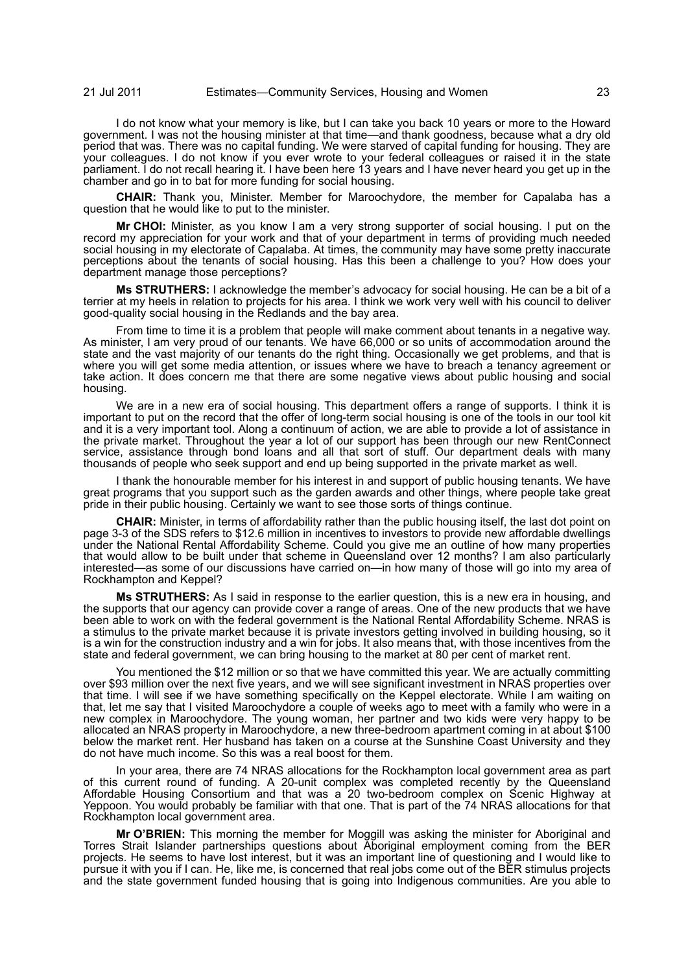I do not know what your memory is like, but I can take you back 10 years or more to the Howard government. I was not the housing minister at that time—and thank goodness, because what a dry old period that was. There was no capital funding. We were starved of capital funding for housing. They are your colleagues. I do not know if you ever wrote to your federal colleagues or raised it in the state parliament. I do not recall hearing it. I have been here 13 years and I have never heard you get up in the chamber and go in to bat for more funding for social housing.

**CHAIR:** Thank you, Minister. Member for Maroochydore, the member for Capalaba has a question that he would like to put to the minister.

**Mr CHOI:** Minister, as you know I am a very strong supporter of social housing. I put on the record my appreciation for your work and that of your department in terms of providing much needed social housing in my electorate of Capalaba. At times, the community may have some pretty inaccurate perceptions about the tenants of social housing. Has this been a challenge to you? How does your department manage those perceptions?

**Ms STRUTHERS:** I acknowledge the member's advocacy for social housing. He can be a bit of a terrier at my heels in relation to projects for his area. I think we work very well with his council to deliver good-quality social housing in the Redlands and the bay area.

From time to time it is a problem that people will make comment about tenants in a negative way. As minister, I am very proud of our tenants. We have 66,000 or so units of accommodation around the state and the vast majority of our tenants do the right thing. Occasionally we get problems, and that is where you will get some media attention, or issues where we have to breach a tenancy agreement or take action. It does concern me that there are some negative views about public housing and social housing.

We are in a new era of social housing. This department offers a range of supports. I think it is important to put on the record that the offer of long-term social housing is one of the tools in our tool kit and it is a very important tool. Along a continuum of action, we are able to provide a lot of assistance in the private market. Throughout the year a lot of our support has been through our new RentConnect service, assistance through bond loans and all that sort of stuff. Our department deals with many thousands of people who seek support and end up being supported in the private market as well.

I thank the honourable member for his interest in and support of public housing tenants. We have great programs that you support such as the garden awards and other things, where people take great pride in their public housing. Certainly we want to see those sorts of things continue.

**CHAIR:** Minister, in terms of affordability rather than the public housing itself, the last dot point on page 3-3 of the SDS refers to \$12.6 million in incentives to investors to provide new affordable dwellings under the National Rental Affordability Scheme. Could you give me an outline of how many properties that would allow to be built under that scheme in Queensland over 12 months? I am also particularly interested—as some of our discussions have carried on—in how many of those will go into my area of Rockhampton and Keppel?

**Ms STRUTHERS:** As I said in response to the earlier question, this is a new era in housing, and the supports that our agency can provide cover a range of areas. One of the new products that we have been able to work on with the federal government is the National Rental Affordability Scheme. NRAS is a stimulus to the private market because it is private investors getting involved in building housing, so it is a win for the construction industry and a win for jobs. It also means that, with those incentives from the state and federal government, we can bring housing to the market at 80 per cent of market rent.

You mentioned the \$12 million or so that we have committed this year. We are actually committing over \$93 million over the next five years, and we will see significant investment in NRAS properties over that time. I will see if we have something specifically on the Keppel electorate. While I am waiting on that, let me say that I visited Maroochydore a couple of weeks ago to meet with a family who were in a new complex in Maroochydore. The young woman, her partner and two kids were very happy to be allocated an NRAS property in Maroochydore, a new three-bedroom apartment coming in at about \$100 below the market rent. Her husband has taken on a course at the Sunshine Coast University and they do not have much income. So this was a real boost for them.

In your area, there are 74 NRAS allocations for the Rockhampton local government area as part of this current round of funding. A 20-unit complex was completed recently by the Queensland Affordable Housing Consortium and that was a 20 two-bedroom complex on Scenic Highway at Yeppoon. You would probably be familiar with that one. That is part of the 74 NRAS allocations for that Rockhampton local government area.

**Mr O'BRIEN:** This morning the member for Moggill was asking the minister for Aboriginal and Torres Strait Islander partnerships questions about Aboriginal employment coming from the BER projects. He seems to have lost interest, but it was an important line of questioning and I would like to pursue it with you if I can. He, like me, is concerned that real jobs come out of the BER stimulus projects and the state government funded housing that is going into Indigenous communities. Are you able to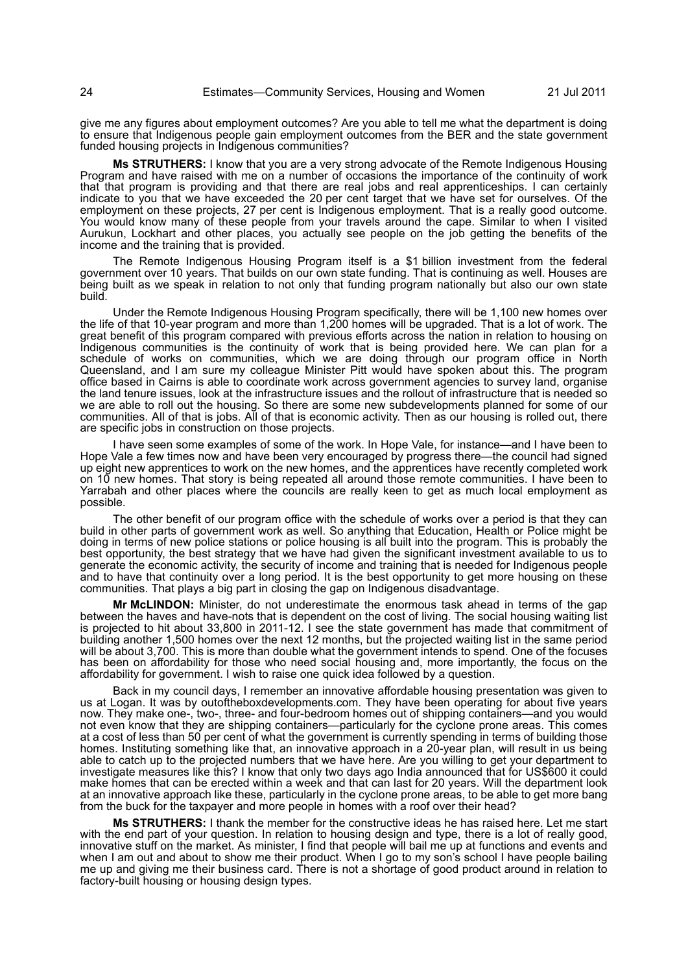give me any figures about employment outcomes? Are you able to tell me what the department is doing to ensure that Indigenous people gain employment outcomes from the BER and the state government funded housing projects in Indigenous communities?

**Ms STRUTHERS:** I know that you are a very strong advocate of the Remote Indigenous Housing Program and have raised with me on a number of occasions the importance of the continuity of work that that program is providing and that there are real jobs and real apprenticeships. I can certainly indicate to you that we have exceeded the 20 per cent target that we have set for ourselves. Of the employment on these projects, 27 per cent is Indigenous employment. That is a really good outcome. You would know many of these people from your travels around the cape. Similar to when I visited Aurukun, Lockhart and other places, you actually see people on the job getting the benefits of the income and the training that is provided.

The Remote Indigenous Housing Program itself is a \$1 billion investment from the federal government over 10 years. That builds on our own state funding. That is continuing as well. Houses are being built as we speak in relation to not only that funding program nationally but also our own state build.

Under the Remote Indigenous Housing Program specifically, there will be 1,100 new homes over the life of that 10-year program and more than 1,200 homes will be upgraded. That is a lot of work. The great benefit of this program compared with previous efforts across the nation in relation to housing on Indigenous communities is the continuity of work that is being provided here. We can plan for a schedule of works on communities, which we are doing through our program office in North Queensland, and I am sure my colleague Minister Pitt would have spoken about this. The program office based in Cairns is able to coordinate work across government agencies to survey land, organise the land tenure issues, look at the infrastructure issues and the rollout of infrastructure that is needed so we are able to roll out the housing. So there are some new subdevelopments planned for some of our communities. All of that is jobs. All of that is economic activity. Then as our housing is rolled out, there are specific jobs in construction on those projects.

I have seen some examples of some of the work. In Hope Vale, for instance—and I have been to Hope Vale a few times now and have been very encouraged by progress there—the council had signed up eight new apprentices to work on the new homes, and the apprentices have recently completed work on 10 new homes. That story is being repeated all around those remote communities. I have been to Yarrabah and other places where the councils are really keen to get as much local employment as possible.

The other benefit of our program office with the schedule of works over a period is that they can build in other parts of government work as well. So anything that Education, Health or Police might be doing in terms of new police stations or police housing is all built into the program. This is probably the best opportunity, the best strategy that we have had given the significant investment available to us to generate the economic activity, the security of income and training that is needed for Indigenous people and to have that continuity over a long period. It is the best opportunity to get more housing on these communities. That plays a big part in closing the gap on Indigenous disadvantage.

**Mr McLINDON:** Minister, do not underestimate the enormous task ahead in terms of the gap between the haves and have-nots that is dependent on the cost of living. The social housing waiting list is projected to hit about 33,800 in 2011-12. I see the state government has made that commitment of building another 1,500 homes over the next 12 months, but the projected waiting list in the same period will be about 3,700. This is more than double what the government intends to spend. One of the focuses has been on affordability for those who need social housing and, more importantly, the focus on the affordability for government. I wish to raise one quick idea followed by a question.

Back in my council days, I remember an innovative affordable housing presentation was given to us at Logan. It was by outoftheboxdevelopments.com. They have been operating for about five years now. They make one-, two-, three- and four-bedroom homes out of shipping containers—and you would not even know that they are shipping containers—particularly for the cyclone prone areas. This comes at a cost of less than 50 per cent of what the government is currently spending in terms of building those homes. Instituting something like that, an innovative approach in a 20-year plan, will result in us being able to catch up to the projected numbers that we have here. Are you willing to get your department to investigate measures like this? I know that only two days ago India announced that for US\$600 it could make homes that can be erected within a week and that can last for 20 years. Will the department look at an innovative approach like these, particularly in the cyclone prone areas, to be able to get more bang from the buck for the taxpayer and more people in homes with a roof over their head?

**Ms STRUTHERS:** I thank the member for the constructive ideas he has raised here. Let me start with the end part of your question. In relation to housing design and type, there is a lot of really good, innovative stuff on the market. As minister, I find that people will bail me up at functions and events and when I am out and about to show me their product. When I go to my son's school I have people bailing me up and giving me their business card. There is not a shortage of good product around in relation to factory-built housing or housing design types.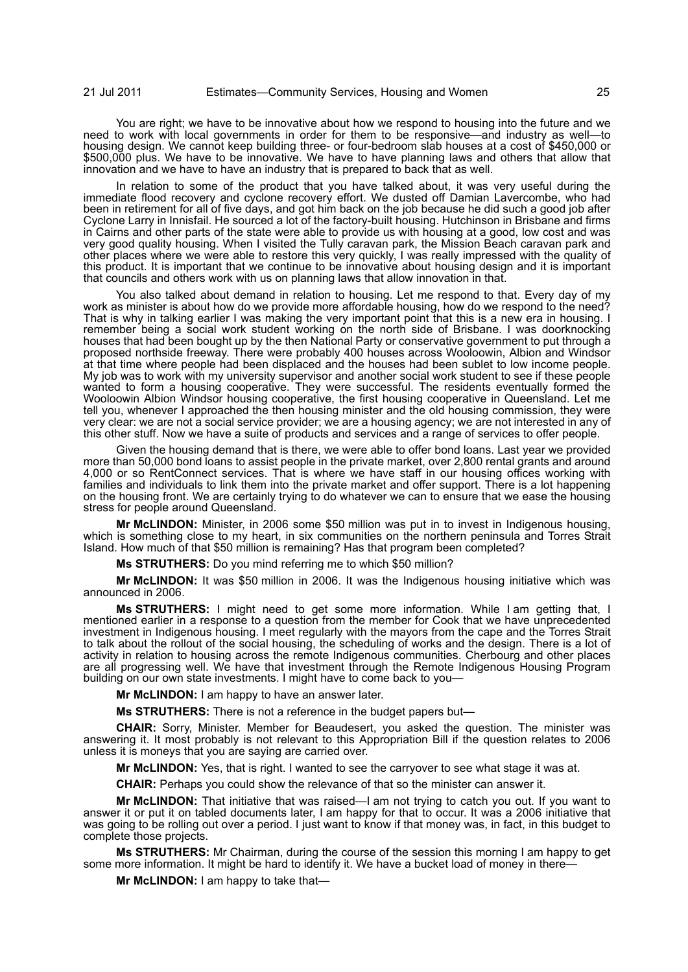You are right; we have to be innovative about how we respond to housing into the future and we need to work with local governments in order for them to be responsive—and industry as well—to housing design. We cannot keep building three- or four-bedroom slab houses at a cost of \$450,000 or \$500,000 plus. We have to be innovative. We have to have planning laws and others that allow that innovation and we have to have an industry that is prepared to back that as well.

In relation to some of the product that you have talked about, it was very useful during the immediate flood recovery and cyclone recovery effort. We dusted off Damian Lavercombe, who had been in retirement for all of five days, and got him back on the job because he did such a good job after Cyclone Larry in Innisfail. He sourced a lot of the factory-built housing. Hutchinson in Brisbane and firms in Cairns and other parts of the state were able to provide us with housing at a good, low cost and was very good quality housing. When I visited the Tully caravan park, the Mission Beach caravan park and other places where we were able to restore this very quickly, I was really impressed with the quality of this product. It is important that we continue to be innovative about housing design and it is important that councils and others work with us on planning laws that allow innovation in that.

You also talked about demand in relation to housing. Let me respond to that. Every day of my work as minister is about how do we provide more affordable housing, how do we respond to the need? That is why in talking earlier I was making the very important point that this is a new era in housing. I remember being a social work student working on the north side of Brisbane. I was doorknocking houses that had been bought up by the then National Party or conservative government to put through a proposed northside freeway. There were probably 400 houses across Wooloowin, Albion and Windsor at that time where people had been displaced and the houses had been sublet to low income people. My job was to work with my university supervisor and another social work student to see if these people wanted to form a housing cooperative. They were successful. The residents eventually formed the Wooloowin Albion Windsor housing cooperative, the first housing cooperative in Queensland. Let me tell you, whenever I approached the then housing minister and the old housing commission, they were very clear: we are not a social service provider; we are a housing agency; we are not interested in any of this other stuff. Now we have a suite of products and services and a range of services to offer people.

Given the housing demand that is there, we were able to offer bond loans. Last year we provided more than 50,000 bond loans to assist people in the private market, over 2,800 rental grants and around 4,000 or so RentConnect services. That is where we have staff in our housing offices working with families and individuals to link them into the private market and offer support. There is a lot happening on the housing front. We are certainly trying to do whatever we can to ensure that we ease the housing stress for people around Queensland.

**Mr McLINDON:** Minister, in 2006 some \$50 million was put in to invest in Indigenous housing, which is something close to my heart, in six communities on the northern peninsula and Torres Strait Island. How much of that \$50 million is remaining? Has that program been completed?

**Ms STRUTHERS:** Do you mind referring me to which \$50 million?

**Mr McLINDON:** It was \$50 million in 2006. It was the Indigenous housing initiative which was announced in 2006.

**Ms STRUTHERS:** I might need to get some more information. While I am getting that, I mentioned earlier in a response to a question from the member for Cook that we have unprecedented investment in Indigenous housing. I meet regularly with the mayors from the cape and the Torres Strait to talk about the rollout of the social housing, the scheduling of works and the design. There is a lot of activity in relation to housing across the remote Indigenous communities. Cherbourg and other places are all progressing well. We have that investment through the Remote Indigenous Housing Program building on our own state investments. I might have to come back to you-

**Mr McLINDON:** I am happy to have an answer later.

**Ms STRUTHERS:** There is not a reference in the budget papers but—

**CHAIR:** Sorry, Minister. Member for Beaudesert, you asked the question. The minister was answering it. It most probably is not relevant to this Appropriation Bill if the question relates to 2006 unless it is moneys that you are saying are carried over.

**Mr McLINDON:** Yes, that is right. I wanted to see the carryover to see what stage it was at.

**CHAIR:** Perhaps you could show the relevance of that so the minister can answer it.

**Mr McLINDON:** That initiative that was raised—I am not trying to catch you out. If you want to answer it or put it on tabled documents later, I am happy for that to occur. It was a 2006 initiative that was going to be rolling out over a period. I just want to know if that money was, in fact, in this budget to complete those projects.

**Ms STRUTHERS:** Mr Chairman, during the course of the session this morning I am happy to get some more information. It might be hard to identify it. We have a bucket load of money in there—

**Mr McLINDON:** I am happy to take that—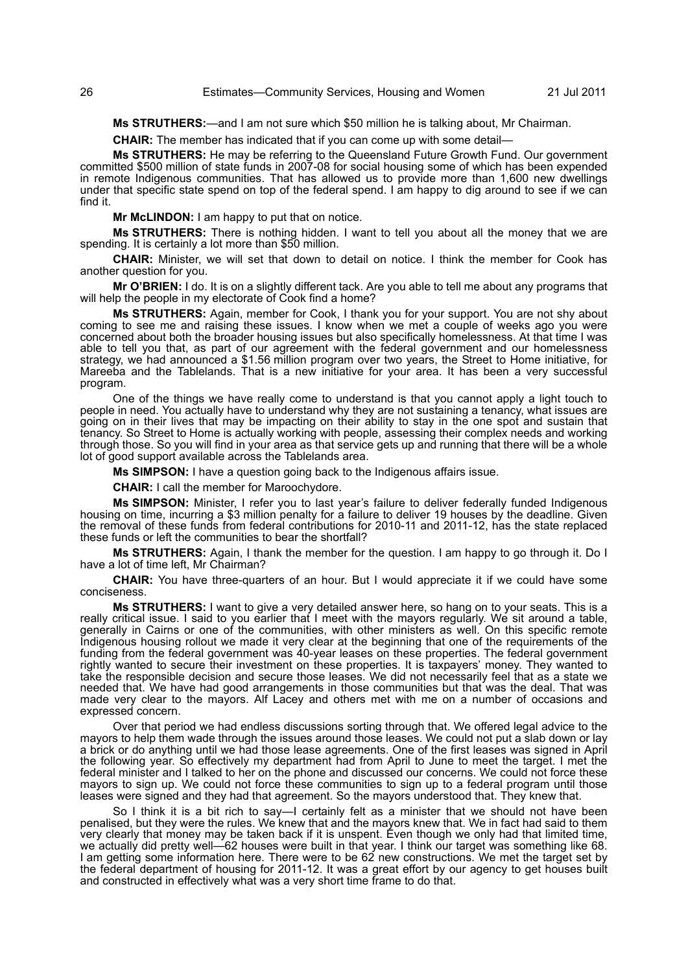**Ms STRUTHERS:**—and I am not sure which \$50 million he is talking about, Mr Chairman.

**CHAIR:** The member has indicated that if you can come up with some detail—

**Ms STRUTHERS:** He may be referring to the Queensland Future Growth Fund. Our government committed \$500 million of state funds in 2007-08 for social housing some of which has been expended in remote Indigenous communities. That has allowed us to provide more than 1,600 new dwellings under that specific state spend on top of the federal spend. I am happy to dig around to see if we can find it.

**Mr McLINDON:** I am happy to put that on notice.

**Ms STRUTHERS:** There is nothing hidden. I want to tell you about all the money that we are spending. It is certainly a lot more than \$50 million.

**CHAIR:** Minister, we will set that down to detail on notice. I think the member for Cook has another question for you.

**Mr O'BRIEN:** I do. It is on a slightly different tack. Are you able to tell me about any programs that will help the people in my electorate of Cook find a home?

**Ms STRUTHERS:** Again, member for Cook, I thank you for your support. You are not shy about coming to see me and raising these issues. I know when we met a couple of weeks ago you were concerned about both the broader housing issues but also specifically homelessness. At that time I was able to tell you that, as part of our agreement with the federal government and our homelessness strategy, we had announced a \$1.56 million program over two years, the Street to Home initiative, for Mareeba and the Tablelands. That is a new initiative for your area. It has been a very successful program.

One of the things we have really come to understand is that you cannot apply a light touch to people in need. You actually have to understand why they are not sustaining a tenancy, what issues are going on in their lives that may be impacting on their ability to stay in the one spot and sustain that tenancy. So Street to Home is actually working with people, assessing their complex needs and working through those. So you will find in your area as that service gets up and running that there will be a whole lot of good support available across the Tablelands area.

**Ms SIMPSON:** I have a question going back to the Indigenous affairs issue.

**CHAIR:** I call the member for Maroochydore.

**Ms SIMPSON:** Minister, I refer you to last year's failure to deliver federally funded Indigenous housing on time, incurring a \$3 million penalty for a failure to deliver 19 houses by the deadline. Given the removal of these funds from federal contributions for 2010-11 and 2011-12, has the state replaced these funds or left the communities to bear the shortfall?

**Ms STRUTHERS:** Again, I thank the member for the question. I am happy to go through it. Do I have a lot of time left, Mr Chairman?

**CHAIR:** You have three-quarters of an hour. But I would appreciate it if we could have some conciseness.

**Ms STRUTHERS:** I want to give a very detailed answer here, so hang on to your seats. This is a really critical issue. I said to you earlier that I meet with the mayors regularly. We sit around a table, generally in Cairns or one of the communities, with other ministers as well. On this specific remote Indigenous housing rollout we made it very clear at the beginning that one of the requirements of the funding from the federal government was 40-year leases on these properties. The federal government rightly wanted to secure their investment on these properties. It is taxpayers' money. They wanted to take the responsible decision and secure those leases. We did not necessarily feel that as a state we needed that. We have had good arrangements in those communities but that was the deal. That was made very clear to the mayors. Alf Lacey and others met with me on a number of occasions and expressed concern.

Over that period we had endless discussions sorting through that. We offered legal advice to the mayors to help them wade through the issues around those leases. We could not put a slab down or lay a brick or do anything until we had those lease agreements. One of the first leases was signed in April the following year. So effectively my department had from April to June to meet the target. I met the federal minister and I talked to her on the phone and discussed our concerns. We could not force these mayors to sign up. We could not force these communities to sign up to a federal program until those leases were signed and they had that agreement. So the mayors understood that. They knew that.

So I think it is a bit rich to say—I certainly felt as a minister that we should not have been penalised, but they were the rules. We knew that and the mayors knew that. We in fact had said to them very clearly that money may be taken back if it is unspent. Even though we only had that limited time, we actually did pretty well—62 houses were built in that year. I think our target was something like 68. I am getting some information here. There were to be 62 new constructions. We met the target set by the federal department of housing for 2011-12. It was a great effort by our agency to get houses built and constructed in effectively what was a very short time frame to do that.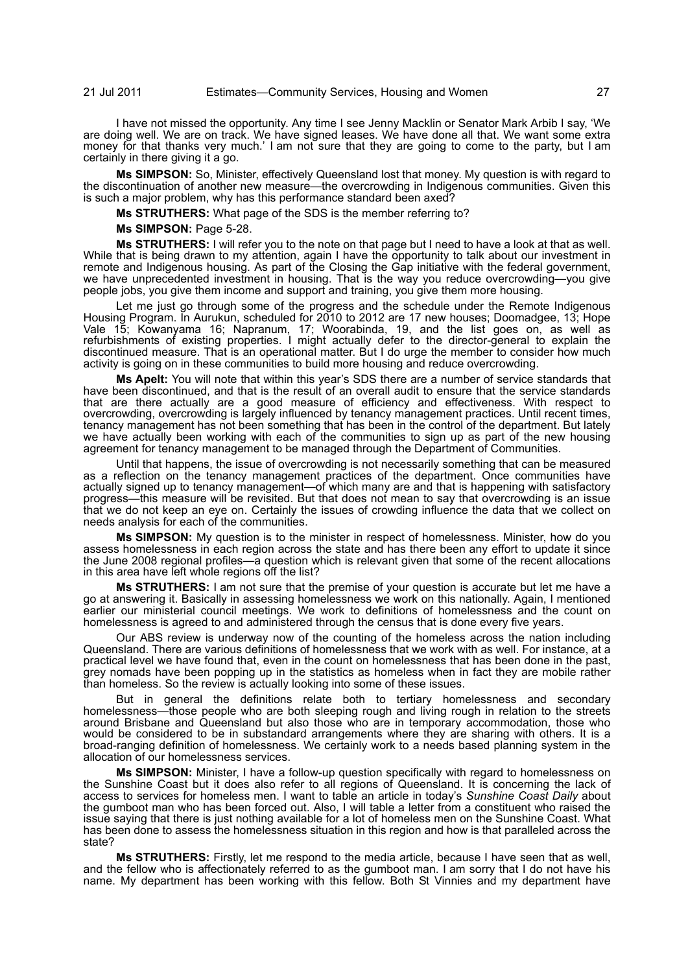I have not missed the opportunity. Any time I see Jenny Macklin or Senator Mark Arbib I say, 'We are doing well. We are on track. We have signed leases. We have done all that. We want some extra money for that thanks very much.' I am not sure that they are going to come to the party, but I am certainly in there giving it a go.

**Ms SIMPSON:** So, Minister, effectively Queensland lost that money. My question is with regard to the discontinuation of another new measure—the overcrowding in Indigenous communities. Given this is such a major problem, why has this performance standard been axed?

**Ms STRUTHERS:** What page of the SDS is the member referring to?

**Ms SIMPSON:** Page 5-28.

**Ms STRUTHERS:** I will refer you to the note on that page but I need to have a look at that as well. While that is being drawn to my attention, again I have the opportunity to talk about our investment in remote and Indigenous housing. As part of the Closing the Gap initiative with the federal government, we have unprecedented investment in housing. That is the way you reduce overcrowding—you give people jobs, you give them income and support and training, you give them more housing.

Let me just go through some of the progress and the schedule under the Remote Indigenous Housing Program. In Aurukun, scheduled for 2010 to 2012 are 17 new houses; Doomadgee, 13; Hope Vale 15; Kowanyama 16; Napranum, 17; Woorabinda, 19, and the list goes on, as well as refurbishments of existing properties. I might actually defer to the director-general to explain the discontinued measure. That is an operational matter. But I do urge the member to consider how much activity is going on in these communities to build more housing and reduce overcrowding.

**Ms Apelt:** You will note that within this year's SDS there are a number of service standards that have been discontinued, and that is the result of an overall audit to ensure that the service standards that are there actually are a good measure of efficiency and effectiveness. With respect to overcrowding, overcrowding is largely influenced by tenancy management practices. Until recent times, tenancy management has not been something that has been in the control of the department. But lately we have actually been working with each of the communities to sign up as part of the new housing agreement for tenancy management to be managed through the Department of Communities.

Until that happens, the issue of overcrowding is not necessarily something that can be measured as a reflection on the tenancy management practices of the department. Once communities have actually signed up to tenancy management—of which many are and that is happening with satisfactory progress—this measure will be revisited. But that does not mean to say that overcrowding is an issue that we do not keep an eye on. Certainly the issues of crowding influence the data that we collect on needs analysis for each of the communities.

**Ms SIMPSON:** My question is to the minister in respect of homelessness. Minister, how do you assess homelessness in each region across the state and has there been any effort to update it since the June 2008 regional profiles—a question which is relevant given that some of the recent allocations in this area have left whole regions off the list?

**Ms STRUTHERS:** I am not sure that the premise of your question is accurate but let me have a go at answering it. Basically in assessing homelessness we work on this nationally. Again, I mentioned earlier our ministerial council meetings. We work to definitions of homelessness and the count on homelessness is agreed to and administered through the census that is done every five years.

Our ABS review is underway now of the counting of the homeless across the nation including Queensland. There are various definitions of homelessness that we work with as well. For instance, at a practical level we have found that, even in the count on homelessness that has been done in the past, grey nomads have been popping up in the statistics as homeless when in fact they are mobile rather than homeless. So the review is actually looking into some of these issues.

But in general the definitions relate both to tertiary homelessness and secondary homelessness—those people who are both sleeping rough and living rough in relation to the streets around Brisbane and Queensland but also those who are in temporary accommodation, those who would be considered to be in substandard arrangements where they are sharing with others. It is a broad-ranging definition of homelessness. We certainly work to a needs based planning system in the allocation of our homelessness services.

**Ms SIMPSON:** Minister, I have a follow-up question specifically with regard to homelessness on the Sunshine Coast but it does also refer to all regions of Queensland. It is concerning the lack of access to services for homeless men. I want to table an article in today's *Sunshine Coast Daily* about the gumboot man who has been forced out. Also, I will table a letter from a constituent who raised the issue saying that there is just nothing available for a lot of homeless men on the Sunshine Coast. What has been done to assess the homelessness situation in this region and how is that paralleled across the state?

**Ms STRUTHERS:** Firstly, let me respond to the media article, because I have seen that as well, and the fellow who is affectionately referred to as the gumboot man. I am sorry that I do not have his name. My department has been working with this fellow. Both St Vinnies and my department have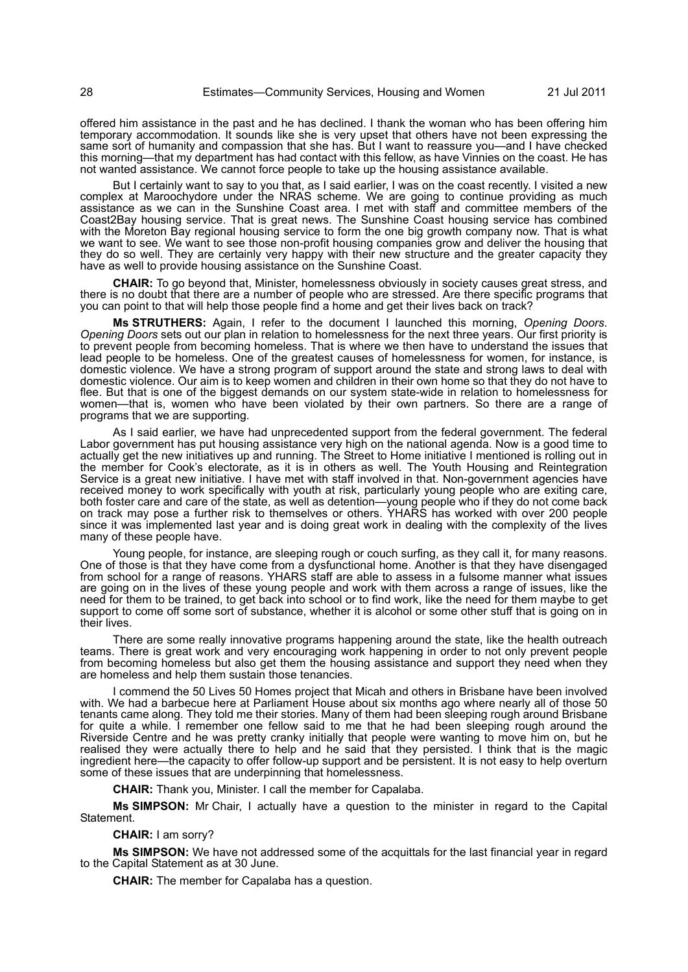offered him assistance in the past and he has declined. I thank the woman who has been offering him temporary accommodation. It sounds like she is very upset that others have not been expressing the same sort of humanity and compassion that she has. But I want to reassure you—and I have checked this morning—that my department has had contact with this fellow, as have Vinnies on the coast. He has not wanted assistance. We cannot force people to take up the housing assistance available.

But I certainly want to say to you that, as I said earlier, I was on the coast recently. I visited a new complex at Maroochydore under the NRAS scheme. We are going to continue providing as much assistance as we can in the Sunshine Coast area. I met with staff and committee members of the Coast2Bay housing service. That is great news. The Sunshine Coast housing service has combined with the Moreton Bay regional housing service to form the one big growth company now. That is what we want to see. We want to see those non-profit housing companies grow and deliver the housing that they do so well. They are certainly very happy with their new structure and the greater capacity they have as well to provide housing assistance on the Sunshine Coast.

**CHAIR:** To go beyond that, Minister, homelessness obviously in society causes great stress, and there is no doubt that there are a number of people who are stressed. Are there specific programs that you can point to that will help those people find a home and get their lives back on track?

**Ms STRUTHERS:** Again, I refer to the document I launched this morning, *Opening Doors*. *Opening Doors* sets out our plan in relation to homelessness for the next three years. Our first priority is to prevent people from becoming homeless. That is where we then have to understand the issues that lead people to be homeless. One of the greatest causes of homelessness for women, for instance, is domestic violence. We have a strong program of support around the state and strong laws to deal with domestic violence. Our aim is to keep women and children in their own home so that they do not have to flee. But that is one of the biggest demands on our system state-wide in relation to homelessness for women—that is, women who have been violated by their own partners. So there are a range of programs that we are supporting.

As I said earlier, we have had unprecedented support from the federal government. The federal Labor government has put housing assistance very high on the national agenda. Now is a good time to actually get the new initiatives up and running. The Street to Home initiative I mentioned is rolling out in the member for Cook's electorate, as it is in others as well. The Youth Housing and Reintegration Service is a great new initiative. I have met with staff involved in that. Non-government agencies have received money to work specifically with youth at risk, particularly young people who are exiting care, both foster care and care of the state, as well as detention—young people who if they do not come back on track may pose a further risk to themselves or others. YHARS has worked with over 200 people since it was implemented last year and is doing great work in dealing with the complexity of the lives many of these people have.

Young people, for instance, are sleeping rough or couch surfing, as they call it, for many reasons. One of those is that they have come from a dysfunctional home. Another is that they have disengaged from school for a range of reasons. YHARS staff are able to assess in a fulsome manner what issues are going on in the lives of these young people and work with them across a range of issues, like the need for them to be trained, to get back into school or to find work, like the need for them maybe to get support to come off some sort of substance, whether it is alcohol or some other stuff that is going on in their lives.

There are some really innovative programs happening around the state, like the health outreach teams. There is great work and very encouraging work happening in order to not only prevent people from becoming homeless but also get them the housing assistance and support they need when they are homeless and help them sustain those tenancies.

I commend the 50 Lives 50 Homes project that Micah and others in Brisbane have been involved with. We had a barbecue here at Parliament House about six months ago where nearly all of those 50 tenants came along. They told me their stories. Many of them had been sleeping rough around Brisbane for quite a while. I remember one fellow said to me that he had been sleeping rough around the Riverside Centre and he was pretty cranky initially that people were wanting to move him on, but he realised they were actually there to help and he said that they persisted. I think that is the magic ingredient here—the capacity to offer follow-up support and be persistent. It is not easy to help overturn some of these issues that are underpinning that homelessness.

**CHAIR:** Thank you, Minister. I call the member for Capalaba.

**Ms SIMPSON:** Mr Chair, I actually have a question to the minister in regard to the Capital Statement.

# **CHAIR:** I am sorry?

**Ms SIMPSON:** We have not addressed some of the acquittals for the last financial year in regard to the Capital Statement as at 30 June.

**CHAIR:** The member for Capalaba has a question.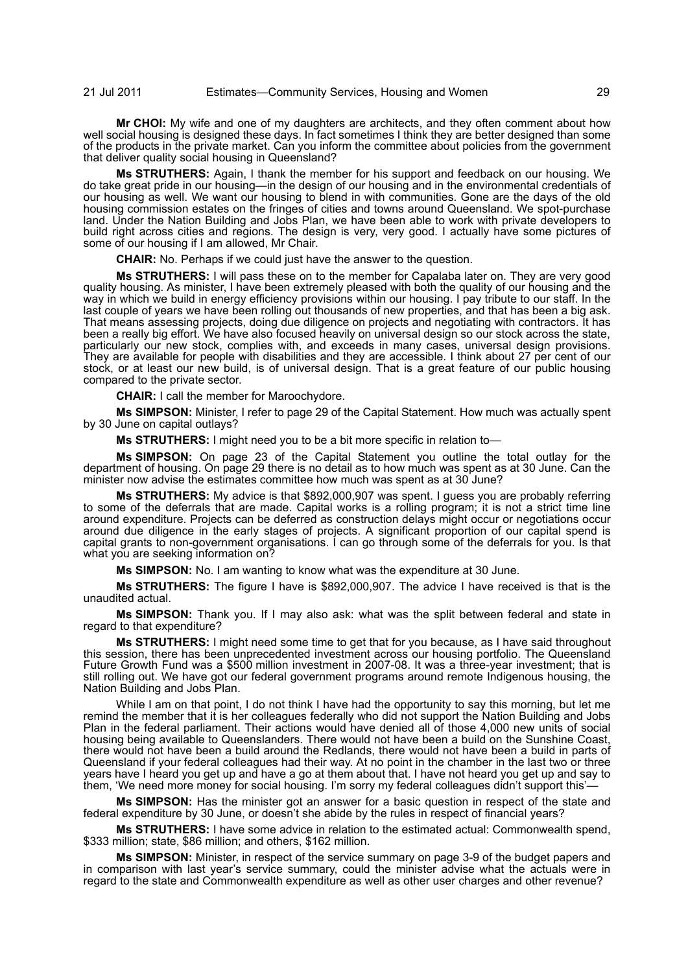**Mr CHOI:** My wife and one of my daughters are architects, and they often comment about how well social housing is designed these days. In fact sometimes I think they are better designed than some of the products in the private market. Can you inform the committee about policies from the government that deliver quality social housing in Queensland?

**Ms STRUTHERS:** Again, I thank the member for his support and feedback on our housing. We do take great pride in our housing—in the design of our housing and in the environmental credentials of our housing as well. We want our housing to blend in with communities. Gone are the days of the old housing commission estates on the fringes of cities and towns around Queensland. We spot-purchase land. Under the Nation Building and Jobs Plan, we have been able to work with private developers to build right across cities and regions. The design is very, very good. I actually have some pictures of some of our housing if I am allowed, Mr Chair.

**CHAIR:** No. Perhaps if we could just have the answer to the question.

**Ms STRUTHERS:** I will pass these on to the member for Capalaba later on. They are very good quality housing. As minister, I have been extremely pleased with both the quality of our housing and the way in which we build in energy efficiency provisions within our housing. I pay tribute to our staff. In the last couple of years we have been rolling out thousands of new properties, and that has been a big ask. That means assessing projects, doing due diligence on projects and negotiating with contractors. It has been a really big effort. We have also focused heavily on universal design so our stock across the state, particularly our new stock, complies with, and exceeds in many cases, universal design provisions. They are available for people with disabilities and they are accessible. I think about 27 per cent of our stock, or at least our new build, is of universal design. That is a great feature of our public housing compared to the private sector.

**CHAIR:** I call the member for Maroochydore.

**Ms SIMPSON:** Minister, I refer to page 29 of the Capital Statement. How much was actually spent by 30 June on capital outlays?

**Ms STRUTHERS:** I might need you to be a bit more specific in relation to—

**Ms SIMPSON:** On page 23 of the Capital Statement you outline the total outlay for the department of housing. On page 29 there is no detail as to how much was spent as at 30 June. Can the minister now advise the estimates committee how much was spent as at 30 June?

**Ms STRUTHERS:** My advice is that \$892,000,907 was spent. I guess you are probably referring to some of the deferrals that are made. Capital works is a rolling program; it is not a strict time line around expenditure. Projects can be deferred as construction delays might occur or negotiations occur around due diligence in the early stages of projects. A significant proportion of our capital spend is capital grants to non-government organisations. I can go through some of the deferrals for you. Is that what you are seeking information on?

**Ms SIMPSON:** No. I am wanting to know what was the expenditure at 30 June.

**Ms STRUTHERS:** The figure I have is \$892,000,907. The advice I have received is that is the unaudited actual.

**Ms SIMPSON:** Thank you. If I may also ask: what was the split between federal and state in regard to that expenditure?

**Ms STRUTHERS:** I might need some time to get that for you because, as I have said throughout this session, there has been unprecedented investment across our housing portfolio. The Queensland Future Growth Fund was a \$500 million investment in 2007-08. It was a three-year investment; that is still rolling out. We have got our federal government programs around remote Indigenous housing, the Nation Building and Jobs Plan.

While I am on that point, I do not think I have had the opportunity to say this morning, but let me remind the member that it is her colleagues federally who did not support the Nation Building and Jobs Plan in the federal parliament. Their actions would have denied all of those 4,000 new units of social housing being available to Queenslanders. There would not have been a build on the Sunshine Coast, there would not have been a build around the Redlands, there would not have been a build in parts of Queensland if your federal colleagues had their way. At no point in the chamber in the last two or three years have I heard you get up and have a go at them about that. I have not heard you get up and say to them, 'We need more money for social housing. I'm sorry my federal colleagues didn't support this'—

**Ms SIMPSON:** Has the minister got an answer for a basic question in respect of the state and federal expenditure by 30 June, or doesn't she abide by the rules in respect of financial years?

**Ms STRUTHERS:** I have some advice in relation to the estimated actual: Commonwealth spend, \$333 million; state, \$86 million; and others, \$162 million.

**Ms SIMPSON:** Minister, in respect of the service summary on page 3-9 of the budget papers and in comparison with last year's service summary, could the minister advise what the actuals were in regard to the state and Commonwealth expenditure as well as other user charges and other revenue?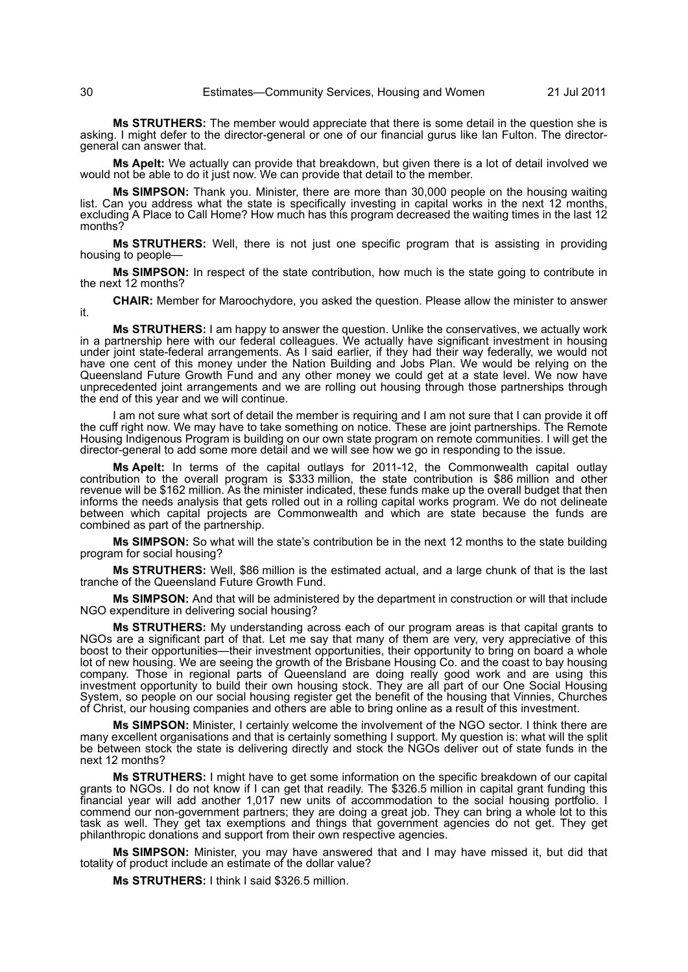**Ms STRUTHERS:** The member would appreciate that there is some detail in the question she is asking. I might defer to the director-general or one of our financial gurus like Ian Fulton. The directorgeneral can answer that.

**Ms Apelt:** We actually can provide that breakdown, but given there is a lot of detail involved we would not be able to do it just now. We can provide that detail to the member.

**Ms SIMPSON:** Thank you. Minister, there are more than 30,000 people on the housing waiting list. Can you address what the state is specifically investing in capital works in the next 12 months, excluding A Place to Call Home? How much has this program decreased the waiting times in the last 12 months?

**Ms STRUTHERS:** Well, there is not just one specific program that is assisting in providing housing to people—

**Ms SIMPSON:** In respect of the state contribution, how much is the state going to contribute in the next 12 months?

**CHAIR:** Member for Maroochydore, you asked the question. Please allow the minister to answer it.

**Ms STRUTHERS:** I am happy to answer the question. Unlike the conservatives, we actually work in a partnership here with our federal colleagues. We actually have significant investment in housing under joint state-federal arrangements. As I said earlier, if they had their way federally, we would not have one cent of this money under the Nation Building and Jobs Plan. We would be relying on the Queensland Future Growth Fund and any other money we could get at a state level. We now have unprecedented joint arrangements and we are rolling out housing through those partnerships through the end of this year and we will continue.

I am not sure what sort of detail the member is requiring and I am not sure that I can provide it off the cuff right now. We may have to take something on notice. These are joint partnerships. The Remote Housing Indigenous Program is building on our own state program on remote communities. I will get the director-general to add some more detail and we will see how we go in responding to the issue.

**Ms Apelt:** In terms of the capital outlays for 2011-12, the Commonwealth capital outlay contribution to the overall program is \$333 million, the state contribution is \$86 million and other revenue will be \$162 million. As the minister indicated, these funds make up the overall budget that then informs the needs analysis that gets rolled out in a rolling capital works program. We do not delineate between which capital projects are Commonwealth and which are state because the funds are combined as part of the partnership.

**Ms SIMPSON:** So what will the state's contribution be in the next 12 months to the state building program for social housing?

**Ms STRUTHERS:** Well, \$86 million is the estimated actual, and a large chunk of that is the last tranche of the Queensland Future Growth Fund.

**Ms SIMPSON:** And that will be administered by the department in construction or will that include NGO expenditure in delivering social housing?

**Ms STRUTHERS:** My understanding across each of our program areas is that capital grants to NGOs are a significant part of that. Let me say that many of them are very, very appreciative of this boost to their opportunities—their investment opportunities, their opportunity to bring on board a whole lot of new housing. We are seeing the growth of the Brisbane Housing Co. and the coast to bay housing company. Those in regional parts of Queensland are doing really good work and are using this investment opportunity to build their own housing stock. They are all part of our One Social Housing System, so people on our social housing register get the benefit of the housing that Vinnies, Churches of Christ, our housing companies and others are able to bring online as a result of this investment.

**Ms SIMPSON:** Minister, I certainly welcome the involvement of the NGO sector. I think there are many excellent organisations and that is certainly something I support. My question is: what will the split be between stock the state is delivering directly and stock the NGOs deliver out of state funds in the next 12 months?

**Ms STRUTHERS:** I might have to get some information on the specific breakdown of our capital grants to NGOs. I do not know if I can get that readily. The \$326.5 million in capital grant funding this financial year will add another 1,017 new units of accommodation to the social housing portfolio. I commend our non-government partners; they are doing a great job. They can bring a whole lot to this task as well. They get tax exemptions and things that government agencies do not get. They get philanthropic donations and support from their own respective agencies.

**Ms SIMPSON:** Minister, you may have answered that and I may have missed it, but did that totality of product include an estimate of the dollar value?

**Ms STRUTHERS:** I think I said \$326.5 million.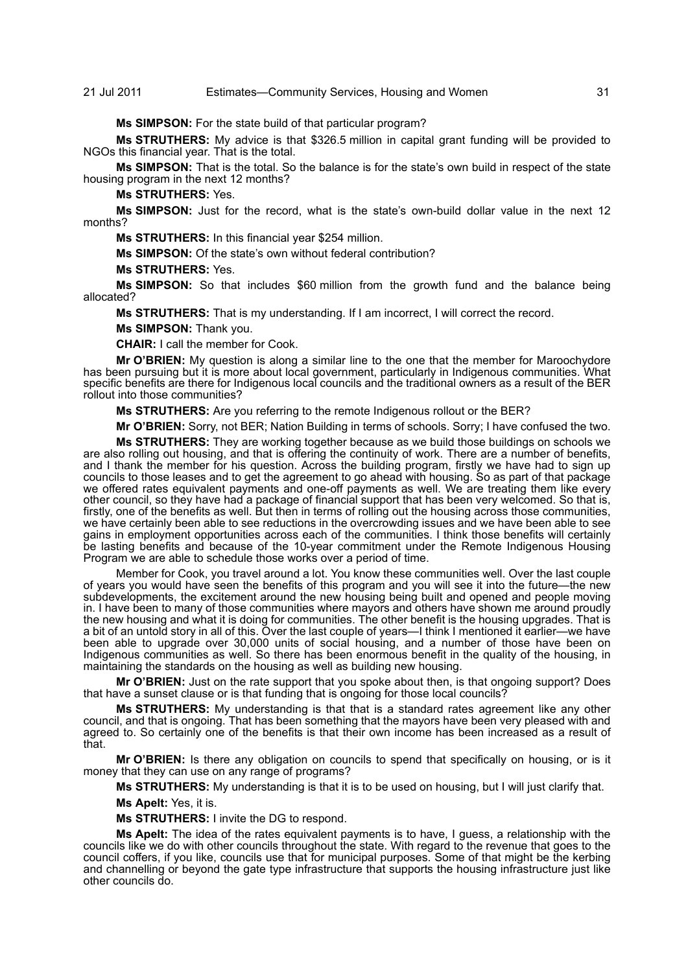**Ms SIMPSON:** For the state build of that particular program?

**Ms STRUTHERS:** My advice is that \$326.5 million in capital grant funding will be provided to NGOs this financial year. That is the total.

**Ms SIMPSON:** That is the total. So the balance is for the state's own build in respect of the state housing program in the next 12 months?

**Ms STRUTHERS:** Yes.

**Ms SIMPSON:** Just for the record, what is the state's own-build dollar value in the next 12 months?

**Ms STRUTHERS:** In this financial year \$254 million.

**Ms SIMPSON:** Of the state's own without federal contribution?

**Ms STRUTHERS:** Yes.

**Ms SIMPSON:** So that includes \$60 million from the growth fund and the balance being allocated?

**Ms STRUTHERS:** That is my understanding. If I am incorrect, I will correct the record.

**Ms SIMPSON:** Thank you.

**CHAIR:** I call the member for Cook.

**Mr O'BRIEN:** My question is along a similar line to the one that the member for Maroochydore has been pursuing but it is more about local government, particularly in Indigenous communities. What specific benefits are there for Indigenous local councils and the traditional owners as a result of the BER rollout into those communities?

**Ms STRUTHERS:** Are you referring to the remote Indigenous rollout or the BER?

**Mr O'BRIEN:** Sorry, not BER; Nation Building in terms of schools. Sorry; I have confused the two.

**Ms STRUTHERS:** They are working together because as we build those buildings on schools we are also rolling out housing, and that is offering the continuity of work. There are a number of benefits, and I thank the member for his question. Across the building program, firstly we have had to sign up councils to those leases and to get the agreement to go ahead with housing. So as part of that package we offered rates equivalent payments and one-off payments as well. We are treating them like every other council, so they have had a package of financial support that has been very welcomed. So that is, firstly, one of the benefits as well. But then in terms of rolling out the housing across those communities, we have certainly been able to see reductions in the overcrowding issues and we have been able to see gains in employment opportunities across each of the communities. I think those benefits will certainly be lasting benefits and because of the 10-year commitment under the Remote Indigenous Housing Program we are able to schedule those works over a period of time.

Member for Cook, you travel around a lot. You know these communities well. Over the last couple of years you would have seen the benefits of this program and you will see it into the future—the new subdevelopments, the excitement around the new housing being built and opened and people moving in. I have been to many of those communities where mayors and others have shown me around proudly the new housing and what it is doing for communities. The other benefit is the housing upgrades. That is a bit of an untold story in all of this. Over the last couple of years—I think I mentioned it earlier—we have been able to upgrade over 30,000 units of social housing, and a number of those have been on Indigenous communities as well. So there has been enormous benefit in the quality of the housing, in maintaining the standards on the housing as well as building new housing.

**Mr O'BRIEN:** Just on the rate support that you spoke about then, is that ongoing support? Does that have a sunset clause or is that funding that is ongoing for those local councils?

**Ms STRUTHERS:** My understanding is that that is a standard rates agreement like any other council, and that is ongoing. That has been something that the mayors have been very pleased with and agreed to. So certainly one of the benefits is that their own income has been increased as a result of that.

**Mr O'BRIEN:** Is there any obligation on councils to spend that specifically on housing, or is it money that they can use on any range of programs?

**Ms STRUTHERS:** My understanding is that it is to be used on housing, but I will just clarify that.

**Ms Apelt:** Yes, it is.

**Ms STRUTHERS:** I invite the DG to respond.

**Ms Apelt:** The idea of the rates equivalent payments is to have, I guess, a relationship with the councils like we do with other councils throughout the state. With regard to the revenue that goes to the council coffers, if you like, councils use that for municipal purposes. Some of that might be the kerbing and channelling or beyond the gate type infrastructure that supports the housing infrastructure just like other councils do.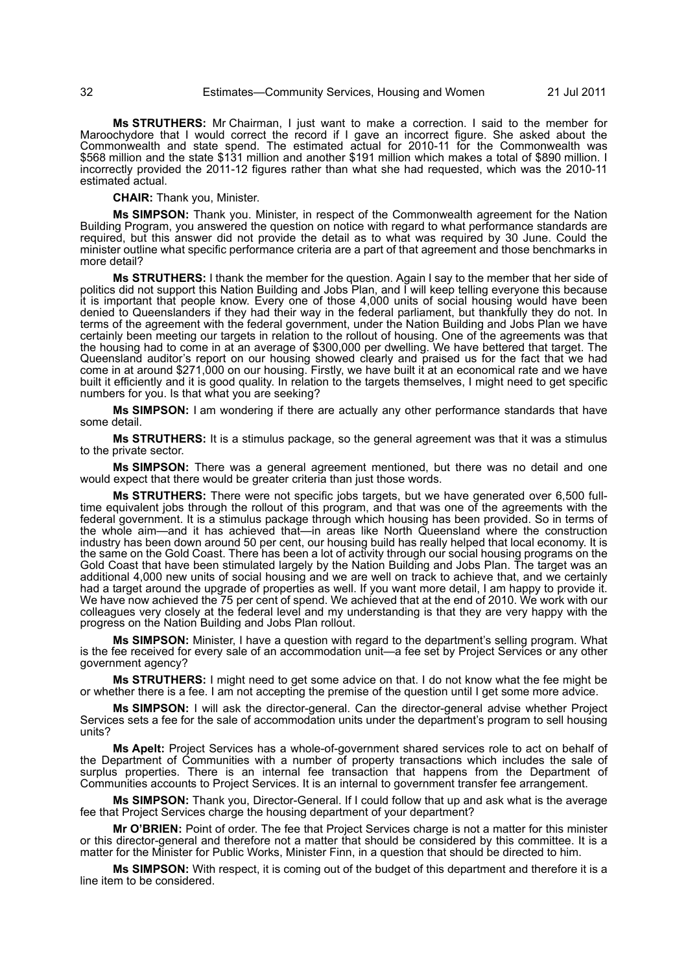**Ms STRUTHERS:** Mr Chairman, I just want to make a correction. I said to the member for Maroochydore that I would correct the record if I gave an incorrect figure. She asked about the Commonwealth and state spend. The estimated actual for 2010-11 for the Commonwealth was \$568 million and the state \$131 million and another \$191 million which makes a total of \$890 million. I incorrectly provided the 2011-12 figures rather than what she had requested, which was the 2010-11 estimated actual.

**CHAIR:** Thank you, Minister.

**Ms SIMPSON:** Thank you. Minister, in respect of the Commonwealth agreement for the Nation Building Program, you answered the question on notice with regard to what performance standards are required, but this answer did not provide the detail as to what was required by 30 June. Could the minister outline what specific performance criteria are a part of that agreement and those benchmarks in more detail?

**Ms STRUTHERS:** I thank the member for the question. Again I say to the member that her side of politics did not support this Nation Building and Jobs Plan, and I will keep telling everyone this because it is important that people know. Every one of those 4,000 units of social housing would have been denied to Queenslanders if they had their way in the federal parliament, but thankfully they do not. In terms of the agreement with the federal government, under the Nation Building and Jobs Plan we have certainly been meeting our targets in relation to the rollout of housing. One of the agreements was that the housing had to come in at an average of \$300,000 per dwelling. We have bettered that target. The Queensland auditor's report on our housing showed clearly and praised us for the fact that we had come in at around \$271,000 on our housing. Firstly, we have built it at an economical rate and we have built it efficiently and it is good quality. In relation to the targets themselves, I might need to get specific numbers for you. Is that what you are seeking?

**Ms SIMPSON:** I am wondering if there are actually any other performance standards that have some detail.

**Ms STRUTHERS:** It is a stimulus package, so the general agreement was that it was a stimulus to the private sector.

**Ms SIMPSON:** There was a general agreement mentioned, but there was no detail and one would expect that there would be greater criteria than just those words.

**Ms STRUTHERS:** There were not specific jobs targets, but we have generated over 6,500 fulltime equivalent jobs through the rollout of this program, and that was one of the agreements with the federal government. It is a stimulus package through which housing has been provided. So in terms of the whole aim—and it has achieved that—in areas like North Queensland where the construction industry has been down around 50 per cent, our housing build has really helped that local economy. It is the same on the Gold Coast. There has been a lot of activity through our social housing programs on the Gold Coast that have been stimulated largely by the Nation Building and Jobs Plan. The target was an additional 4,000 new units of social housing and we are well on track to achieve that, and we certainly had a target around the upgrade of properties as well. If you want more detail, I am happy to provide it. We have now achieved the 75 per cent of spend. We achieved that at the end of 2010. We work with our colleagues very closely at the federal level and my understanding is that they are very happy with the progress on the Nation Building and Jobs Plan rollout.

**Ms SIMPSON:** Minister, I have a question with regard to the department's selling program. What is the fee received for every sale of an accommodation unit—a fee set by Project Services or any other government agency?

**Ms STRUTHERS:** I might need to get some advice on that. I do not know what the fee might be or whether there is a fee. I am not accepting the premise of the question until I get some more advice.

**Ms SIMPSON:** I will ask the director-general. Can the director-general advise whether Project Services sets a fee for the sale of accommodation units under the department's program to sell housing units?

**Ms Apelt:** Project Services has a whole-of-government shared services role to act on behalf of the Department of Communities with a number of property transactions which includes the sale of surplus properties. There is an internal fee transaction that happens from the Department of Communities accounts to Project Services. It is an internal to government transfer fee arrangement.

**Ms SIMPSON:** Thank you, Director-General. If I could follow that up and ask what is the average fee that Project Services charge the housing department of your department?

**Mr O'BRIEN:** Point of order. The fee that Project Services charge is not a matter for this minister or this director-general and therefore not a matter that should be considered by this committee. It is a matter for the Minister for Public Works, Minister Finn, in a question that should be directed to him.

**Ms SIMPSON:** With respect, it is coming out of the budget of this department and therefore it is a line item to be considered.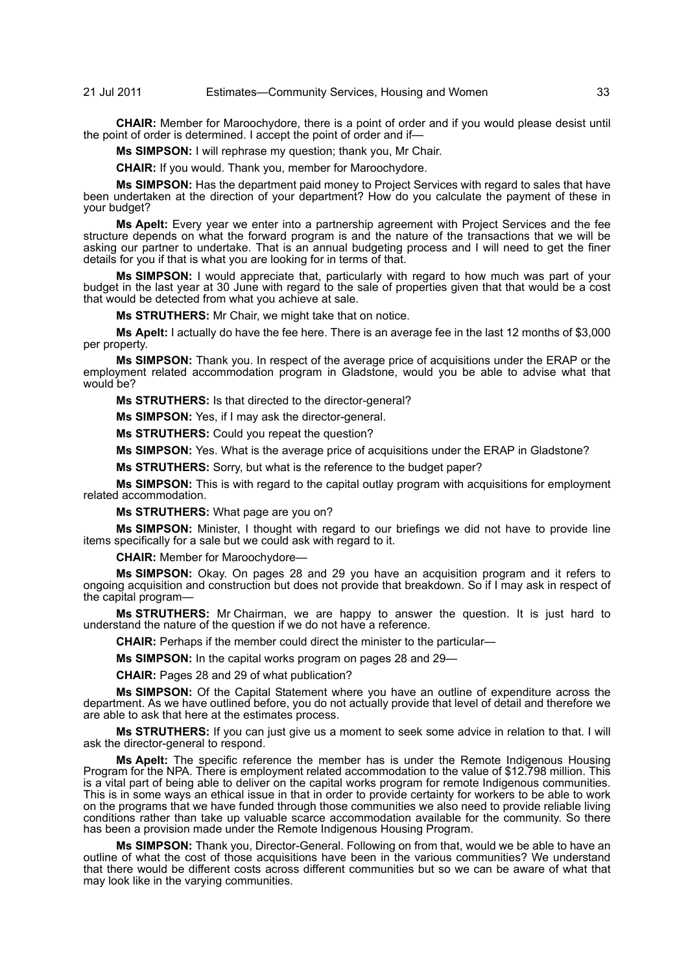**CHAIR:** Member for Maroochydore, there is a point of order and if you would please desist until the point of order is determined. I accept the point of order and if—

**Ms SIMPSON:** I will rephrase my question; thank you, Mr Chair.

**CHAIR:** If you would. Thank you, member for Maroochydore.

**Ms SIMPSON:** Has the department paid money to Project Services with regard to sales that have been undertaken at the direction of your department? How do you calculate the payment of these in your budget?

**Ms Apelt:** Every year we enter into a partnership agreement with Project Services and the fee structure depends on what the forward program is and the nature of the transactions that we will be asking our partner to undertake. That is an annual budgeting process and I will need to get the finer details for you if that is what you are looking for in terms of that.

**Ms SIMPSON:** I would appreciate that, particularly with regard to how much was part of your budget in the last year at 30 June with regard to the sale of properties given that that would be a cost that would be detected from what you achieve at sale.

**Ms STRUTHERS:** Mr Chair, we might take that on notice.

**Ms Apelt:** I actually do have the fee here. There is an average fee in the last 12 months of \$3,000 per property.

**Ms SIMPSON:** Thank you. In respect of the average price of acquisitions under the ERAP or the employment related accommodation program in Gladstone, would you be able to advise what that would be?

**Ms STRUTHERS:** Is that directed to the director-general?

**Ms SIMPSON:** Yes, if I may ask the director-general.

**Ms STRUTHERS:** Could you repeat the question?

**Ms SIMPSON:** Yes. What is the average price of acquisitions under the ERAP in Gladstone?

**Ms STRUTHERS:** Sorry, but what is the reference to the budget paper?

**Ms SIMPSON:** This is with regard to the capital outlay program with acquisitions for employment related accommodation.

**Ms STRUTHERS:** What page are you on?

**Ms SIMPSON:** Minister, I thought with regard to our briefings we did not have to provide line items specifically for a sale but we could ask with regard to it.

**CHAIR:** Member for Maroochydore—

**Ms SIMPSON:** Okay. On pages 28 and 29 you have an acquisition program and it refers to ongoing acquisition and construction but does not provide that breakdown. So if I may ask in respect of the capital program—

**Ms STRUTHERS:** Mr Chairman, we are happy to answer the question. It is just hard to understand the nature of the question if we do not have a reference.

**CHAIR:** Perhaps if the member could direct the minister to the particular—

**Ms SIMPSON:** In the capital works program on pages 28 and 29—

**CHAIR:** Pages 28 and 29 of what publication?

**Ms SIMPSON:** Of the Capital Statement where you have an outline of expenditure across the department. As we have outlined before, you do not actually provide that level of detail and therefore we are able to ask that here at the estimates process.

**Ms STRUTHERS:** If you can just give us a moment to seek some advice in relation to that. I will ask the director-general to respond.

**Ms Apelt:** The specific reference the member has is under the Remote Indigenous Housing Program for the NPA. There is employment related accommodation to the value of \$12.798 million. This is a vital part of being able to deliver on the capital works program for remote Indigenous communities. This is in some ways an ethical issue in that in order to provide certainty for workers to be able to work on the programs that we have funded through those communities we also need to provide reliable living conditions rather than take up valuable scarce accommodation available for the community. So there has been a provision made under the Remote Indigenous Housing Program.

**Ms SIMPSON:** Thank you, Director-General. Following on from that, would we be able to have an outline of what the cost of those acquisitions have been in the various communities? We understand that there would be different costs across different communities but so we can be aware of what that may look like in the varying communities.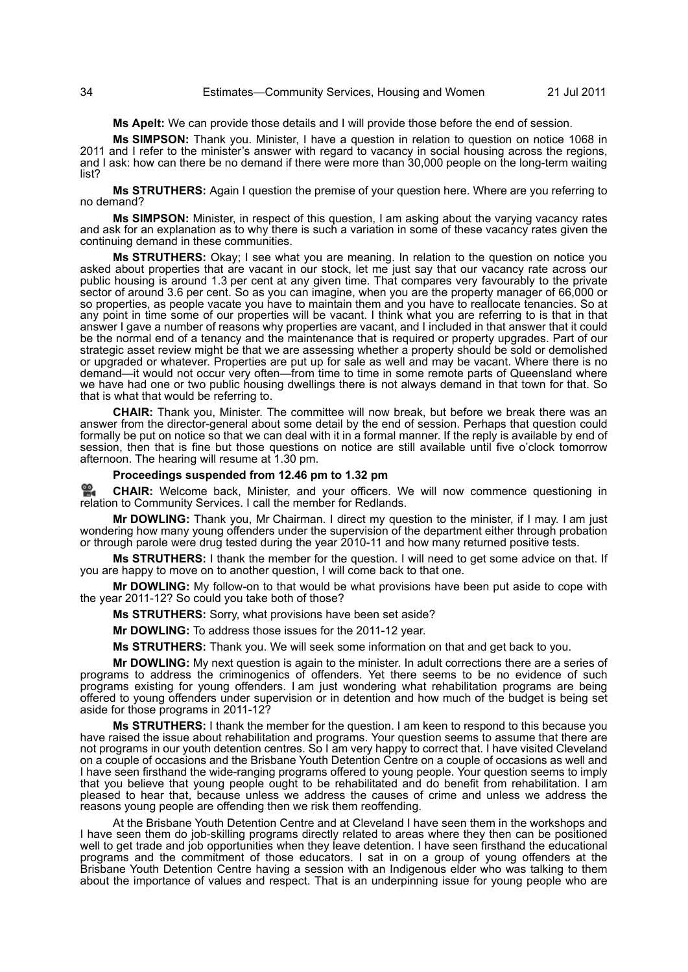# 34 Estimates—Community Services, Housing and Women 21 Jul 2011

**Ms Apelt:** We can provide those details and I will provide those before the end of session.

**Ms SIMPSON:** Thank you. Minister, I have a question in relation to question on notice 1068 in 2011 and I refer to the minister's answer with regard to vacancy in social housing across the regions, and I ask: how can there be no demand if there were more than 30,000 people on the long-term waiting list?

**Ms STRUTHERS:** Again I question the premise of your question here. Where are you referring to no demand?

**Ms SIMPSON:** Minister, in respect of this question, I am asking about the varying vacancy rates and ask for an explanation as to why there is such a variation in some of these vacancy rates given the continuing demand in these communities.

**Ms STRUTHERS:** Okay; I see what you are meaning. In relation to the question on notice you asked about properties that are vacant in our stock, let me just say that our vacancy rate across our public housing is around 1.3 per cent at any given time. That compares very favourably to the private sector of around 3.6 per cent. So as you can imagine, when you are the property manager of 66,000 or so properties, as people vacate you have to maintain them and you have to reallocate tenancies. So at any point in time some of our properties will be vacant. I think what you are referring to is that in that answer I gave a number of reasons why properties are vacant, and I included in that answer that it could be the normal end of a tenancy and the maintenance that is required or property upgrades. Part of our strategic asset review might be that we are assessing whether a property should be sold or demolished or upgraded or whatever. Properties are put up for sale as well and may be vacant. Where there is no demand—it would not occur very often—from time to time in some remote parts of Queensland where we have had one or two public housing dwellings there is not always demand in that town for that. So that is what that would be referring to.

**CHAIR:** Thank you, Minister. The committee will now break, but before we break there was an answer from the director-general about some detail by the end of session. Perhaps that question could formally be put on notice so that we can deal with it in a formal manner. If the reply is available by end of session, then that is fine but those questions on notice are still available until five o'clock tomorrow afternoon. The hearing will resume at 1.30 pm.

# **Proceedings suspended from 12.46 pm to 1.32 pm**

엺. **CHAIR:** [Welcome back, Minister, and your officers. We will now commence questioning in](http://www.parliament.qld.gov.au/docs/find.aspx?id=0Mba20110721_133315) [relation to Community Services. I call the member for Redlands.](http://www.parliament.qld.gov.au/docs/find.aspx?id=0Mba20110721_133315)

**Mr DOWLING:** Thank you, Mr Chairman. I direct my question to the minister, if I may. I am just wondering how many young offenders under the supervision of the department either through probation or through parole were drug tested during the year 2010-11 and how many returned positive tests.

**Ms STRUTHERS:** I thank the member for the question. I will need to get some advice on that. If you are happy to move on to another question, I will come back to that one.

**Mr DOWLING:** My follow-on to that would be what provisions have been put aside to cope with the year 2011-12? So could you take both of those?

**Ms STRUTHERS:** Sorry, what provisions have been set aside?

**Mr DOWLING:** To address those issues for the 2011-12 year.

**Ms STRUTHERS:** Thank you. We will seek some information on that and get back to you.

**Mr DOWLING:** My next question is again to the minister. In adult corrections there are a series of programs to address the criminogenics of offenders. Yet there seems to be no evidence of such programs existing for young offenders. I am just wondering what rehabilitation programs are being offered to young offenders under supervision or in detention and how much of the budget is being set aside for those programs in 2011-12?

**Ms STRUTHERS:** I thank the member for the question. I am keen to respond to this because you have raised the issue about rehabilitation and programs. Your question seems to assume that there are not programs in our youth detention centres. So I am very happy to correct that. I have visited Cleveland on a couple of occasions and the Brisbane Youth Detention Centre on a couple of occasions as well and I have seen firsthand the wide-ranging programs offered to young people. Your question seems to imply that you believe that young people ought to be rehabilitated and do benefit from rehabilitation. I am pleased to hear that, because unless we address the causes of crime and unless we address the reasons young people are offending then we risk them reoffending.

At the Brisbane Youth Detention Centre and at Cleveland I have seen them in the workshops and I have seen them do job-skilling programs directly related to areas where they then can be positioned well to get trade and job opportunities when they leave detention. I have seen firsthand the educational programs and the commitment of those educators. I sat in on a group of young offenders at the Brisbane Youth Detention Centre having a session with an Indigenous elder who was talking to them about the importance of values and respect. That is an underpinning issue for young people who are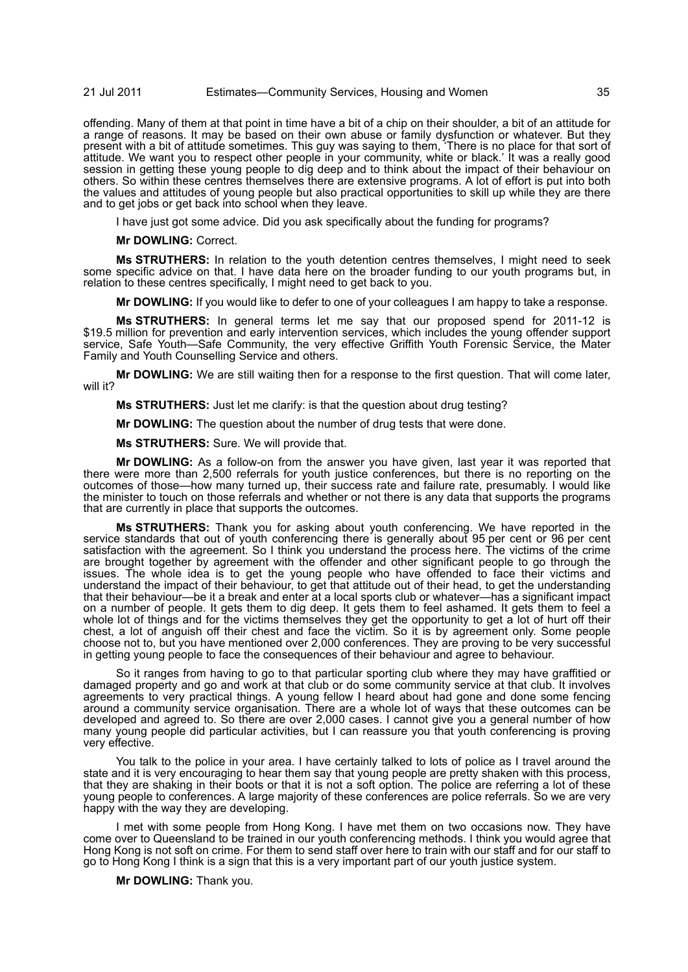# 21 Jul 2011 Estimates—Community Services, Housing and Women 35

offending. Many of them at that point in time have a bit of a chip on their shoulder, a bit of an attitude for a range of reasons. It may be based on their own abuse or family dysfunction or whatever. But they present with a bit of attitude sometimes. This guy was saying to them, 'There is no place for that sort of attitude. We want you to respect other people in your community, white or black.' It was a really good session in getting these young people to dig deep and to think about the impact of their behaviour on others. So within these centres themselves there are extensive programs. A lot of effort is put into both the values and attitudes of young people but also practical opportunities to skill up while they are there and to get jobs or get back into school when they leave.

I have just got some advice. Did you ask specifically about the funding for programs?

**Mr DOWLING:** Correct.

**Ms STRUTHERS:** In relation to the youth detention centres themselves, I might need to seek some specific advice on that. I have data here on the broader funding to our youth programs but, in relation to these centres specifically, I might need to get back to you.

**Mr DOWLING:** If you would like to defer to one of your colleagues I am happy to take a response.

**Ms STRUTHERS:** In general terms let me say that our proposed spend for 2011-12 is \$19.5 million for prevention and early intervention services, which includes the young offender support service, Safe Youth—Safe Community, the very effective Griffith Youth Forensic Service, the Mater Family and Youth Counselling Service and others.

**Mr DOWLING:** We are still waiting then for a response to the first question. That will come later, will it?

**Ms STRUTHERS:** Just let me clarify: is that the question about drug testing?

**Mr DOWLING:** The question about the number of drug tests that were done.

**Ms STRUTHERS:** Sure. We will provide that.

**Mr DOWLING:** As a follow-on from the answer you have given, last year it was reported that there were more than 2,500 referrals for youth justice conferences, but there is no reporting on the outcomes of those—how many turned up, their success rate and failure rate, presumably. I would like the minister to touch on those referrals and whether or not there is any data that supports the programs that are currently in place that supports the outcomes.

**Ms STRUTHERS:** Thank you for asking about youth conferencing. We have reported in the service standards that out of youth conferencing there is generally about 95 per cent or 96 per cent satisfaction with the agreement. So I think you understand the process here. The victims of the crime are brought together by agreement with the offender and other significant people to go through the issues. The whole idea is to get the young people who have offended to face their victims and understand the impact of their behaviour, to get that attitude out of their head, to get the understanding that their behaviour—be it a break and enter at a local sports club or whatever—has a significant impact on a number of people. It gets them to dig deep. It gets them to feel ashamed. It gets them to feel a whole lot of things and for the victims themselves they get the opportunity to get a lot of hurt off their chest, a lot of anguish off their chest and face the victim. So it is by agreement only. Some people choose not to, but you have mentioned over 2,000 conferences. They are proving to be very successful in getting young people to face the consequences of their behaviour and agree to behaviour.

So it ranges from having to go to that particular sporting club where they may have graffitied or damaged property and go and work at that club or do some community service at that club. It involves agreements to very practical things. A young fellow I heard about had gone and done some fencing around a community service organisation. There are a whole lot of ways that these outcomes can be developed and agreed to. So there are over 2,000 cases. I cannot give you a general number of how many young people did particular activities, but I can reassure you that youth conferencing is proving very effective.

You talk to the police in your area. I have certainly talked to lots of police as I travel around the state and it is very encouraging to hear them say that young people are pretty shaken with this process, that they are shaking in their boots or that it is not a soft option. The police are referring a lot of these young people to conferences. A large majority of these conferences are police referrals. So we are very happy with the way they are developing.

I met with some people from Hong Kong. I have met them on two occasions now. They have come over to Queensland to be trained in our youth conferencing methods. I think you would agree that Hong Kong is not soft on crime. For them to send staff over here to train with our staff and for our staff to go to Hong Kong I think is a sign that this is a very important part of our youth justice system.

**Mr DOWLING:** Thank you.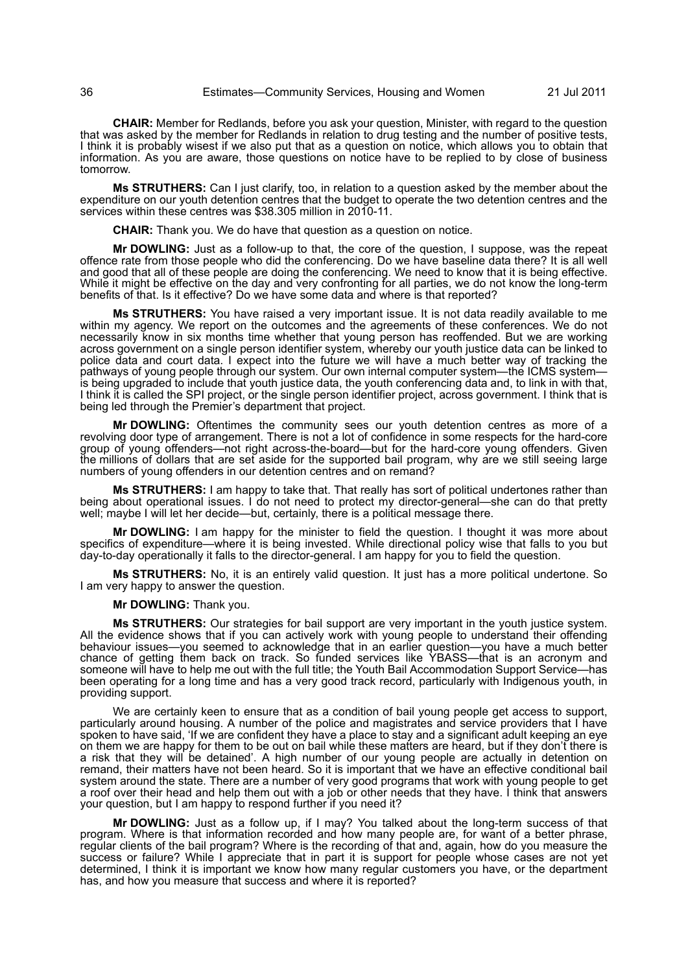**CHAIR:** Member for Redlands, before you ask your question, Minister, with regard to the question that was asked by the member for Redlands in relation to drug testing and the number of positive tests, I think it is probably wisest if we also put that as a question on notice, which allows you to obtain that information. As you are aware, those questions on notice have to be replied to by close of business tomorrow.

**Ms STRUTHERS:** Can I just clarify, too, in relation to a question asked by the member about the expenditure on our youth detention centres that the budget to operate the two detention centres and the services within these centres was \$38.305 million in 2010-11.

**CHAIR:** Thank you. We do have that question as a question on notice.

**Mr DOWLING:** Just as a follow-up to that, the core of the question, I suppose, was the repeat offence rate from those people who did the conferencing. Do we have baseline data there? It is all well and good that all of these people are doing the conferencing. We need to know that it is being effective. While it might be effective on the day and very confronting for all parties, we do not know the long-term benefits of that. Is it effective? Do we have some data and where is that reported?

**Ms STRUTHERS:** You have raised a very important issue. It is not data readily available to me within my agency. We report on the outcomes and the agreements of these conferences. We do not necessarily know in six months time whether that young person has reoffended. But we are working across government on a single person identifier system, whereby our youth justice data can be linked to police data and court data. I expect into the future we will have a much better way of tracking the pathways of young people through our system. Our own internal computer system—the ICMS system is being upgraded to include that youth justice data, the youth conferencing data and, to link in with that, I think it is called the SPI project, or the single person identifier project, across government. I think that is being led through the Premier's department that project.

**Mr DOWLING:** Oftentimes the community sees our youth detention centres as more of a revolving door type of arrangement. There is not a lot of confidence in some respects for the hard-core group of young offenders—not right across-the-board—but for the hard-core young offenders. Given the millions of dollars that are set aside for the supported bail program, why are we still seeing large numbers of young offenders in our detention centres and on remand?

**Ms STRUTHERS:** I am happy to take that. That really has sort of political undertones rather than being about operational issues. I do not need to protect my director-general—she can do that pretty well; maybe I will let her decide—but, certainly, there is a political message there.

**Mr DOWLING:** I am happy for the minister to field the question. I thought it was more about specifics of expenditure—where it is being invested. While directional policy wise that falls to you but day-to-day operationally it falls to the director-general. I am happy for you to field the question.

**Ms STRUTHERS:** No, it is an entirely valid question. It just has a more political undertone. So I am very happy to answer the question.

**Mr DOWLING:** Thank you.

**Ms STRUTHERS:** Our strategies for bail support are very important in the youth justice system. All the evidence shows that if you can actively work with young people to understand their offending behaviour issues—you seemed to acknowledge that in an earlier question—you have a much better chance of getting them back on track. So funded services like YBASS—that is an acronym and someone will have to help me out with the full title; the Youth Bail Accommodation Support Service—has been operating for a long time and has a very good track record, particularly with Indigenous youth, in providing support.

We are certainly keen to ensure that as a condition of bail young people get access to support, particularly around housing. A number of the police and magistrates and service providers that I have spoken to have said, 'If we are confident they have a place to stay and a significant adult keeping an eye on them we are happy for them to be out on bail while these matters are heard, but if they don't there is a risk that they will be detained'. A high number of our young people are actually in detention on remand, their matters have not been heard. So it is important that we have an effective conditional bail system around the state. There are a number of very good programs that work with young people to get a roof over their head and help them out with a job or other needs that they have. I think that answers your question, but I am happy to respond further if you need it?

**Mr DOWLING:** Just as a follow up, if I may? You talked about the long-term success of that program. Where is that information recorded and how many people are, for want of a better phrase, regular clients of the bail program? Where is the recording of that and, again, how do you measure the success or failure? While I appreciate that in part it is support for people whose cases are not yet determined, I think it is important we know how many regular customers you have, or the department has, and how you measure that success and where it is reported?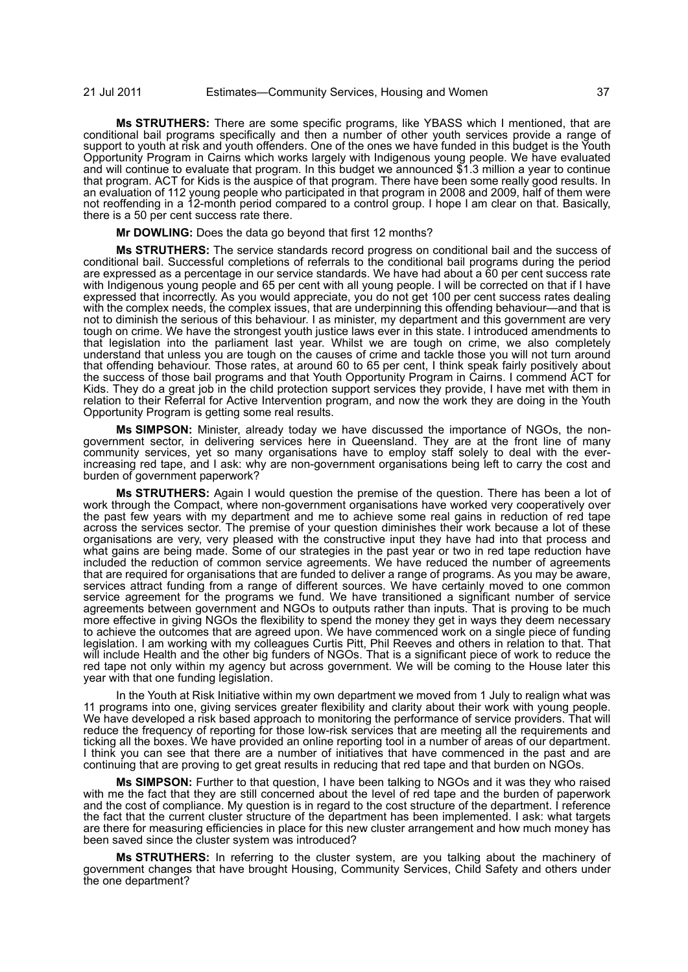**Ms STRUTHERS:** There are some specific programs, like YBASS which I mentioned, that are conditional bail programs specifically and then a number of other youth services provide a range of support to youth at risk and youth offenders. One of the ones we have funded in this budget is the Youth Opportunity Program in Cairns which works largely with Indigenous young people. We have evaluated and will continue to evaluate that program. In this budget we announced \$1.3 million a year to continue that program. ACT for Kids is the auspice of that program. There have been some really good results. In an evaluation of 112 young people who participated in that program in 2008 and 2009, half of them were not reoffending in a 12-month period compared to a control group. I hope I am clear on that. Basically, there is a 50 per cent success rate there.

**Mr DOWLING:** Does the data go beyond that first 12 months?

**Ms STRUTHERS:** The service standards record progress on conditional bail and the success of conditional bail. Successful completions of referrals to the conditional bail programs during the period are expressed as a percentage in our service standards. We have had about a 60 per cent success rate with Indigenous young people and 65 per cent with all young people. I will be corrected on that if I have expressed that incorrectly. As you would appreciate, you do not get 100 per cent success rates dealing with the complex needs, the complex issues, that are underpinning this offending behaviour—and that is not to diminish the serious of this behaviour. I as minister, my department and this government are very tough on crime. We have the strongest youth justice laws ever in this state. I introduced amendments to that legislation into the parliament last year. Whilst we are tough on crime, we also completely understand that unless you are tough on the causes of crime and tackle those you will not turn around that offending behaviour. Those rates, at around 60 to 65 per cent, I think speak fairly positively about the success of those bail programs and that Youth Opportunity Program in Cairns. I commend ACT for Kids. They do a great job in the child protection support services they provide, I have met with them in relation to their Referral for Active Intervention program, and now the work they are doing in the Youth Opportunity Program is getting some real results.

**Ms SIMPSON:** Minister, already today we have discussed the importance of NGOs, the nongovernment sector, in delivering services here in Queensland. They are at the front line of many community services, yet so many organisations have to employ staff solely to deal with the everincreasing red tape, and I ask: why are non-government organisations being left to carry the cost and burden of government paperwork?

**Ms STRUTHERS:** Again I would question the premise of the question. There has been a lot of work through the Compact, where non-government organisations have worked very cooperatively over the past few years with my department and me to achieve some real gains in reduction of red tape across the services sector. The premise of your question diminishes their work because a lot of these organisations are very, very pleased with the constructive input they have had into that process and what gains are being made. Some of our strategies in the past year or two in red tape reduction have included the reduction of common service agreements. We have reduced the number of agreements that are required for organisations that are funded to deliver a range of programs. As you may be aware, services attract funding from a range of different sources. We have certainly moved to one common service agreement for the programs we fund. We have transitioned a significant number of service agreements between government and NGOs to outputs rather than inputs. That is proving to be much more effective in giving NGOs the flexibility to spend the money they get in ways they deem necessary to achieve the outcomes that are agreed upon. We have commenced work on a single piece of funding legislation. I am working with my colleagues Curtis Pitt, Phil Reeves and others in relation to that. That will include Health and the other big funders of NGOs. That is a significant piece of work to reduce the red tape not only within my agency but across government. We will be coming to the House later this year with that one funding legislation.

In the Youth at Risk Initiative within my own department we moved from 1 July to realign what was 11 programs into one, giving services greater flexibility and clarity about their work with young people. We have developed a risk based approach to monitoring the performance of service providers. That will reduce the frequency of reporting for those low-risk services that are meeting all the requirements and ticking all the boxes. We have provided an online reporting tool in a number of areas of our department. I think you can see that there are a number of initiatives that have commenced in the past and are continuing that are proving to get great results in reducing that red tape and that burden on NGOs.

**Ms SIMPSON:** Further to that question, I have been talking to NGOs and it was they who raised with me the fact that they are still concerned about the level of red tape and the burden of paperwork and the cost of compliance. My question is in regard to the cost structure of the department. I reference the fact that the current cluster structure of the department has been implemented. I ask: what targets are there for measuring efficiencies in place for this new cluster arrangement and how much money has been saved since the cluster system was introduced?

**Ms STRUTHERS:** In referring to the cluster system, are you talking about the machinery of government changes that have brought Housing, Community Services, Child Safety and others under the one department?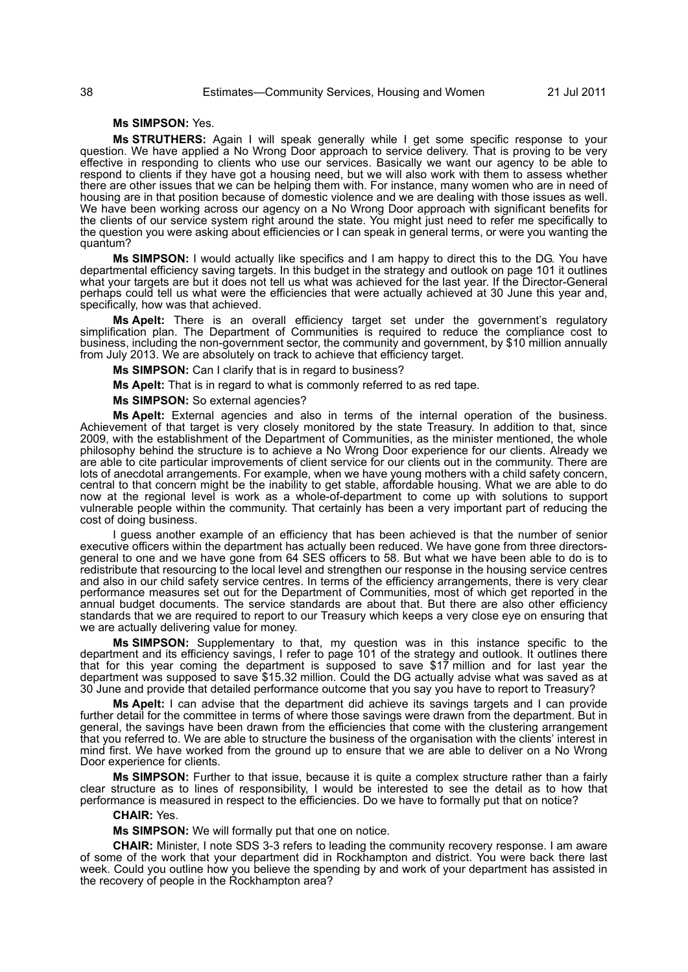## **Ms SIMPSON:** Yes.

**Ms STRUTHERS:** Again I will speak generally while I get some specific response to your question. We have applied a No Wrong Door approach to service delivery. That is proving to be very effective in responding to clients who use our services. Basically we want our agency to be able to respond to clients if they have got a housing need, but we will also work with them to assess whether there are other issues that we can be helping them with. For instance, many women who are in need of housing are in that position because of domestic violence and we are dealing with those issues as well. We have been working across our agency on a No Wrong Door approach with significant benefits for the clients of our service system right around the state. You might just need to refer me specifically to the question you were asking about efficiencies or I can speak in general terms, or were you wanting the quantum?

**Ms SIMPSON:** I would actually like specifics and I am happy to direct this to the DG. You have departmental efficiency saving targets. In this budget in the strategy and outlook on page 101 it outlines what your targets are but it does not tell us what was achieved for the last year. If the Director-General perhaps could tell us what were the efficiencies that were actually achieved at 30 June this year and, specifically, how was that achieved.

**Ms Apelt:** There is an overall efficiency target set under the government's regulatory simplification plan. The Department of Communities is required to reduce the compliance cost to business, including the non-government sector, the community and government, by \$10 million annually from July 2013. We are absolutely on track to achieve that efficiency target.

**Ms SIMPSON:** Can I clarify that is in regard to business?

**Ms Apelt:** That is in regard to what is commonly referred to as red tape.

**Ms SIMPSON:** So external agencies?

**Ms Apelt:** External agencies and also in terms of the internal operation of the business. Achievement of that target is very closely monitored by the state Treasury. In addition to that, since 2009, with the establishment of the Department of Communities, as the minister mentioned, the whole philosophy behind the structure is to achieve a No Wrong Door experience for our clients. Already we are able to cite particular improvements of client service for our clients out in the community. There are lots of anecdotal arrangements. For example, when we have young mothers with a child safety concern, central to that concern might be the inability to get stable, affordable housing. What we are able to do now at the regional level is work as a whole-of-department to come up with solutions to support vulnerable people within the community. That certainly has been a very important part of reducing the cost of doing business.

I guess another example of an efficiency that has been achieved is that the number of senior executive officers within the department has actually been reduced. We have gone from three directorsgeneral to one and we have gone from 64 SES officers to 58. But what we have been able to do is to redistribute that resourcing to the local level and strengthen our response in the housing service centres and also in our child safety service centres. In terms of the efficiency arrangements, there is very clear performance measures set out for the Department of Communities, most of which get reported in the annual budget documents. The service standards are about that. But there are also other efficiency standards that we are required to report to our Treasury which keeps a very close eye on ensuring that we are actually delivering value for money.

**Ms SIMPSON:** Supplementary to that, my question was in this instance specific to the department and its efficiency savings, I refer to page 101 of the strategy and outlook. It outlines there that for this year coming the department is supposed to save \$17 million and for last year the department was supposed to save \$15.32 million. Could the DG actually advise what was saved as at 30 June and provide that detailed performance outcome that you say you have to report to Treasury?

**Ms Apelt:** I can advise that the department did achieve its savings targets and I can provide further detail for the committee in terms of where those savings were drawn from the department. But in general, the savings have been drawn from the efficiencies that come with the clustering arrangement that you referred to. We are able to structure the business of the organisation with the clients' interest in mind first. We have worked from the ground up to ensure that we are able to deliver on a No Wrong Door experience for clients.

**Ms SIMPSON:** Further to that issue, because it is quite a complex structure rather than a fairly clear structure as to lines of responsibility, I would be interested to see the detail as to how that performance is measured in respect to the efficiencies. Do we have to formally put that on notice?

#### **CHAIR:** Yes.

**Ms SIMPSON:** We will formally put that one on notice.

**CHAIR:** Minister, I note SDS 3-3 refers to leading the community recovery response. I am aware of some of the work that your department did in Rockhampton and district. You were back there last week. Could you outline how you believe the spending by and work of your department has assisted in the recovery of people in the Rockhampton area?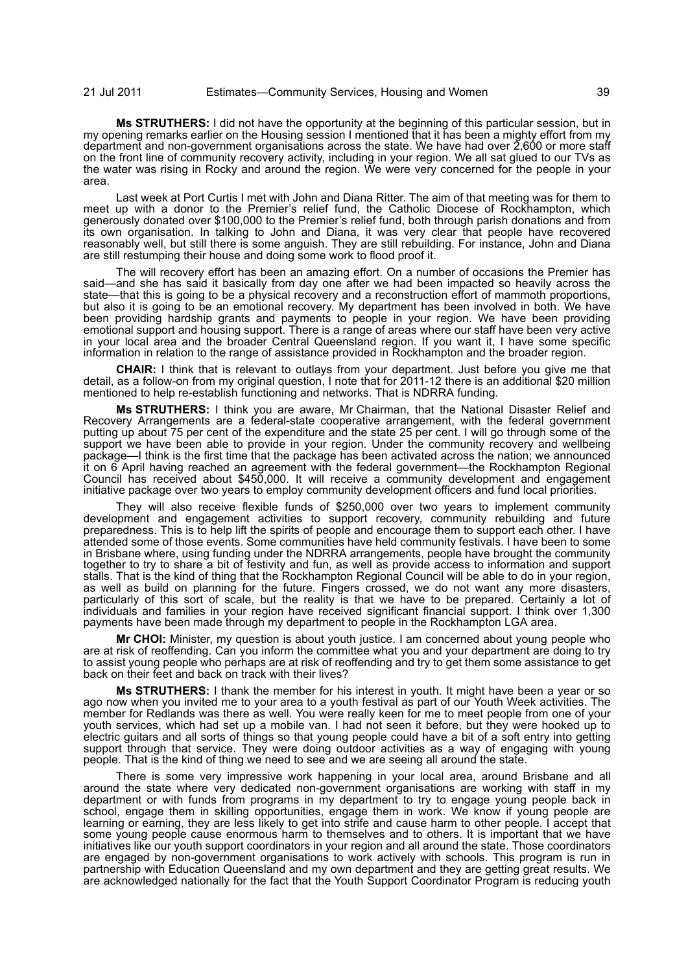**Ms STRUTHERS:** I did not have the opportunity at the beginning of this particular session, but in my opening remarks earlier on the Housing session I mentioned that it has been a mighty effort from my department and non-government organisations across the state. We have had over 2,600 or more staff on the front line of community recovery activity, including in your region. We all sat glued to our TVs as the water was rising in Rocky and around the region. We were very concerned for the people in your area.

Last week at Port Curtis I met with John and Diana Ritter. The aim of that meeting was for them to meet up with a donor to the Premier's relief fund, the Catholic Diocese of Rockhampton, which generously donated over \$100,000 to the Premier's relief fund, both through parish donations and from its own organisation. In talking to John and Diana, it was very clear that people have recovered reasonably well, but still there is some anguish. They are still rebuilding. For instance, John and Diana are still restumping their house and doing some work to flood proof it.

The will recovery effort has been an amazing effort. On a number of occasions the Premier has said—and she has said it basically from day one after we had been impacted so heavily across the state—that this is going to be a physical recovery and a reconstruction effort of mammoth proportions, but also it is going to be an emotional recovery. My department has been involved in both. We have been providing hardship grants and payments to people in your region. We have been providing emotional support and housing support. There is a range of areas where our staff have been very active in your local area and the broader Central Queensland region. If you want it, I have some specific information in relation to the range of assistance provided in Rockhampton and the broader region.

**CHAIR:** I think that is relevant to outlays from your department. Just before you give me that detail, as a follow-on from my original question, I note that for 2011-12 there is an additional \$20 million mentioned to help re-establish functioning and networks. That is NDRRA funding.

**Ms STRUTHERS:** I think you are aware, Mr Chairman, that the National Disaster Relief and Recovery Arrangements are a federal-state cooperative arrangement, with the federal government putting up about 75 per cent of the expenditure and the state 25 per cent. I will go through some of the support we have been able to provide in your region. Under the community recovery and wellbeing package—I think is the first time that the package has been activated across the nation; we announced it on 6 April having reached an agreement with the federal government—the Rockhampton Regional Council has received about \$450,000. It will receive a community development and engagement initiative package over two years to employ community development officers and fund local priorities.

They will also receive flexible funds of \$250,000 over two years to implement community development and engagement activities to support recovery, community rebuilding and future preparedness. This is to help lift the spirits of people and encourage them to support each other. I have attended some of those events. Some communities have held community festivals. I have been to some in Brisbane where, using funding under the NDRRA arrangements, people have brought the community together to try to share a bit of festivity and fun, as well as provide access to information and support stalls. That is the kind of thing that the Rockhampton Regional Council will be able to do in your region, as well as build on planning for the future. Fingers crossed, we do not want any more disasters, particularly of this sort of scale, but the reality is that we have to be prepared. Certainly a lot of individuals and families in your region have received significant financial support. I think over 1,300 payments have been made through my department to people in the Rockhampton LGA area.

**Mr CHOI:** Minister, my question is about youth justice. I am concerned about young people who are at risk of reoffending. Can you inform the committee what you and your department are doing to try to assist young people who perhaps are at risk of reoffending and try to get them some assistance to get back on their feet and back on track with their lives?

**Ms STRUTHERS:** I thank the member for his interest in youth. It might have been a year or so ago now when you invited me to your area to a youth festival as part of our Youth Week activities. The member for Redlands was there as well. You were really keen for me to meet people from one of your youth services, which had set up a mobile van. I had not seen it before, but they were hooked up to electric guitars and all sorts of things so that young people could have a bit of a soft entry into getting support through that service. They were doing outdoor activities as a way of engaging with young people. That is the kind of thing we need to see and we are seeing all around the state.

There is some very impressive work happening in your local area, around Brisbane and all around the state where very dedicated non-government organisations are working with staff in my department or with funds from programs in my department to try to engage young people back in school, engage them in skilling opportunities, engage them in work. We know if young people are learning or earning, they are less likely to get into strife and cause harm to other people. I accept that some young people cause enormous harm to themselves and to others. It is important that we have initiatives like our youth support coordinators in your region and all around the state. Those coordinators are engaged by non-government organisations to work actively with schools. This program is run in partnership with Education Queensland and my own department and they are getting great results. We are acknowledged nationally for the fact that the Youth Support Coordinator Program is reducing youth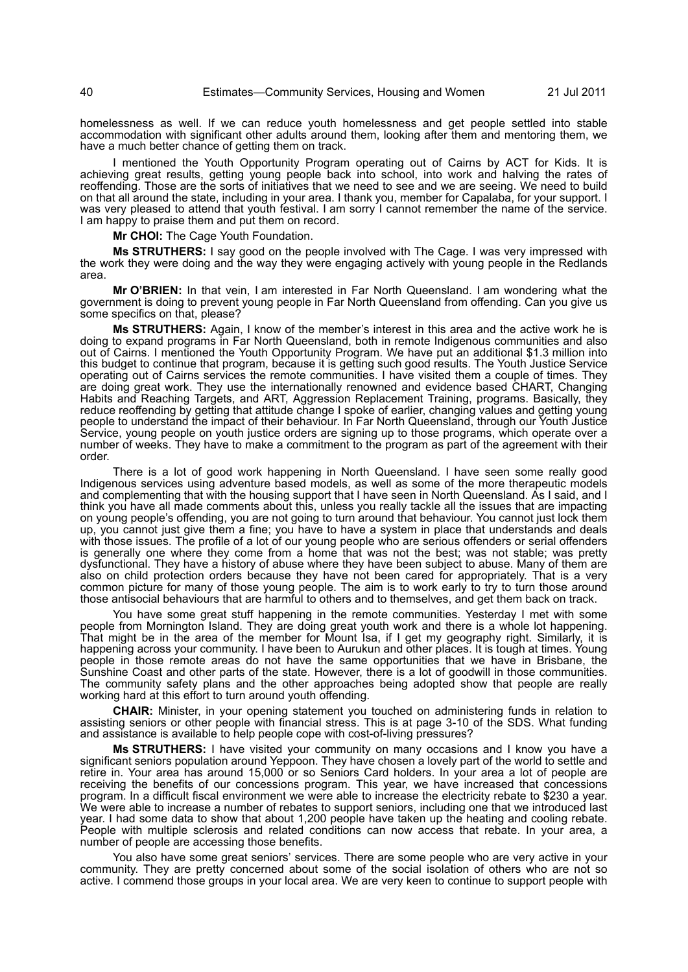homelessness as well. If we can reduce youth homelessness and get people settled into stable accommodation with significant other adults around them, looking after them and mentoring them, we have a much better chance of getting them on track.

I mentioned the Youth Opportunity Program operating out of Cairns by ACT for Kids. It is achieving great results, getting young people back into school, into work and halving the rates of reoffending. Those are the sorts of initiatives that we need to see and we are seeing. We need to build on that all around the state, including in your area. I thank you, member for Capalaba, for your support. I was very pleased to attend that youth festival. I am sorry I cannot remember the name of the service. I am happy to praise them and put them on record.

**Mr CHOI:** The Cage Youth Foundation.

**Ms STRUTHERS:** I say good on the people involved with The Cage. I was very impressed with the work they were doing and the way they were engaging actively with young people in the Redlands area.

**Mr O'BRIEN:** In that vein, I am interested in Far North Queensland. I am wondering what the government is doing to prevent young people in Far North Queensland from offending. Can you give us some specifics on that, please?

**Ms STRUTHERS:** Again, I know of the member's interest in this area and the active work he is doing to expand programs in Far North Queensland, both in remote Indigenous communities and also out of Cairns. I mentioned the Youth Opportunity Program. We have put an additional \$1.3 million into this budget to continue that program, because it is getting such good results. The Youth Justice Service operating out of Cairns services the remote communities. I have visited them a couple of times. They are doing great work. They use the internationally renowned and evidence based CHART, Changing Habits and Reaching Targets, and ART, Aggression Replacement Training, programs. Basically, they reduce reoffending by getting that attitude change I spoke of earlier, changing values and getting young people to understand the impact of their behaviour. In Far North Queensland, through our Youth Justice Service, young people on youth justice orders are signing up to those programs, which operate over a number of weeks. They have to make a commitment to the program as part of the agreement with their order.

There is a lot of good work happening in North Queensland. I have seen some really good Indigenous services using adventure based models, as well as some of the more therapeutic models and complementing that with the housing support that I have seen in North Queensland. As I said, and I think you have all made comments about this, unless you really tackle all the issues that are impacting on young people's offending, you are not going to turn around that behaviour. You cannot just lock them up, you cannot just give them a fine; you have to have a system in place that understands and deals with those issues. The profile of a lot of our young people who are serious offenders or serial offenders is generally one where they come from a home that was not the best; was not stable; was pretty dysfunctional. They have a history of abuse where they have been subject to abuse. Many of them are also on child protection orders because they have not been cared for appropriately. That is a very common picture for many of those young people. The aim is to work early to try to turn those around those antisocial behaviours that are harmful to others and to themselves, and get them back on track.

You have some great stuff happening in the remote communities. Yesterday I met with some people from Mornington Island. They are doing great youth work and there is a whole lot happening. That might be in the area of the member for Mount Isa, if I get my geography right. Similarly, it is happening across your community. I have been to Aurukun and other places. It is tough at times. Young people in those remote areas do not have the same opportunities that we have in Brisbane, the Sunshine Coast and other parts of the state. However, there is a lot of goodwill in those communities. The community safety plans and the other approaches being adopted show that people are really working hard at this effort to turn around youth offending.

**CHAIR:** Minister, in your opening statement you touched on administering funds in relation to assisting seniors or other people with financial stress. This is at page 3-10 of the SDS. What funding and assistance is available to help people cope with cost-of-living pressures?

**Ms STRUTHERS:** I have visited your community on many occasions and I know you have a significant seniors population around Yeppoon. They have chosen a lovely part of the world to settle and retire in. Your area has around 15,000 or so Seniors Card holders. In your area a lot of people are receiving the benefits of our concessions program. This year, we have increased that concessions program. In a difficult fiscal environment we were able to increase the electricity rebate to \$230 a year. We were able to increase a number of rebates to support seniors, including one that we introduced last year. I had some data to show that about 1,200 people have taken up the heating and cooling rebate. People with multiple sclerosis and related conditions can now access that rebate. In your area, a number of people are accessing those benefits.

You also have some great seniors' services. There are some people who are very active in your community. They are pretty concerned about some of the social isolation of others who are not so active. I commend those groups in your local area. We are very keen to continue to support people with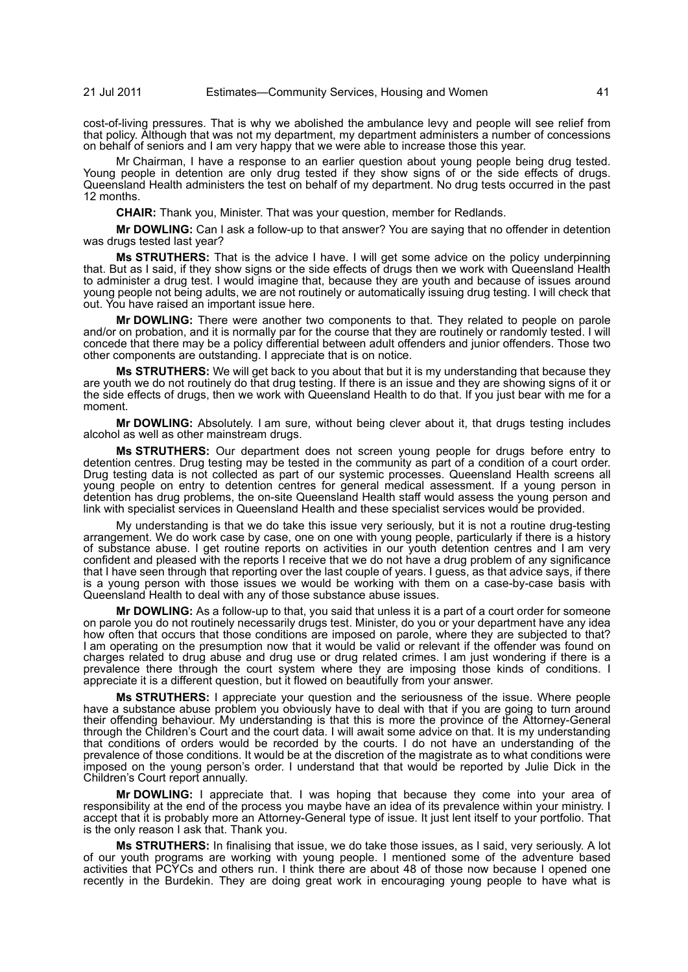cost-of-living pressures. That is why we abolished the ambulance levy and people will see relief from that policy. Although that was not my department, my department administers a number of concessions on behalf of seniors and I am very happy that we were able to increase those this year.

Mr Chairman, I have a response to an earlier question about young people being drug tested. Young people in detention are only drug tested if they show signs of or the side effects of drugs. Queensland Health administers the test on behalf of my department. No drug tests occurred in the past 12 months.

**CHAIR:** Thank you, Minister. That was your question, member for Redlands.

**Mr DOWLING:** Can I ask a follow-up to that answer? You are saying that no offender in detention was drugs tested last year?

**Ms STRUTHERS:** That is the advice I have. I will get some advice on the policy underpinning that. But as I said, if they show signs or the side effects of drugs then we work with Queensland Health to administer a drug test. I would imagine that, because they are youth and because of issues around young people not being adults, we are not routinely or automatically issuing drug testing. I will check that out. You have raised an important issue here.

**Mr DOWLING:** There were another two components to that. They related to people on parole and/or on probation, and it is normally par for the course that they are routinely or randomly tested. I will concede that there may be a policy differential between adult offenders and junior offenders. Those two other components are outstanding. I appreciate that is on notice.

**Ms STRUTHERS:** We will get back to you about that but it is my understanding that because they are youth we do not routinely do that drug testing. If there is an issue and they are showing signs of it or the side effects of drugs, then we work with Queensland Health to do that. If you just bear with me for a moment.

**Mr DOWLING:** Absolutely. I am sure, without being clever about it, that drugs testing includes alcohol as well as other mainstream drugs.

**Ms STRUTHERS:** Our department does not screen young people for drugs before entry to detention centres. Drug testing may be tested in the community as part of a condition of a court order. Drug testing data is not collected as part of our systemic processes. Queensland Health screens all young people on entry to detention centres for general medical assessment. If a young person in detention has drug problems, the on-site Queensland Health staff would assess the young person and link with specialist services in Queensland Health and these specialist services would be provided.

My understanding is that we do take this issue very seriously, but it is not a routine drug-testing arrangement. We do work case by case, one on one with young people, particularly if there is a history of substance abuse. I get routine reports on activities in our youth detention centres and I am very confident and pleased with the reports I receive that we do not have a drug problem of any significance that I have seen through that reporting over the last couple of years. I guess, as that advice says, if there is a young person with those issues we would be working with them on a case-by-case basis with Queensland Health to deal with any of those substance abuse issues.

**Mr DOWLING:** As a follow-up to that, you said that unless it is a part of a court order for someone on parole you do not routinely necessarily drugs test. Minister, do you or your department have any idea how often that occurs that those conditions are imposed on parole, where they are subjected to that? I am operating on the presumption now that it would be valid or relevant if the offender was found on charges related to drug abuse and drug use or drug related crimes. I am just wondering if there is a prevalence there through the court system where they are imposing those kinds of conditions. I appreciate it is a different question, but it flowed on beautifully from your answer.

**Ms STRUTHERS:** I appreciate your question and the seriousness of the issue. Where people have a substance abuse problem you obviously have to deal with that if you are going to turn around their offending behaviour. My understanding is that this is more the province of the Attorney-General through the Children's Court and the court data. I will await some advice on that. It is my understanding that conditions of orders would be recorded by the courts. I do not have an understanding of the prevalence of those conditions. It would be at the discretion of the magistrate as to what conditions were imposed on the young person's order. I understand that that would be reported by Julie Dick in the Children's Court report annually.

**Mr DOWLING:** I appreciate that. I was hoping that because they come into your area of responsibility at the end of the process you maybe have an idea of its prevalence within your ministry. I accept that it is probably more an Attorney-General type of issue. It just lent itself to your portfolio. That is the only reason I ask that. Thank you.

**Ms STRUTHERS:** In finalising that issue, we do take those issues, as I said, very seriously. A lot of our youth programs are working with young people. I mentioned some of the adventure based activities that PCYCs and others run. I think there are about 48 of those now because I opened one recently in the Burdekin. They are doing great work in encouraging young people to have what is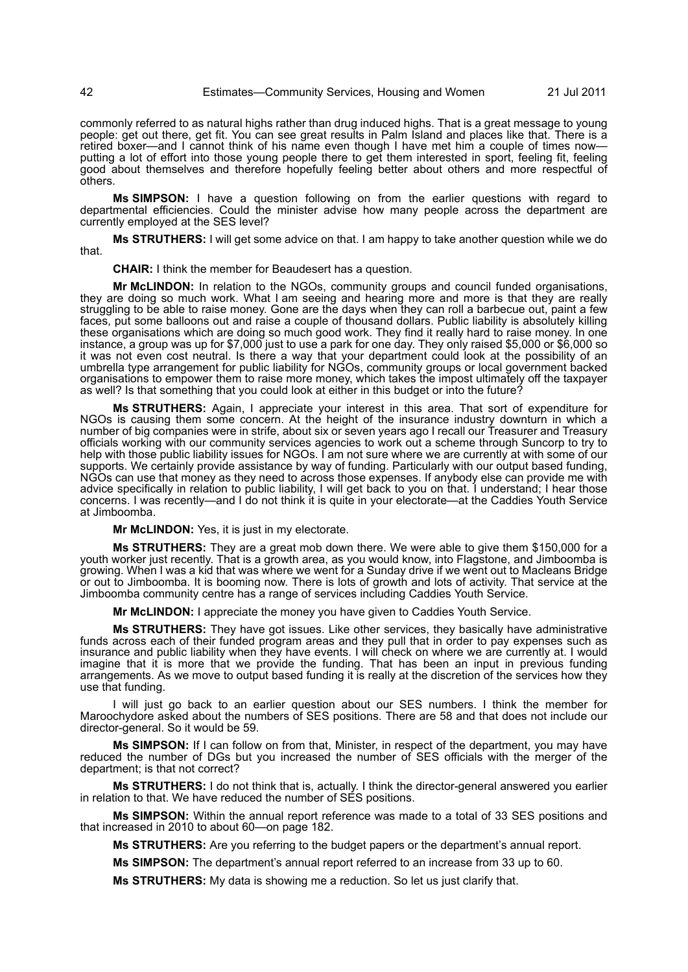commonly referred to as natural highs rather than drug induced highs. That is a great message to young people: get out there, get fit. You can see great results in Palm Island and places like that. There is a retired boxer—and I cannot think of his name even though I have met him a couple of times now putting a lot of effort into those young people there to get them interested in sport, feeling fit, feeling good about themselves and therefore hopefully feeling better about others and more respectful of others.

**Ms SIMPSON:** I have a question following on from the earlier questions with regard to departmental efficiencies. Could the minister advise how many people across the department are currently employed at the SES level?

**Ms STRUTHERS:** I will get some advice on that. I am happy to take another question while we do that.

**CHAIR:** I think the member for Beaudesert has a question.

**Mr McLINDON:** In relation to the NGOs, community groups and council funded organisations, they are doing so much work. What I am seeing and hearing more and more is that they are really struggling to be able to raise money. Gone are the days when they can roll a barbecue out, paint a few faces, put some balloons out and raise a couple of thousand dollars. Public liability is absolutely killing these organisations which are doing so much good work. They find it really hard to raise money. In one instance, a group was up for \$7,000 just to use a park for one day. They only raised \$5,000 or \$6,000 so it was not even cost neutral. Is there a way that your department could look at the possibility of an umbrella type arrangement for public liability for NGOs, community groups or local government backed organisations to empower them to raise more money, which takes the impost ultimately off the taxpayer as well? Is that something that you could look at either in this budget or into the future?

**Ms STRUTHERS:** Again, I appreciate your interest in this area. That sort of expenditure for NGOs is causing them some concern. At the height of the insurance industry downturn in which a number of big companies were in strife, about six or seven years ago I recall our Treasurer and Treasury officials working with our community services agencies to work out a scheme through Suncorp to try to help with those public liability issues for NGOs. I am not sure where we are currently at with some of our supports. We certainly provide assistance by way of funding. Particularly with our output based funding, NGOs can use that money as they need to across those expenses. If anybody else can provide me with advice specifically in relation to public liability, I will get back to you on that. I understand; I hear those concerns. I was recently—and I do not think it is quite in your electorate—at the Caddies Youth Service at Jimboomba.

**Mr McLINDON:** Yes, it is just in my electorate.

**Ms STRUTHERS:** They are a great mob down there. We were able to give them \$150,000 for a youth worker just recently. That is a growth area, as you would know, into Flagstone, and Jimboomba is growing. When I was a kid that was where we went for a Sunday drive if we went out to Macleans Bridge or out to Jimboomba. It is booming now. There is lots of growth and lots of activity. That service at the Jimboomba community centre has a range of services including Caddies Youth Service.

**Mr McLINDON:** I appreciate the money you have given to Caddies Youth Service.

**Ms STRUTHERS:** They have got issues. Like other services, they basically have administrative funds across each of their funded program areas and they pull that in order to pay expenses such as insurance and public liability when they have events. I will check on where we are currently at. I would imagine that it is more that we provide the funding. That has been an input in previous funding arrangements. As we move to output based funding it is really at the discretion of the services how they use that funding.

I will just go back to an earlier question about our SES numbers. I think the member for Maroochydore asked about the numbers of SES positions. There are 58 and that does not include our director-general. So it would be 59.

**Ms SIMPSON:** If I can follow on from that, Minister, in respect of the department, you may have reduced the number of DGs but you increased the number of SES officials with the merger of the department; is that not correct?

**Ms STRUTHERS:** I do not think that is, actually. I think the director-general answered you earlier in relation to that. We have reduced the number of SES positions.

**Ms SIMPSON:** Within the annual report reference was made to a total of 33 SES positions and that increased in 2010 to about 60—on page 182.

**Ms STRUTHERS:** Are you referring to the budget papers or the department's annual report.

**Ms SIMPSON:** The department's annual report referred to an increase from 33 up to 60.

**Ms STRUTHERS:** My data is showing me a reduction. So let us just clarify that.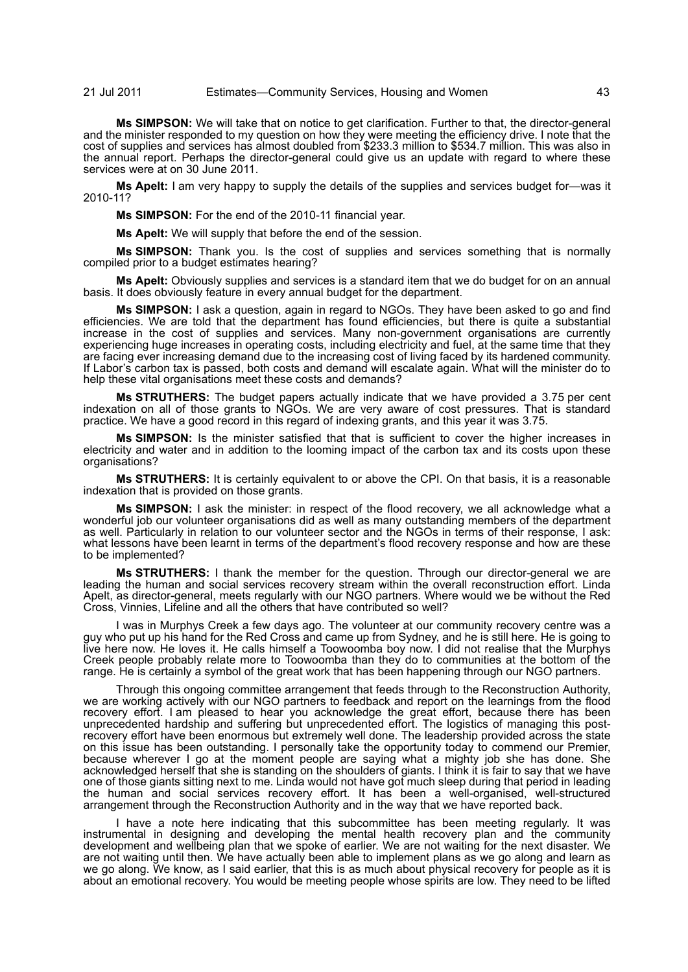**Ms SIMPSON:** We will take that on notice to get clarification. Further to that, the director-general and the minister responded to my question on how they were meeting the efficiency drive. I note that the cost of supplies and services has almost doubled from \$233.3 million to \$534.7 million. This was also in the annual report. Perhaps the director-general could give us an update with regard to where these services were at on 30 June 2011.

**Ms Apelt:** I am very happy to supply the details of the supplies and services budget for—was it 2010-11?

**Ms SIMPSON:** For the end of the 2010-11 financial year.

**Ms Apelt:** We will supply that before the end of the session.

**Ms SIMPSON:** Thank you. Is the cost of supplies and services something that is normally compiled prior to a budget estimates hearing?

**Ms Apelt:** Obviously supplies and services is a standard item that we do budget for on an annual basis. It does obviously feature in every annual budget for the department.

**Ms SIMPSON:** I ask a question, again in regard to NGOs. They have been asked to go and find efficiencies. We are told that the department has found efficiencies, but there is quite a substantial increase in the cost of supplies and services. Many non-government organisations are currently experiencing huge increases in operating costs, including electricity and fuel, at the same time that they are facing ever increasing demand due to the increasing cost of living faced by its hardened community. If Labor's carbon tax is passed, both costs and demand will escalate again. What will the minister do to help these vital organisations meet these costs and demands?

**Ms STRUTHERS:** The budget papers actually indicate that we have provided a 3.75 per cent indexation on all of those grants to NGOs. We are very aware of cost pressures. That is standard practice. We have a good record in this regard of indexing grants, and this year it was 3.75.

**Ms SIMPSON:** Is the minister satisfied that that is sufficient to cover the higher increases in electricity and water and in addition to the looming impact of the carbon tax and its costs upon these organisations?

**Ms STRUTHERS:** It is certainly equivalent to or above the CPI. On that basis, it is a reasonable indexation that is provided on those grants.

**Ms SIMPSON:** I ask the minister: in respect of the flood recovery, we all acknowledge what a wonderful job our volunteer organisations did as well as many outstanding members of the department as well. Particularly in relation to our volunteer sector and the NGOs in terms of their response, I ask: what lessons have been learnt in terms of the department's flood recovery response and how are these to be implemented?

**Ms STRUTHERS:** I thank the member for the question. Through our director-general we are leading the human and social services recovery stream within the overall reconstruction effort. Linda Apelt, as director-general, meets regularly with our NGO partners. Where would we be without the Red Cross, Vinnies, Lifeline and all the others that have contributed so well?

I was in Murphys Creek a few days ago. The volunteer at our community recovery centre was a guy who put up his hand for the Red Cross and came up from Sydney, and he is still here. He is going to live here now. He loves it. He calls himself a Toowoomba boy now. I did not realise that the Murphys Creek people probably relate more to Toowoomba than they do to communities at the bottom of the range. He is certainly a symbol of the great work that has been happening through our NGO partners.

Through this ongoing committee arrangement that feeds through to the Reconstruction Authority, we are working actively with our NGO partners to feedback and report on the learnings from the flood recovery effort. I am pleased to hear you acknowledge the great effort, because there has been unprecedented hardship and suffering but unprecedented effort. The logistics of managing this postrecovery effort have been enormous but extremely well done. The leadership provided across the state on this issue has been outstanding. I personally take the opportunity today to commend our Premier, because wherever I go at the moment people are saying what a mighty job she has done. She acknowledged herself that she is standing on the shoulders of giants. I think it is fair to say that we have one of those giants sitting next to me. Linda would not have got much sleep during that period in leading the human and social services recovery effort. It has been a well-organised, well-structured arrangement through the Reconstruction Authority and in the way that we have reported back.

I have a note here indicating that this subcommittee has been meeting regularly. It was instrumental in designing and developing the mental health recovery plan and the community development and wellbeing plan that we spoke of earlier. We are not waiting for the next disaster. We are not waiting until then. We have actually been able to implement plans as we go along and learn as we go along. We know, as I said earlier, that this is as much about physical recovery for people as it is about an emotional recovery. You would be meeting people whose spirits are low. They need to be lifted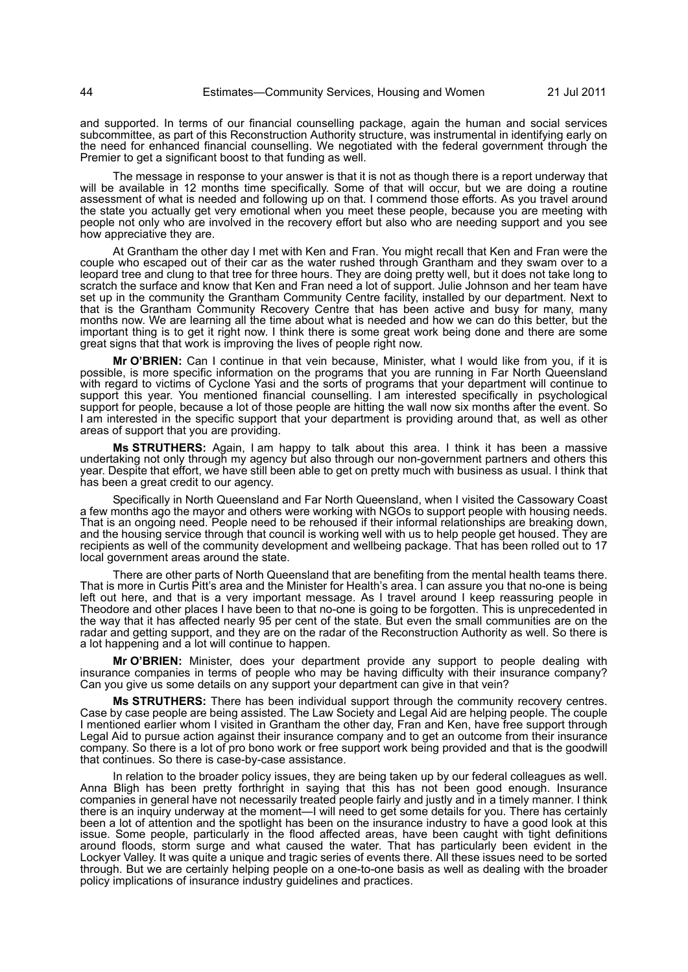and supported. In terms of our financial counselling package, again the human and social services subcommittee, as part of this Reconstruction Authority structure, was instrumental in identifying early on the need for enhanced financial counselling. We negotiated with the federal government through the Premier to get a significant boost to that funding as well.

The message in response to your answer is that it is not as though there is a report underway that will be available in 12 months time specifically. Some of that will occur, but we are doing a routine assessment of what is needed and following up on that. I commend those efforts. As you travel around the state you actually get very emotional when you meet these people, because you are meeting with people not only who are involved in the recovery effort but also who are needing support and you see how appreciative they are.

At Grantham the other day I met with Ken and Fran. You might recall that Ken and Fran were the couple who escaped out of their car as the water rushed through Grantham and they swam over to a leopard tree and clung to that tree for three hours. They are doing pretty well, but it does not take long to scratch the surface and know that Ken and Fran need a lot of support. Julie Johnson and her team have set up in the community the Grantham Community Centre facility, installed by our department. Next to that is the Grantham Community Recovery Centre that has been active and busy for many, many months now. We are learning all the time about what is needed and how we can do this better, but the important thing is to get it right now. I think there is some great work being done and there are some great signs that that work is improving the lives of people right now.

**Mr O'BRIEN:** Can I continue in that vein because, Minister, what I would like from you, if it is possible, is more specific information on the programs that you are running in Far North Queensland with regard to victims of Cyclone Yasi and the sorts of programs that your department will continue to support this year. You mentioned financial counselling. I am interested specifically in psychological support for people, because a lot of those people are hitting the wall now six months after the event. So I am interested in the specific support that your department is providing around that, as well as other areas of support that you are providing.

**Ms STRUTHERS:** Again, I am happy to talk about this area. I think it has been a massive undertaking not only through my agency but also through our non-government partners and others this year. Despite that effort, we have still been able to get on pretty much with business as usual. I think that has been a great credit to our agency.

Specifically in North Queensland and Far North Queensland, when I visited the Cassowary Coast a few months ago the mayor and others were working with NGOs to support people with housing needs. That is an ongoing need. People need to be rehoused if their informal relationships are breaking down, and the housing service through that council is working well with us to help people get housed. They are recipients as well of the community development and wellbeing package. That has been rolled out to 17 local government areas around the state.

There are other parts of North Queensland that are benefiting from the mental health teams there. That is more in Curtis Pitt's area and the Minister for Health's area. I can assure you that no-one is being left out here, and that is a very important message. As I travel around I keep reassuring people in Theodore and other places I have been to that no-one is going to be forgotten. This is unprecedented in the way that it has affected nearly 95 per cent of the state. But even the small communities are on the radar and getting support, and they are on the radar of the Reconstruction Authority as well. So there is a lot happening and a lot will continue to happen.

**Mr O'BRIEN:** Minister, does your department provide any support to people dealing with insurance companies in terms of people who may be having difficulty with their insurance company? Can you give us some details on any support your department can give in that vein?

**Ms STRUTHERS:** There has been individual support through the community recovery centres. Case by case people are being assisted. The Law Society and Legal Aid are helping people. The couple I mentioned earlier whom I visited in Grantham the other day, Fran and Ken, have free support through Legal Aid to pursue action against their insurance company and to get an outcome from their insurance company. So there is a lot of pro bono work or free support work being provided and that is the goodwill that continues. So there is case-by-case assistance.

In relation to the broader policy issues, they are being taken up by our federal colleagues as well. Anna Bligh has been pretty forthright in saying that this has not been good enough. Insurance companies in general have not necessarily treated people fairly and justly and in a timely manner. I think there is an inquiry underway at the moment—I will need to get some details for you. There has certainly been a lot of attention and the spotlight has been on the insurance industry to have a good look at this issue. Some people, particularly in the flood affected areas, have been caught with tight definitions around floods, storm surge and what caused the water. That has particularly been evident in the Lockyer Valley. It was quite a unique and tragic series of events there. All these issues need to be sorted through. But we are certainly helping people on a one-to-one basis as well as dealing with the broader policy implications of insurance industry guidelines and practices.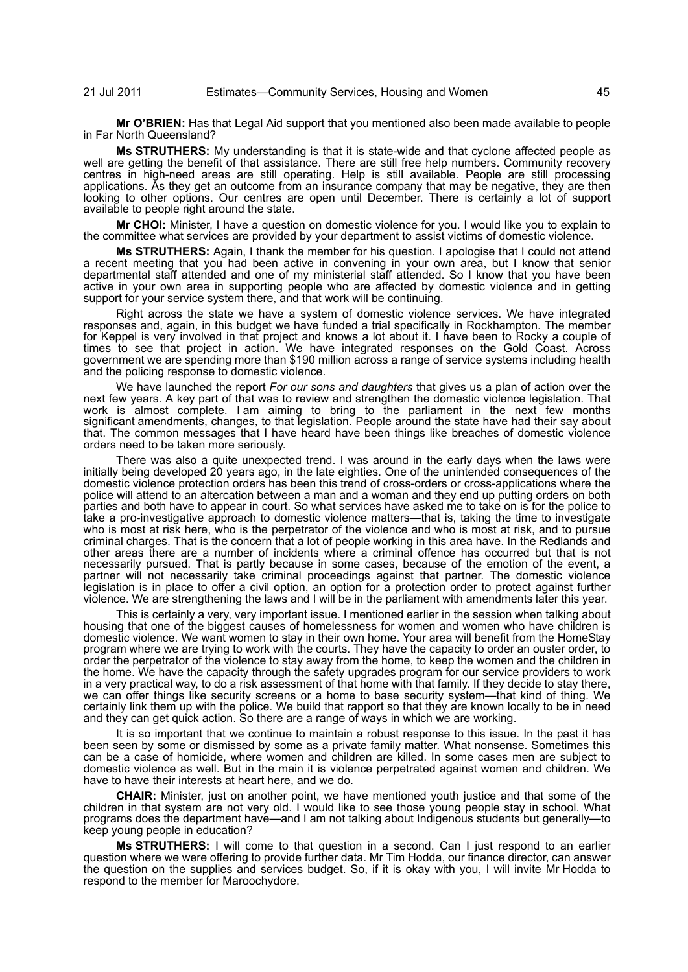**Mr O'BRIEN:** Has that Legal Aid support that you mentioned also been made available to people in Far North Queensland?

**Ms STRUTHERS:** My understanding is that it is state-wide and that cyclone affected people as well are getting the benefit of that assistance. There are still free help numbers. Community recovery centres in high-need areas are still operating. Help is still available. People are still processing applications. As they get an outcome from an insurance company that may be negative, they are then looking to other options. Our centres are open until December. There is certainly a lot of support available to people right around the state.

**Mr CHOI:** Minister, I have a question on domestic violence for you. I would like you to explain to the committee what services are provided by your department to assist victims of domestic violence.

**Ms STRUTHERS:** Again, I thank the member for his question. I apologise that I could not attend a recent meeting that you had been active in convening in your own area, but I know that senior departmental staff attended and one of my ministerial staff attended. So I know that you have been active in your own area in supporting people who are affected by domestic violence and in getting support for your service system there, and that work will be continuing.

Right across the state we have a system of domestic violence services. We have integrated responses and, again, in this budget we have funded a trial specifically in Rockhampton. The member for Keppel is very involved in that project and knows a lot about it. I have been to Rocky a couple of times to see that project in action. We have integrated responses on the Gold Coast. Across government we are spending more than \$190 million across a range of service systems including health and the policing response to domestic violence.

We have launched the report *For our sons and daughters* that gives us a plan of action over the next few years. A key part of that was to review and strengthen the domestic violence legislation. That work is almost complete. I am aiming to bring to the parliament in the next few months significant amendments, changes, to that legislation. People around the state have had their say about that. The common messages that I have heard have been things like breaches of domestic violence orders need to be taken more seriously.

There was also a quite unexpected trend. I was around in the early days when the laws were initially being developed 20 years ago, in the late eighties. One of the unintended consequences of the domestic violence protection orders has been this trend of cross-orders or cross-applications where the police will attend to an altercation between a man and a woman and they end up putting orders on both parties and both have to appear in court. So what services have asked me to take on is for the police to take a pro-investigative approach to domestic violence matters—that is, taking the time to investigate who is most at risk here, who is the perpetrator of the violence and who is most at risk, and to pursue criminal charges. That is the concern that a lot of people working in this area have. In the Redlands and other areas there are a number of incidents where a criminal offence has occurred but that is not necessarily pursued. That is partly because in some cases, because of the emotion of the event, a partner will not necessarily take criminal proceedings against that partner. The domestic violence legislation is in place to offer a civil option, an option for a protection order to protect against further violence. We are strengthening the laws and I will be in the parliament with amendments later this year.

This is certainly a very, very important issue. I mentioned earlier in the session when talking about housing that one of the biggest causes of homelessness for women and women who have children is domestic violence. We want women to stay in their own home. Your area will benefit from the HomeStay program where we are trying to work with the courts. They have the capacity to order an ouster order, to order the perpetrator of the violence to stay away from the home, to keep the women and the children in the home. We have the capacity through the safety upgrades program for our service providers to work in a very practical way, to do a risk assessment of that home with that family. If they decide to stay there, we can offer things like security screens or a home to base security system—that kind of thing. We certainly link them up with the police. We build that rapport so that they are known locally to be in need and they can get quick action. So there are a range of ways in which we are working.

It is so important that we continue to maintain a robust response to this issue. In the past it has been seen by some or dismissed by some as a private family matter. What nonsense. Sometimes this can be a case of homicide, where women and children are killed. In some cases men are subject to domestic violence as well. But in the main it is violence perpetrated against women and children. We have to have their interests at heart here, and we do.

**CHAIR:** Minister, just on another point, we have mentioned youth justice and that some of the children in that system are not very old. I would like to see those young people stay in school. What programs does the department have—and I am not talking about Indigenous students but generally—to keep young people in education?

**Ms STRUTHERS:** I will come to that question in a second. Can I just respond to an earlier question where we were offering to provide further data. Mr Tim Hodda, our finance director, can answer the question on the supplies and services budget. So, if it is okay with you, I will invite Mr Hodda to respond to the member for Maroochydore.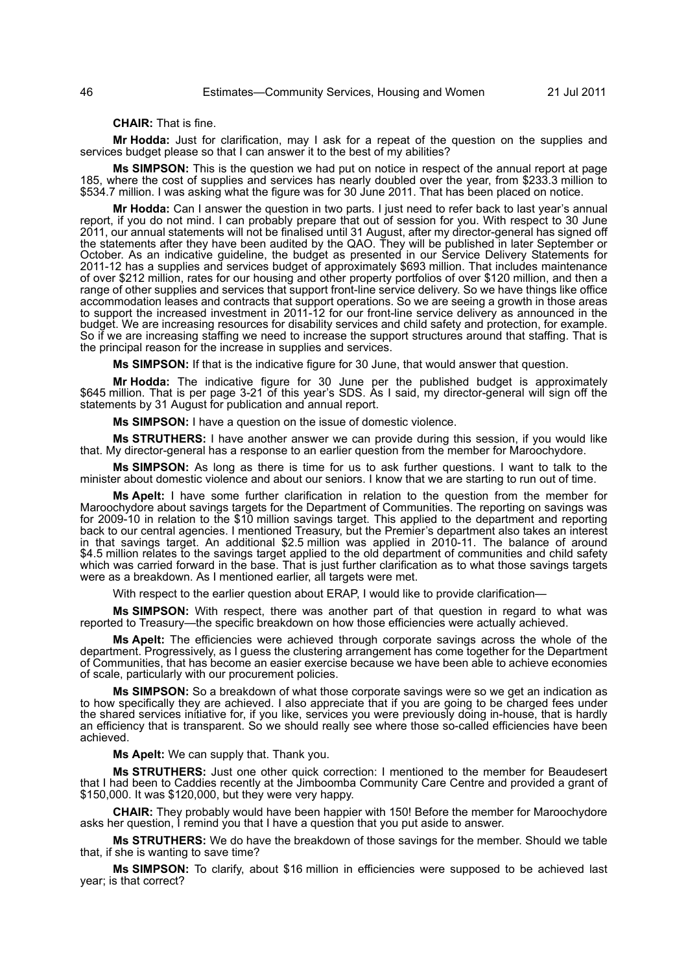# **CHAIR:** That is fine.

**Mr Hodda:** Just for clarification, may I ask for a repeat of the question on the supplies and services budget please so that I can answer it to the best of my abilities?

**Ms SIMPSON:** This is the question we had put on notice in respect of the annual report at page 185, where the cost of supplies and services has nearly doubled over the year, from \$233.3 million to \$534.7 million. I was asking what the figure was for 30 June 2011. That has been placed on notice.

**Mr Hodda:** Can I answer the question in two parts. I just need to refer back to last year's annual report, if you do not mind. I can probably prepare that out of session for you. With respect to 30 June 2011, our annual statements will not be finalised until 31 August, after my director-general has signed off the statements after they have been audited by the QAO. They will be published in later September or October. As an indicative guideline, the budget as presented in our Service Delivery Statements for 2011-12 has a supplies and services budget of approximately \$693 million. That includes maintenance of over \$212 million, rates for our housing and other property portfolios of over \$120 million, and then a range of other supplies and services that support front-line service delivery. So we have things like office accommodation leases and contracts that support operations. So we are seeing a growth in those areas to support the increased investment in 2011-12 for our front-line service delivery as announced in the budget. We are increasing resources for disability services and child safety and protection, for example. So if we are increasing staffing we need to increase the support structures around that staffing. That is the principal reason for the increase in supplies and services.

**Ms SIMPSON:** If that is the indicative figure for 30 June, that would answer that question.

**Mr Hodda:** The indicative figure for 30 June per the published budget is approximately \$645 million. That is per page 3-21 of this year's SDS. As I said, my director-general will sign off the statements by 31 August for publication and annual report.

**Ms SIMPSON:** I have a question on the issue of domestic violence.

**Ms STRUTHERS:** I have another answer we can provide during this session, if you would like that. My director-general has a response to an earlier question from the member for Maroochydore.

**Ms SIMPSON:** As long as there is time for us to ask further questions. I want to talk to the minister about domestic violence and about our seniors. I know that we are starting to run out of time.

**Ms Apelt:** I have some further clarification in relation to the question from the member for Maroochydore about savings targets for the Department of Communities. The reporting on savings was for 2009-10 in relation to the \$10 million savings target. This applied to the department and reporting back to our central agencies. I mentioned Treasury, but the Premier's department also takes an interest in that savings target. An additional \$2.5 million was applied in 2010-11. The balance of around \$4.5 million relates to the savings target applied to the old department of communities and child safety which was carried forward in the base. That is just further clarification as to what those savings targets were as a breakdown. As I mentioned earlier, all targets were met.

With respect to the earlier question about ERAP, I would like to provide clarification-

**Ms SIMPSON:** With respect, there was another part of that question in regard to what was reported to Treasury—the specific breakdown on how those efficiencies were actually achieved.

**Ms Apelt:** The efficiencies were achieved through corporate savings across the whole of the department. Progressively, as I guess the clustering arrangement has come together for the Department of Communities, that has become an easier exercise because we have been able to achieve economies of scale, particularly with our procurement policies.

**Ms SIMPSON:** So a breakdown of what those corporate savings were so we get an indication as to how specifically they are achieved. I also appreciate that if you are going to be charged fees under the shared services initiative for, if you like, services you were previously doing in-house, that is hardly an efficiency that is transparent. So we should really see where those so-called efficiencies have been achieved.

**Ms Apelt:** We can supply that. Thank you.

**Ms STRUTHERS:** Just one other quick correction: I mentioned to the member for Beaudesert that I had been to Caddies recently at the Jimboomba Community Care Centre and provided a grant of \$150,000. It was \$120,000, but they were very happy.

**CHAIR:** They probably would have been happier with 150! Before the member for Maroochydore asks her question, I remind you that I have a question that you put aside to answer.

**Ms STRUTHERS:** We do have the breakdown of those savings for the member. Should we table that, if she is wanting to save time?

**Ms SIMPSON:** To clarify, about \$16 million in efficiencies were supposed to be achieved last year; is that correct?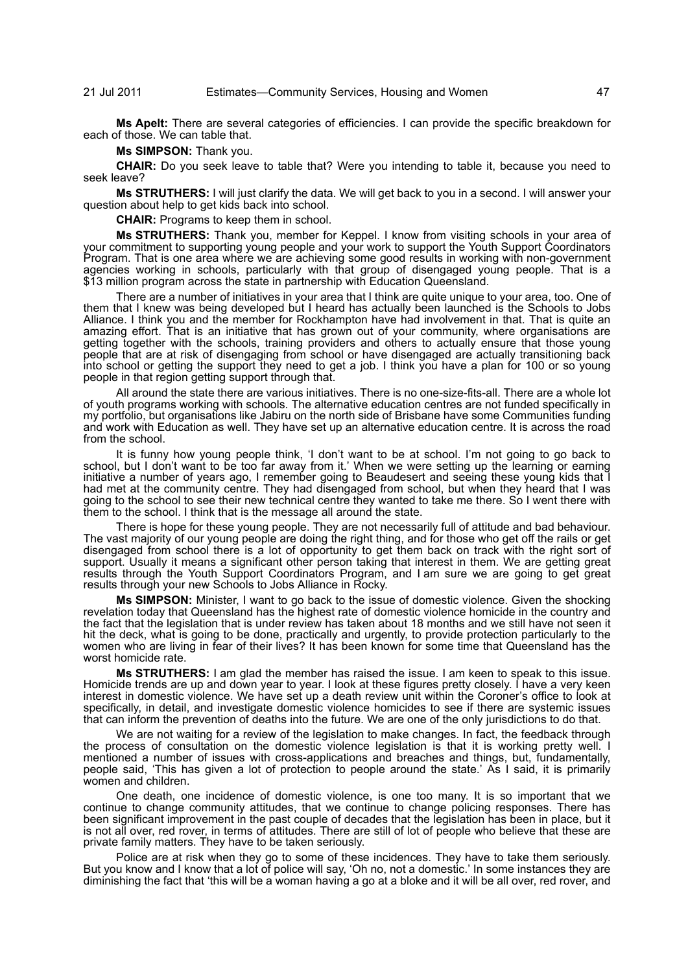**Ms Apelt:** There are several categories of efficiencies. I can provide the specific breakdown for each of those. We can table that.

**Ms SIMPSON:** Thank you.

**CHAIR:** Do you seek leave to table that? Were you intending to table it, because you need to seek leave?

**Ms STRUTHERS:** I will just clarify the data. We will get back to you in a second. I will answer your question about help to get kids back into school.

**CHAIR:** Programs to keep them in school.

**Ms STRUTHERS:** Thank you, member for Keppel. I know from visiting schools in your area of your commitment to supporting young people and your work to support the Youth Support Coordinators Program. That is one area where we are achieving some good results in working with non-government agencies working in schools, particularly with that group of disengaged young people. That is a \$13 million program across the state in partnership with Education Queensland.

There are a number of initiatives in your area that I think are quite unique to your area, too. One of them that I knew was being developed but I heard has actually been launched is the Schools to Jobs Alliance. I think you and the member for Rockhampton have had involvement in that. That is quite an amazing effort. That is an initiative that has grown out of your community, where organisations are getting together with the schools, training providers and others to actually ensure that those young people that are at risk of disengaging from school or have disengaged are actually transitioning back into school or getting the support they need to get a job. I think you have a plan for 100 or so young people in that region getting support through that.

All around the state there are various initiatives. There is no one-size-fits-all. There are a whole lot of youth programs working with schools. The alternative education centres are not funded specifically in my portfolio, but organisations like Jabiru on the north side of Brisbane have some Communities funding and work with Education as well. They have set up an alternative education centre. It is across the road from the school.

It is funny how young people think, 'I don't want to be at school. I'm not going to go back to school, but I don't want to be too far away from it.' When we were setting up the learning or earning initiative a number of years ago, I remember going to Beaudesert and seeing these young kids that I had met at the community centre. They had disengaged from school, but when they heard that I was going to the school to see their new technical centre they wanted to take me there. So I went there with them to the school. I think that is the message all around the state.

There is hope for these young people. They are not necessarily full of attitude and bad behaviour. The vast majority of our young people are doing the right thing, and for those who get off the rails or get disengaged from school there is a lot of opportunity to get them back on track with the right sort of support. Usually it means a significant other person taking that interest in them. We are getting great results through the Youth Support Coordinators Program, and I am sure we are going to get great results through your new Schools to Jobs Alliance in Rocky.

**Ms SIMPSON:** Minister, I want to go back to the issue of domestic violence. Given the shocking revelation today that Queensland has the highest rate of domestic violence homicide in the country and the fact that the legislation that is under review has taken about 18 months and we still have not seen it hit the deck, what is going to be done, practically and urgently, to provide protection particularly to the women who are living in fear of their lives? It has been known for some time that Queensland has the worst homicide rate.

**Ms STRUTHERS:** I am glad the member has raised the issue. I am keen to speak to this issue. Homicide trends are up and down year to year. I look at these figures pretty closely. I have a very keen interest in domestic violence. We have set up a death review unit within the Coroner's office to look at specifically, in detail, and investigate domestic violence homicides to see if there are systemic issues that can inform the prevention of deaths into the future. We are one of the only jurisdictions to do that.

We are not waiting for a review of the legislation to make changes. In fact, the feedback through the process of consultation on the domestic violence legislation is that it is working pretty well. I mentioned a number of issues with cross-applications and breaches and things, but, fundamentally, people said, 'This has given a lot of protection to people around the state.' As I said, it is primarily women and children.

One death, one incidence of domestic violence, is one too many. It is so important that we continue to change community attitudes, that we continue to change policing responses. There has been significant improvement in the past couple of decades that the legislation has been in place, but it is not all over, red rover, in terms of attitudes. There are still of lot of people who believe that these are private family matters. They have to be taken seriously.

Police are at risk when they go to some of these incidences. They have to take them seriously. But you know and I know that a lot of police will say, 'Oh no, not a domestic.' In some instances they are diminishing the fact that 'this will be a woman having a go at a bloke and it will be all over, red rover, and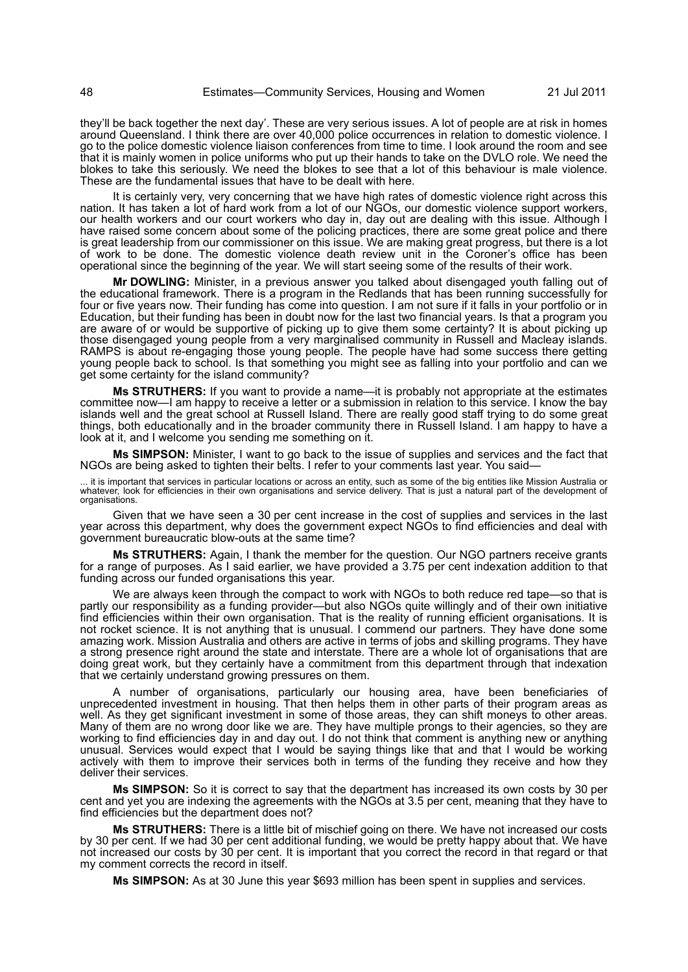they'll be back together the next day'. These are very serious issues. A lot of people are at risk in homes around Queensland. I think there are over 40,000 police occurrences in relation to domestic violence. I go to the police domestic violence liaison conferences from time to time. I look around the room and see that it is mainly women in police uniforms who put up their hands to take on the DVLO role. We need the blokes to take this seriously. We need the blokes to see that a lot of this behaviour is male violence. These are the fundamental issues that have to be dealt with here.

It is certainly very, very concerning that we have high rates of domestic violence right across this nation. It has taken a lot of hard work from a lot of our NGOs, our domestic violence support workers, our health workers and our court workers who day in, day out are dealing with this issue. Although I have raised some concern about some of the policing practices, there are some great police and there is great leadership from our commissioner on this issue. We are making great progress, but there is a lot of work to be done. The domestic violence death review unit in the Coroner's office has been operational since the beginning of the year. We will start seeing some of the results of their work.

**Mr DOWLING:** Minister, in a previous answer you talked about disengaged youth falling out of the educational framework. There is a program in the Redlands that has been running successfully for four or five years now. Their funding has come into question. I am not sure if it falls in your portfolio or in Education, but their funding has been in doubt now for the last two financial years. Is that a program you are aware of or would be supportive of picking up to give them some certainty? It is about picking up those disengaged young people from a very marginalised community in Russell and Macleay islands. RAMPS is about re-engaging those young people. The people have had some success there getting young people back to school. Is that something you might see as falling into your portfolio and can we get some certainty for the island community?

**Ms STRUTHERS:** If you want to provide a name—it is probably not appropriate at the estimates committee now—I am happy to receive a letter or a submission in relation to this service. I know the bay islands well and the great school at Russell Island. There are really good staff trying to do some great things, both educationally and in the broader community there in Russell Island. I am happy to have a look at it, and I welcome you sending me something on it.

**Ms SIMPSON:** Minister, I want to go back to the issue of supplies and services and the fact that NGOs are being asked to tighten their belts. I refer to your comments last year. You said—

... it is important that services in particular locations or across an entity, such as some of the big entities like Mission Australia or<br>whatever, look for efficiencies in their own organisations and service delivery. Tha

Given that we have seen a 30 per cent increase in the cost of supplies and services in the last year across this department, why does the government expect NGOs to find efficiencies and deal with government bureaucratic blow-outs at the same time?

**Ms STRUTHERS:** Again, I thank the member for the question. Our NGO partners receive grants for a range of purposes. As I said earlier, we have provided a 3.75 per cent indexation addition to that funding across our funded organisations this year.

We are always keen through the compact to work with NGOs to both reduce red tape—so that is partly our responsibility as a funding provider—but also NGOs quite willingly and of their own initiative find efficiencies within their own organisation. That is the reality of running efficient organisations. It is not rocket science. It is not anything that is unusual. I commend our partners. They have done some amazing work. Mission Australia and others are active in terms of jobs and skilling programs. They have a strong presence right around the state and interstate. There are a whole lot of organisations that are doing great work, but they certainly have a commitment from this department through that indexation that we certainly understand growing pressures on them.

A number of organisations, particularly our housing area, have been beneficiaries of unprecedented investment in housing. That then helps them in other parts of their program areas as well. As they get significant investment in some of those areas, they can shift moneys to other areas. Many of them are no wrong door like we are. They have multiple prongs to their agencies, so they are working to find efficiencies day in and day out. I do not think that comment is anything new or anything unusual. Services would expect that I would be saying things like that and that I would be working actively with them to improve their services both in terms of the funding they receive and how they deliver their services.

**Ms SIMPSON:** So it is correct to say that the department has increased its own costs by 30 per cent and yet you are indexing the agreements with the NGOs at 3.5 per cent, meaning that they have to find efficiencies but the department does not?

**Ms STRUTHERS:** There is a little bit of mischief going on there. We have not increased our costs by 30 per cent. If we had 30 per cent additional funding, we would be pretty happy about that. We have not increased our costs by 30 per cent. It is important that you correct the record in that regard or that my comment corrects the record in itself.

**Ms SIMPSON:** As at 30 June this year \$693 million has been spent in supplies and services.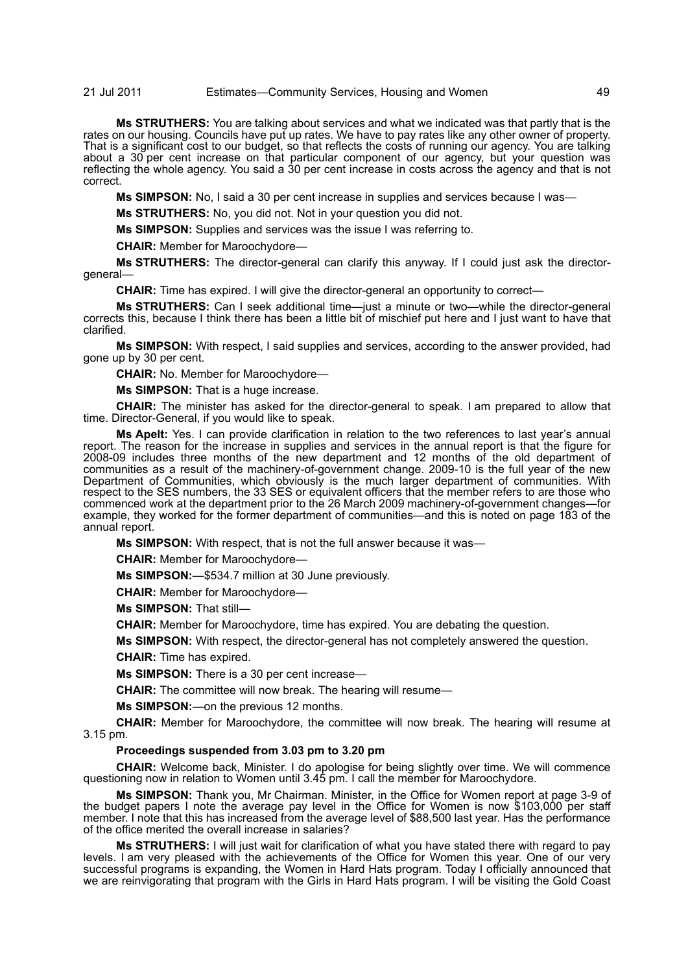**Ms STRUTHERS:** You are talking about services and what we indicated was that partly that is the rates on our housing. Councils have put up rates. We have to pay rates like any other owner of property. That is a significant cost to our budget, so that reflects the costs of running our agency. You are talking about a 30 per cent increase on that particular component of our agency, but your question was reflecting the whole agency. You said a 30 per cent increase in costs across the agency and that is not correct.

**Ms SIMPSON:** No, I said a 30 per cent increase in supplies and services because I was—

**Ms STRUTHERS:** No, you did not. Not in your question you did not.

**Ms SIMPSON:** Supplies and services was the issue I was referring to.

**CHAIR:** Member for Maroochydore—

**Ms STRUTHERS:** The director-general can clarify this anyway. If I could just ask the directorgeneral—

**CHAIR:** Time has expired. I will give the director-general an opportunity to correct—

**Ms STRUTHERS:** Can I seek additional time—just a minute or two—while the director-general corrects this, because I think there has been a little bit of mischief put here and I just want to have that clarified.

**Ms SIMPSON:** With respect, I said supplies and services, according to the answer provided, had gone up by 30 per cent.

**CHAIR:** No. Member for Maroochydore—

**Ms SIMPSON:** That is a huge increase.

**CHAIR:** The minister has asked for the director-general to speak. I am prepared to allow that time. Director-General, if you would like to speak.

**Ms Apelt:** Yes. I can provide clarification in relation to the two references to last year's annual report. The reason for the increase in supplies and services in the annual report is that the figure for 2008-09 includes three months of the new department and 12 months of the old department of communities as a result of the machinery-of-government change. 2009-10 is the full year of the new Department of Communities, which obviously is the much larger department of communities. With respect to the SES numbers, the 33 SES or equivalent officers that the member refers to are those who commenced work at the department prior to the 26 March 2009 machinery-of-government changes—for example, they worked for the former department of communities—and this is noted on page 183 of the annual report.

**Ms SIMPSON:** With respect, that is not the full answer because it was—

**CHAIR:** Member for Maroochydore—

**Ms SIMPSON:**—\$534.7 million at 30 June previously.

**CHAIR:** Member for Maroochydore—

**Ms SIMPSON:** That still—

**CHAIR:** Member for Maroochydore, time has expired. You are debating the question.

**Ms SIMPSON:** With respect, the director-general has not completely answered the question.

**CHAIR:** Time has expired.

**Ms SIMPSON:** There is a 30 per cent increase—

**CHAIR:** The committee will now break. The hearing will resume—

**Ms SIMPSON:**—on the previous 12 months.

**CHAIR:** Member for Maroochydore, the committee will now break. The hearing will resume at 3.15 pm.

# **Proceedings suspended from 3.03 pm to 3.20 pm**

**CHAIR:** Welcome back, Minister. I do apologise for being slightly over time. We will commence questioning now in relation to Women until 3.45 pm. I call the member for Maroochydore.

**Ms SIMPSON:** Thank you, Mr Chairman. Minister, in the Office for Women report at page 3-9 of the budget papers I note the average pay level in the Office for Women is now \$103,000 per staff member. I note that this has increased from the average level of \$88,500 last year. Has the performance of the office merited the overall increase in salaries?

**Ms STRUTHERS:** I will just wait for clarification of what you have stated there with regard to pay levels. I am very pleased with the achievements of the Office for Women this year. One of our very successful programs is expanding, the Women in Hard Hats program. Today I officially announced that we are reinvigorating that program with the Girls in Hard Hats program. I will be visiting the Gold Coast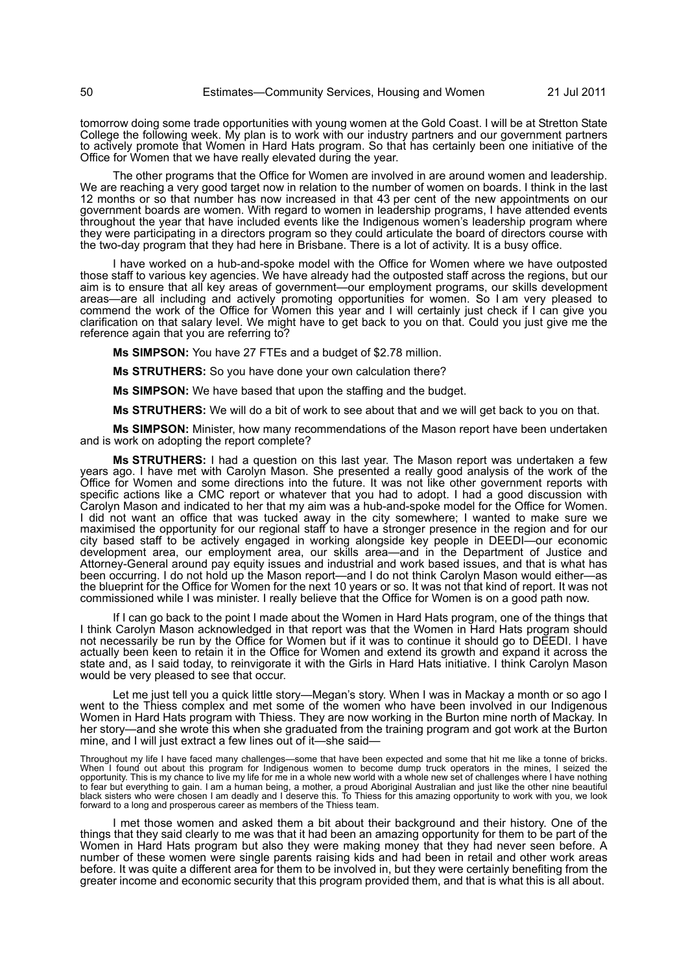tomorrow doing some trade opportunities with young women at the Gold Coast. I will be at Stretton State College the following week. My plan is to work with our industry partners and our government partners to actively promote that Women in Hard Hats program. So that has certainly been one initiative of the Office for Women that we have really elevated during the year.

The other programs that the Office for Women are involved in are around women and leadership. We are reaching a very good target now in relation to the number of women on boards. I think in the last 12 months or so that number has now increased in that 43 per cent of the new appointments on our government boards are women. With regard to women in leadership programs, I have attended events throughout the year that have included events like the Indigenous women's leadership program where they were participating in a directors program so they could articulate the board of directors course with the two-day program that they had here in Brisbane. There is a lot of activity. It is a busy office.

I have worked on a hub-and-spoke model with the Office for Women where we have outposted those staff to various key agencies. We have already had the outposted staff across the regions, but our aim is to ensure that all key areas of government—our employment programs, our skills development areas—are all including and actively promoting opportunities for women. So I am very pleased to commend the work of the Office for Women this year and I will certainly just check if I can give you clarification on that salary level. We might have to get back to you on that. Could you just give me the reference again that you are referring to?

**Ms SIMPSON:** You have 27 FTEs and a budget of \$2.78 million.

**Ms STRUTHERS:** So you have done your own calculation there?

**Ms SIMPSON:** We have based that upon the staffing and the budget.

**Ms STRUTHERS:** We will do a bit of work to see about that and we will get back to you on that.

**Ms SIMPSON:** Minister, how many recommendations of the Mason report have been undertaken and is work on adopting the report complete?

**Ms STRUTHERS:** I had a question on this last year. The Mason report was undertaken a few years ago. I have met with Carolyn Mason. She presented a really good analysis of the work of the Office for Women and some directions into the future. It was not like other government reports with specific actions like a CMC report or whatever that you had to adopt. I had a good discussion with Carolyn Mason and indicated to her that my aim was a hub-and-spoke model for the Office for Women. I did not want an office that was tucked away in the city somewhere; I wanted to make sure we maximised the opportunity for our regional staff to have a stronger presence in the region and for our city based staff to be actively engaged in working alongside key people in DEEDI—our economic development area, our employment area, our skills area—and in the Department of Justice and Attorney-General around pay equity issues and industrial and work based issues, and that is what has been occurring. I do not hold up the Mason report—and I do not think Carolyn Mason would either—as the blueprint for the Office for Women for the next 10 years or so. It was not that kind of report. It was not commissioned while I was minister. I really believe that the Office for Women is on a good path now.

If I can go back to the point I made about the Women in Hard Hats program, one of the things that I think Carolyn Mason acknowledged in that report was that the Women in Hard Hats program should not necessarily be run by the Office for Women but if it was to continue it should go to DEEDI. I have actually been keen to retain it in the Office for Women and extend its growth and expand it across the state and, as I said today, to reinvigorate it with the Girls in Hard Hats initiative. I think Carolyn Mason would be very pleased to see that occur.

Let me just tell you a quick little story—Megan's story. When I was in Mackay a month or so ago I went to the Thiess complex and met some of the women who have been involved in our Indigenous Women in Hard Hats program with Thiess. They are now working in the Burton mine north of Mackay. In her story—and she wrote this when she graduated from the training program and got work at the Burton mine, and I will just extract a few lines out of it—she said—

Throughout my life I have faced many challenges—some that have been expected and some that hit me like a tonne of bricks.<br>When I found out about this program for Indigenous women to become dump truck operators in the mines opportunity. This is my chance to live my life for me in a whole new world with a whole new set of challenges where I have nothing to fear but everything to gain. I am a human being, a mother, a proud Aboriginal Australian and just like the other nine beautiful<br>black sisters who were chosen I am deadly and I deserve this. To Thiess for this amazing op forward to a long and prosperous career as members of the Thiess team.

I met those women and asked them a bit about their background and their history. One of the things that they said clearly to me was that it had been an amazing opportunity for them to be part of the Women in Hard Hats program but also they were making money that they had never seen before. A number of these women were single parents raising kids and had been in retail and other work areas before. It was quite a different area for them to be involved in, but they were certainly benefiting from the greater income and economic security that this program provided them, and that is what this is all about.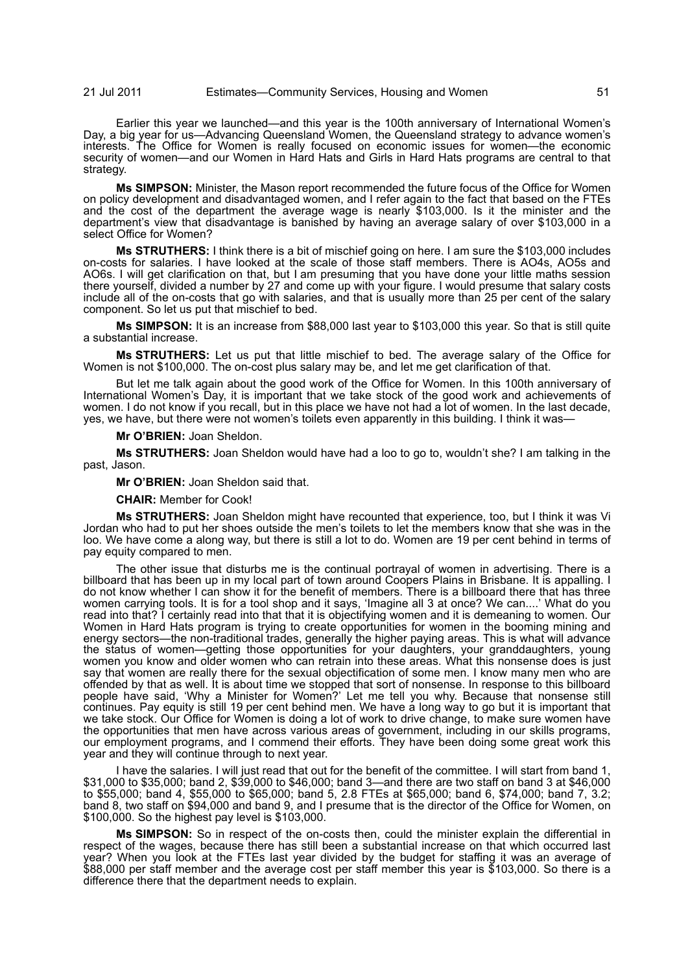Earlier this year we launched—and this year is the 100th anniversary of International Women's Day, a big year for us—Advancing Queensland Women, the Queensland strategy to advance women's interests. The Office for Women is really focused on economic issues for women—the economic security of women—and our Women in Hard Hats and Girls in Hard Hats programs are central to that strategy.

**Ms SIMPSON:** Minister, the Mason report recommended the future focus of the Office for Women on policy development and disadvantaged women, and I refer again to the fact that based on the FTEs and the cost of the department the average wage is nearly \$103,000. Is it the minister and the department's view that disadvantage is banished by having an average salary of over \$103,000 in a select Office for Women?

**Ms STRUTHERS:** I think there is a bit of mischief going on here. I am sure the \$103,000 includes on-costs for salaries. I have looked at the scale of those staff members. There is AO4s, AO5s and AO6s. I will get clarification on that, but I am presuming that you have done your little maths session there yourself, divided a number by 27 and come up with your figure. I would presume that salary costs include all of the on-costs that go with salaries, and that is usually more than 25 per cent of the salary component. So let us put that mischief to bed.

**Ms SIMPSON:** It is an increase from \$88,000 last year to \$103,000 this year. So that is still quite a substantial increase.

**Ms STRUTHERS:** Let us put that little mischief to bed. The average salary of the Office for Women is not \$100,000. The on-cost plus salary may be, and let me get clarification of that.

But let me talk again about the good work of the Office for Women. In this 100th anniversary of International Women's Day, it is important that we take stock of the good work and achievements of women. I do not know if you recall, but in this place we have not had a lot of women. In the last decade, yes, we have, but there were not women's toilets even apparently in this building. I think it was—

**Mr O'BRIEN:** Joan Sheldon.

**Ms STRUTHERS:** Joan Sheldon would have had a loo to go to, wouldn't she? I am talking in the past, Jason.

**Mr O'BRIEN:** Joan Sheldon said that.

**CHAIR:** Member for Cook!

**Ms STRUTHERS:** Joan Sheldon might have recounted that experience, too, but I think it was Vi Jordan who had to put her shoes outside the men's toilets to let the members know that she was in the loo. We have come a along way, but there is still a lot to do. Women are 19 per cent behind in terms of pay equity compared to men.

The other issue that disturbs me is the continual portrayal of women in advertising. There is a billboard that has been up in my local part of town around Coopers Plains in Brisbane. It is appalling. I do not know whether I can show it for the benefit of members. There is a billboard there that has three women carrying tools. It is for a tool shop and it says, 'Imagine all 3 at once? We can....' What do you read into that? I certainly read into that that it is objectifying women and it is demeaning to women. Our Women in Hard Hats program is trying to create opportunities for women in the booming mining and energy sectors—the non-traditional trades, generally the higher paying areas. This is what will advance the status of women—getting those opportunities for your daughters, your granddaughters, young women you know and older women who can retrain into these areas. What this nonsense does is just say that women are really there for the sexual objectification of some men. I know many men who are offended by that as well. It is about time we stopped that sort of nonsense. In response to this billboard people have said, 'Why a Minister for Women?' Let me tell you why. Because that nonsense still continues. Pay equity is still 19 per cent behind men. We have a long way to go but it is important that we take stock. Our Office for Women is doing a lot of work to drive change, to make sure women have the opportunities that men have across various areas of government, including in our skills programs, our employment programs, and I commend their efforts. They have been doing some great work this year and they will continue through to next year.

I have the salaries. I will just read that out for the benefit of the committee. I will start from band 1, \$31,000 to \$35,000; band 2, \$39,000 to \$46,000; band 3—and there are two staff on band 3 at \$46,000 to \$55,000; band 4, \$55,000 to \$65,000; band 5, 2.8 FTEs at \$65,000; band 6, \$74,000; band 7, 3.2; band 8, two staff on \$94,000 and band 9, and I presume that is the director of the Office for Women, on \$100,000. So the highest pay level is \$103,000.

**Ms SIMPSON:** So in respect of the on-costs then, could the minister explain the differential in respect of the wages, because there has still been a substantial increase on that which occurred last year? When you look at the FTEs last year divided by the budget for staffing it was an average of \$88,000 per staff member and the average cost per staff member this year is \$103,000. So there is a difference there that the department needs to explain.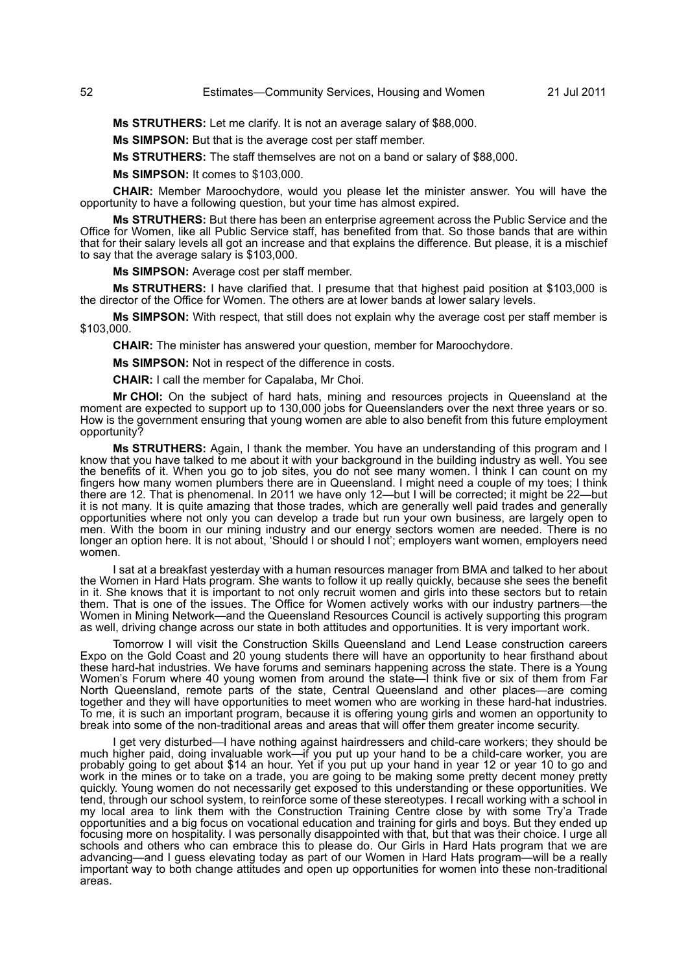**Ms STRUTHERS:** Let me clarify. It is not an average salary of \$88,000.

**Ms SIMPSON:** But that is the average cost per staff member.

**Ms STRUTHERS:** The staff themselves are not on a band or salary of \$88,000.

**Ms SIMPSON:** It comes to \$103,000.

**CHAIR:** Member Maroochydore, would you please let the minister answer. You will have the opportunity to have a following question, but your time has almost expired.

**Ms STRUTHERS:** But there has been an enterprise agreement across the Public Service and the Office for Women, like all Public Service staff, has benefited from that. So those bands that are within that for their salary levels all got an increase and that explains the difference. But please, it is a mischief to say that the average salary is \$103,000.

**Ms SIMPSON:** Average cost per staff member.

**Ms STRUTHERS:** I have clarified that. I presume that that highest paid position at \$103,000 is the director of the Office for Women. The others are at lower bands at lower salary levels.

**Ms SIMPSON:** With respect, that still does not explain why the average cost per staff member is \$103,000.

**CHAIR:** The minister has answered your question, member for Maroochydore.

**Ms SIMPSON:** Not in respect of the difference in costs.

**CHAIR:** I call the member for Capalaba, Mr Choi.

**Mr CHOI:** On the subject of hard hats, mining and resources projects in Queensland at the moment are expected to support up to 130,000 jobs for Queenslanders over the next three years or so. How is the government ensuring that young women are able to also benefit from this future employment opportunity?

**Ms STRUTHERS:** Again, I thank the member. You have an understanding of this program and I know that you have talked to me about it with your background in the building industry as well. You see the benefits of it. When you go to job sites, you do not see many women. I think I can count on my fingers how many women plumbers there are in Queensland. I might need a couple of my toes; I think there are 12. That is phenomenal. In 2011 we have only 12—but I will be corrected; it might be 22—but it is not many. It is quite amazing that those trades, which are generally well paid trades and generally opportunities where not only you can develop a trade but run your own business, are largely open to men. With the boom in our mining industry and our energy sectors women are needed. There is no longer an option here. It is not about, 'Should I or should I not'; employers want women, employers need women.

I sat at a breakfast yesterday with a human resources manager from BMA and talked to her about the Women in Hard Hats program. She wants to follow it up really quickly, because she sees the benefit in it. She knows that it is important to not only recruit women and girls into these sectors but to retain them. That is one of the issues. The Office for Women actively works with our industry partners-the Women in Mining Network—and the Queensland Resources Council is actively supporting this program as well, driving change across our state in both attitudes and opportunities. It is very important work.

Tomorrow I will visit the Construction Skills Queensland and Lend Lease construction careers Expo on the Gold Coast and 20 young students there will have an opportunity to hear firsthand about these hard-hat industries. We have forums and seminars happening across the state. There is a Young Women's Forum where 40 young women from around the state—I think five or six of them from Far North Queensland, remote parts of the state, Central Queensland and other places—are coming together and they will have opportunities to meet women who are working in these hard-hat industries. To me, it is such an important program, because it is offering young girls and women an opportunity to break into some of the non-traditional areas and areas that will offer them greater income security.

I get very disturbed—I have nothing against hairdressers and child-care workers; they should be much higher paid, doing invaluable work—if you put up your hand to be a child-care worker, you are probably going to get about \$14 an hour. Yet if you put up your hand in year 12 or year 10 to go and work in the mines or to take on a trade, you are going to be making some pretty decent money pretty quickly. Young women do not necessarily get exposed to this understanding or these opportunities. We tend, through our school system, to reinforce some of these stereotypes. I recall working with a school in my local area to link them with the Construction Training Centre close by with some Try'a Trade opportunities and a big focus on vocational education and training for girls and boys. But they ended up focusing more on hospitality. I was personally disappointed with that, but that was their choice. I urge all schools and others who can embrace this to please do. Our Girls in Hard Hats program that we are advancing—and I guess elevating today as part of our Women in Hard Hats program—will be a really important way to both change attitudes and open up opportunities for women into these non-traditional areas.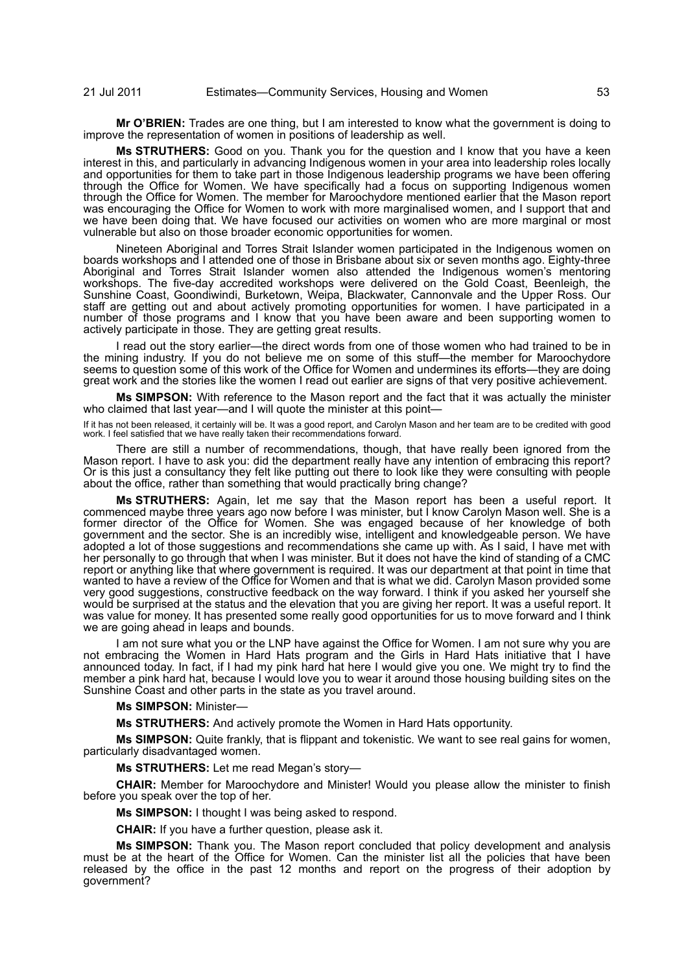**Mr O'BRIEN:** Trades are one thing, but I am interested to know what the government is doing to improve the representation of women in positions of leadership as well.

**Ms STRUTHERS:** Good on you. Thank you for the question and I know that you have a keen interest in this, and particularly in advancing Indigenous women in your area into leadership roles locally and opportunities for them to take part in those Indigenous leadership programs we have been offering through the Office for Women. We have specifically had a focus on supporting Indigenous women through the Office for Women. The member for Maroochydore mentioned earlier that the Mason report was encouraging the Office for Women to work with more marginalised women, and I support that and we have been doing that. We have focused our activities on women who are more marginal or most vulnerable but also on those broader economic opportunities for women.

Nineteen Aboriginal and Torres Strait Islander women participated in the Indigenous women on boards workshops and I attended one of those in Brisbane about six or seven months ago. Eighty-three Aboriginal and Torres Strait Islander women also attended the Indigenous women's mentoring workshops. The five-day accredited workshops were delivered on the Gold Coast, Beenleigh, the Sunshine Coast, Goondiwindi, Burketown, Weipa, Blackwater, Cannonvale and the Upper Ross. Our staff are getting out and about actively promoting opportunities for women. I have participated in a number of those programs and I know that you have been aware and been supporting women to actively participate in those. They are getting great results.

I read out the story earlier—the direct words from one of those women who had trained to be in the mining industry. If you do not believe me on some of this stuff—the member for Maroochydore seems to question some of this work of the Office for Women and undermines its efforts—they are doing great work and the stories like the women I read out earlier are signs of that very positive achievement.

**Ms SIMPSON:** With reference to the Mason report and the fact that it was actually the minister who claimed that last year—and I will quote the minister at this point—

If it has not been released, it certainly will be. It was a good report, and Carolyn Mason and her team are to be credited with good work. I feel satisfied that we have really taken their recommendations forward.

There are still a number of recommendations, though, that have really been ignored from the Mason report. I have to ask you: did the department really have any intention of embracing this report? Or is this just a consultancy they felt like putting out there to look like they were consulting with people about the office, rather than something that would practically bring change?

**Ms STRUTHERS:** Again, let me say that the Mason report has been a useful report. It commenced maybe three years ago now before I was minister, but I know Carolyn Mason well. She is a former director of the Office for Women. She was engaged because of her knowledge of both government and the sector. She is an incredibly wise, intelligent and knowledgeable person. We have adopted a lot of those suggestions and recommendations she came up with. As I said, I have met with her personally to go through that when I was minister. But it does not have the kind of standing of a CMC report or anything like that where government is required. It was our department at that point in time that wanted to have a review of the Office for Women and that is what we did. Carolyn Mason provided some very good suggestions, constructive feedback on the way forward. I think if you asked her yourself she would be surprised at the status and the elevation that you are giving her report. It was a useful report. It was value for money. It has presented some really good opportunities for us to move forward and I think we are going ahead in leaps and bounds.

I am not sure what you or the LNP have against the Office for Women. I am not sure why you are not embracing the Women in Hard Hats program and the Girls in Hard Hats initiative that I have announced today. In fact, if I had my pink hard hat here I would give you one. We might try to find the member a pink hard hat, because I would love you to wear it around those housing building sites on the Sunshine Coast and other parts in the state as you travel around.

#### **Ms SIMPSON:** Minister—

**Ms STRUTHERS:** And actively promote the Women in Hard Hats opportunity.

**Ms SIMPSON:** Quite frankly, that is flippant and tokenistic. We want to see real gains for women, particularly disadvantaged women.

**Ms STRUTHERS:** Let me read Megan's story—

**CHAIR:** Member for Maroochydore and Minister! Would you please allow the minister to finish before you speak over the top of her.

**Ms SIMPSON:** I thought I was being asked to respond.

**CHAIR:** If you have a further question, please ask it.

**Ms SIMPSON:** Thank you. The Mason report concluded that policy development and analysis must be at the heart of the Office for Women. Can the minister list all the policies that have been released by the office in the past 12 months and report on the progress of their adoption by government?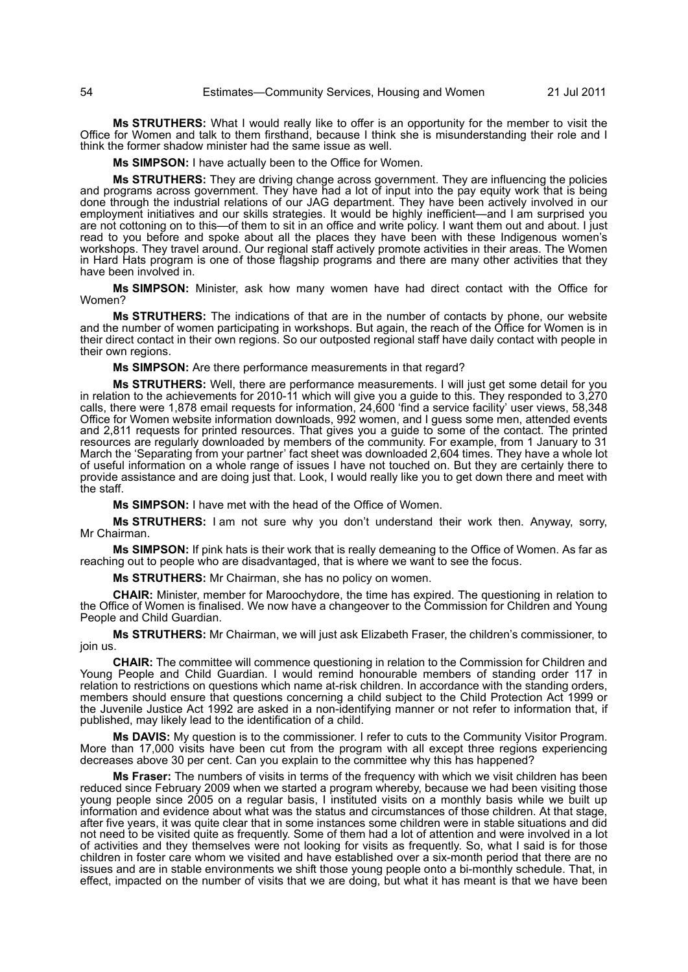**Ms STRUTHERS:** What I would really like to offer is an opportunity for the member to visit the Office for Women and talk to them firsthand, because I think she is misunderstanding their role and I think the former shadow minister had the same issue as well.

**Ms SIMPSON:** I have actually been to the Office for Women.

**Ms STRUTHERS:** They are driving change across government. They are influencing the policies and programs across government. They have had a lot of input into the pay equity work that is being done through the industrial relations of our JAG department. They have been actively involved in our employment initiatives and our skills strategies. It would be highly inefficient—and I am surprised you are not cottoning on to this—of them to sit in an office and write policy. I want them out and about. I just read to you before and spoke about all the places they have been with these Indigenous women's workshops. They travel around. Our regional staff actively promote activities in their areas. The Women in Hard Hats program is one of those flagship programs and there are many other activities that they have been involved in.

**Ms SIMPSON:** Minister, ask how many women have had direct contact with the Office for Women?

**Ms STRUTHERS:** The indications of that are in the number of contacts by phone, our website and the number of women participating in workshops. But again, the reach of the Office for Women is in their direct contact in their own regions. So our outposted regional staff have daily contact with people in their own regions.

**Ms SIMPSON:** Are there performance measurements in that regard?

**Ms STRUTHERS:** Well, there are performance measurements. I will just get some detail for you in relation to the achievements for 2010-11 which will give you a guide to this. They responded to 3,270 calls, there were 1,878 email requests for information, 24,600 'find a service facility' user views, 58,348 Office for Women website information downloads, 992 women, and I guess some men, attended events and 2,811 requests for printed resources. That gives you a guide to some of the contact. The printed resources are regularly downloaded by members of the community. For example, from 1 January to 31 March the 'Separating from your partner' fact sheet was downloaded 2,604 times. They have a whole lot of useful information on a whole range of issues I have not touched on. But they are certainly there to provide assistance and are doing just that. Look, I would really like you to get down there and meet with the staff.

**Ms SIMPSON:** I have met with the head of the Office of Women.

**Ms STRUTHERS:** I am not sure why you don't understand their work then. Anyway, sorry, Mr Chairman.

**Ms SIMPSON:** If pink hats is their work that is really demeaning to the Office of Women. As far as reaching out to people who are disadvantaged, that is where we want to see the focus.

**Ms STRUTHERS:** Mr Chairman, she has no policy on women.

**CHAIR:** Minister, member for Maroochydore, the time has expired. The questioning in relation to the Office of Women is finalised. We now have a changeover to the Commission for Children and Young People and Child Guardian.

**Ms STRUTHERS:** Mr Chairman, we will just ask Elizabeth Fraser, the children's commissioner, to join us.

**CHAIR:** The committee will commence questioning in relation to the Commission for Children and Young People and Child Guardian. I would remind honourable members of standing order 117 in relation to restrictions on questions which name at-risk children. In accordance with the standing orders, members should ensure that questions concerning a child subject to the Child Protection Act 1999 or the Juvenile Justice Act 1992 are asked in a non-identifying manner or not refer to information that, if published, may likely lead to the identification of a child.

**Ms DAVIS:** My question is to the commissioner. I refer to cuts to the Community Visitor Program. More than 17,000 visits have been cut from the program with all except three regions experiencing decreases above 30 per cent. Can you explain to the committee why this has happened?

**Ms Fraser:** The numbers of visits in terms of the frequency with which we visit children has been reduced since February 2009 when we started a program whereby, because we had been visiting those young people since 2005 on a regular basis, I instituted visits on a monthly basis while we built up information and evidence about what was the status and circumstances of those children. At that stage, after five years, it was quite clear that in some instances some children were in stable situations and did not need to be visited quite as frequently. Some of them had a lot of attention and were involved in a lot of activities and they themselves were not looking for visits as frequently. So, what I said is for those children in foster care whom we visited and have established over a six-month period that there are no issues and are in stable environments we shift those young people onto a bi-monthly schedule. That, in effect, impacted on the number of visits that we are doing, but what it has meant is that we have been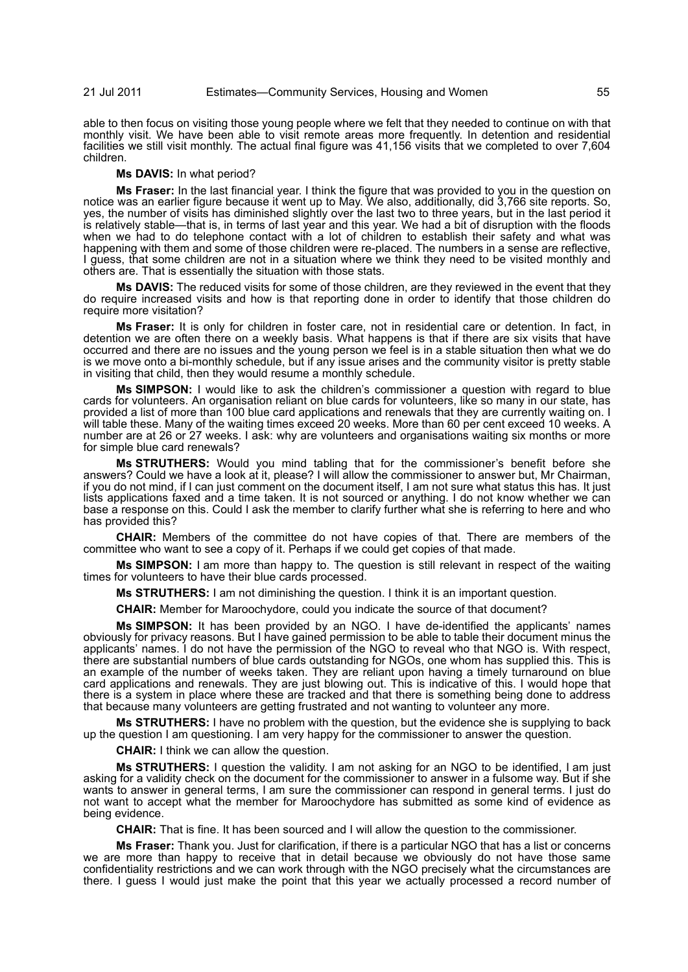able to then focus on visiting those young people where we felt that they needed to continue on with that monthly visit. We have been able to visit remote areas more frequently. In detention and residential facilities we still visit monthly. The actual final figure was 41,156 visits that we completed to over 7,604 children.

#### **Ms DAVIS:** In what period?

**Ms Fraser:** In the last financial year. I think the figure that was provided to you in the question on notice was an earlier figure because it went up to May. We also, additionally, did 3,766 site reports. So, yes, the number of visits has diminished slightly over the last two to three years, but in the last period it is relatively stable—that is, in terms of last year and this year. We had a bit of disruption with the floods when we had to do telephone contact with a lot of children to establish their safety and what was happening with them and some of those children were re-placed. The numbers in a sense are reflective, I guess, that some children are not in a situation where we think they need to be visited monthly and others are. That is essentially the situation with those stats.

**Ms DAVIS:** The reduced visits for some of those children, are they reviewed in the event that they do require increased visits and how is that reporting done in order to identify that those children do require more visitation?

**Ms Fraser:** It is only for children in foster care, not in residential care or detention. In fact, in detention we are often there on a weekly basis. What happens is that if there are six visits that have occurred and there are no issues and the young person we feel is in a stable situation then what we do is we move onto a bi-monthly schedule, but if any issue arises and the community visitor is pretty stable in visiting that child, then they would resume a monthly schedule.

**Ms SIMPSON:** I would like to ask the children's commissioner a question with regard to blue cards for volunteers. An organisation reliant on blue cards for volunteers, like so many in our state, has provided a list of more than 100 blue card applications and renewals that they are currently waiting on. I will table these. Many of the waiting times exceed 20 weeks. More than 60 per cent exceed 10 weeks. A number are at 26 or 27 weeks. I ask: why are volunteers and organisations waiting six months or more for simple blue card renewals?

**Ms STRUTHERS:** Would you mind tabling that for the commissioner's benefit before she answers? Could we have a look at it, please? I will allow the commissioner to answer but, Mr Chairman, if you do not mind, if I can just comment on the document itself, I am not sure what status this has. It just lists applications faxed and a time taken. It is not sourced or anything. I do not know whether we can base a response on this. Could I ask the member to clarify further what she is referring to here and who has provided this?

**CHAIR:** Members of the committee do not have copies of that. There are members of the committee who want to see a copy of it. Perhaps if we could get copies of that made.

**Ms SIMPSON:** I am more than happy to. The question is still relevant in respect of the waiting times for volunteers to have their blue cards processed.

**Ms STRUTHERS:** I am not diminishing the question. I think it is an important question.

**CHAIR:** Member for Maroochydore, could you indicate the source of that document?

**Ms SIMPSON:** It has been provided by an NGO. I have de-identified the applicants' names obviously for privacy reasons. But I have gained permission to be able to table their document minus the applicants' names. I do not have the permission of the NGO to reveal who that NGO is. With respect, there are substantial numbers of blue cards outstanding for NGOs, one whom has supplied this. This is an example of the number of weeks taken. They are reliant upon having a timely turnaround on blue card applications and renewals. They are just blowing out. This is indicative of this. I would hope that there is a system in place where these are tracked and that there is something being done to address that because many volunteers are getting frustrated and not wanting to volunteer any more.

**Ms STRUTHERS:** I have no problem with the question, but the evidence she is supplying to back up the question I am questioning. I am very happy for the commissioner to answer the question.

**CHAIR:** I think we can allow the question.

**Ms STRUTHERS:** I question the validity. I am not asking for an NGO to be identified, I am just asking for a validity check on the document for the commissioner to answer in a fulsome way. But if she wants to answer in general terms, I am sure the commissioner can respond in general terms. I just do not want to accept what the member for Maroochydore has submitted as some kind of evidence as being evidence.

**CHAIR:** That is fine. It has been sourced and I will allow the question to the commissioner.

**Ms Fraser:** Thank you. Just for clarification, if there is a particular NGO that has a list or concerns we are more than happy to receive that in detail because we obviously do not have those same confidentiality restrictions and we can work through with the NGO precisely what the circumstances are there. I guess I would just make the point that this year we actually processed a record number of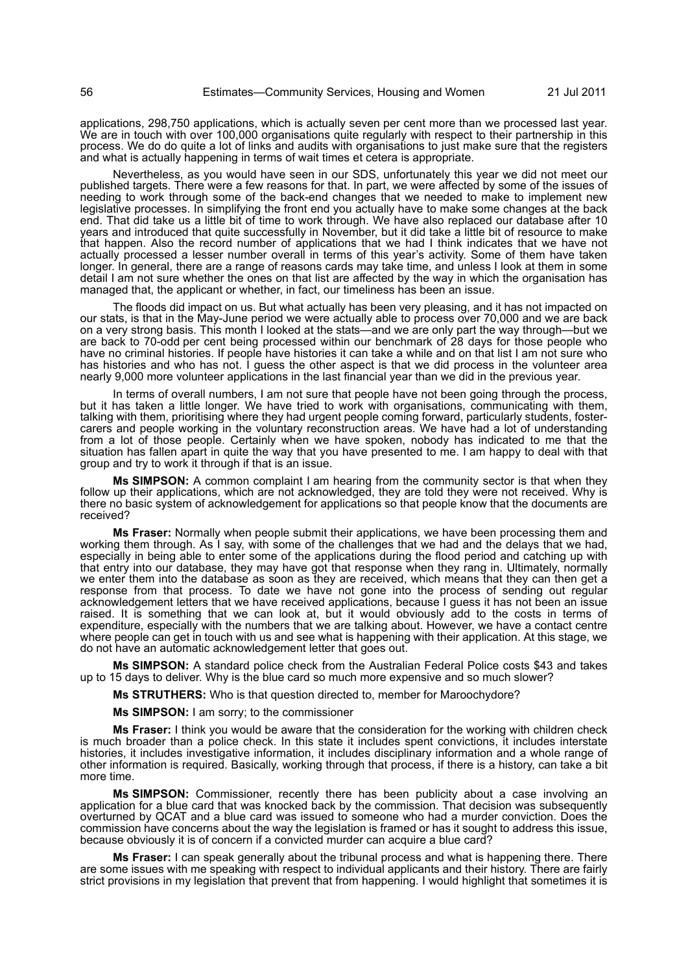applications, 298,750 applications, which is actually seven per cent more than we processed last year. We are in touch with over 100,000 organisations quite regularly with respect to their partnership in this process. We do do quite a lot of links and audits with organisations to just make sure that the registers and what is actually happening in terms of wait times et cetera is appropriate.

Nevertheless, as you would have seen in our SDS, unfortunately this year we did not meet our published targets. There were a few reasons for that. In part, we were affected by some of the issues of needing to work through some of the back-end changes that we needed to make to implement new legislative processes. In simplifying the front end you actually have to make some changes at the back end. That did take us a little bit of time to work through. We have also replaced our database after 10 years and introduced that quite successfully in November, but it did take a little bit of resource to make that happen. Also the record number of applications that we had I think indicates that we have not actually processed a lesser number overall in terms of this year's activity. Some of them have taken longer. In general, there are a range of reasons cards may take time, and unless I look at them in some detail I am not sure whether the ones on that list are affected by the way in which the organisation has managed that, the applicant or whether, in fact, our timeliness has been an issue.

The floods did impact on us. But what actually has been very pleasing, and it has not impacted on our stats, is that in the May-June period we were actually able to process over 70,000 and we are back on a very strong basis. This month I looked at the stats—and we are only part the way through—but we are back to 70-odd per cent being processed within our benchmark of 28 days for those people who have no criminal histories. If people have histories it can take a while and on that list I am not sure who has histories and who has not. I guess the other aspect is that we did process in the volunteer area nearly 9,000 more volunteer applications in the last financial year than we did in the previous year.

In terms of overall numbers, I am not sure that people have not been going through the process, but it has taken a little longer. We have tried to work with organisations, communicating with them, talking with them, prioritising where they had urgent people coming forward, particularly students, fostercarers and people working in the voluntary reconstruction areas. We have had a lot of understanding from a lot of those people. Certainly when we have spoken, nobody has indicated to me that the situation has fallen apart in quite the way that you have presented to me. I am happy to deal with that group and try to work it through if that is an issue.

**Ms SIMPSON:** A common complaint I am hearing from the community sector is that when they follow up their applications, which are not acknowledged, they are told they were not received. Why is there no basic system of acknowledgement for applications so that people know that the documents are received?

**Ms Fraser:** Normally when people submit their applications, we have been processing them and working them through. As I say, with some of the challenges that we had and the delays that we had, especially in being able to enter some of the applications during the flood period and catching up with that entry into our database, they may have got that response when they rang in. Ultimately, normally we enter them into the database as soon as they are received, which means that they can then get a response from that process. To date we have not gone into the process of sending out regular acknowledgement letters that we have received applications, because I guess it has not been an issue raised. It is something that we can look at, but it would obviously add to the costs in terms of expenditure, especially with the numbers that we are talking about. However, we have a contact centre where people can get in touch with us and see what is happening with their application. At this stage, we do not have an automatic acknowledgement letter that goes out.

**Ms SIMPSON:** A standard police check from the Australian Federal Police costs \$43 and takes up to 15 days to deliver. Why is the blue card so much more expensive and so much slower?

**Ms STRUTHERS:** Who is that question directed to, member for Maroochydore?

**Ms SIMPSON:** I am sorry; to the commissioner

**Ms Fraser:** I think you would be aware that the consideration for the working with children check is much broader than a police check. In this state it includes spent convictions, it includes interstate histories, it includes investigative information, it includes disciplinary information and a whole range of other information is required. Basically, working through that process, if there is a history, can take a bit more time.

**Ms SIMPSON:** Commissioner, recently there has been publicity about a case involving an application for a blue card that was knocked back by the commission. That decision was subsequently overturned by QCAT and a blue card was issued to someone who had a murder conviction. Does the commission have concerns about the way the legislation is framed or has it sought to address this issue, because obviously it is of concern if a convicted murder can acquire a blue card?

**Ms Fraser:** I can speak generally about the tribunal process and what is happening there. There are some issues with me speaking with respect to individual applicants and their history. There are fairly strict provisions in my legislation that prevent that from happening. I would highlight that sometimes it is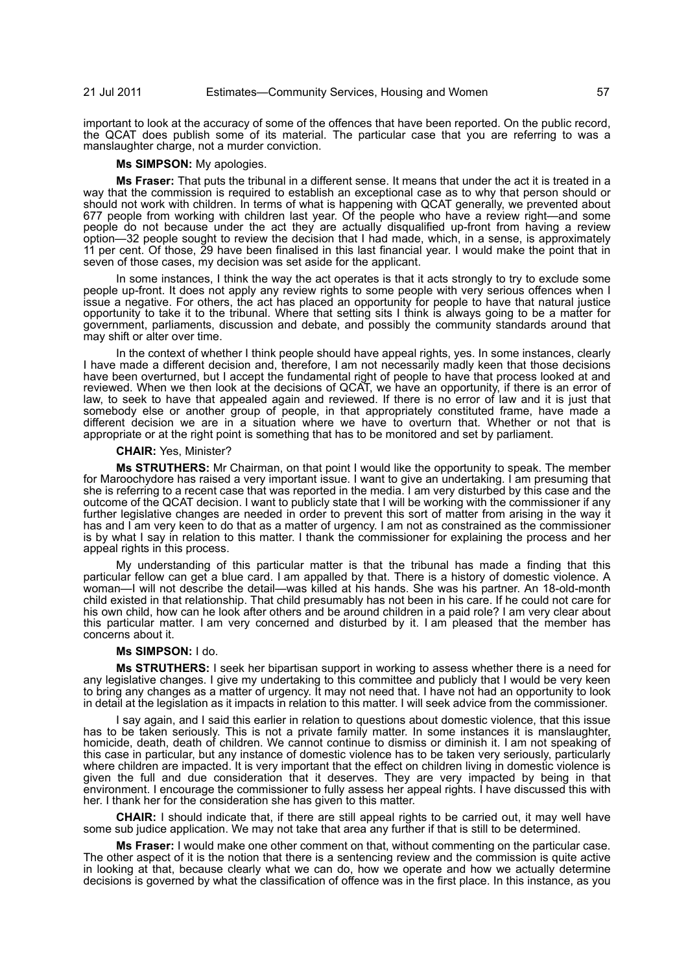important to look at the accuracy of some of the offences that have been reported. On the public record, the QCAT does publish some of its material. The particular case that you are referring to was a manslaughter charge, not a murder conviction.

#### **Ms SIMPSON:** My apologies.

**Ms Fraser:** That puts the tribunal in a different sense. It means that under the act it is treated in a way that the commission is required to establish an exceptional case as to why that person should or should not work with children. In terms of what is happening with QCAT generally, we prevented about 677 people from working with children last year. Of the people who have a review right—and some people do not because under the act they are actually disqualified up-front from having a review option—32 people sought to review the decision that I had made, which, in a sense, is approximately 11 per cent. Of those, 29 have been finalised in this last financial year. I would make the point that in seven of those cases, my decision was set aside for the applicant.

In some instances, I think the way the act operates is that it acts strongly to try to exclude some people up-front. It does not apply any review rights to some people with very serious offences when I issue a negative. For others, the act has placed an opportunity for people to have that natural justice opportunity to take it to the tribunal. Where that setting sits I think is always going to be a matter for government, parliaments, discussion and debate, and possibly the community standards around that may shift or alter over time.

In the context of whether I think people should have appeal rights, yes. In some instances, clearly I have made a different decision and, therefore, I am not necessarily madly keen that those decisions have been overturned, but I accept the fundamental right of people to have that process looked at and reviewed. When we then look at the decisions of QCAT, we have an opportunity, if there is an error of law, to seek to have that appealed again and reviewed. If there is no error of law and it is just that somebody else or another group of people, in that appropriately constituted frame, have made a different decision we are in a situation where we have to overturn that. Whether or not that is appropriate or at the right point is something that has to be monitored and set by parliament.

## **CHAIR:** Yes, Minister?

**Ms STRUTHERS:** Mr Chairman, on that point I would like the opportunity to speak. The member for Maroochydore has raised a very important issue. I want to give an undertaking. I am presuming that she is referring to a recent case that was reported in the media. I am very disturbed by this case and the outcome of the QCAT decision. I want to publicly state that I will be working with the commissioner if any further legislative changes are needed in order to prevent this sort of matter from arising in the way it has and I am very keen to do that as a matter of urgency. I am not as constrained as the commissioner is by what I say in relation to this matter. I thank the commissioner for explaining the process and her appeal rights in this process.

My understanding of this particular matter is that the tribunal has made a finding that this particular fellow can get a blue card. I am appalled by that. There is a history of domestic violence. A woman—I will not describe the detail—was killed at his hands. She was his partner. An 18-old-month child existed in that relationship. That child presumably has not been in his care. If he could not care for his own child, how can he look after others and be around children in a paid role? I am very clear about this particular matter. I am very concerned and disturbed by it. I am pleased that the member has concerns about it.

# **Ms SIMPSON:** I do.

**Ms STRUTHERS:** I seek her bipartisan support in working to assess whether there is a need for any legislative changes. I give my undertaking to this committee and publicly that I would be very keen to bring any changes as a matter of urgency. It may not need that. I have not had an opportunity to look in detail at the legislation as it impacts in relation to this matter. I will seek advice from the commissioner.

I say again, and I said this earlier in relation to questions about domestic violence, that this issue has to be taken seriously. This is not a private family matter. In some instances it is manslaughter, homicide, death, death of children. We cannot continue to dismiss or diminish it. I am not speaking of this case in particular, but any instance of domestic violence has to be taken very seriously, particularly where children are impacted. It is very important that the effect on children living in domestic violence is given the full and due consideration that it deserves. They are very impacted by being in that environment. I encourage the commissioner to fully assess her appeal rights. I have discussed this with her. I thank her for the consideration she has given to this matter.

**CHAIR:** I should indicate that, if there are still appeal rights to be carried out, it may well have some sub judice application. We may not take that area any further if that is still to be determined.

**Ms Fraser:** I would make one other comment on that, without commenting on the particular case. The other aspect of it is the notion that there is a sentencing review and the commission is quite active in looking at that, because clearly what we can do, how we operate and how we actually determine decisions is governed by what the classification of offence was in the first place. In this instance, as you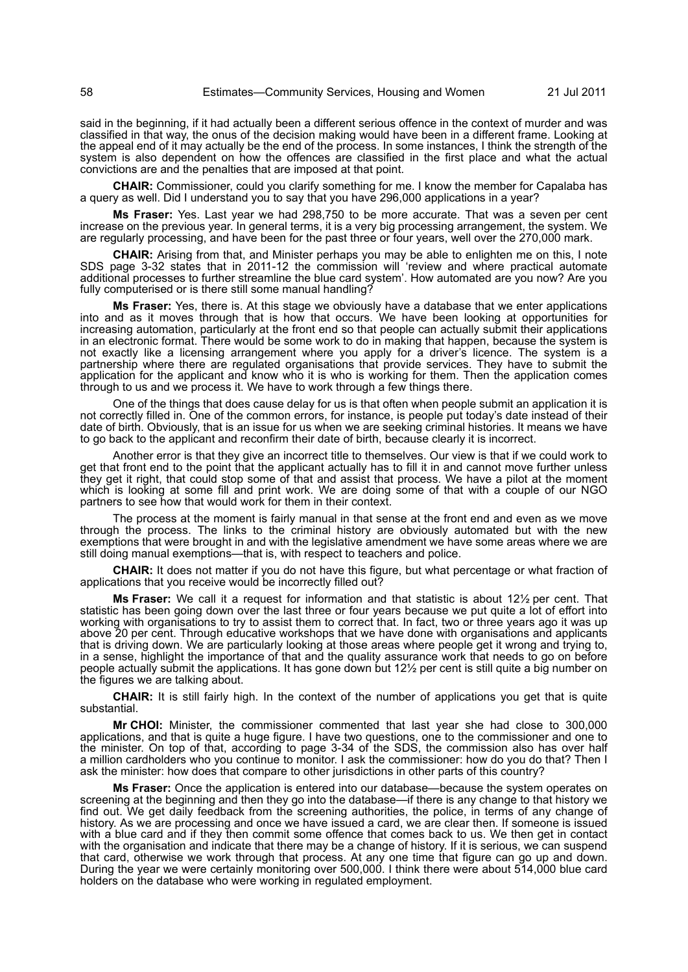said in the beginning, if it had actually been a different serious offence in the context of murder and was classified in that way, the onus of the decision making would have been in a different frame. Looking at the appeal end of it may actually be the end of the process. In some instances, I think the strength of the system is also dependent on how the offences are classified in the first place and what the actual convictions are and the penalties that are imposed at that point.

**CHAIR:** Commissioner, could you clarify something for me. I know the member for Capalaba has a query as well. Did I understand you to say that you have 296,000 applications in a year?

**Ms Fraser:** Yes. Last year we had 298,750 to be more accurate. That was a seven per cent increase on the previous year. In general terms, it is a very big processing arrangement, the system. We are regularly processing, and have been for the past three or four years, well over the 270,000 mark.

**CHAIR:** Arising from that, and Minister perhaps you may be able to enlighten me on this, I note SDS page 3-32 states that in 2011-12 the commission will 'review and where practical automate additional processes to further streamline the blue card system'. How automated are you now? Are you fully computerised or is there still some manual handling?

**Ms Fraser:** Yes, there is. At this stage we obviously have a database that we enter applications into and as it moves through that is how that occurs. We have been looking at opportunities for increasing automation, particularly at the front end so that people can actually submit their applications in an electronic format. There would be some work to do in making that happen, because the system is not exactly like a licensing arrangement where you apply for a driver's licence. The system is a partnership where there are regulated organisations that provide services. They have to submit the application for the applicant and know who it is who is working for them. Then the application comes through to us and we process it. We have to work through a few things there.

One of the things that does cause delay for us is that often when people submit an application it is not correctly filled in. One of the common errors, for instance, is people put today's date instead of their date of birth. Obviously, that is an issue for us when we are seeking criminal histories. It means we have to go back to the applicant and reconfirm their date of birth, because clearly it is incorrect.

Another error is that they give an incorrect title to themselves. Our view is that if we could work to get that front end to the point that the applicant actually has to fill it in and cannot move further unless they get it right, that could stop some of that and assist that process. We have a pilot at the moment which is looking at some fill and print work. We are doing some of that with a couple of our NGO partners to see how that would work for them in their context.

The process at the moment is fairly manual in that sense at the front end and even as we move through the process. The links to the criminal history are obviously automated but with the new exemptions that were brought in and with the legislative amendment we have some areas where we are still doing manual exemptions—that is, with respect to teachers and police.

**CHAIR:** It does not matter if you do not have this figure, but what percentage or what fraction of applications that you receive would be incorrectly filled out?

**Ms Fraser:** We call it a request for information and that statistic is about 12½ per cent. That statistic has been going down over the last three or four years because we put quite a lot of effort into working with organisations to try to assist them to correct that. In fact, two or three years ago it was up above 20 per cent. Through educative workshops that we have done with organisations and applicants that is driving down. We are particularly looking at those areas where people get it wrong and trying to, in a sense, highlight the importance of that and the quality assurance work that needs to go on before people actually submit the applications. It has gone down but 121/2 per cent is still quite a big number on the figures we are talking about.

**CHAIR:** It is still fairly high. In the context of the number of applications you get that is quite substantial.

**Mr CHOI:** Minister, the commissioner commented that last year she had close to 300,000 applications, and that is quite a huge figure. I have two questions, one to the commissioner and one to the minister. On top of that, according to page 3-34 of the SDS, the commission also has over half a million cardholders who you continue to monitor. I ask the commissioner: how do you do that? Then I ask the minister: how does that compare to other jurisdictions in other parts of this country?

**Ms Fraser:** Once the application is entered into our database—because the system operates on screening at the beginning and then they go into the database—if there is any change to that history we find out. We get daily feedback from the screening authorities, the police, in terms of any change of history. As we are processing and once we have issued a card, we are clear then. If someone is issued with a blue card and if they then commit some offence that comes back to us. We then get in contact with the organisation and indicate that there may be a change of history. If it is serious, we can suspend that card, otherwise we work through that process. At any one time that figure can go up and down. During the year we were certainly monitoring over 500,000. I think there were about 514,000 blue card holders on the database who were working in regulated employment.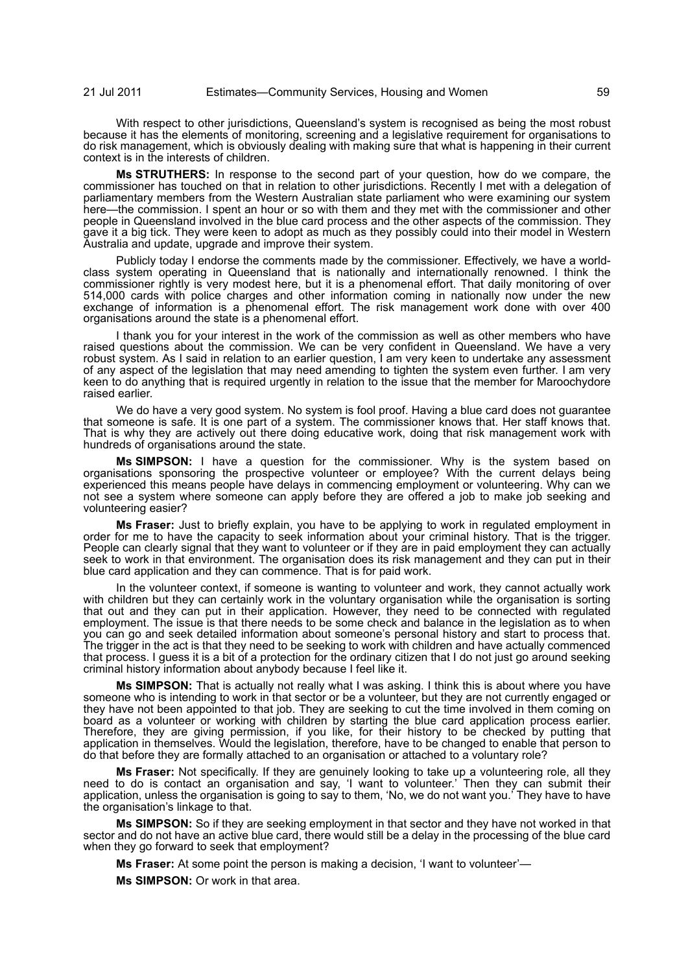With respect to other jurisdictions, Queensland's system is recognised as being the most robust because it has the elements of monitoring, screening and a legislative requirement for organisations to do risk management, which is obviously dealing with making sure that what is happening in their current context is in the interests of children.

**Ms STRUTHERS:** In response to the second part of your question, how do we compare, the commissioner has touched on that in relation to other jurisdictions. Recently I met with a delegation of parliamentary members from the Western Australian state parliament who were examining our system here—the commission. I spent an hour or so with them and they met with the commissioner and other people in Queensland involved in the blue card process and the other aspects of the commission. They gave it a big tick. They were keen to adopt as much as they possibly could into their model in Western Australia and update, upgrade and improve their system.

Publicly today I endorse the comments made by the commissioner. Effectively, we have a worldclass system operating in Queensland that is nationally and internationally renowned. I think the commissioner rightly is very modest here, but it is a phenomenal effort. That daily monitoring of over 514,000 cards with police charges and other information coming in nationally now under the new exchange of information is a phenomenal effort. The risk management work done with over 400 organisations around the state is a phenomenal effort.

I thank you for your interest in the work of the commission as well as other members who have raised questions about the commission. We can be very confident in Queensland. We have a very robust system. As I said in relation to an earlier question, I am very keen to undertake any assessment of any aspect of the legislation that may need amending to tighten the system even further. I am very keen to do anything that is required urgently in relation to the issue that the member for Maroochydore raised earlier.

We do have a very good system. No system is fool proof. Having a blue card does not guarantee that someone is safe. It is one part of a system. The commissioner knows that. Her staff knows that. That is why they are actively out there doing educative work, doing that risk management work with hundreds of organisations around the state.

**Ms SIMPSON:** I have a question for the commissioner. Why is the system based on organisations sponsoring the prospective volunteer or employee? With the current delays being experienced this means people have delays in commencing employment or volunteering. Why can we not see a system where someone can apply before they are offered a job to make job seeking and volunteering easier?

**Ms Fraser:** Just to briefly explain, you have to be applying to work in regulated employment in order for me to have the capacity to seek information about your criminal history. That is the trigger. People can clearly signal that they want to volunteer or if they are in paid employment they can actually seek to work in that environment. The organisation does its risk management and they can put in their blue card application and they can commence. That is for paid work.

In the volunteer context, if someone is wanting to volunteer and work, they cannot actually work with children but they can certainly work in the voluntary organisation while the organisation is sorting that out and they can put in their application. However, they need to be connected with regulated employment. The issue is that there needs to be some check and balance in the legislation as to when you can go and seek detailed information about someone's personal history and start to process that. The trigger in the act is that they need to be seeking to work with children and have actually commenced that process. I guess it is a bit of a protection for the ordinary citizen that I do not just go around seeking criminal history information about anybody because I feel like it.

**Ms SIMPSON:** That is actually not really what I was asking. I think this is about where you have someone who is intending to work in that sector or be a volunteer, but they are not currently engaged or they have not been appointed to that job. They are seeking to cut the time involved in them coming on board as a volunteer or working with children by starting the blue card application process earlier. Therefore, they are giving permission, if you like, for their history to be checked by putting that application in themselves. Would the legislation, therefore, have to be changed to enable that person to do that before they are formally attached to an organisation or attached to a voluntary role?

**Ms Fraser:** Not specifically. If they are genuinely looking to take up a volunteering role, all they need to do is contact an organisation and say, 'I want to volunteer.' Then they can submit their application, unless the organisation is going to say to them, 'No, we do not want you.' They have to have the organisation's linkage to that.

**Ms SIMPSON:** So if they are seeking employment in that sector and they have not worked in that sector and do not have an active blue card, there would still be a delay in the processing of the blue card when they go forward to seek that employment?

**Ms Fraser:** At some point the person is making a decision, 'I want to volunteer'—

**Ms SIMPSON:** Or work in that area.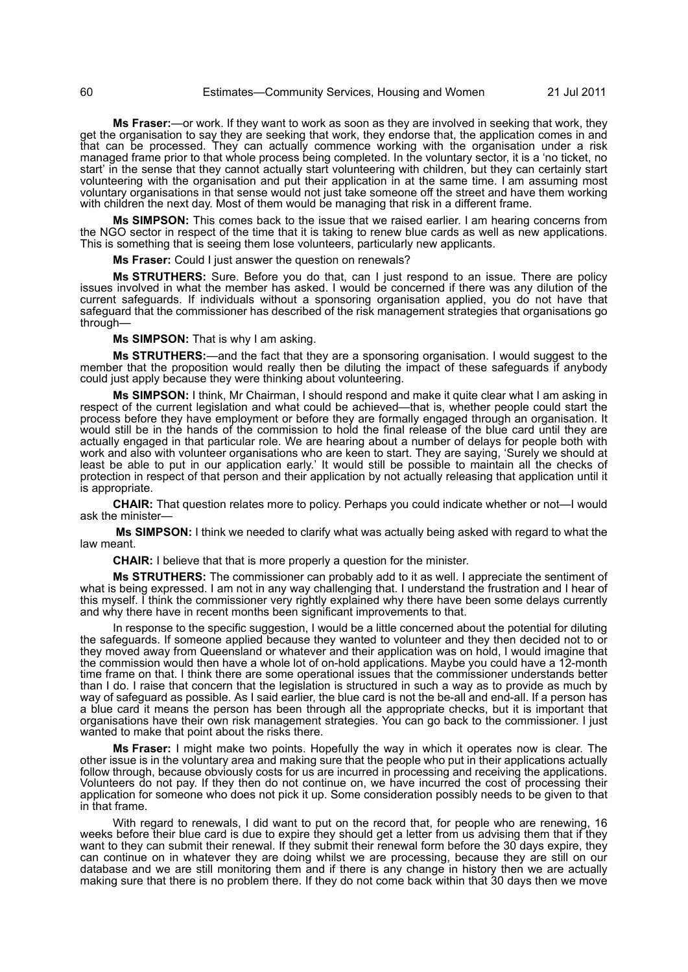**Ms Fraser:**—or work. If they want to work as soon as they are involved in seeking that work, they get the organisation to say they are seeking that work, they endorse that, the application comes in and that can be processed. They can actually commence working with the organisation under a risk managed frame prior to that whole process being completed. In the voluntary sector, it is a 'no ticket, no start' in the sense that they cannot actually start volunteering with children, but they can certainly start volunteering with the organisation and put their application in at the same time. I am assuming most voluntary organisations in that sense would not just take someone off the street and have them working with children the next day. Most of them would be managing that risk in a different frame.

**Ms SIMPSON:** This comes back to the issue that we raised earlier. I am hearing concerns from the NGO sector in respect of the time that it is taking to renew blue cards as well as new applications. This is something that is seeing them lose volunteers, particularly new applicants.

**Ms Fraser:** Could I just answer the question on renewals?

**Ms STRUTHERS:** Sure. Before you do that, can I just respond to an issue. There are policy issues involved in what the member has asked. I would be concerned if there was any dilution of the current safeguards. If individuals without a sponsoring organisation applied, you do not have that safeguard that the commissioner has described of the risk management strategies that organisations go through—

**Ms SIMPSON:** That is why I am asking.

**Ms STRUTHERS:**—and the fact that they are a sponsoring organisation. I would suggest to the member that the proposition would really then be diluting the impact of these safeguards if anybody could just apply because they were thinking about volunteering.

**Ms SIMPSON:** I think, Mr Chairman, I should respond and make it quite clear what I am asking in respect of the current legislation and what could be achieved—that is, whether people could start the process before they have employment or before they are formally engaged through an organisation. It would still be in the hands of the commission to hold the final release of the blue card until they are actually engaged in that particular role. We are hearing about a number of delays for people both with work and also with volunteer organisations who are keen to start. They are saying, 'Surely we should at least be able to put in our application early.' It would still be possible to maintain all the checks of protection in respect of that person and their application by not actually releasing that application until it is appropriate.

**CHAIR:** That question relates more to policy. Perhaps you could indicate whether or not—I would ask the minister-

**Ms SIMPSON:** I think we needed to clarify what was actually being asked with regard to what the law meant.

**CHAIR:** I believe that that is more properly a question for the minister.

**Ms STRUTHERS:** The commissioner can probably add to it as well. I appreciate the sentiment of what is being expressed. I am not in any way challenging that. I understand the frustration and I hear of this myself. I think the commissioner very rightly explained why there have been some delays currently and why there have in recent months been significant improvements to that.

In response to the specific suggestion, I would be a little concerned about the potential for diluting the safeguards. If someone applied because they wanted to volunteer and they then decided not to or they moved away from Queensland or whatever and their application was on hold, I would imagine that the commission would then have a whole lot of on-hold applications. Maybe you could have a 12-month time frame on that. I think there are some operational issues that the commissioner understands better than I do. I raise that concern that the legislation is structured in such a way as to provide as much by way of safeguard as possible. As I said earlier, the blue card is not the be-all and end-all. If a person has a blue card it means the person has been through all the appropriate checks, but it is important that organisations have their own risk management strategies. You can go back to the commissioner. I just wanted to make that point about the risks there.

**Ms Fraser:** I might make two points. Hopefully the way in which it operates now is clear. The other issue is in the voluntary area and making sure that the people who put in their applications actually follow through, because obviously costs for us are incurred in processing and receiving the applications. Volunteers do not pay. If they then do not continue on, we have incurred the cost of processing their application for someone who does not pick it up. Some consideration possibly needs to be given to that in that frame.

With regard to renewals, I did want to put on the record that, for people who are renewing, 16 weeks before their blue card is due to expire they should get a letter from us advising them that if they want to they can submit their renewal. If they submit their renewal form before the 30 days expire, they can continue on in whatever they are doing whilst we are processing, because they are still on our database and we are still monitoring them and if there is any change in history then we are actually making sure that there is no problem there. If they do not come back within that 30 days then we move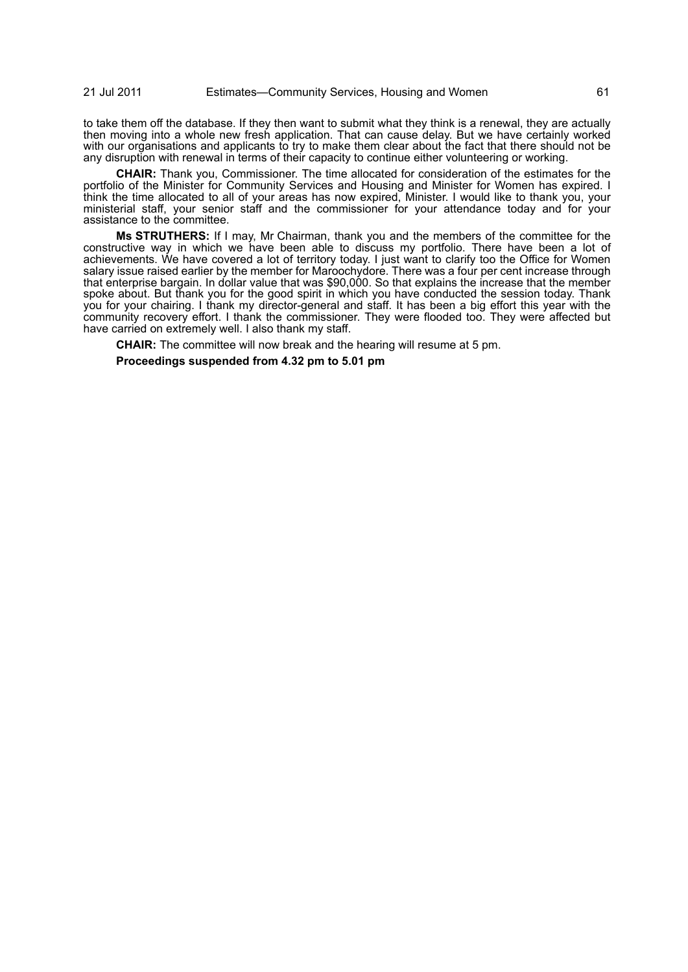21 Jul 2011 Estimates—Community Services, Housing and Women 61

to take them off the database. If they then want to submit what they think is a renewal, they are actually then moving into a whole new fresh application. That can cause delay. But we have certainly worked with our organisations and applicants to try to make them clear about the fact that there should not be any disruption with renewal in terms of their capacity to continue either volunteering or working.

**CHAIR:** Thank you, Commissioner. The time allocated for consideration of the estimates for the portfolio of the Minister for Community Services and Housing and Minister for Women has expired. I think the time allocated to all of your areas has now expired, Minister. I would like to thank you, your ministerial staff, your senior staff and the commissioner for your attendance today and for your assistance to the committee.

**Ms STRUTHERS:** If I may, Mr Chairman, thank you and the members of the committee for the constructive way in which we have been able to discuss my portfolio. There have been a lot of achievements. We have covered a lot of territory today. I just want to clarify too the Office for Women salary issue raised earlier by the member for Maroochydore. There was a four per cent increase through that enterprise bargain. In dollar value that was \$90,000. So that explains the increase that the member spoke about. But thank you for the good spirit in which you have conducted the session today. Thank you for your chairing. I thank my director-general and staff. It has been a big effort this year with the community recovery effort. I thank the commissioner. They were flooded too. They were affected but have carried on extremely well. I also thank my staff.

**CHAIR:** The committee will now break and the hearing will resume at 5 pm.

**Proceedings suspended from 4.32 pm to 5.01 pm**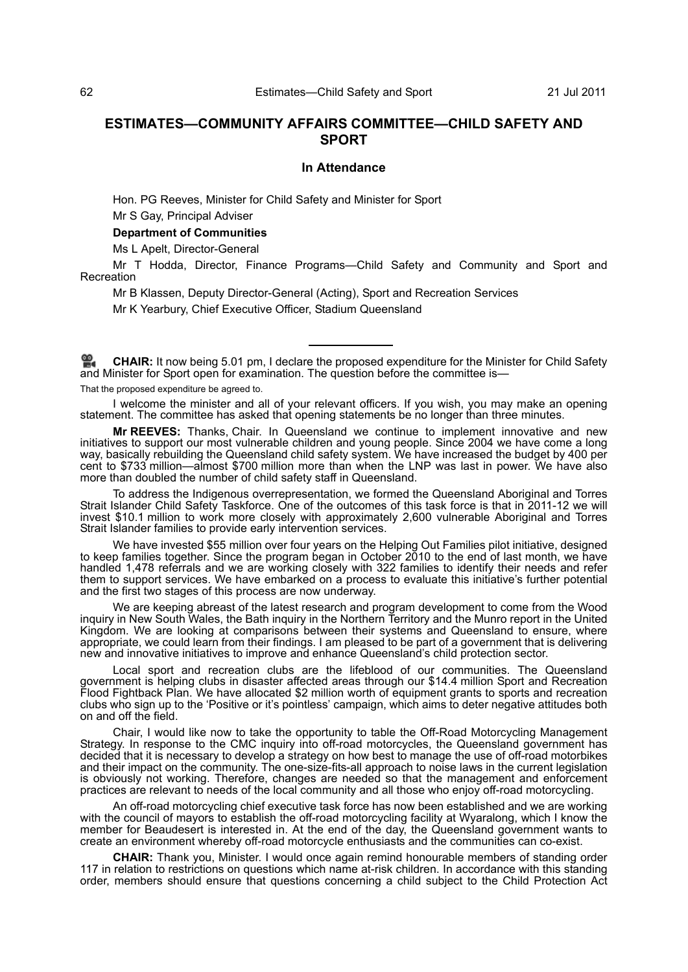# **ESTIMATES—COMMUNITY AFFAIRS COMMITTEE—CHILD SAFETY AND SPORT**

#### **In Attendance**

Hon. PG Reeves, Minister for Child Safety and Minister for Sport Mr S Gay, Principal Adviser

# **Department of Communities**

Ms L Apelt, Director-General

Mr T Hodda, Director, Finance Programs—Child Safety and Community and Sport and Recreation

Mr B Klassen, Deputy Director-General (Acting), Sport and Recreation Services Mr K Yearbury, Chief Executive Officer, Stadium Queensland

**[CHAIR:](http://www.parliament.qld.gov.au/docs/find.aspx?id=0Mba20110721_170248)** It now being 5.01 pm, I declare the proposed expenditure for the Minister for Child Safety [and](http://www.parliament.qld.gov.au/docs/find.aspx?id=0Mba20110721_170248) Minister for Sport open for examination. The question before the committee is—

That the proposed expenditure be agreed to.

I welcome the minister and all of your relevant officers. If you wish, you may make an opening statement. The committee has asked that opening statements be no longer than three minutes.

**Mr REEVES:** Thanks, Chair. In Queensland we continue to implement innovative and new initiatives to support our most vulnerable children and young people. Since 2004 we have come a long way, basically rebuilding the Queensland child safety system. We have increased the budget by 400 per cent to \$733 million—almost \$700 million more than when the LNP was last in power. We have also more than doubled the number of child safety staff in Queensland.

To address the Indigenous overrepresentation, we formed the Queensland Aboriginal and Torres Strait Islander Child Safety Taskforce. One of the outcomes of this task force is that in 2011-12 we will invest \$10.1 million to work more closely with approximately 2,600 vulnerable Aboriginal and Torres Strait Islander families to provide early intervention services.

We have invested \$55 million over four years on the Helping Out Families pilot initiative, designed to keep families together. Since the program began in October 2010 to the end of last month, we have handled 1,478 referrals and we are working closely with 322 families to identify their needs and refer them to support services. We have embarked on a process to evaluate this initiative's further potential and the first two stages of this process are now underway.

We are keeping abreast of the latest research and program development to come from the Wood inquiry in New South Wales, the Bath inquiry in the Northern Territory and the Munro report in the United Kingdom. We are looking at comparisons between their systems and Queensland to ensure, where appropriate, we could learn from their findings. I am pleased to be part of a government that is delivering new and innovative initiatives to improve and enhance Queensland's child protection sector.

Local sport and recreation clubs are the lifeblood of our communities. The Queensland government is helping clubs in disaster affected areas through our \$14.4 million Sport and Recreation Flood Fightback Plan. We have allocated \$2 million worth of equipment grants to sports and recreation clubs who sign up to the 'Positive or it's pointless' campaign, which aims to deter negative attitudes both on and off the field.

Chair, I would like now to take the opportunity to table the Off-Road Motorcycling Management Strategy. In response to the CMC inquiry into off-road motorcycles, the Queensland government has decided that it is necessary to develop a strategy on how best to manage the use of off-road motorbikes and their impact on the community. The one-size-fits-all approach to noise laws in the current legislation is obviously not working. Therefore, changes are needed so that the management and enforcement practices are relevant to needs of the local community and all those who enjoy off-road motorcycling.

An off-road motorcycling chief executive task force has now been established and we are working with the council of mayors to establish the off-road motorcycling facility at Wyaralong, which I know the member for Beaudesert is interested in. At the end of the day, the Queensland government wants to create an environment whereby off-road motorcycle enthusiasts and the communities can co-exist.

**CHAIR:** Thank you, Minister. I would once again remind honourable members of standing order 117 in relation to restrictions on questions which name at-risk children. In accordance with this standing order, members should ensure that questions concerning a child subject to the Child Protection Act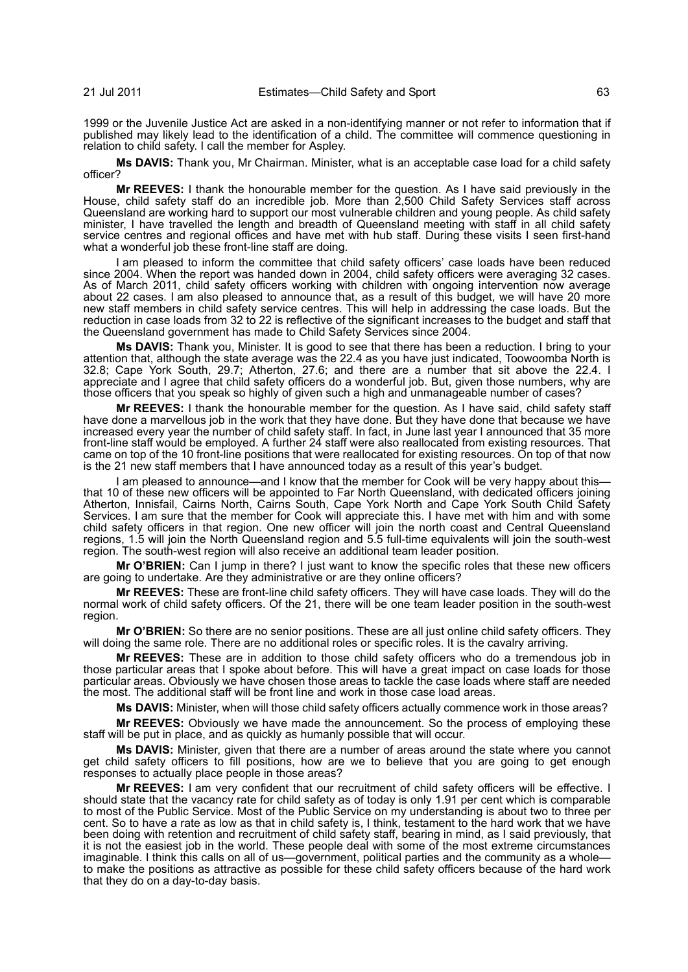1999 or the Juvenile Justice Act are asked in a non-identifying manner or not refer to information that if published may likely lead to the identification of a child. The committee will commence questioning in relation to child safety. I call the member for Aspley.

**Ms DAVIS:** Thank you, Mr Chairman. Minister, what is an acceptable case load for a child safety officer?

**Mr REEVES:** I thank the honourable member for the question. As I have said previously in the House, child safety staff do an incredible job. More than 2,500 Child Safety Services staff across Queensland are working hard to support our most vulnerable children and young people. As child safety minister, I have travelled the length and breadth of Queensland meeting with staff in all child safety service centres and regional offices and have met with hub staff. During these visits I seen first-hand what a wonderful job these front-line staff are doing.

I am pleased to inform the committee that child safety officers' case loads have been reduced since 2004. When the report was handed down in 2004, child safety officers were averaging 32 cases. As of March 2011, child safety officers working with children with ongoing intervention now average about 22 cases. I am also pleased to announce that, as a result of this budget, we will have 20 more new staff members in child safety service centres. This will help in addressing the case loads. But the reduction in case loads from 32 to 22 is reflective of the significant increases to the budget and staff that the Queensland government has made to Child Safety Services since 2004.

**Ms DAVIS:** Thank you, Minister. It is good to see that there has been a reduction. I bring to your attention that, although the state average was the 22.4 as you have just indicated, Toowoomba North is 32.8; Cape York South, 29.7; Atherton, 27.6; and there are a number that sit above the 22.4. I appreciate and I agree that child safety officers do a wonderful job. But, given those numbers, why are those officers that you speak so highly of given such a high and unmanageable number of cases?

**Mr REEVES:** I thank the honourable member for the question. As I have said, child safety staff have done a marvellous job in the work that they have done. But they have done that because we have increased every year the number of child safety staff. In fact, in June last year I announced that 35 more front-line staff would be employed. A further 24 staff were also reallocated from existing resources. That came on top of the 10 front-line positions that were reallocated for existing resources. On top of that now is the 21 new staff members that I have announced today as a result of this year's budget.

I am pleased to announce—and I know that the member for Cook will be very happy about this that 10 of these new officers will be appointed to Far North Queensland, with dedicated officers joining Atherton, Innisfail, Cairns North, Cairns South, Cape York North and Cape York South Child Safety Services. I am sure that the member for Cook will appreciate this. I have met with him and with some child safety officers in that region. One new officer will join the north coast and Central Queensland regions, 1.5 will join the North Queensland region and 5.5 full-time equivalents will join the south-west region. The south-west region will also receive an additional team leader position.

**Mr O'BRIEN:** Can I jump in there? I just want to know the specific roles that these new officers are going to undertake. Are they administrative or are they online officers?

**Mr REEVES:** These are front-line child safety officers. They will have case loads. They will do the normal work of child safety officers. Of the 21, there will be one team leader position in the south-west region.

**Mr O'BRIEN:** So there are no senior positions. These are all just online child safety officers. They will doing the same role. There are no additional roles or specific roles. It is the cavalry arriving.

**Mr REEVES:** These are in addition to those child safety officers who do a tremendous job in those particular areas that I spoke about before. This will have a great impact on case loads for those particular areas. Obviously we have chosen those areas to tackle the case loads where staff are needed the most. The additional staff will be front line and work in those case load areas.

**Ms DAVIS:** Minister, when will those child safety officers actually commence work in those areas?

**Mr REEVES:** Obviously we have made the announcement. So the process of employing these staff will be put in place, and as quickly as humanly possible that will occur.

**Ms DAVIS:** Minister, given that there are a number of areas around the state where you cannot get child safety officers to fill positions, how are we to believe that you are going to get enough responses to actually place people in those areas?

**Mr REEVES:** I am very confident that our recruitment of child safety officers will be effective. I should state that the vacancy rate for child safety as of today is only 1.91 per cent which is comparable to most of the Public Service. Most of the Public Service on my understanding is about two to three per cent. So to have a rate as low as that in child safety is, I think, testament to the hard work that we have been doing with retention and recruitment of child safety staff, bearing in mind, as I said previously, that it is not the easiest job in the world. These people deal with some of the most extreme circumstances imaginable. I think this calls on all of us—government, political parties and the community as a whole to make the positions as attractive as possible for these child safety officers because of the hard work that they do on a day-to-day basis.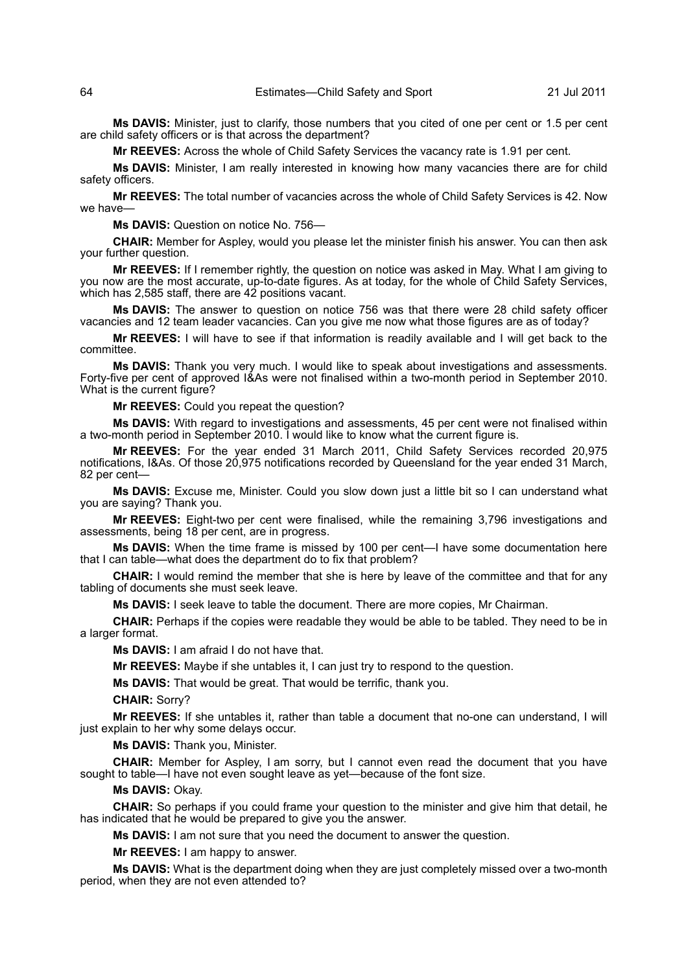**Ms DAVIS:** Minister, just to clarify, those numbers that you cited of one per cent or 1.5 per cent are child safety officers or is that across the department?

**Mr REEVES:** Across the whole of Child Safety Services the vacancy rate is 1.91 per cent.

**Ms DAVIS:** Minister, I am really interested in knowing how many vacancies there are for child safety officers.

**Mr REEVES:** The total number of vacancies across the whole of Child Safety Services is 42. Now we have-

**Ms DAVIS:** Question on notice No. 756—

**CHAIR:** Member for Aspley, would you please let the minister finish his answer. You can then ask your further question.

**Mr REEVES:** If I remember rightly, the question on notice was asked in May. What I am giving to you now are the most accurate, up-to-date figures. As at today, for the whole of Child Safety Services, which has 2,585 staff, there are 42 positions vacant.

**Ms DAVIS:** The answer to question on notice 756 was that there were 28 child safety officer vacancies and 12 team leader vacancies. Can you give me now what those figures are as of today?

**Mr REEVES:** I will have to see if that information is readily available and I will get back to the committee.

**Ms DAVIS:** Thank you very much. I would like to speak about investigations and assessments. Forty-five per cent of approved I&As were not finalised within a two-month period in September 2010. What is the current figure?

**Mr REEVES:** Could you repeat the question?

**Ms DAVIS:** With regard to investigations and assessments, 45 per cent were not finalised within a two-month period in September 2010. I would like to know what the current figure is.

**Mr REEVES:** For the year ended 31 March 2011, Child Safety Services recorded 20,975 notifications, I&As. Of those 20,975 notifications recorded by Queensland for the year ended 31 March, 82 per cent—

**Ms DAVIS:** Excuse me, Minister. Could you slow down just a little bit so I can understand what you are saying? Thank you.

**Mr REEVES:** Eight-two per cent were finalised, while the remaining 3,796 investigations and assessments, being 18 per cent, are in progress.

**Ms DAVIS:** When the time frame is missed by 100 per cent—I have some documentation here that I can table—what does the department do to fix that problem?

**CHAIR:** I would remind the member that she is here by leave of the committee and that for any tabling of documents she must seek leave.

**Ms DAVIS:** I seek leave to table the document. There are more copies, Mr Chairman.

**CHAIR:** Perhaps if the copies were readable they would be able to be tabled. They need to be in a larger format.

**Ms DAVIS:** I am afraid I do not have that.

**Mr REEVES:** Maybe if she untables it, I can just try to respond to the question.

**Ms DAVIS:** That would be great. That would be terrific, thank you.

**CHAIR:** Sorry?

**Mr REEVES:** If she untables it, rather than table a document that no-one can understand, I will just explain to her why some delays occur.

**Ms DAVIS:** Thank you, Minister.

**CHAIR:** Member for Aspley, I am sorry, but I cannot even read the document that you have sought to table—I have not even sought leave as yet—because of the font size.

# **Ms DAVIS:** Okay.

**CHAIR:** So perhaps if you could frame your question to the minister and give him that detail, he has indicated that he would be prepared to give you the answer.

**Ms DAVIS:** I am not sure that you need the document to answer the question.

**Mr REEVES:** I am happy to answer.

**Ms DAVIS:** What is the department doing when they are just completely missed over a two-month period, when they are not even attended to?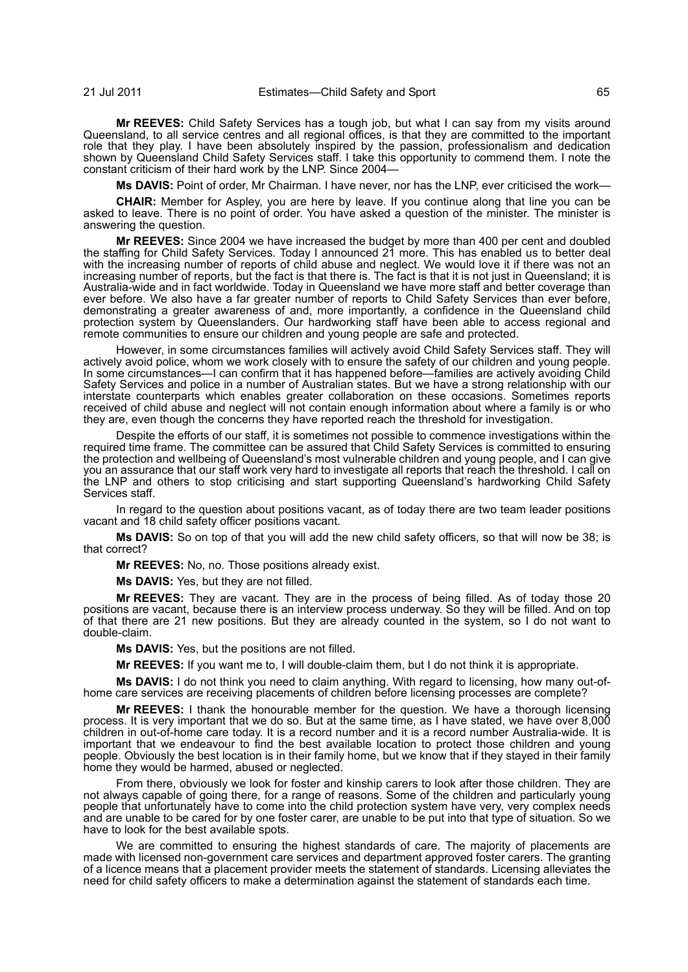**Mr REEVES:** Child Safety Services has a tough job, but what I can say from my visits around Queensland, to all service centres and all regional offices, is that they are committed to the important role that they play. I have been absolutely inspired by the passion, professionalism and dedication shown by Queensland Child Safety Services staff. I take this opportunity to commend them. I note the constant criticism of their hard work by the LNP. Since 2004—

**Ms DAVIS:** Point of order, Mr Chairman. I have never, nor has the LNP, ever criticised the work—

**CHAIR:** Member for Aspley, you are here by leave. If you continue along that line you can be asked to leave. There is no point of order. You have asked a question of the minister. The minister is answering the question.

**Mr REEVES:** Since 2004 we have increased the budget by more than 400 per cent and doubled the staffing for Child Safety Services. Today I announced 21 more. This has enabled us to better deal with the increasing number of reports of child abuse and neglect. We would love it if there was not an increasing number of reports, but the fact is that there is. The fact is that it is not just in Queensland; it is Australia-wide and in fact worldwide. Today in Queensland we have more staff and better coverage than ever before. We also have a far greater number of reports to Child Safety Services than ever before, demonstrating a greater awareness of and, more importantly, a confidence in the Queensland child protection system by Queenslanders. Our hardworking staff have been able to access regional and remote communities to ensure our children and young people are safe and protected.

However, in some circumstances families will actively avoid Child Safety Services staff. They will actively avoid police, whom we work closely with to ensure the safety of our children and young people. In some circumstances—I can confirm that it has happened before—families are actively avoiding Child Safety Services and police in a number of Australian states. But we have a strong relationship with our interstate counterparts which enables greater collaboration on these occasions. Sometimes reports received of child abuse and neglect will not contain enough information about where a family is or who they are, even though the concerns they have reported reach the threshold for investigation.

Despite the efforts of our staff, it is sometimes not possible to commence investigations within the required time frame. The committee can be assured that Child Safety Services is committed to ensuring the protection and wellbeing of Queensland's most vulnerable children and young people, and I can give you an assurance that our staff work very hard to investigate all reports that reach the threshold. I call on the LNP and others to stop criticising and start supporting Queensland's hardworking Child Safety Services staff.

In regard to the question about positions vacant, as of today there are two team leader positions vacant and 18 child safety officer positions vacant.

**Ms DAVIS:** So on top of that you will add the new child safety officers, so that will now be 38; is that correct?

**Mr REEVES:** No, no. Those positions already exist.

**Ms DAVIS:** Yes, but they are not filled.

**Mr REEVES:** They are vacant. They are in the process of being filled. As of today those 20 positions are vacant, because there is an interview process underway. So they will be filled. And on top of that there are 21 new positions. But they are already counted in the system, so I do not want to double-claim.

**Ms DAVIS:** Yes, but the positions are not filled.

**Mr REEVES:** If you want me to, I will double-claim them, but I do not think it is appropriate.

**Ms DAVIS:** I do not think you need to claim anything. With regard to licensing, how many out-ofhome care services are receiving placements of children before licensing processes are complete?

**Mr REEVES:** I thank the honourable member for the question. We have a thorough licensing process. It is very important that we do so. But at the same time, as I have stated, we have over 8,000 children in out-of-home care today. It is a record number and it is a record number Australia-wide. It is important that we endeavour to find the best available location to protect those children and young people. Obviously the best location is in their family home, but we know that if they stayed in their family home they would be harmed, abused or neglected.

From there, obviously we look for foster and kinship carers to look after those children. They are not always capable of going there, for a range of reasons. Some of the children and particularly young people that unfortunately have to come into the child protection system have very, very complex needs and are unable to be cared for by one foster carer, are unable to be put into that type of situation. So we have to look for the best available spots.

We are committed to ensuring the highest standards of care. The majority of placements are made with licensed non-government care services and department approved foster carers. The granting of a licence means that a placement provider meets the statement of standards. Licensing alleviates the need for child safety officers to make a determination against the statement of standards each time.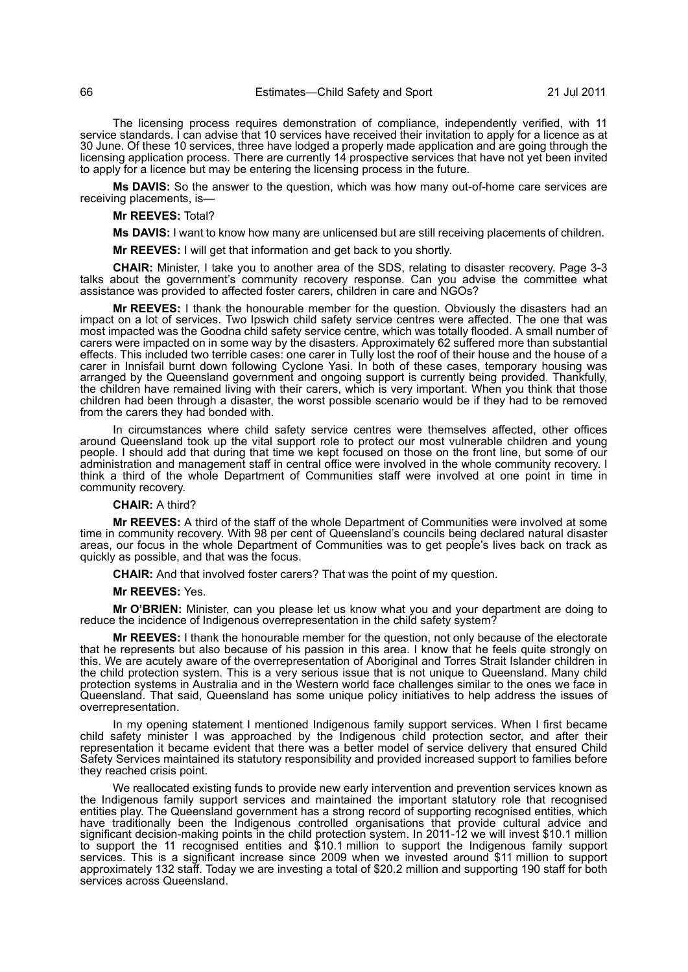The licensing process requires demonstration of compliance, independently verified, with 11 service standards. I can advise that 10 services have received their invitation to apply for a licence as at 30 June. Of these 10 services, three have lodged a properly made application and are going through the licensing application process. There are currently 14 prospective services that have not yet been invited to apply for a licence but may be entering the licensing process in the future.

**Ms DAVIS:** So the answer to the question, which was how many out-of-home care services are receiving placements, is—

# **Mr REEVES:** Total?

**Ms DAVIS:** I want to know how many are unlicensed but are still receiving placements of children.

**Mr REEVES:** I will get that information and get back to you shortly.

**CHAIR:** Minister, I take you to another area of the SDS, relating to disaster recovery. Page 3-3 talks about the government's community recovery response. Can you advise the committee what assistance was provided to affected foster carers, children in care and NGOs?

**Mr REEVES:** I thank the honourable member for the question. Obviously the disasters had an impact on a lot of services. Two Ipswich child safety service centres were affected. The one that was most impacted was the Goodna child safety service centre, which was totally flooded. A small number of carers were impacted on in some way by the disasters. Approximately 62 suffered more than substantial effects. This included two terrible cases: one carer in Tully lost the roof of their house and the house of a carer in Innisfail burnt down following Cyclone Yasi. In both of these cases, temporary housing was arranged by the Queensland government and ongoing support is currently being provided. Thankfully, the children have remained living with their carers, which is very important. When you think that those children had been through a disaster, the worst possible scenario would be if they had to be removed from the carers they had bonded with.

In circumstances where child safety service centres were themselves affected, other offices around Queensland took up the vital support role to protect our most vulnerable children and young people. I should add that during that time we kept focused on those on the front line, but some of our administration and management staff in central office were involved in the whole community recovery. I think a third of the whole Department of Communities staff were involved at one point in time in community recovery.

#### **CHAIR:** A third?

**Mr REEVES:** A third of the staff of the whole Department of Communities were involved at some time in community recovery. With 98 per cent of Queensland's councils being declared natural disaster areas, our focus in the whole Department of Communities was to get people's lives back on track as quickly as possible, and that was the focus.

**CHAIR:** And that involved foster carers? That was the point of my question.

#### **Mr REEVES:** Yes.

**Mr O'BRIEN:** Minister, can you please let us know what you and your department are doing to reduce the incidence of Indigenous overrepresentation in the child safety system?

**Mr REEVES:** I thank the honourable member for the question, not only because of the electorate that he represents but also because of his passion in this area. I know that he feels quite strongly on this. We are acutely aware of the overrepresentation of Aboriginal and Torres Strait Islander children in the child protection system. This is a very serious issue that is not unique to Queensland. Many child protection systems in Australia and in the Western world face challenges similar to the ones we face in Queensland. That said, Queensland has some unique policy initiatives to help address the issues of overrepresentation.

In my opening statement I mentioned Indigenous family support services. When I first became child safety minister I was approached by the Indigenous child protection sector, and after their representation it became evident that there was a better model of service delivery that ensured Child Safety Services maintained its statutory responsibility and provided increased support to families before they reached crisis point.

We reallocated existing funds to provide new early intervention and prevention services known as the Indigenous family support services and maintained the important statutory role that recognised entities play. The Queensland government has a strong record of supporting recognised entities, which have traditionally been the Indigenous controlled organisations that provide cultural advice and significant decision-making points in the child protection system. In 2011-12 we will invest \$10.1 million to support the 11 recognised entities and \$10.1 million to support the Indigenous family support services. This is a significant increase since 2009 when we invested around \$11 million to support approximately 132 staff. Today we are investing a total of \$20.2 million and supporting 190 staff for both services across Queensland.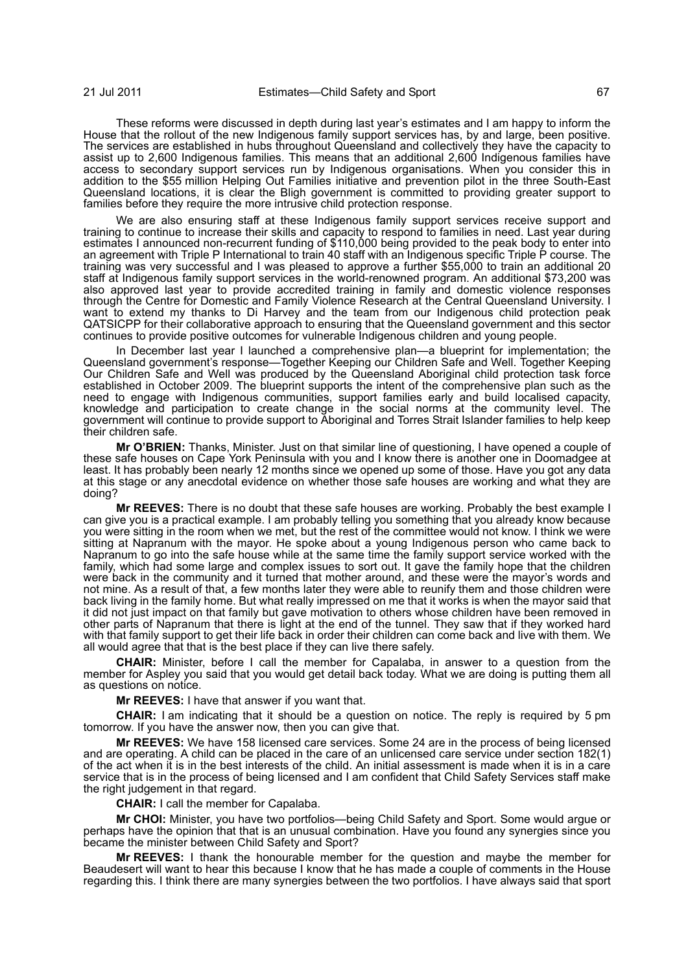These reforms were discussed in depth during last year's estimates and I am happy to inform the House that the rollout of the new Indigenous family support services has, by and large, been positive. The services are established in hubs throughout Queensland and collectively they have the capacity to assist up to 2,600 Indigenous families. This means that an additional 2,600 Indigenous families have access to secondary support services run by Indigenous organisations. When you consider this in addition to the \$55 million Helping Out Families initiative and prevention pilot in the three South-East Queensland locations, it is clear the Bligh government is committed to providing greater support to families before they require the more intrusive child protection response.

We are also ensuring staff at these Indigenous family support services receive support and training to continue to increase their skills and capacity to respond to families in need. Last year during estimates I announced non-recurrent funding of \$110,000 being provided to the peak body to enter into an agreement with Triple P International to train 40 staff with an Indigenous specific Triple P course. The training was very successful and I was pleased to approve a further \$55,000 to train an additional 20 staff at Indigenous family support services in the world-renowned program. An additional \$73,200 was also approved last year to provide accredited training in family and domestic violence responses through the Centre for Domestic and Family Violence Research at the Central Queensland University. I want to extend my thanks to Di Harvey and the team from our Indigenous child protection peak QATSICPP for their collaborative approach to ensuring that the Queensland government and this sector continues to provide positive outcomes for vulnerable Indigenous children and young people.

In December last year I launched a comprehensive plan—a blueprint for implementation; the Queensland government's response—Together Keeping our Children Safe and Well. Together Keeping Our Children Safe and Well was produced by the Queensland Aboriginal child protection task force established in October 2009. The blueprint supports the intent of the comprehensive plan such as the need to engage with Indigenous communities, support families early and build localised capacity, knowledge and participation to create change in the social norms at the community level. The government will continue to provide support to Aboriginal and Torres Strait Islander families to help keep their children safe.

**Mr O'BRIEN:** Thanks, Minister. Just on that similar line of questioning, I have opened a couple of these safe houses on Cape York Peninsula with you and I know there is another one in Doomadgee at least. It has probably been nearly 12 months since we opened up some of those. Have you got any data at this stage or any anecdotal evidence on whether those safe houses are working and what they are doing?

**Mr REEVES:** There is no doubt that these safe houses are working. Probably the best example I can give you is a practical example. I am probably telling you something that you already know because you were sitting in the room when we met, but the rest of the committee would not know. I think we were sitting at Napranum with the mayor. He spoke about a young Indigenous person who came back to Napranum to go into the safe house while at the same time the family support service worked with the family, which had some large and complex issues to sort out. It gave the family hope that the children were back in the community and it turned that mother around, and these were the mayor's words and not mine. As a result of that, a few months later they were able to reunify them and those children were back living in the family home. But what really impressed on me that it works is when the mayor said that it did not just impact on that family but gave motivation to others whose children have been removed in other parts of Napranum that there is light at the end of the tunnel. They saw that if they worked hard with that family support to get their life back in order their children can come back and live with them. We all would agree that that is the best place if they can live there safely.

**CHAIR:** Minister, before I call the member for Capalaba, in answer to a question from the member for Aspley you said that you would get detail back today. What we are doing is putting them all as questions on notice.

**Mr REEVES:** I have that answer if you want that.

**CHAIR:** I am indicating that it should be a question on notice. The reply is required by 5 pm tomorrow. If you have the answer now, then you can give that.

**Mr REEVES:** We have 158 licensed care services. Some 24 are in the process of being licensed and are operating. A child can be placed in the care of an unlicensed care service under section 182(1) of the act when it is in the best interests of the child. An initial assessment is made when it is in a care service that is in the process of being licensed and I am confident that Child Safety Services staff make the right judgement in that regard.

**CHAIR:** I call the member for Capalaba.

**Mr CHOI:** Minister, you have two portfolios—being Child Safety and Sport. Some would argue or perhaps have the opinion that that is an unusual combination. Have you found any synergies since you became the minister between Child Safety and Sport?

**Mr REEVES:** I thank the honourable member for the question and maybe the member for Beaudesert will want to hear this because I know that he has made a couple of comments in the House regarding this. I think there are many synergies between the two portfolios. I have always said that sport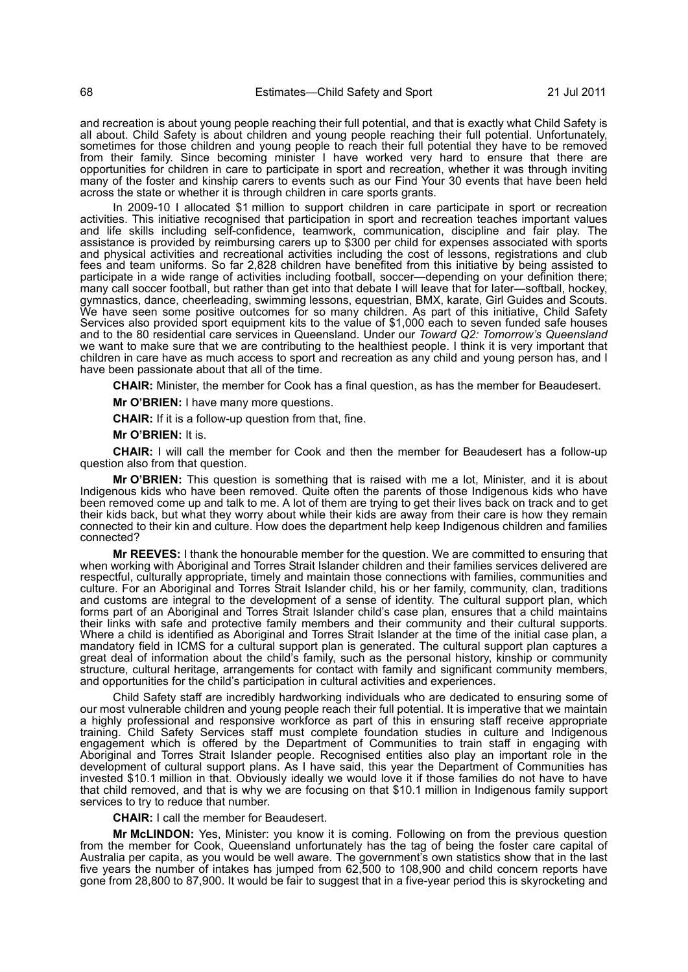and recreation is about young people reaching their full potential, and that is exactly what Child Safety is all about. Child Safety is about children and young people reaching their full potential. Unfortunately, sometimes for those children and young people to reach their full potential they have to be removed from their family. Since becoming minister I have worked very hard to ensure that there are opportunities for children in care to participate in sport and recreation, whether it was through inviting many of the foster and kinship carers to events such as our Find Your 30 events that have been held across the state or whether it is through children in care sports grants.

In 2009-10 I allocated \$1 million to support children in care participate in sport or recreation activities. This initiative recognised that participation in sport and recreation teaches important values and life skills including self-confidence, teamwork, communication, discipline and fair play. The assistance is provided by reimbursing carers up to \$300 per child for expenses associated with sports and physical activities and recreational activities including the cost of lessons, registrations and club fees and team uniforms. So far 2,828 children have benefited from this initiative by being assisted to participate in a wide range of activities including football, soccer—depending on your definition there; many call soccer football, but rather than get into that debate I will leave that for later—softball, hockey, gymnastics, dance, cheerleading, swimming lessons, equestrian, BMX, karate, Girl Guides and Scouts. We have seen some positive outcomes for so many children. As part of this initiative, Child Safety Services also provided sport equipment kits to the value of \$1,000 each to seven funded safe houses and to the 80 residential care services in Queensland. Under our *Toward Q2: Tomorrow's Queensland* we want to make sure that we are contributing to the healthiest people. I think it is very important that children in care have as much access to sport and recreation as any child and young person has, and I have been passionate about that all of the time.

**CHAIR:** Minister, the member for Cook has a final question, as has the member for Beaudesert.

**Mr O'BRIEN:** I have many more questions.

**CHAIR:** If it is a follow-up question from that, fine.

**Mr O'BRIEN:** It is.

**CHAIR:** I will call the member for Cook and then the member for Beaudesert has a follow-up question also from that question.

**Mr O'BRIEN:** This question is something that is raised with me a lot, Minister, and it is about Indigenous kids who have been removed. Quite often the parents of those Indigenous kids who have been removed come up and talk to me. A lot of them are trying to get their lives back on track and to get their kids back, but what they worry about while their kids are away from their care is how they remain connected to their kin and culture. How does the department help keep Indigenous children and families connected?

**Mr REEVES:** I thank the honourable member for the question. We are committed to ensuring that when working with Aboriginal and Torres Strait Islander children and their families services delivered are respectful, culturally appropriate, timely and maintain those connections with families, communities and culture. For an Aboriginal and Torres Strait Islander child, his or her family, community, clan, traditions and customs are integral to the development of a sense of identity. The cultural support plan, which forms part of an Aboriginal and Torres Strait Islander child's case plan, ensures that a child maintains their links with safe and protective family members and their community and their cultural supports. Where a child is identified as Aboriginal and Torres Strait Islander at the time of the initial case plan, a mandatory field in ICMS for a cultural support plan is generated. The cultural support plan captures a great deal of information about the child's family, such as the personal history, kinship or community structure, cultural heritage, arrangements for contact with family and significant community members, and opportunities for the child's participation in cultural activities and experiences.

Child Safety staff are incredibly hardworking individuals who are dedicated to ensuring some of our most vulnerable children and young people reach their full potential. It is imperative that we maintain a highly professional and responsive workforce as part of this in ensuring staff receive appropriate training. Child Safety Services staff must complete foundation studies in culture and Indigenous engagement which is offered by the Department of Communities to train staff in engaging with Aboriginal and Torres Strait Islander people. Recognised entities also play an important role in the development of cultural support plans. As I have said, this year the Department of Communities has invested \$10.1 million in that. Obviously ideally we would love it if those families do not have to have that child removed, and that is why we are focusing on that \$10.1 million in Indigenous family support services to try to reduce that number.

**CHAIR:** I call the member for Beaudesert.

**Mr McLINDON:** Yes, Minister: you know it is coming. Following on from the previous question from the member for Cook, Queensland unfortunately has the tag of being the foster care capital of Australia per capita, as you would be well aware. The government's own statistics show that in the last five years the number of intakes has jumped from 62,500 to 108,900 and child concern reports have gone from 28,800 to 87,900. It would be fair to suggest that in a five-year period this is skyrocketing and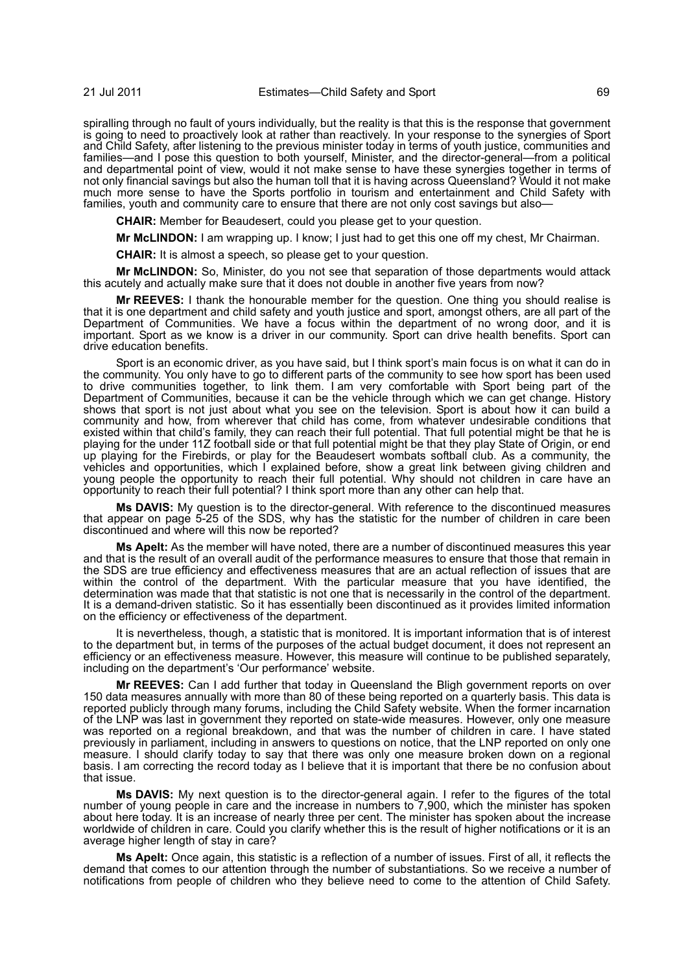spiralling through no fault of yours individually, but the reality is that this is the response that government is going to need to proactively look at rather than reactively. In your response to the synergies of Sport and Child Safety, after listening to the previous minister today in terms of youth justice, communities and families—and I pose this question to both yourself, Minister, and the director-general—from a political and departmental point of view, would it not make sense to have these synergies together in terms of not only financial savings but also the human toll that it is having across Queensland? Would it not make much more sense to have the Sports portfolio in tourism and entertainment and Child Safety with families, youth and community care to ensure that there are not only cost savings but also-

**CHAIR:** Member for Beaudesert, could you please get to your question.

**Mr McLINDON:** I am wrapping up. I know; I just had to get this one off my chest, Mr Chairman.

**CHAIR:** It is almost a speech, so please get to your question.

**Mr McLINDON:** So, Minister, do you not see that separation of those departments would attack this acutely and actually make sure that it does not double in another five years from now?

**Mr REEVES:** I thank the honourable member for the question. One thing you should realise is that it is one department and child safety and youth justice and sport, amongst others, are all part of the Department of Communities. We have a focus within the department of no wrong door, and it is important. Sport as we know is a driver in our community. Sport can drive health benefits. Sport can drive education benefits.

Sport is an economic driver, as you have said, but I think sport's main focus is on what it can do in the community. You only have to go to different parts of the community to see how sport has been used to drive communities together, to link them. I am very comfortable with Sport being part of the Department of Communities, because it can be the vehicle through which we can get change. History shows that sport is not just about what you see on the television. Sport is about how it can build a community and how, from wherever that child has come, from whatever undesirable conditions that existed within that child's family, they can reach their full potential. That full potential might be that he is playing for the under 11Z football side or that full potential might be that they play State of Origin, or end up playing for the Firebirds, or play for the Beaudesert wombats softball club. As a community, the vehicles and opportunities, which I explained before, show a great link between giving children and young people the opportunity to reach their full potential. Why should not children in care have an opportunity to reach their full potential? I think sport more than any other can help that.

**Ms DAVIS:** My question is to the director-general. With reference to the discontinued measures that appear on page 5-25 of the SDS, why has the statistic for the number of children in care been discontinued and where will this now be reported?

**Ms Apelt:** As the member will have noted, there are a number of discontinued measures this year and that is the result of an overall audit of the performance measures to ensure that those that remain in the SDS are true efficiency and effectiveness measures that are an actual reflection of issues that are within the control of the department. With the particular measure that you have identified, the determination was made that that statistic is not one that is necessarily in the control of the department. It is a demand-driven statistic. So it has essentially been discontinued as it provides limited information on the efficiency or effectiveness of the department.

It is nevertheless, though, a statistic that is monitored. It is important information that is of interest to the department but, in terms of the purposes of the actual budget document, it does not represent an efficiency or an effectiveness measure. However, this measure will continue to be published separately, including on the department's 'Our performance' website.

**Mr REEVES:** Can I add further that today in Queensland the Bligh government reports on over 150 data measures annually with more than 80 of these being reported on a quarterly basis. This data is reported publicly through many forums, including the Child Safety website. When the former incarnation of the LNP was last in government they reported on state-wide measures. However, only one measure was reported on a regional breakdown, and that was the number of children in care. I have stated previously in parliament, including in answers to questions on notice, that the LNP reported on only one measure. I should clarify today to say that there was only one measure broken down on a regional basis. I am correcting the record today as I believe that it is important that there be no confusion about that issue.

**Ms DAVIS:** My next question is to the director-general again. I refer to the figures of the total number of young people in care and the increase in numbers to 7,900, which the minister has spoken about here today. It is an increase of nearly three per cent. The minister has spoken about the increase worldwide of children in care. Could you clarify whether this is the result of higher notifications or it is an average higher length of stay in care?

**Ms Apelt:** Once again, this statistic is a reflection of a number of issues. First of all, it reflects the demand that comes to our attention through the number of substantiations. So we receive a number of notifications from people of children who they believe need to come to the attention of Child Safety.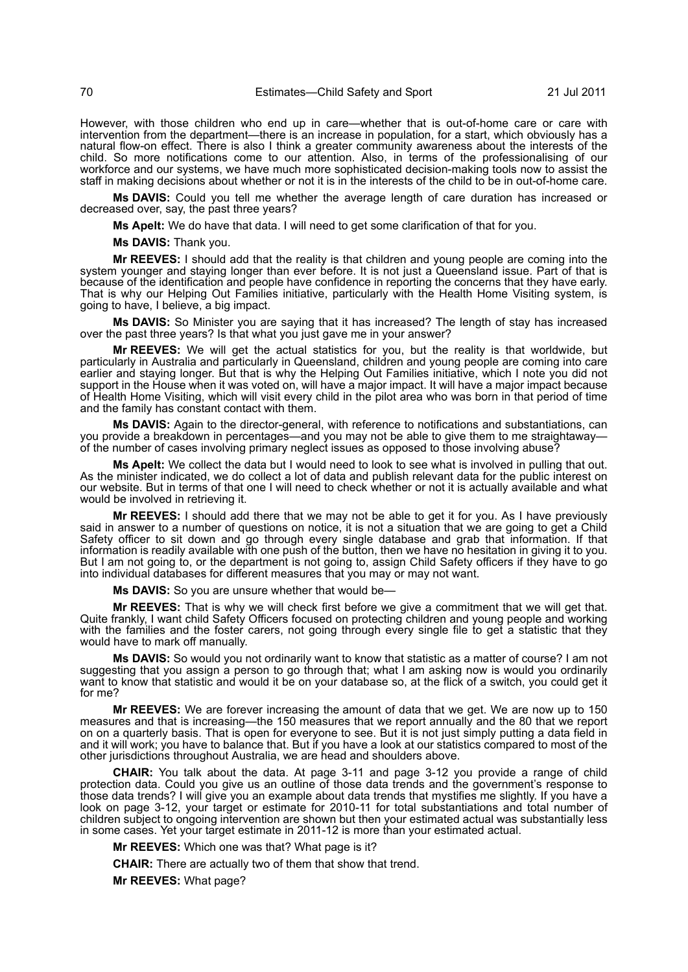However, with those children who end up in care—whether that is out-of-home care or care with intervention from the department—there is an increase in population, for a start, which obviously has a natural flow-on effect. There is also I think a greater community awareness about the interests of the child. So more notifications come to our attention. Also, in terms of the professionalising of our workforce and our systems, we have much more sophisticated decision-making tools now to assist the staff in making decisions about whether or not it is in the interests of the child to be in out-of-home care.

**Ms DAVIS:** Could you tell me whether the average length of care duration has increased or decreased over, say, the past three years?

**Ms Apelt:** We do have that data. I will need to get some clarification of that for you.

**Ms DAVIS:** Thank you.

**Mr REEVES:** I should add that the reality is that children and young people are coming into the system younger and staying longer than ever before. It is not just a Queensland issue. Part of that is because of the identification and people have confidence in reporting the concerns that they have early. That is why our Helping Out Families initiative, particularly with the Health Home Visiting system, is going to have, I believe, a big impact.

**Ms DAVIS:** So Minister you are saying that it has increased? The length of stay has increased over the past three years? Is that what you just gave me in your answer?

**Mr REEVES:** We will get the actual statistics for you, but the reality is that worldwide, but particularly in Australia and particularly in Queensland, children and young people are coming into care earlier and staying longer. But that is why the Helping Out Families initiative, which I note you did not support in the House when it was voted on, will have a major impact. It will have a major impact because of Health Home Visiting, which will visit every child in the pilot area who was born in that period of time and the family has constant contact with them.

**Ms DAVIS:** Again to the director-general, with reference to notifications and substantiations, can you provide a breakdown in percentages—and you may not be able to give them to me straightaway of the number of cases involving primary neglect issues as opposed to those involving abuse?

**Ms Apelt:** We collect the data but I would need to look to see what is involved in pulling that out. As the minister indicated, we do collect a lot of data and publish relevant data for the public interest on our website. But in terms of that one I will need to check whether or not it is actually available and what would be involved in retrieving it.

**Mr REEVES:** I should add there that we may not be able to get it for you. As I have previously said in answer to a number of questions on notice, it is not a situation that we are going to get a Child Safety officer to sit down and go through every single database and grab that information. If that information is readily available with one push of the button, then we have no hesitation in giving it to you. But I am not going to, or the department is not going to, assign Child Safety officers if they have to go into individual databases for different measures that you may or may not want.

**Ms DAVIS:** So you are unsure whether that would be-

**Mr REEVES:** That is why we will check first before we give a commitment that we will get that. Quite frankly, I want child Safety Officers focused on protecting children and young people and working with the families and the foster carers, not going through every single file to get a statistic that they would have to mark off manually.

**Ms DAVIS:** So would you not ordinarily want to know that statistic as a matter of course? I am not suggesting that you assign a person to go through that; what I am asking now is would you ordinarily want to know that statistic and would it be on your database so, at the flick of a switch, you could get it for me?

**Mr REEVES:** We are forever increasing the amount of data that we get. We are now up to 150 measures and that is increasing—the 150 measures that we report annually and the 80 that we report on on a quarterly basis. That is open for everyone to see. But it is not just simply putting a data field in and it will work; you have to balance that. But if you have a look at our statistics compared to most of the other jurisdictions throughout Australia, we are head and shoulders above.

**CHAIR:** You talk about the data. At page 3-11 and page 3-12 you provide a range of child protection data. Could you give us an outline of those data trends and the government's response to those data trends? I will give you an example about data trends that mystifies me slightly. If you have a look on page 3-12, your target or estimate for 2010-11 for total substantiations and total number of children subject to ongoing intervention are shown but then your estimated actual was substantially less in some cases. Yet your target estimate in 2011-12 is more than your estimated actual.

**Mr REEVES:** Which one was that? What page is it?

**CHAIR:** There are actually two of them that show that trend.

**Mr REEVES:** What page?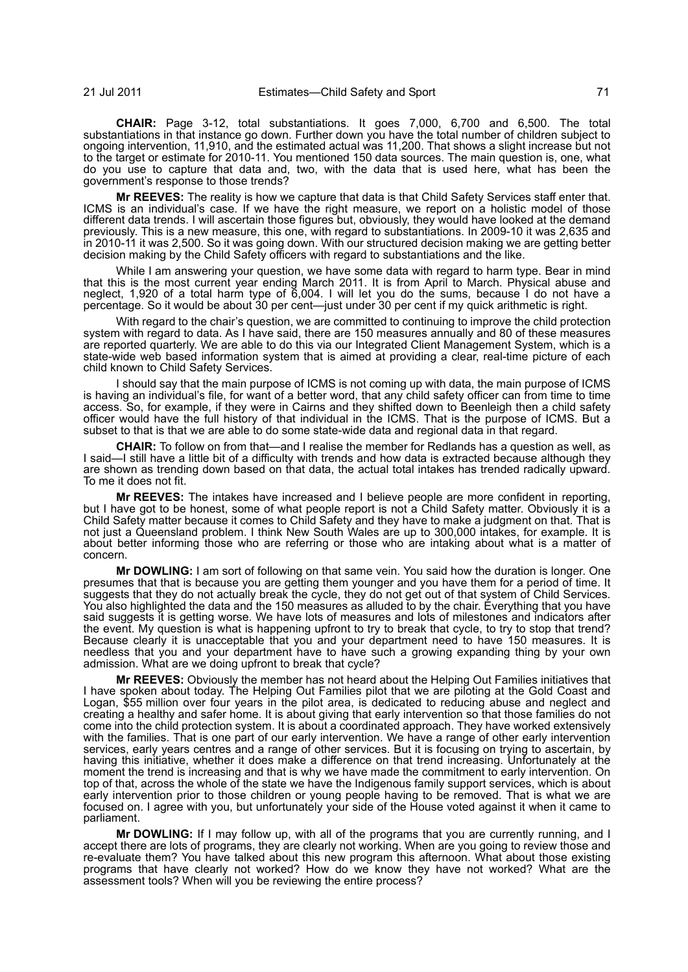**CHAIR:** Page 3-12, total substantiations. It goes 7,000, 6,700 and 6,500. The total substantiations in that instance go down. Further down you have the total number of children subject to ongoing intervention, 11,910, and the estimated actual was 11,200. That shows a slight increase but not to the target or estimate for 2010-11. You mentioned 150 data sources. The main question is, one, what do you use to capture that data and, two, with the data that is used here, what has been the government's response to those trends?

**Mr REEVES:** The reality is how we capture that data is that Child Safety Services staff enter that. ICMS is an individual's case. If we have the right measure, we report on a holistic model of those different data trends. I will ascertain those figures but, obviously, they would have looked at the demand previously. This is a new measure, this one, with regard to substantiations. In 2009-10 it was 2,635 and in 2010-11 it was 2,500. So it was going down. With our structured decision making we are getting better decision making by the Child Safety officers with regard to substantiations and the like.

While I am answering your question, we have some data with regard to harm type. Bear in mind that this is the most current year ending March 2011. It is from April to March. Physical abuse and neglect, 1,920 of a total harm type of 6,004. I will let you do the sums, because I do not have a percentage. So it would be about 30 per cent—just under 30 per cent if my quick arithmetic is right.

With regard to the chair's question, we are committed to continuing to improve the child protection system with regard to data. As I have said, there are 150 measures annually and 80 of these measures are reported quarterly. We are able to do this via our Integrated Client Management System, which is a state-wide web based information system that is aimed at providing a clear, real-time picture of each child known to Child Safety Services.

I should say that the main purpose of ICMS is not coming up with data, the main purpose of ICMS is having an individual's file, for want of a better word, that any child safety officer can from time to time access. So, for example, if they were in Cairns and they shifted down to Beenleigh then a child safety officer would have the full history of that individual in the ICMS. That is the purpose of ICMS. But a subset to that is that we are able to do some state-wide data and regional data in that regard.

**CHAIR:** To follow on from that—and I realise the member for Redlands has a question as well, as I said—I still have a little bit of a difficulty with trends and how data is extracted because although they are shown as trending down based on that data, the actual total intakes has trended radically upward. To me it does not fit.

**Mr REEVES:** The intakes have increased and I believe people are more confident in reporting, but I have got to be honest, some of what people report is not a Child Safety matter. Obviously it is a Child Safety matter because it comes to Child Safety and they have to make a judgment on that. That is not just a Queensland problem. I think New South Wales are up to 300,000 intakes, for example. It is about better informing those who are referring or those who are intaking about what is a matter of concern.

**Mr DOWLING:** I am sort of following on that same vein. You said how the duration is longer. One presumes that that is because you are getting them younger and you have them for a period of time. It suggests that they do not actually break the cycle, they do not get out of that system of Child Services. You also highlighted the data and the 150 measures as alluded to by the chair. Everything that you have said suggests it is getting worse. We have lots of measures and lots of milestones and indicators after the event. My question is what is happening upfront to try to break that cycle, to try to stop that trend? Because clearly it is unacceptable that you and your department need to have 150 measures. It is needless that you and your department have to have such a growing expanding thing by your own admission. What are we doing upfront to break that cycle?

**Mr REEVES:** Obviously the member has not heard about the Helping Out Families initiatives that I have spoken about today. The Helping Out Families pilot that we are piloting at the Gold Coast and Logan, \$55 million over four years in the pilot area, is dedicated to reducing abuse and neglect and creating a healthy and safer home. It is about giving that early intervention so that those families do not come into the child protection system. It is about a coordinated approach. They have worked extensively with the families. That is one part of our early intervention. We have a range of other early intervention services, early years centres and a range of other services. But it is focusing on trying to ascertain, by having this initiative, whether it does make a difference on that trend increasing. Unfortunately at the moment the trend is increasing and that is why we have made the commitment to early intervention. On top of that, across the whole of the state we have the Indigenous family support services, which is about early intervention prior to those children or young people having to be removed. That is what we are focused on. I agree with you, but unfortunately your side of the House voted against it when it came to parliament.

**Mr DOWLING:** If I may follow up, with all of the programs that you are currently running, and I accept there are lots of programs, they are clearly not working. When are you going to review those and re-evaluate them? You have talked about this new program this afternoon. What about those existing programs that have clearly not worked? How do we know they have not worked? What are the assessment tools? When will you be reviewing the entire process?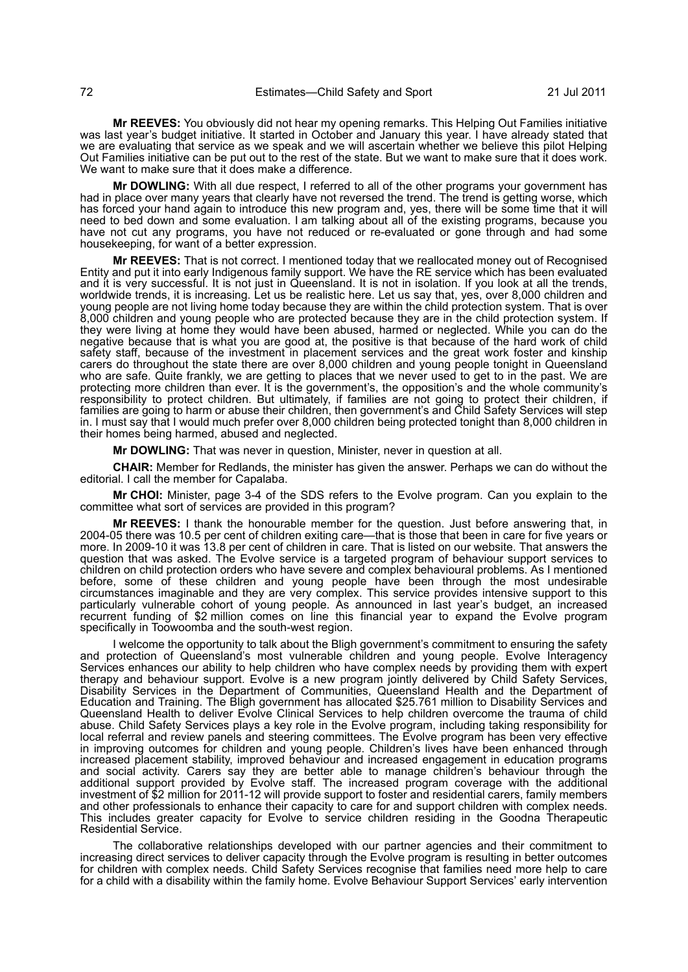**Mr REEVES:** You obviously did not hear my opening remarks. This Helping Out Families initiative was last year's budget initiative. It started in October and January this year. I have already stated that we are evaluating that service as we speak and we will ascertain whether we believe this pilot Helping Out Families initiative can be put out to the rest of the state. But we want to make sure that it does work. We want to make sure that it does make a difference.

**Mr DOWLING:** With all due respect, I referred to all of the other programs your government has had in place over many years that clearly have not reversed the trend. The trend is getting worse, which has forced your hand again to introduce this new program and, yes, there will be some time that it will need to bed down and some evaluation. I am talking about all of the existing programs, because you have not cut any programs, you have not reduced or re-evaluated or gone through and had some housekeeping, for want of a better expression.

**Mr REEVES:** That is not correct. I mentioned today that we reallocated money out of Recognised Entity and put it into early Indigenous family support. We have the RE service which has been evaluated and it is very successful. It is not just in Queensland. It is not in isolation. If you look at all the trends, worldwide trends, it is increasing. Let us be realistic here. Let us say that, yes, over 8,000 children and young people are not living home today because they are within the child protection system. That is over 8,000 children and young people who are protected because they are in the child protection system. If they were living at home they would have been abused, harmed or neglected. While you can do the negative because that is what you are good at, the positive is that because of the hard work of child safety staff, because of the investment in placement services and the great work foster and kinship carers do throughout the state there are over 8,000 children and young people tonight in Queensland who are safe. Quite frankly, we are getting to places that we never used to get to in the past. We are protecting more children than ever. It is the government's, the opposition's and the whole community's responsibility to protect children. But ultimately, if families are not going to protect their children, if families are going to harm or abuse their children, then government's and Child Safety Services will step in. I must say that I would much prefer over 8,000 children being protected tonight than 8,000 children in their homes being harmed, abused and neglected.

**Mr DOWLING:** That was never in question, Minister, never in question at all.

**CHAIR:** Member for Redlands, the minister has given the answer. Perhaps we can do without the editorial. I call the member for Capalaba.

**Mr CHOI:** Minister, page 3-4 of the SDS refers to the Evolve program. Can you explain to the committee what sort of services are provided in this program?

**Mr REEVES:** I thank the honourable member for the question. Just before answering that, in 2004-05 there was 10.5 per cent of children exiting care—that is those that been in care for five years or more. In 2009-10 it was 13.8 per cent of children in care. That is listed on our website. That answers the question that was asked. The Evolve service is a targeted program of behaviour support services to children on child protection orders who have severe and complex behavioural problems. As I mentioned before, some of these children and young people have been through the most undesirable circumstances imaginable and they are very complex. This service provides intensive support to this particularly vulnerable cohort of young people. As announced in last year's budget, an increased recurrent funding of \$2 million comes on line this financial year to expand the Evolve program specifically in Toowoomba and the south-west region.

I welcome the opportunity to talk about the Bligh government's commitment to ensuring the safety and protection of Queensland's most vulnerable children and young people. Evolve Interagency Services enhances our ability to help children who have complex needs by providing them with expert therapy and behaviour support. Evolve is a new program jointly delivered by Child Safety Services, Disability Services in the Department of Communities, Queensland Health and the Department of Education and Training. The Bligh government has allocated \$25.761 million to Disability Services and Queensland Health to deliver Evolve Clinical Services to help children overcome the trauma of child abuse. Child Safety Services plays a key role in the Evolve program, including taking responsibility for local referral and review panels and steering committees. The Evolve program has been very effective in improving outcomes for children and young people. Children's lives have been enhanced through increased placement stability, improved behaviour and increased engagement in education programs and social activity. Carers say they are better able to manage children's behaviour through the additional support provided by Evolve staff. The increased program coverage with the additional investment of \$2 million for 2011-12 will provide support to foster and residential carers, family members and other professionals to enhance their capacity to care for and support children with complex needs. This includes greater capacity for Evolve to service children residing in the Goodna Therapeutic Residential Service.

The collaborative relationships developed with our partner agencies and their commitment to increasing direct services to deliver capacity through the Evolve program is resulting in better outcomes for children with complex needs. Child Safety Services recognise that families need more help to care for a child with a disability within the family home. Evolve Behaviour Support Services' early intervention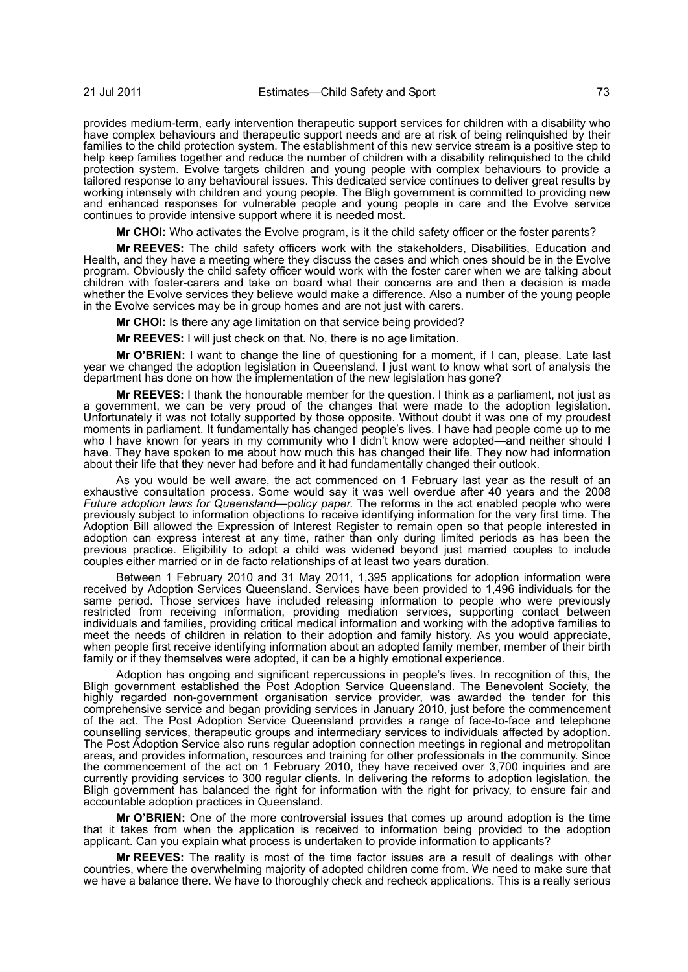provides medium-term, early intervention therapeutic support services for children with a disability who have complex behaviours and therapeutic support needs and are at risk of being relinquished by their families to the child protection system. The establishment of this new service stream is a positive step to help keep families together and reduce the number of children with a disability relinquished to the child protection system. Evolve targets children and young people with complex behaviours to provide a tailored response to any behavioural issues. This dedicated service continues to deliver great results by working intensely with children and young people. The Bligh government is committed to providing new and enhanced responses for vulnerable people and young people in care and the Evolve service continues to provide intensive support where it is needed most.

**Mr CHOI:** Who activates the Evolve program, is it the child safety officer or the foster parents?

**Mr REEVES:** The child safety officers work with the stakeholders, Disabilities, Education and Health, and they have a meeting where they discuss the cases and which ones should be in the Evolve program. Obviously the child safety officer would work with the foster carer when we are talking about children with foster-carers and take on board what their concerns are and then a decision is made whether the Evolve services they believe would make a difference. Also a number of the young people in the Evolve services may be in group homes and are not just with carers.

**Mr CHOI:** Is there any age limitation on that service being provided?

**Mr REEVES:** I will just check on that. No, there is no age limitation.

**Mr O'BRIEN:** I want to change the line of questioning for a moment, if I can, please. Late last year we changed the adoption legislation in Queensland. I just want to know what sort of analysis the department has done on how the implementation of the new legislation has gone?

**Mr REEVES:** I thank the honourable member for the question. I think as a parliament, not just as a government, we can be very proud of the changes that were made to the adoption legislation. Unfortunately it was not totally supported by those opposite. Without doubt it was one of my proudest moments in parliament. It fundamentally has changed people's lives. I have had people come up to me who I have known for years in my community who I didn't know were adopted—and neither should I have. They have spoken to me about how much this has changed their life. They now had information about their life that they never had before and it had fundamentally changed their outlook.

As you would be well aware, the act commenced on 1 February last year as the result of an exhaustive consultation process. Some would say it was well overdue after 40 years and the 2008 *Future adoption laws for Queensland*—p*olicy paper*. The reforms in the act enabled people who were previously subject to information objections to receive identifying information for the very first time. The Adoption Bill allowed the Expression of Interest Register to remain open so that people interested in adoption can express interest at any time, rather than only during limited periods as has been the previous practice. Eligibility to adopt a child was widened beyond just married couples to include couples either married or in de facto relationships of at least two years duration.

Between 1 February 2010 and 31 May 2011, 1,395 applications for adoption information were received by Adoption Services Queensland. Services have been provided to 1,496 individuals for the same period. Those services have included releasing information to people who were previously restricted from receiving information, providing mediation services, supporting contact between individuals and families, providing critical medical information and working with the adoptive families to meet the needs of children in relation to their adoption and family history. As you would appreciate, when people first receive identifying information about an adopted family member, member of their birth family or if they themselves were adopted, it can be a highly emotional experience.

Adoption has ongoing and significant repercussions in people's lives. In recognition of this, the Bligh government established the Post Adoption Service Queensland. The Benevolent Society, the highly regarded non-government organisation service provider, was awarded the tender for this comprehensive service and began providing services in January 2010, just before the commencement of the act. The Post Adoption Service Queensland provides a range of face-to-face and telephone counselling services, therapeutic groups and intermediary services to individuals affected by adoption. The Post Adoption Service also runs regular adoption connection meetings in regional and metropolitan areas, and provides information, resources and training for other professionals in the community. Since the commencement of the act on 1 February 2010, they have received over 3,700 inquiries and are currently providing services to 300 regular clients. In delivering the reforms to adoption legislation, the Bligh government has balanced the right for information with the right for privacy, to ensure fair and accountable adoption practices in Queensland.

**Mr O'BRIEN:** One of the more controversial issues that comes up around adoption is the time that it takes from when the application is received to information being provided to the adoption applicant. Can you explain what process is undertaken to provide information to applicants?

**Mr REEVES:** The reality is most of the time factor issues are a result of dealings with other countries, where the overwhelming majority of adopted children come from. We need to make sure that we have a balance there. We have to thoroughly check and recheck applications. This is a really serious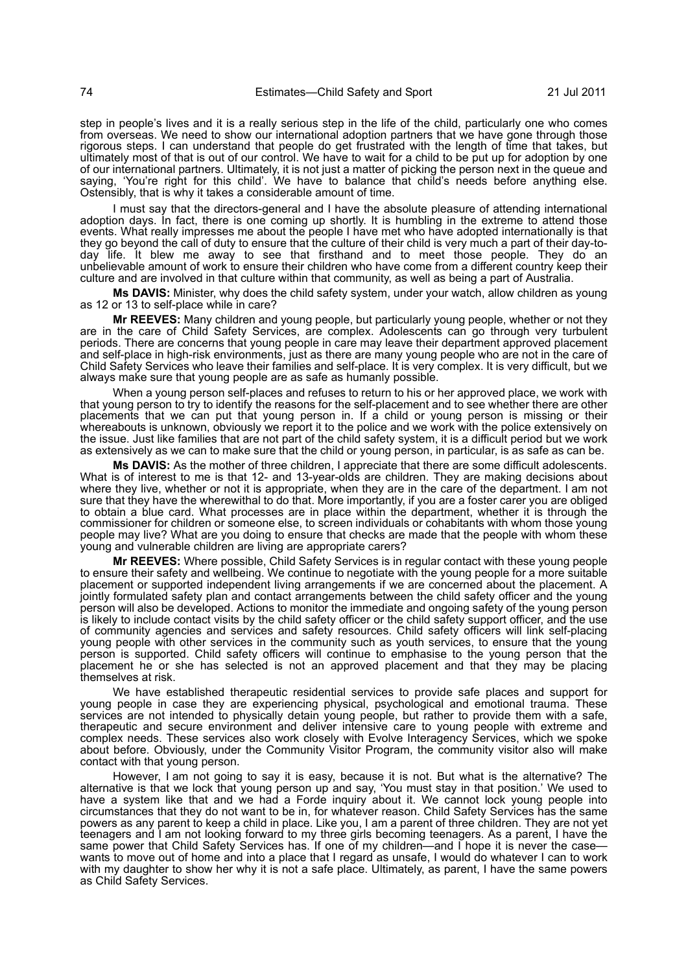step in people's lives and it is a really serious step in the life of the child, particularly one who comes from overseas. We need to show our international adoption partners that we have gone through those rigorous steps. I can understand that people do get frustrated with the length of time that takes, but ultimately most of that is out of our control. We have to wait for a child to be put up for adoption by one of our international partners. Ultimately, it is not just a matter of picking the person next in the queue and saying, 'You're right for this child'. We have to balance that child's needs before anything else. Ostensibly, that is why it takes a considerable amount of time.

I must say that the directors-general and I have the absolute pleasure of attending international adoption days. In fact, there is one coming up shortly. It is humbling in the extreme to attend those events. What really impresses me about the people I have met who have adopted internationally is that they go beyond the call of duty to ensure that the culture of their child is very much a part of their day-today life. It blew me away to see that firsthand and to meet those people. They do an unbelievable amount of work to ensure their children who have come from a different country keep their culture and are involved in that culture within that community, as well as being a part of Australia.

**Ms DAVIS:** Minister, why does the child safety system, under your watch, allow children as young as 12 or 13 to self-place while in care?

**Mr REEVES:** Many children and young people, but particularly young people, whether or not they are in the care of Child Safety Services, are complex. Adolescents can go through very turbulent periods. There are concerns that young people in care may leave their department approved placement and self-place in high-risk environments, just as there are many young people who are not in the care of Child Safety Services who leave their families and self-place. It is very complex. It is very difficult, but we always make sure that young people are as safe as humanly possible.

When a young person self-places and refuses to return to his or her approved place, we work with that young person to try to identify the reasons for the self-placement and to see whether there are other placements that we can put that young person in. If a child or young person is missing or their whereabouts is unknown, obviously we report it to the police and we work with the police extensively on the issue. Just like families that are not part of the child safety system, it is a difficult period but we work as extensively as we can to make sure that the child or young person, in particular, is as safe as can be.

**Ms DAVIS:** As the mother of three children, I appreciate that there are some difficult adolescents. What is of interest to me is that 12- and 13-year-olds are children. They are making decisions about where they live, whether or not it is appropriate, when they are in the care of the department. I am not sure that they have the wherewithal to do that. More importantly, if you are a foster carer you are obliged to obtain a blue card. What processes are in place within the department, whether it is through the commissioner for children or someone else, to screen individuals or cohabitants with whom those young people may live? What are you doing to ensure that checks are made that the people with whom these young and vulnerable children are living are appropriate carers?

**Mr REEVES:** Where possible, Child Safety Services is in regular contact with these young people to ensure their safety and wellbeing. We continue to negotiate with the young people for a more suitable placement or supported independent living arrangements if we are concerned about the placement. A jointly formulated safety plan and contact arrangements between the child safety officer and the young person will also be developed. Actions to monitor the immediate and ongoing safety of the young person is likely to include contact visits by the child safety officer or the child safety support officer, and the use of community agencies and services and safety resources. Child safety officers will link self-placing young people with other services in the community such as youth services, to ensure that the young person is supported. Child safety officers will continue to emphasise to the young person that the placement he or she has selected is not an approved placement and that they may be placing themselves at risk.

We have established therapeutic residential services to provide safe places and support for young people in case they are experiencing physical, psychological and emotional trauma. These services are not intended to physically detain young people, but rather to provide them with a safe, therapeutic and secure environment and deliver intensive care to young people with extreme and complex needs. These services also work closely with Evolve Interagency Services, which we spoke about before. Obviously, under the Community Visitor Program, the community visitor also will make contact with that young person.

However, I am not going to say it is easy, because it is not. But what is the alternative? The alternative is that we lock that young person up and say, 'You must stay in that position.' We used to have a system like that and we had a Forde inquiry about it. We cannot lock young people into circumstances that they do not want to be in, for whatever reason. Child Safety Services has the same powers as any parent to keep a child in place. Like you, I am a parent of three children. They are not yet teenagers and I am not looking forward to my three girls becoming teenagers. As a parent, I have the same power that Child Safety Services has. If one of my children—and I hope it is never the case wants to move out of home and into a place that I regard as unsafe, I would do whatever I can to work with my daughter to show her why it is not a safe place. Ultimately, as parent, I have the same powers as Child Safety Services.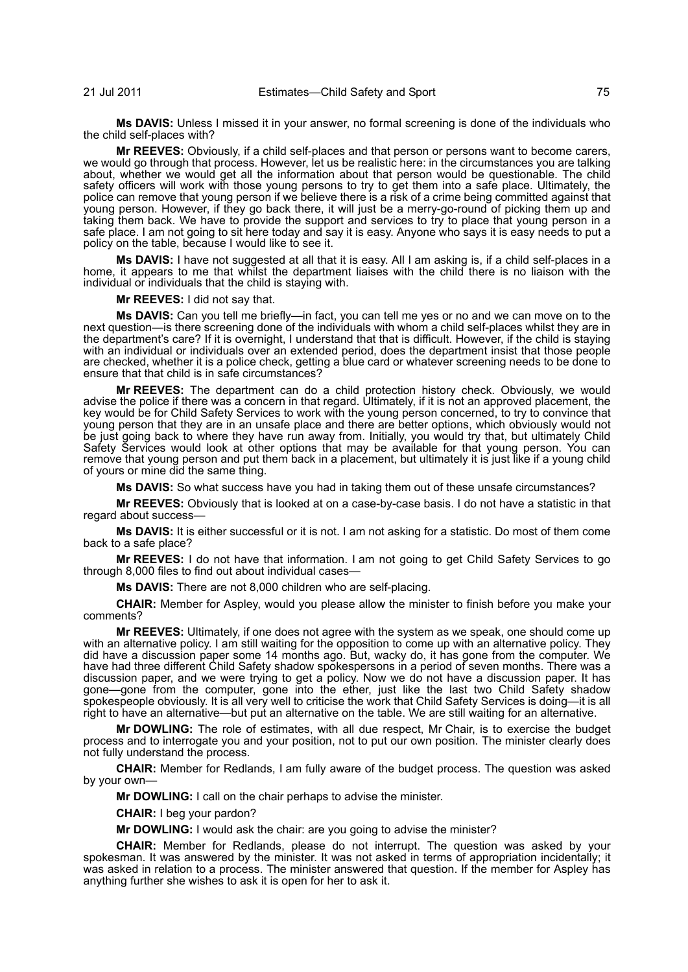**Ms DAVIS:** Unless I missed it in your answer, no formal screening is done of the individuals who the child self-places with?

**Mr REEVES:** Obviously, if a child self-places and that person or persons want to become carers, we would go through that process. However, let us be realistic here: in the circumstances you are talking about, whether we would get all the information about that person would be questionable. The child safety officers will work with those young persons to try to get them into a safe place. Ultimately, the police can remove that young person if we believe there is a risk of a crime being committed against that young person. However, if they go back there, it will just be a merry-go-round of picking them up and taking them back. We have to provide the support and services to try to place that young person in a safe place. I am not going to sit here today and say it is easy. Anyone who says it is easy needs to put a policy on the table, because I would like to see it.

**Ms DAVIS:** I have not suggested at all that it is easy. All I am asking is, if a child self-places in a home, it appears to me that whilst the department liaises with the child there is no liaison with the individual or individuals that the child is staying with.

## **Mr REEVES:** I did not say that.

**Ms DAVIS:** Can you tell me briefly—in fact, you can tell me yes or no and we can move on to the next question—is there screening done of the individuals with whom a child self-places whilst they are in the department's care? If it is overnight, I understand that that is difficult. However, if the child is staying with an individual or individuals over an extended period, does the department insist that those people are checked, whether it is a police check, getting a blue card or whatever screening needs to be done to ensure that that child is in safe circumstances?

**Mr REEVES:** The department can do a child protection history check. Obviously, we would advise the police if there was a concern in that regard. Ultimately, if it is not an approved placement, the key would be for Child Safety Services to work with the young person concerned, to try to convince that young person that they are in an unsafe place and there are better options, which obviously would not be just going back to where they have run away from. Initially, you would try that, but ultimately Child Safety Services would look at other options that may be available for that young person. You can remove that young person and put them back in a placement, but ultimately it is just like if a young child of yours or mine did the same thing.

**Ms DAVIS:** So what success have you had in taking them out of these unsafe circumstances?

**Mr REEVES:** Obviously that is looked at on a case-by-case basis. I do not have a statistic in that regard about success—

**Ms DAVIS:** It is either successful or it is not. I am not asking for a statistic. Do most of them come back to a safe place?

**Mr REEVES:** I do not have that information. I am not going to get Child Safety Services to go through 8,000 files to find out about individual cases—

**Ms DAVIS:** There are not 8,000 children who are self-placing.

**CHAIR:** Member for Aspley, would you please allow the minister to finish before you make your comments?

**Mr REEVES:** Ultimately, if one does not agree with the system as we speak, one should come up with an alternative policy. I am still waiting for the opposition to come up with an alternative policy. They did have a discussion paper some 14 months ago. But, wacky do, it has gone from the computer. We have had three different Child Safety shadow spokespersons in a period of seven months. There was a discussion paper, and we were trying to get a policy. Now we do not have a discussion paper. It has gone—gone from the computer, gone into the ether, just like the last two Child Safety shadow spokespeople obviously. It is all very well to criticise the work that Child Safety Services is doing—it is all right to have an alternative—but put an alternative on the table. We are still waiting for an alternative.

**Mr DOWLING:** The role of estimates, with all due respect, Mr Chair, is to exercise the budget process and to interrogate you and your position, not to put our own position. The minister clearly does not fully understand the process.

**CHAIR:** Member for Redlands, I am fully aware of the budget process. The question was asked by your own—

**Mr DOWLING:** I call on the chair perhaps to advise the minister.

**CHAIR:** I beg your pardon?

**Mr DOWLING:** I would ask the chair: are you going to advise the minister?

**CHAIR:** Member for Redlands, please do not interrupt. The question was asked by your spokesman. It was answered by the minister. It was not asked in terms of appropriation incidentally; it was asked in relation to a process. The minister answered that question. If the member for Aspley has anything further she wishes to ask it is open for her to ask it.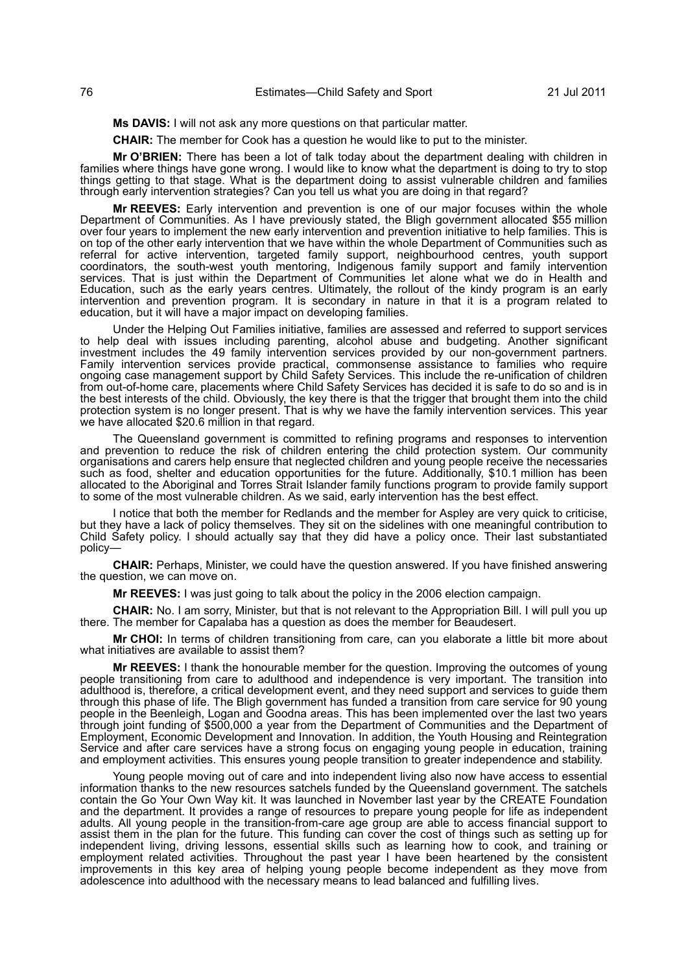**Ms DAVIS:** I will not ask any more questions on that particular matter.

**CHAIR:** The member for Cook has a question he would like to put to the minister.

**Mr O'BRIEN:** There has been a lot of talk today about the department dealing with children in families where things have gone wrong. I would like to know what the department is doing to try to stop things getting to that stage. What is the department doing to assist vulnerable children and families through early intervention strategies? Can you tell us what you are doing in that regard?

**Mr REEVES:** Early intervention and prevention is one of our major focuses within the whole Department of Communities. As I have previously stated, the Bligh government allocated \$55 million over four years to implement the new early intervention and prevention initiative to help families. This is on top of the other early intervention that we have within the whole Department of Communities such as referral for active intervention, targeted family support, neighbourhood centres, youth support coordinators, the south-west youth mentoring, Indigenous family support and family intervention services. That is just within the Department of Communities let alone what we do in Health and Education, such as the early years centres. Ultimately, the rollout of the kindy program is an early intervention and prevention program. It is secondary in nature in that it is a program related to education, but it will have a major impact on developing families.

Under the Helping Out Families initiative, families are assessed and referred to support services to help deal with issues including parenting, alcohol abuse and budgeting. Another significant investment includes the 49 family intervention services provided by our non-government partners. Family intervention services provide practical, commonsense assistance to families who require ongoing case management support by Child Safety Services. This include the re-unification of children from out-of-home care, placements where Child Safety Services has decided it is safe to do so and is in the best interests of the child. Obviously, the key there is that the trigger that brought them into the child protection system is no longer present. That is why we have the family intervention services. This year we have allocated \$20.6 million in that regard.

The Queensland government is committed to refining programs and responses to intervention and prevention to reduce the risk of children entering the child protection system. Our community organisations and carers help ensure that neglected children and young people receive the necessaries such as food, shelter and education opportunities for the future. Additionally, \$10.1 million has been allocated to the Aboriginal and Torres Strait Islander family functions program to provide family support to some of the most vulnerable children. As we said, early intervention has the best effect.

I notice that both the member for Redlands and the member for Aspley are very quick to criticise, but they have a lack of policy themselves. They sit on the sidelines with one meaningful contribution to Child Safety policy. I should actually say that they did have a policy once. Their last substantiated policy—

**CHAIR:** Perhaps, Minister, we could have the question answered. If you have finished answering the question, we can move on.

**Mr REEVES:** I was just going to talk about the policy in the 2006 election campaign.

**CHAIR:** No. I am sorry, Minister, but that is not relevant to the Appropriation Bill. I will pull you up there. The member for Capalaba has a question as does the member for Beaudesert.

**Mr CHOI:** In terms of children transitioning from care, can you elaborate a little bit more about what initiatives are available to assist them?

**Mr REEVES:** I thank the honourable member for the question. Improving the outcomes of young people transitioning from care to adulthood and independence is very important. The transition into adulthood is, therefore, a critical development event, and they need support and services to guide them through this phase of life. The Bligh government has funded a transition from care service for 90 young people in the Beenleigh, Logan and Goodna areas. This has been implemented over the last two years through joint funding of \$500,000 a year from the Department of Communities and the Department of Employment, Economic Development and Innovation. In addition, the Youth Housing and Reintegration Service and after care services have a strong focus on engaging young people in education, training and employment activities. This ensures young people transition to greater independence and stability.

Young people moving out of care and into independent living also now have access to essential information thanks to the new resources satchels funded by the Queensland government. The satchels contain the Go Your Own Way kit. It was launched in November last year by the CREATE Foundation and the department. It provides a range of resources to prepare young people for life as independent adults. All young people in the transition-from-care age group are able to access financial support to assist them in the plan for the future. This funding can cover the cost of things such as setting up for independent living, driving lessons, essential skills such as learning how to cook, and training or employment related activities. Throughout the past year I have been heartened by the consistent improvements in this key area of helping young people become independent as they move from adolescence into adulthood with the necessary means to lead balanced and fulfilling lives.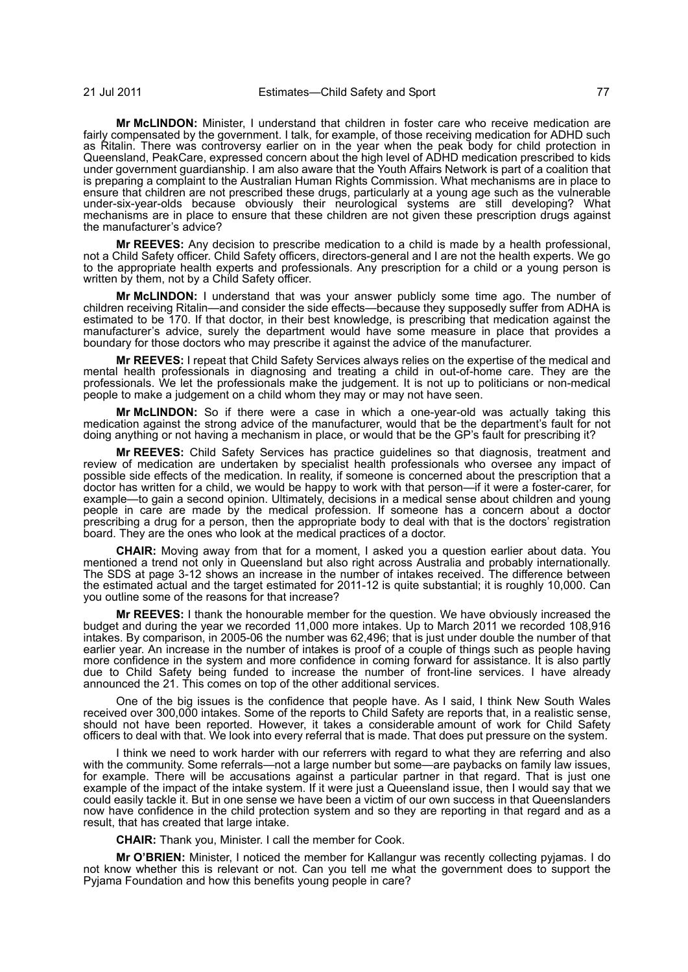**Mr McLINDON:** Minister, I understand that children in foster care who receive medication are fairly compensated by the government. I talk, for example, of those receiving medication for ADHD such as Ritalin. There was controversy earlier on in the year when the peak body for child protection in Queensland, PeakCare, expressed concern about the high level of ADHD medication prescribed to kids under government guardianship. I am also aware that the Youth Affairs Network is part of a coalition that is preparing a complaint to the Australian Human Rights Commission. What mechanisms are in place to ensure that children are not prescribed these drugs, particularly at a young age such as the vulnerable under-six-year-olds because obviously their neurological systems are still developing? What mechanisms are in place to ensure that these children are not given these prescription drugs against the manufacturer's advice?

**Mr REEVES:** Any decision to prescribe medication to a child is made by a health professional, not a Child Safety officer. Child Safety officers, directors-general and I are not the health experts. We go to the appropriate health experts and professionals. Any prescription for a child or a young person is written by them, not by a Child Safety officer.

**Mr McLINDON:** I understand that was your answer publicly some time ago. The number of children receiving Ritalin—and consider the side effects—because they supposedly suffer from ADHA is estimated to be 170. If that doctor, in their best knowledge, is prescribing that medication against the manufacturer's advice, surely the department would have some measure in place that provides a boundary for those doctors who may prescribe it against the advice of the manufacturer.

**Mr REEVES:** I repeat that Child Safety Services always relies on the expertise of the medical and mental health professionals in diagnosing and treating a child in out-of-home care. They are the professionals. We let the professionals make the judgement. It is not up to politicians or non-medical people to make a judgement on a child whom they may or may not have seen.

**Mr McLINDON:** So if there were a case in which a one-year-old was actually taking this medication against the strong advice of the manufacturer, would that be the department's fault for not doing anything or not having a mechanism in place, or would that be the GP's fault for prescribing it?

**Mr REEVES:** Child Safety Services has practice guidelines so that diagnosis, treatment and review of medication are undertaken by specialist health professionals who oversee any impact of possible side effects of the medication. In reality, if someone is concerned about the prescription that a doctor has written for a child, we would be happy to work with that person—if it were a foster-carer, for example—to gain a second opinion. Ultimately, decisions in a medical sense about children and young people in care are made by the medical profession. If someone has a concern about a doctor prescribing a drug for a person, then the appropriate body to deal with that is the doctors' registration board. They are the ones who look at the medical practices of a doctor.

**CHAIR:** Moving away from that for a moment, I asked you a question earlier about data. You mentioned a trend not only in Queensland but also right across Australia and probably internationally. The SDS at page 3-12 shows an increase in the number of intakes received. The difference between the estimated actual and the target estimated for 2011-12 is quite substantial; it is roughly 10,000. Can you outline some of the reasons for that increase?

**Mr REEVES:** I thank the honourable member for the question. We have obviously increased the budget and during the year we recorded 11,000 more intakes. Up to March 2011 we recorded 108,916 intakes. By comparison, in 2005-06 the number was 62,496; that is just under double the number of that earlier year. An increase in the number of intakes is proof of a couple of things such as people having more confidence in the system and more confidence in coming forward for assistance. It is also partly due to Child Safety being funded to increase the number of front-line services. I have already announced the 21. This comes on top of the other additional services.

One of the big issues is the confidence that people have. As I said, I think New South Wales received over 300,000 intakes. Some of the reports to Child Safety are reports that, in a realistic sense, should not have been reported. However, it takes a considerable amount of work for Child Safety officers to deal with that. We look into every referral that is made. That does put pressure on the system.

I think we need to work harder with our referrers with regard to what they are referring and also with the community. Some referrals—not a large number but some—are paybacks on family law issues, for example. There will be accusations against a particular partner in that regard. That is just one example of the impact of the intake system. If it were just a Queensland issue, then I would say that we could easily tackle it. But in one sense we have been a victim of our own success in that Queenslanders now have confidence in the child protection system and so they are reporting in that regard and as a result, that has created that large intake.

**CHAIR:** Thank you, Minister. I call the member for Cook.

**Mr O'BRIEN:** Minister, I noticed the member for Kallangur was recently collecting pyjamas. I do not know whether this is relevant or not. Can you tell me what the government does to support the Pyjama Foundation and how this benefits young people in care?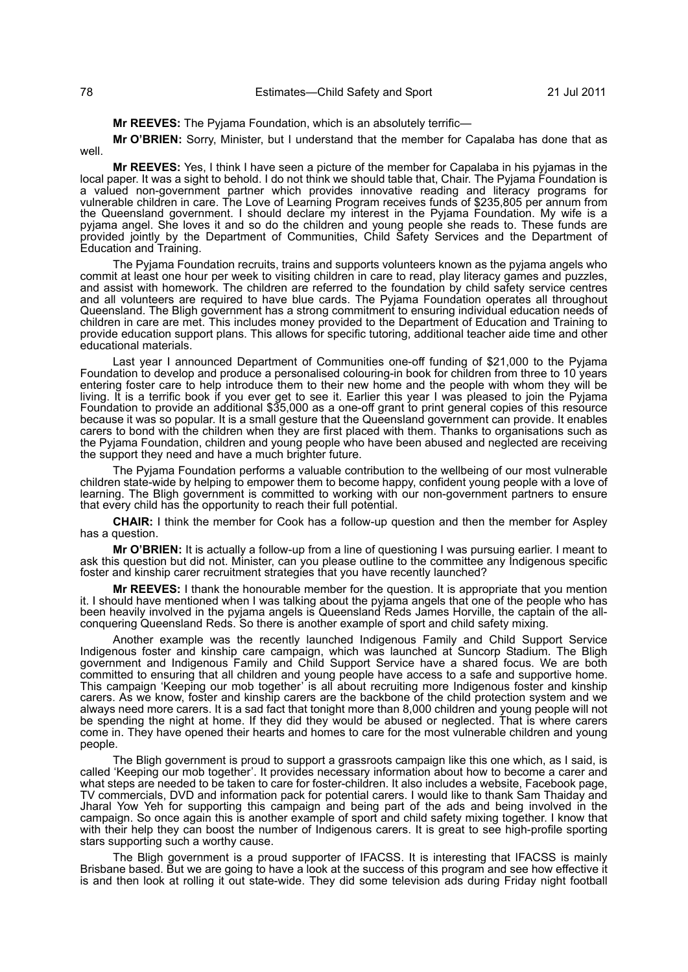**Mr REEVES:** The Pyjama Foundation, which is an absolutely terrific—

**Mr O'BRIEN:** Sorry, Minister, but I understand that the member for Capalaba has done that as well.

**Mr REEVES:** Yes, I think I have seen a picture of the member for Capalaba in his pyjamas in the local paper. It was a sight to behold. I do not think we should table that, Chair. The Pyjama Foundation is a valued non-government partner which provides innovative reading and literacy programs for vulnerable children in care. The Love of Learning Program receives funds of \$235,805 per annum from the Queensland government. I should declare my interest in the Pyjama Foundation. My wife is a pyjama angel. She loves it and so do the children and young people she reads to. These funds are provided jointly by the Department of Communities, Child Safety Services and the Department of Education and Training.

The Pyjama Foundation recruits, trains and supports volunteers known as the pyjama angels who commit at least one hour per week to visiting children in care to read, play literacy games and puzzles, and assist with homework. The children are referred to the foundation by child safety service centres and all volunteers are required to have blue cards. The Pyjama Foundation operates all throughout Queensland. The Bligh government has a strong commitment to ensuring individual education needs of children in care are met. This includes money provided to the Department of Education and Training to provide education support plans. This allows for specific tutoring, additional teacher aide time and other educational materials.

Last year I announced Department of Communities one-off funding of \$21,000 to the Pyjama Foundation to develop and produce a personalised colouring-in book for children from three to 10 years entering foster care to help introduce them to their new home and the people with whom they will be living. It is a terrific book if you ever get to see it. Earlier this year I was pleased to join the Pyjama Foundation to provide an additional \$35,000 as a one-off grant to print general copies of this resource because it was so popular. It is a small gesture that the Queensland government can provide. It enables carers to bond with the children when they are first placed with them. Thanks to organisations such as the Pyjama Foundation, children and young people who have been abused and neglected are receiving the support they need and have a much brighter future.

The Pyjama Foundation performs a valuable contribution to the wellbeing of our most vulnerable children state-wide by helping to empower them to become happy, confident young people with a love of learning. The Bligh government is committed to working with our non-government partners to ensure that every child has the opportunity to reach their full potential.

**CHAIR:** I think the member for Cook has a follow-up question and then the member for Aspley has a question.

**Mr O'BRIEN:** It is actually a follow-up from a line of questioning I was pursuing earlier. I meant to ask this question but did not. Minister, can you please outline to the committee any Indigenous specific foster and kinship carer recruitment strategies that you have recently launched?

**Mr REEVES:** I thank the honourable member for the question. It is appropriate that you mention it. I should have mentioned when I was talking about the pyjama angels that one of the people who has been heavily involved in the pyjama angels is Queensland Reds James Horville, the captain of the allconquering Queensland Reds. So there is another example of sport and child safety mixing.

Another example was the recently launched Indigenous Family and Child Support Service Indigenous foster and kinship care campaign, which was launched at Suncorp Stadium. The Bligh government and Indigenous Family and Child Support Service have a shared focus. We are both committed to ensuring that all children and young people have access to a safe and supportive home. This campaign 'Keeping our mob together' is all about recruiting more Indigenous foster and kinship carers. As we know, foster and kinship carers are the backbone of the child protection system and we always need more carers. It is a sad fact that tonight more than 8,000 children and young people will not be spending the night at home. If they did they would be abused or neglected. That is where carers come in. They have opened their hearts and homes to care for the most vulnerable children and young people.

The Bligh government is proud to support a grassroots campaign like this one which, as I said, is called 'Keeping our mob together'. It provides necessary information about how to become a carer and what steps are needed to be taken to care for foster-children. It also includes a website, Facebook page, TV commercials, DVD and information pack for potential carers. I would like to thank Sam Thaiday and Jharal Yow Yeh for supporting this campaign and being part of the ads and being involved in the campaign. So once again this is another example of sport and child safety mixing together. I know that with their help they can boost the number of Indigenous carers. It is great to see high-profile sporting stars supporting such a worthy cause.

The Bligh government is a proud supporter of IFACSS. It is interesting that IFACSS is mainly Brisbane based. But we are going to have a look at the success of this program and see how effective it is and then look at rolling it out state-wide. They did some television ads during Friday night football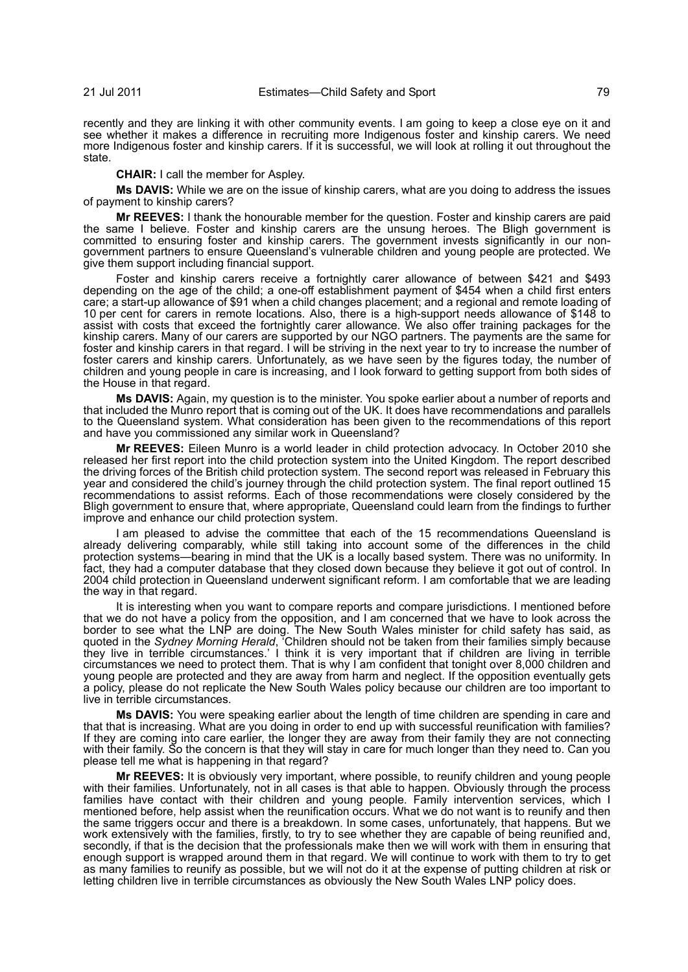recently and they are linking it with other community events. I am going to keep a close eye on it and see whether it makes a difference in recruiting more Indigenous foster and kinship carers. We need more Indigenous foster and kinship carers. If it is successful, we will look at rolling it out throughout the state.

## **CHAIR:** I call the member for Aspley.

**Ms DAVIS:** While we are on the issue of kinship carers, what are you doing to address the issues of payment to kinship carers?

**Mr REEVES:** I thank the honourable member for the question. Foster and kinship carers are paid the same I believe. Foster and kinship carers are the unsung heroes. The Bligh government is committed to ensuring foster and kinship carers. The government invests significantly in our nongovernment partners to ensure Queensland's vulnerable children and young people are protected. We give them support including financial support.

Foster and kinship carers receive a fortnightly carer allowance of between \$421 and \$493 depending on the age of the child; a one-off establishment payment of \$454 when a child first enters care; a start-up allowance of \$91 when a child changes placement; and a regional and remote loading of 10 per cent for carers in remote locations. Also, there is a high-support needs allowance of \$148 to assist with costs that exceed the fortnightly carer allowance. We also offer training packages for the kinship carers. Many of our carers are supported by our NGO partners. The payments are the same for foster and kinship carers in that regard. I will be striving in the next year to try to increase the number of foster carers and kinship carers. Unfortunately, as we have seen by the figures today, the number of children and young people in care is increasing, and I look forward to getting support from both sides of the House in that regard.

**Ms DAVIS:** Again, my question is to the minister. You spoke earlier about a number of reports and that included the Munro report that is coming out of the UK. It does have recommendations and parallels to the Queensland system. What consideration has been given to the recommendations of this report and have you commissioned any similar work in Queensland?

**Mr REEVES:** Eileen Munro is a world leader in child protection advocacy. In October 2010 she released her first report into the child protection system into the United Kingdom. The report described the driving forces of the British child protection system. The second report was released in February this year and considered the child's journey through the child protection system. The final report outlined 15 recommendations to assist reforms. Each of those recommendations were closely considered by the Bligh government to ensure that, where appropriate, Queensland could learn from the findings to further improve and enhance our child protection system.

I am pleased to advise the committee that each of the 15 recommendations Queensland is already delivering comparably, while still taking into account some of the differences in the child protection systems—bearing in mind that the UK is a locally based system. There was no uniformity. In fact, they had a computer database that they closed down because they believe it got out of control. In 2004 child protection in Queensland underwent significant reform. I am comfortable that we are leading the way in that regard.

It is interesting when you want to compare reports and compare jurisdictions. I mentioned before that we do not have a policy from the opposition, and I am concerned that we have to look across the border to see what the LNP are doing. The New South Wales minister for child safety has said, as quoted in the *Sydney Morning Herald*, 'Children should not be taken from their families simply because they live in terrible circumstances.' I think it is very important that if children are living in terrible circumstances we need to protect them. That is why I am confident that tonight over 8,000 children and young people are protected and they are away from harm and neglect. If the opposition eventually gets a policy, please do not replicate the New South Wales policy because our children are too important to live in terrible circumstances.

**Ms DAVIS:** You were speaking earlier about the length of time children are spending in care and that that is increasing. What are you doing in order to end up with successful reunification with families? If they are coming into care earlier, the longer they are away from their family they are not connecting with their family. So the concern is that they will stay in care for much longer than they need to. Can you please tell me what is happening in that regard?

**Mr REEVES:** It is obviously very important, where possible, to reunify children and young people with their families. Unfortunately, not in all cases is that able to happen. Obviously through the process families have contact with their children and young people. Family intervention services, which I mentioned before, help assist when the reunification occurs. What we do not want is to reunify and then the same triggers occur and there is a breakdown. In some cases, unfortunately, that happens. But we work extensively with the families, firstly, to try to see whether they are capable of being reunified and, secondly, if that is the decision that the professionals make then we will work with them in ensuring that enough support is wrapped around them in that regard. We will continue to work with them to try to get as many families to reunify as possible, but we will not do it at the expense of putting children at risk or letting children live in terrible circumstances as obviously the New South Wales LNP policy does.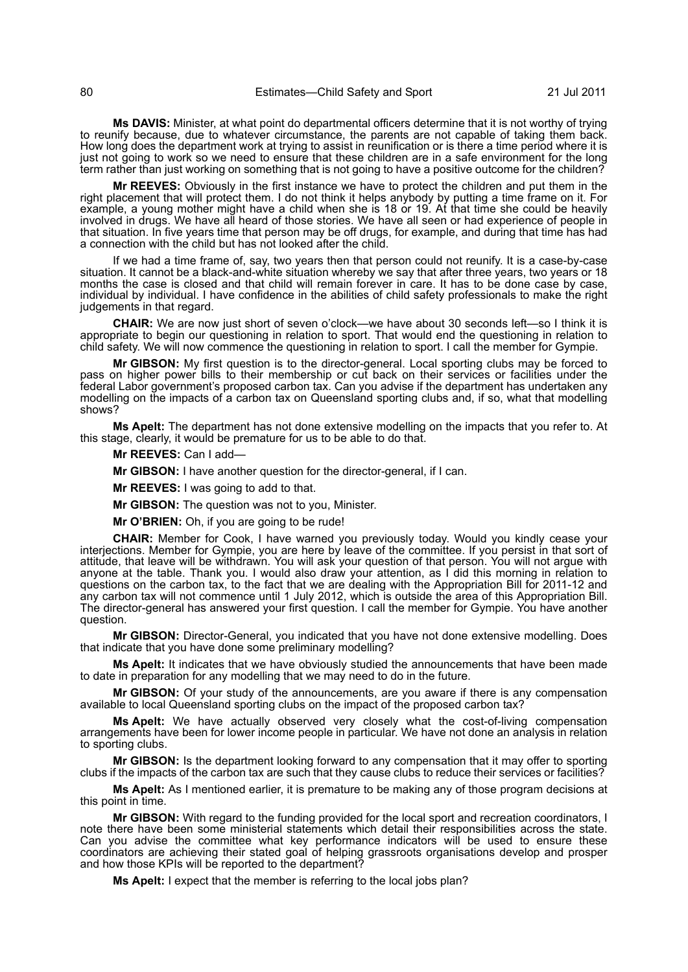**Ms DAVIS:** Minister, at what point do departmental officers determine that it is not worthy of trying to reunify because, due to whatever circumstance, the parents are not capable of taking them back. How long does the department work at trying to assist in reunification or is there a time period where it is just not going to work so we need to ensure that these children are in a safe environment for the long term rather than just working on something that is not going to have a positive outcome for the children?

**Mr REEVES:** Obviously in the first instance we have to protect the children and put them in the right placement that will protect them. I do not think it helps anybody by putting a time frame on it. For example, a young mother might have a child when she is 18 or 19. At that time she could be heavily involved in drugs. We have all heard of those stories. We have all seen or had experience of people in that situation. In five years time that person may be off drugs, for example, and during that time has had a connection with the child but has not looked after the child.

If we had a time frame of, say, two years then that person could not reunify. It is a case-by-case situation. It cannot be a black-and-white situation whereby we say that after three years, two years or 18 months the case is closed and that child will remain forever in care. It has to be done case by case, individual by individual. I have confidence in the abilities of child safety professionals to make the right judgements in that regard.

**CHAIR:** We are now just short of seven o'clock—we have about 30 seconds left—so I think it is appropriate to begin our questioning in relation to sport. That would end the questioning in relation to child safety. We will now commence the questioning in relation to sport. I call the member for Gympie.

**Mr GIBSON:** My first question is to the director-general. Local sporting clubs may be forced to pass on higher power bills to their membership or cut back on their services or facilities under the federal Labor government's proposed carbon tax. Can you advise if the department has undertaken any modelling on the impacts of a carbon tax on Queensland sporting clubs and, if so, what that modelling shows?

**Ms Apelt:** The department has not done extensive modelling on the impacts that you refer to. At this stage, clearly, it would be premature for us to be able to do that.

**Mr REEVES:** Can I add—

**Mr GIBSON:** I have another question for the director-general, if I can.

**Mr REEVES:** I was going to add to that.

**Mr GIBSON:** The question was not to you, Minister.

**Mr O'BRIEN:** Oh, if you are going to be rude!

**CHAIR:** Member for Cook, I have warned you previously today. Would you kindly cease your interjections. Member for Gympie, you are here by leave of the committee. If you persist in that sort of attitude, that leave will be withdrawn. You will ask your question of that person. You will not argue with anyone at the table. Thank you. I would also draw your attention, as I did this morning in relation to questions on the carbon tax, to the fact that we are dealing with the Appropriation Bill for 2011-12 and any carbon tax will not commence until 1 July 2012, which is outside the area of this Appropriation Bill. The director-general has answered your first question. I call the member for Gympie. You have another question.

**Mr GIBSON:** Director-General, you indicated that you have not done extensive modelling. Does that indicate that you have done some preliminary modelling?

**Ms Apelt:** It indicates that we have obviously studied the announcements that have been made to date in preparation for any modelling that we may need to do in the future.

**Mr GIBSON:** Of your study of the announcements, are you aware if there is any compensation available to local Queensland sporting clubs on the impact of the proposed carbon tax?

**Ms Apelt:** We have actually observed very closely what the cost-of-living compensation arrangements have been for lower income people in particular. We have not done an analysis in relation to sporting clubs.

**Mr GIBSON:** Is the department looking forward to any compensation that it may offer to sporting clubs if the impacts of the carbon tax are such that they cause clubs to reduce their services or facilities?

**Ms Apelt:** As I mentioned earlier, it is premature to be making any of those program decisions at this point in time.

**Mr GIBSON:** With regard to the funding provided for the local sport and recreation coordinators, I note there have been some ministerial statements which detail their responsibilities across the state. Can you advise the committee what key performance indicators will be used to ensure these coordinators are achieving their stated goal of helping grassroots organisations develop and prosper and how those KPIs will be reported to the department?

**Ms Apelt:** I expect that the member is referring to the local jobs plan?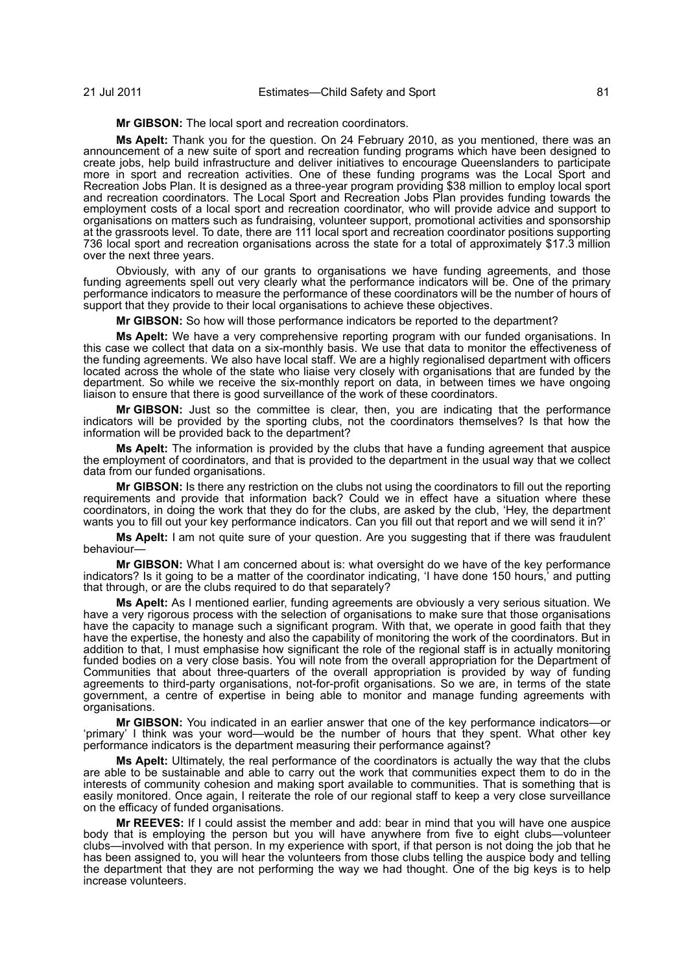**Mr GIBSON:** The local sport and recreation coordinators.

**Ms Apelt:** Thank you for the question. On 24 February 2010, as you mentioned, there was an announcement of a new suite of sport and recreation funding programs which have been designed to create jobs, help build infrastructure and deliver initiatives to encourage Queenslanders to participate more in sport and recreation activities. One of these funding programs was the Local Sport and Recreation Jobs Plan. It is designed as a three-year program providing \$38 million to employ local sport and recreation coordinators. The Local Sport and Recreation Jobs Plan provides funding towards the employment costs of a local sport and recreation coordinator, who will provide advice and support to organisations on matters such as fundraising, volunteer support, promotional activities and sponsorship at the grassroots level. To date, there are 111 local sport and recreation coordinator positions supporting 736 local sport and recreation organisations across the state for a total of approximately \$17.3 million over the next three years.

Obviously, with any of our grants to organisations we have funding agreements, and those funding agreements spell out very clearly what the performance indicators will be. One of the primary performance indicators to measure the performance of these coordinators will be the number of hours of support that they provide to their local organisations to achieve these objectives.

**Mr GIBSON:** So how will those performance indicators be reported to the department?

**Ms Apelt:** We have a very comprehensive reporting program with our funded organisations. In this case we collect that data on a six-monthly basis. We use that data to monitor the effectiveness of the funding agreements. We also have local staff. We are a highly regionalised department with officers located across the whole of the state who liaise very closely with organisations that are funded by the department. So while we receive the six-monthly report on data, in between times we have ongoing liaison to ensure that there is good surveillance of the work of these coordinators.

**Mr GIBSON:** Just so the committee is clear, then, you are indicating that the performance indicators will be provided by the sporting clubs, not the coordinators themselves? Is that how the information will be provided back to the department?

**Ms Apelt:** The information is provided by the clubs that have a funding agreement that auspice the employment of coordinators, and that is provided to the department in the usual way that we collect data from our funded organisations.

**Mr GIBSON:** Is there any restriction on the clubs not using the coordinators to fill out the reporting requirements and provide that information back? Could we in effect have a situation where these coordinators, in doing the work that they do for the clubs, are asked by the club, 'Hey, the department wants you to fill out your key performance indicators. Can you fill out that report and we will send it in?'

**Ms Apelt:** I am not quite sure of your question. Are you suggesting that if there was fraudulent behaviour—

**Mr GIBSON:** What I am concerned about is: what oversight do we have of the key performance indicators? Is it going to be a matter of the coordinator indicating, 'I have done 150 hours,' and putting that through, or are the clubs required to do that separately?

**Ms Apelt:** As I mentioned earlier, funding agreements are obviously a very serious situation. We have a very rigorous process with the selection of organisations to make sure that those organisations have the capacity to manage such a significant program. With that, we operate in good faith that they have the expertise, the honesty and also the capability of monitoring the work of the coordinators. But in addition to that, I must emphasise how significant the role of the regional staff is in actually monitoring funded bodies on a very close basis. You will note from the overall appropriation for the Department of Communities that about three-quarters of the overall appropriation is provided by way of funding agreements to third-party organisations, not-for-profit organisations. So we are, in terms of the state government, a centre of expertise in being able to monitor and manage funding agreements with organisations.

**Mr GIBSON:** You indicated in an earlier answer that one of the key performance indicators—or 'primary' I think was your word—would be the number of hours that they spent. What other key performance indicators is the department measuring their performance against?

**Ms Apelt:** Ultimately, the real performance of the coordinators is actually the way that the clubs are able to be sustainable and able to carry out the work that communities expect them to do in the interests of community cohesion and making sport available to communities. That is something that is easily monitored. Once again, I reiterate the role of our regional staff to keep a very close surveillance on the efficacy of funded organisations.

**Mr REEVES:** If I could assist the member and add: bear in mind that you will have one auspice body that is employing the person but you will have anywhere from five to eight clubs—volunteer clubs—involved with that person. In my experience with sport, if that person is not doing the job that he has been assigned to, you will hear the volunteers from those clubs telling the auspice body and telling the department that they are not performing the way we had thought. One of the big keys is to help increase volunteers.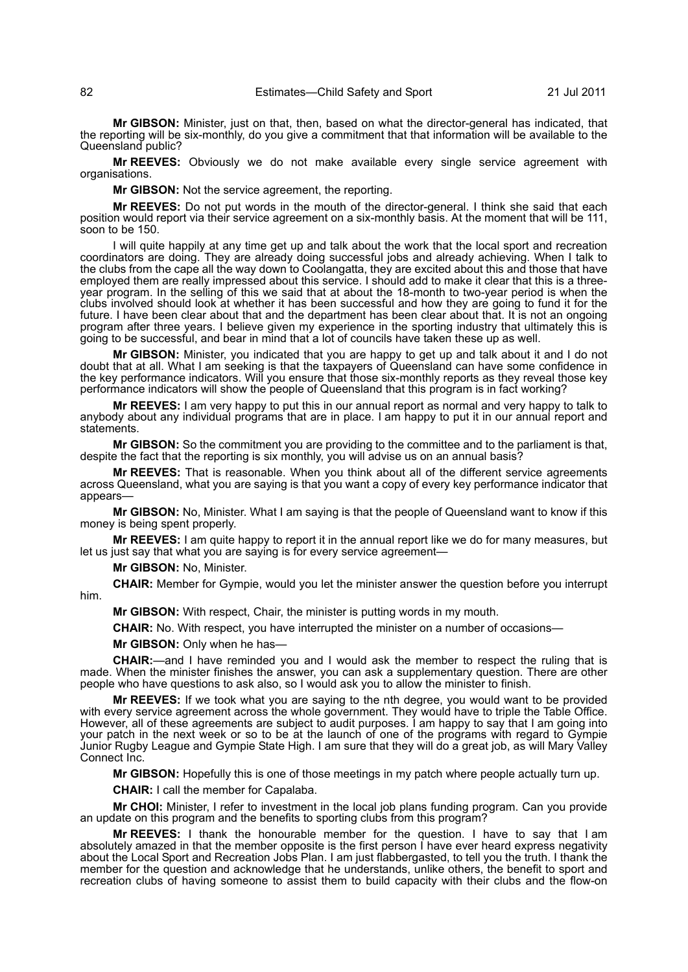**Mr GIBSON:** Minister, just on that, then, based on what the director-general has indicated, that the reporting will be six-monthly, do you give a commitment that that information will be available to the Queensland public?

**Mr REEVES:** Obviously we do not make available every single service agreement with organisations.

**Mr GIBSON:** Not the service agreement, the reporting.

**Mr REEVES:** Do not put words in the mouth of the director-general. I think she said that each position would report via their service agreement on a six-monthly basis. At the moment that will be 111, soon to be 150.

I will quite happily at any time get up and talk about the work that the local sport and recreation coordinators are doing. They are already doing successful jobs and already achieving. When I talk to the clubs from the cape all the way down to Coolangatta, they are excited about this and those that have employed them are really impressed about this service. I should add to make it clear that this is a threeyear program. In the selling of this we said that at about the 18-month to two-year period is when the clubs involved should look at whether it has been successful and how they are going to fund it for the future. I have been clear about that and the department has been clear about that. It is not an ongoing program after three years. I believe given my experience in the sporting industry that ultimately this is going to be successful, and bear in mind that a lot of councils have taken these up as well.

**Mr GIBSON:** Minister, you indicated that you are happy to get up and talk about it and I do not doubt that at all. What I am seeking is that the taxpayers of Queensland can have some confidence in the key performance indicators. Will you ensure that those six-monthly reports as they reveal those key performance indicators will show the people of Queensland that this program is in fact working?

**Mr REEVES:** I am very happy to put this in our annual report as normal and very happy to talk to anybody about any individual programs that are in place. I am happy to put it in our annual report and statements.

**Mr GIBSON:** So the commitment you are providing to the committee and to the parliament is that, despite the fact that the reporting is six monthly, you will advise us on an annual basis?

**Mr REEVES:** That is reasonable. When you think about all of the different service agreements across Queensland, what you are saying is that you want a copy of every key performance indicator that appears—

**Mr GIBSON:** No, Minister. What I am saying is that the people of Queensland want to know if this money is being spent properly.

**Mr REEVES:** I am quite happy to report it in the annual report like we do for many measures, but let us just say that what you are saying is for every service agreement—

**Mr GIBSON:** No, Minister.

**CHAIR:** Member for Gympie, would you let the minister answer the question before you interrupt him.

**Mr GIBSON:** With respect, Chair, the minister is putting words in my mouth.

**CHAIR:** No. With respect, you have interrupted the minister on a number of occasions—

**Mr GIBSON:** Only when he has—

**CHAIR:**—and I have reminded you and I would ask the member to respect the ruling that is made. When the minister finishes the answer, you can ask a supplementary question. There are other people who have questions to ask also, so I would ask you to allow the minister to finish.

**Mr REEVES:** If we took what you are saying to the nth degree, you would want to be provided with every service agreement across the whole government. They would have to triple the Table Office. However, all of these agreements are subject to audit purposes. I am happy to say that I am going into your patch in the next week or so to be at the launch of one of the programs with regard to Gympie Junior Rugby League and Gympie State High. I am sure that they will do a great job, as will Mary Valley Connect Inc.

**Mr GIBSON:** Hopefully this is one of those meetings in my patch where people actually turn up.

**CHAIR:** I call the member for Capalaba.

**Mr CHOI:** Minister, I refer to investment in the local job plans funding program. Can you provide an update on this program and the benefits to sporting clubs from this program?

**Mr REEVES:** I thank the honourable member for the question. I have to say that I am absolutely amazed in that the member opposite is the first person I have ever heard express negativity about the Local Sport and Recreation Jobs Plan. I am just flabbergasted, to tell you the truth. I thank the member for the question and acknowledge that he understands, unlike others, the benefit to sport and recreation clubs of having someone to assist them to build capacity with their clubs and the flow-on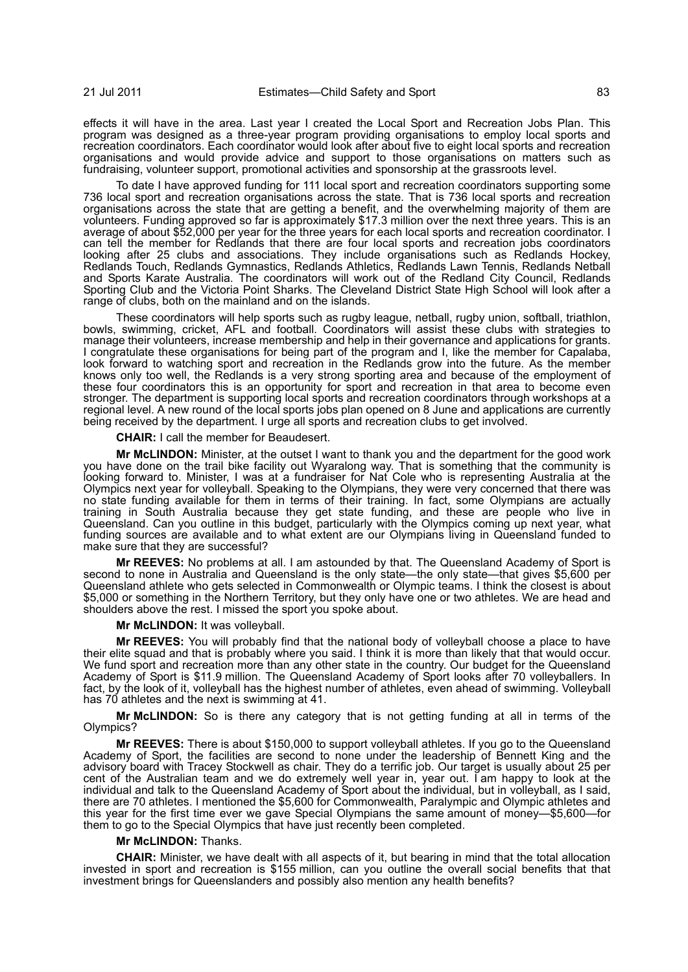effects it will have in the area. Last year I created the Local Sport and Recreation Jobs Plan. This program was designed as a three-year program providing organisations to employ local sports and recreation coordinators. Each coordinator would look after about five to eight local sports and recreation organisations and would provide advice and support to those organisations on matters such as fundraising, volunteer support, promotional activities and sponsorship at the grassroots level.

To date I have approved funding for 111 local sport and recreation coordinators supporting some 736 local sport and recreation organisations across the state. That is 736 local sports and recreation organisations across the state that are getting a benefit, and the overwhelming majority of them are volunteers. Funding approved so far is approximately \$17.3 million over the next three years. This is an average of about \$52,000 per year for the three years for each local sports and recreation coordinator. I can tell the member for Redlands that there are four local sports and recreation jobs coordinators looking after 25 clubs and associations. They include organisations such as Redlands Hockey, Redlands Touch, Redlands Gymnastics, Redlands Athletics, Redlands Lawn Tennis, Redlands Netball and Sports Karate Australia. The coordinators will work out of the Redland City Council, Redlands Sporting Club and the Victoria Point Sharks. The Cleveland District State High School will look after a range of clubs, both on the mainland and on the islands.

These coordinators will help sports such as rugby league, netball, rugby union, softball, triathlon, bowls, swimming, cricket, AFL and football. Coordinators will assist these clubs with strategies to manage their volunteers, increase membership and help in their governance and applications for grants. I congratulate these organisations for being part of the program and I, like the member for Capalaba, look forward to watching sport and recreation in the Redlands grow into the future. As the member knows only too well, the Redlands is a very strong sporting area and because of the employment of these four coordinators this is an opportunity for sport and recreation in that area to become even stronger. The department is supporting local sports and recreation coordinators through workshops at a regional level. A new round of the local sports jobs plan opened on 8 June and applications are currently being received by the department. I urge all sports and recreation clubs to get involved.

**CHAIR:** I call the member for Beaudesert.

**Mr McLINDON:** Minister, at the outset I want to thank you and the department for the good work you have done on the trail bike facility out Wyaralong way. That is something that the community is looking forward to. Minister, I was at a fundraiser for Nat Cole who is representing Australia at the Olympics next year for volleyball. Speaking to the Olympians, they were very concerned that there was no state funding available for them in terms of their training. In fact, some Olympians are actually training in South Australia because they get state funding, and these are people who live in Queensland. Can you outline in this budget, particularly with the Olympics coming up next year, what funding sources are available and to what extent are our Olympians living in Queensland funded to make sure that they are successful?

**Mr REEVES:** No problems at all. I am astounded by that. The Queensland Academy of Sport is second to none in Australia and Queensland is the only state—the only state—that gives \$5,600 per Queensland athlete who gets selected in Commonwealth or Olympic teams. I think the closest is about \$5,000 or something in the Northern Territory, but they only have one or two athletes. We are head and shoulders above the rest. I missed the sport you spoke about.

**Mr McLINDON:** It was volleyball.

**Mr REEVES:** You will probably find that the national body of volleyball choose a place to have their elite squad and that is probably where you said. I think it is more than likely that that would occur. We fund sport and recreation more than any other state in the country. Our budget for the Queensland Academy of Sport is \$11.9 million. The Queensland Academy of Sport looks after 70 volleyballers. In fact, by the look of it, volleyball has the highest number of athletes, even ahead of swimming. Volleyball has 70 athletes and the next is swimming at 41.

**Mr McLINDON:** So is there any category that is not getting funding at all in terms of the Olympics?

**Mr REEVES:** There is about \$150,000 to support volleyball athletes. If you go to the Queensland Academy of Sport, the facilities are second to none under the leadership of Bennett King and the advisory board with Tracey Stockwell as chair. They do a terrific job. Our target is usually about 25 per cent of the Australian team and we do extremely well year in, year out. I am happy to look at the individual and talk to the Queensland Academy of Sport about the individual, but in volleyball, as I said, there are 70 athletes. I mentioned the \$5,600 for Commonwealth, Paralympic and Olympic athletes and this year for the first time ever we gave Special Olympians the same amount of money—\$5,600—for them to go to the Special Olympics that have just recently been completed.

## **Mr McLINDON:** Thanks.

**CHAIR:** Minister, we have dealt with all aspects of it, but bearing in mind that the total allocation invested in sport and recreation is \$155 million, can you outline the overall social benefits that that investment brings for Queenslanders and possibly also mention any health benefits?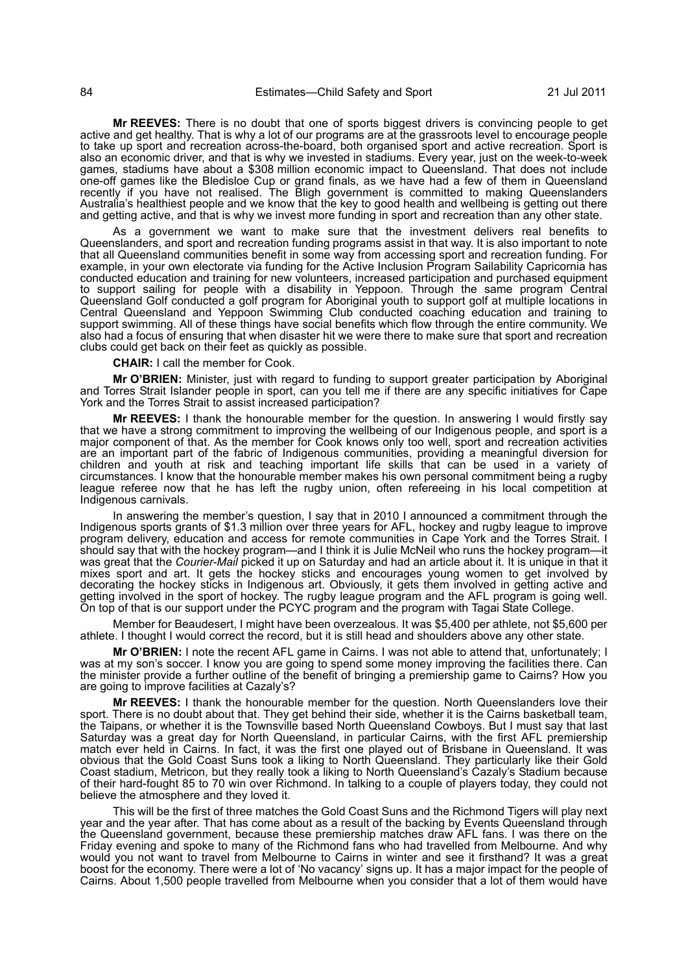**Mr REEVES:** There is no doubt that one of sports biggest drivers is convincing people to get active and get healthy. That is why a lot of our programs are at the grassroots level to encourage people to take up sport and recreation across-the-board, both organised sport and active recreation. Sport is also an economic driver, and that is why we invested in stadiums. Every year, just on the week-to-week games, stadiums have about a \$308 million economic impact to Queensland. That does not include one-off games like the Bledisloe Cup or grand finals, as we have had a few of them in Queensland recently if you have not realised. The Bligh government is committed to making Queenslanders Australia's healthiest people and we know that the key to good health and wellbeing is getting out there and getting active, and that is why we invest more funding in sport and recreation than any other state.

As a government we want to make sure that the investment delivers real benefits to Queenslanders, and sport and recreation funding programs assist in that way. It is also important to note that all Queensland communities benefit in some way from accessing sport and recreation funding. For example, in your own electorate via funding for the Active Inclusion Program Sailability Capricornia has conducted education and training for new volunteers, increased participation and purchased equipment to support sailing for people with a disability in Yeppoon. Through the same program Central Queensland Golf conducted a golf program for Aboriginal youth to support golf at multiple locations in Central Queensland and Yeppoon Swimming Club conducted coaching education and training to support swimming. All of these things have social benefits which flow through the entire community. We also had a focus of ensuring that when disaster hit we were there to make sure that sport and recreation clubs could get back on their feet as quickly as possible.

**CHAIR:** I call the member for Cook.

**Mr O'BRIEN:** Minister, just with regard to funding to support greater participation by Aboriginal and Torres Strait Islander people in sport, can you tell me if there are any specific initiatives for Cape York and the Torres Strait to assist increased participation?

**Mr REEVES:** I thank the honourable member for the question. In answering I would firstly say that we have a strong commitment to improving the wellbeing of our Indigenous people, and sport is a major component of that. As the member for Cook knows only too well, sport and recreation activities are an important part of the fabric of Indigenous communities, providing a meaningful diversion for children and youth at risk and teaching important life skills that can be used in a variety of circumstances. I know that the honourable member makes his own personal commitment being a rugby league referee now that he has left the rugby union, often refereeing in his local competition at Indigenous carnivals.

In answering the member's question, I say that in 2010 I announced a commitment through the Indigenous sports grants of \$1.3 million over three years for AFL, hockey and rugby league to improve program delivery, education and access for remote communities in Cape York and the Torres Strait. I should say that with the hockey program—and I think it is Julie McNeil who runs the hockey program—it was great that the *Courier-Mail* picked it up on Saturday and had an article about it. It is unique in that it mixes sport and art. It gets the hockey sticks and encourages young women to get involved by decorating the hockey sticks in Indigenous art. Obviously, it gets them involved in getting active and getting involved in the sport of hockey. The rugby league program and the AFL program is going well. On top of that is our support under the PCYC program and the program with Tagai State College.

Member for Beaudesert, I might have been overzealous. It was \$5,400 per athlete, not \$5,600 per athlete. I thought I would correct the record, but it is still head and shoulders above any other state.

**Mr O'BRIEN:** I note the recent AFL game in Cairns. I was not able to attend that, unfortunately; I was at my son's soccer. I know you are going to spend some money improving the facilities there. Can the minister provide a further outline of the benefit of bringing a premiership game to Cairns? How you are going to improve facilities at Cazaly's?

**Mr REEVES:** I thank the honourable member for the question. North Queenslanders love their sport. There is no doubt about that. They get behind their side, whether it is the Cairns basketball team, the Taipans, or whether it is the Townsville based North Queensland Cowboys. But I must say that last Saturday was a great day for North Queensland, in particular Cairns, with the first AFL premiership match ever held in Cairns. In fact, it was the first one played out of Brisbane in Queensland. It was obvious that the Gold Coast Suns took a liking to North Queensland. They particularly like their Gold Coast stadium, Metricon, but they really took a liking to North Queensland's Cazaly's Stadium because of their hard-fought 85 to 70 win over Richmond. In talking to a couple of players today, they could not believe the atmosphere and they loved it.

This will be the first of three matches the Gold Coast Suns and the Richmond Tigers will play next year and the year after. That has come about as a result of the backing by Events Queensland through the Queensland government, because these premiership matches draw AFL fans. I was there on the Friday evening and spoke to many of the Richmond fans who had travelled from Melbourne. And why would you not want to travel from Melbourne to Cairns in winter and see it firsthand? It was a great boost for the economy. There were a lot of 'No vacancy' signs up. It has a major impact for the people of Cairns. About 1,500 people travelled from Melbourne when you consider that a lot of them would have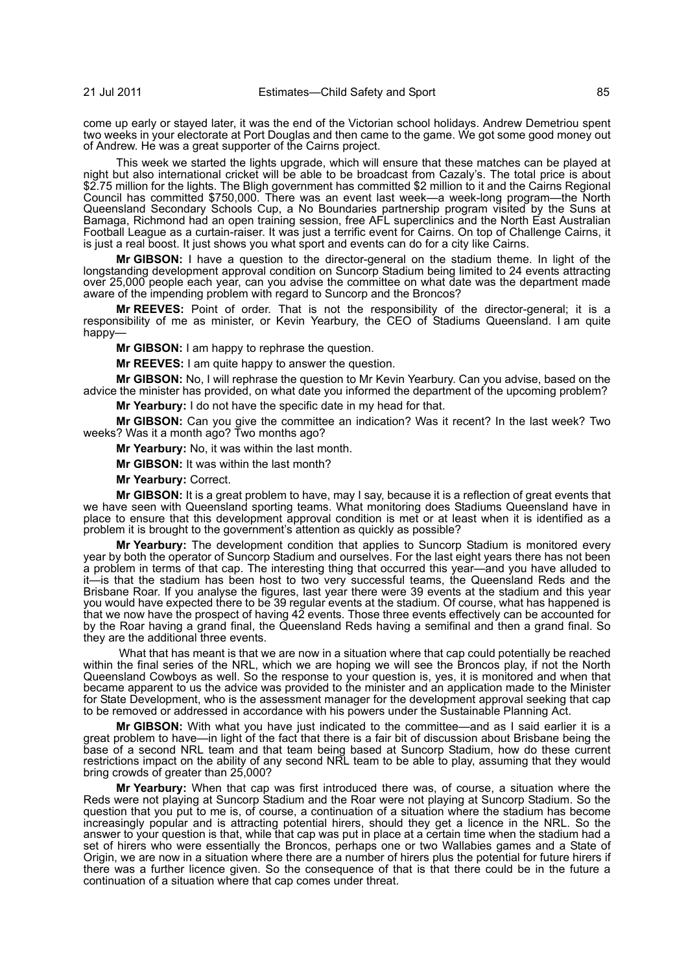come up early or stayed later, it was the end of the Victorian school holidays. Andrew Demetriou spent two weeks in your electorate at Port Douglas and then came to the game. We got some good money out of Andrew. He was a great supporter of the Cairns project.

This week we started the lights upgrade, which will ensure that these matches can be played at night but also international cricket will be able to be broadcast from Cazaly's. The total price is about \$2.75 million for the lights. The Bligh government has committed \$2 million to it and the Cairns Regional Council has committed \$750,000. There was an event last week—a week-long program—the North Queensland Secondary Schools Cup, a No Boundaries partnership program visited by the Suns at Bamaga, Richmond had an open training session, free AFL superclinics and the North East Australian Football League as a curtain-raiser. It was just a terrific event for Cairns. On top of Challenge Cairns, it is just a real boost. It just shows you what sport and events can do for a city like Cairns.

**Mr GIBSON:** I have a question to the director-general on the stadium theme. In light of the longstanding development approval condition on Suncorp Stadium being limited to 24 events attracting over 25,000 people each year, can you advise the committee on what date was the department made aware of the impending problem with regard to Suncorp and the Broncos?

**Mr REEVES:** Point of order. That is not the responsibility of the director-general; it is a responsibility of me as minister, or Kevin Yearbury, the CEO of Stadiums Queensland. I am quite happy-

**Mr GIBSON:** I am happy to rephrase the question.

**Mr REEVES:** I am quite happy to answer the question.

**Mr GIBSON:** No, I will rephrase the question to Mr Kevin Yearbury. Can you advise, based on the advice the minister has provided, on what date you informed the department of the upcoming problem?

**Mr Yearbury:** I do not have the specific date in my head for that.

**Mr GIBSON:** Can you give the committee an indication? Was it recent? In the last week? Two weeks? Was it a month ago? Two months ago?

**Mr Yearbury:** No, it was within the last month.

**Mr GIBSON:** It was within the last month?

**Mr Yearbury:** Correct.

**Mr GIBSON:** It is a great problem to have, may I say, because it is a reflection of great events that we have seen with Queensland sporting teams. What monitoring does Stadiums Queensland have in place to ensure that this development approval condition is met or at least when it is identified as a problem it is brought to the government's attention as quickly as possible?

**Mr Yearbury:** The development condition that applies to Suncorp Stadium is monitored every year by both the operator of Suncorp Stadium and ourselves. For the last eight years there has not been a problem in terms of that cap. The interesting thing that occurred this year—and you have alluded to it—is that the stadium has been host to two very successful teams, the Queensland Reds and the Brisbane Roar. If you analyse the figures, last year there were 39 events at the stadium and this year you would have expected there to be 39 regular events at the stadium. Of course, what has happened is that we now have the prospect of having 42 events. Those three events effectively can be accounted for by the Roar having a grand final, the Queensland Reds having a semifinal and then a grand final. So they are the additional three events.

 What that has meant is that we are now in a situation where that cap could potentially be reached within the final series of the NRL, which we are hoping we will see the Broncos play, if not the North Queensland Cowboys as well. So the response to your question is, yes, it is monitored and when that became apparent to us the advice was provided to the minister and an application made to the Minister for State Development, who is the assessment manager for the development approval seeking that cap to be removed or addressed in accordance with his powers under the Sustainable Planning Act.

**Mr GIBSON:** With what you have just indicated to the committee—and as I said earlier it is a great problem to have—in light of the fact that there is a fair bit of discussion about Brisbane being the base of a second NRL team and that team being based at Suncorp Stadium, how do these current restrictions impact on the ability of any second NRL team to be able to play, assuming that they would bring crowds of greater than 25,000?

**Mr Yearbury:** When that cap was first introduced there was, of course, a situation where the Reds were not playing at Suncorp Stadium and the Roar were not playing at Suncorp Stadium. So the question that you put to me is, of course, a continuation of a situation where the stadium has become increasingly popular and is attracting potential hirers, should they get a licence in the NRL. So the answer to your question is that, while that cap was put in place at a certain time when the stadium had a set of hirers who were essentially the Broncos, perhaps one or two Wallabies games and a State of Origin, we are now in a situation where there are a number of hirers plus the potential for future hirers if there was a further licence given. So the consequence of that is that there could be in the future a continuation of a situation where that cap comes under threat.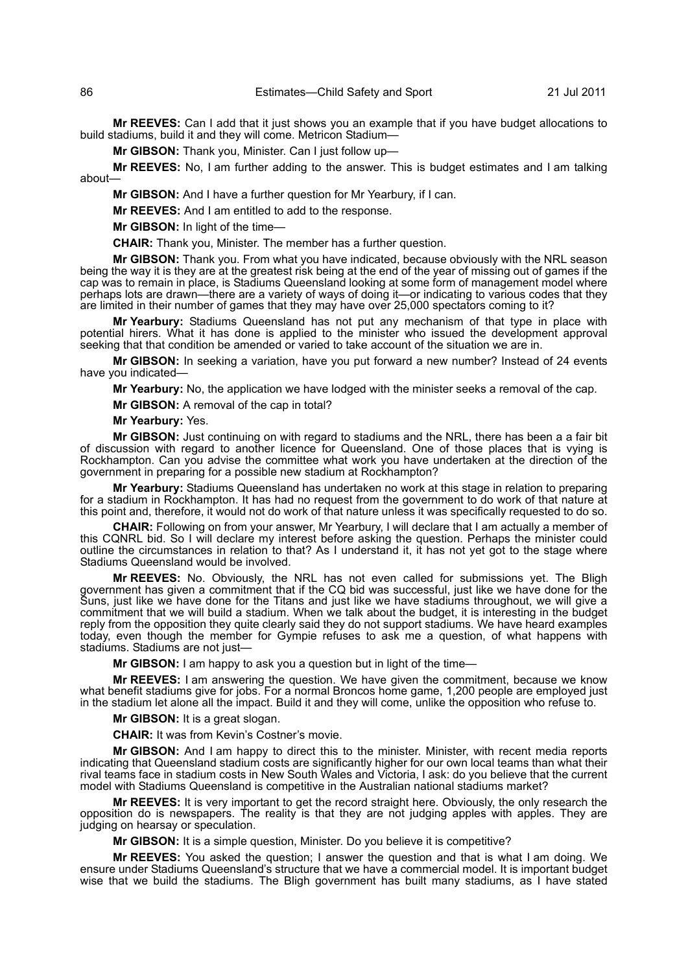**Mr REEVES:** Can I add that it just shows you an example that if you have budget allocations to build stadiums, build it and they will come. Metricon Stadium-

**Mr GIBSON:** Thank you, Minister. Can I just follow up—

**Mr REEVES:** No, I am further adding to the answer. This is budget estimates and I am talking about—

**Mr GIBSON:** And I have a further question for Mr Yearbury, if I can.

**Mr REEVES:** And I am entitled to add to the response.

**Mr GIBSON:** In light of the time—

**CHAIR:** Thank you, Minister. The member has a further question.

**Mr GIBSON:** Thank you. From what you have indicated, because obviously with the NRL season being the way it is they are at the greatest risk being at the end of the year of missing out of games if the cap was to remain in place, is Stadiums Queensland looking at some form of management model where perhaps lots are drawn—there are a variety of ways of doing it—or indicating to various codes that they are limited in their number of games that they may have over 25,000 spectators coming to it?

**Mr Yearbury:** Stadiums Queensland has not put any mechanism of that type in place with potential hirers. What it has done is applied to the minister who issued the development approval seeking that that condition be amended or varied to take account of the situation we are in.

**Mr GIBSON:** In seeking a variation, have you put forward a new number? Instead of 24 events have you indicated—

**Mr Yearbury:** No, the application we have lodged with the minister seeks a removal of the cap.

**Mr GIBSON:** A removal of the cap in total?

## **Mr Yearbury:** Yes.

**Mr GIBSON:** Just continuing on with regard to stadiums and the NRL, there has been a a fair bit of discussion with regard to another licence for Queensland. One of those places that is vying is Rockhampton. Can you advise the committee what work you have undertaken at the direction of the government in preparing for a possible new stadium at Rockhampton?

**Mr Yearbury:** Stadiums Queensland has undertaken no work at this stage in relation to preparing for a stadium in Rockhampton. It has had no request from the government to do work of that nature at this point and, therefore, it would not do work of that nature unless it was specifically requested to do so.

**CHAIR:** Following on from your answer, Mr Yearbury, I will declare that I am actually a member of this CQNRL bid. So I will declare my interest before asking the question. Perhaps the minister could outline the circumstances in relation to that? As I understand it, it has not yet got to the stage where Stadiums Queensland would be involved.

**Mr REEVES:** No. Obviously, the NRL has not even called for submissions yet. The Bligh government has given a commitment that if the CQ bid was successful, just like we have done for the Suns, just like we have done for the Titans and just like we have stadiums throughout, we will give a commitment that we will build a stadium. When we talk about the budget, it is interesting in the budget reply from the opposition they quite clearly said they do not support stadiums. We have heard examples today, even though the member for Gympie refuses to ask me a question, of what happens with stadiums. Stadiums are not just—

**Mr GIBSON:** I am happy to ask you a question but in light of the time—

**Mr REEVES:** I am answering the question. We have given the commitment, because we know what benefit stadiums give for jobs. For a normal Broncos home game, 1,200 people are employed just in the stadium let alone all the impact. Build it and they will come, unlike the opposition who refuse to.

**Mr GIBSON:** It is a great slogan.

**CHAIR:** It was from Kevin's Costner's movie.

**Mr GIBSON:** And I am happy to direct this to the minister. Minister, with recent media reports indicating that Queensland stadium costs are significantly higher for our own local teams than what their rival teams face in stadium costs in New South Wales and Victoria, I ask: do you believe that the current model with Stadiums Queensland is competitive in the Australian national stadiums market?

**Mr REEVES:** It is very important to get the record straight here. Obviously, the only research the opposition do is newspapers. The reality is that they are not judging apples with apples. They are judging on hearsay or speculation.

**Mr GIBSON:** It is a simple question, Minister. Do you believe it is competitive?

**Mr REEVES:** You asked the question; I answer the question and that is what I am doing. We ensure under Stadiums Queensland's structure that we have a commercial model. It is important budget wise that we build the stadiums. The Bligh government has built many stadiums, as I have stated